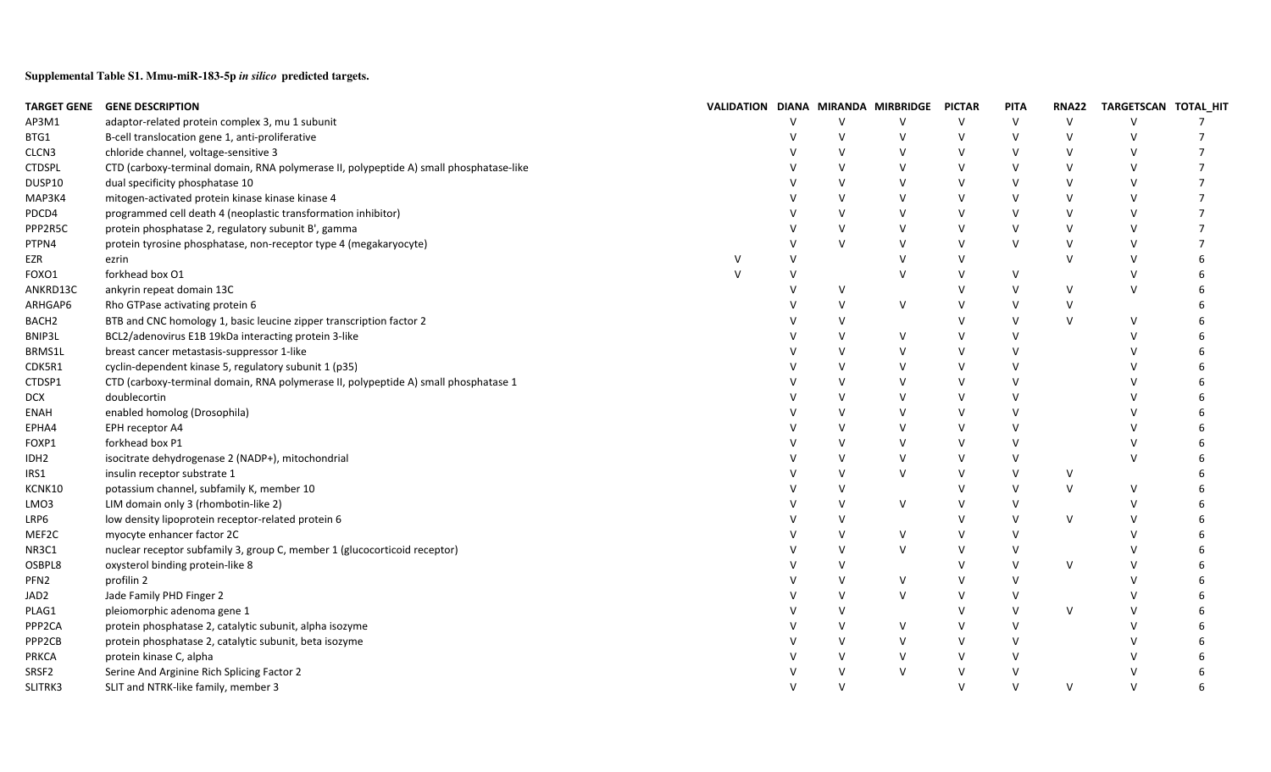**Supplemental Table S1. Mmu-miR-183-5p** *in silico* **predicted targets.**

|                     | TARGET GENE GENE DESCRIPTION                                                           |              |               |              | VALIDATION DIANA MIRANDA MIRBRIDGE PICTAR |        | <b>PITA</b>   | <b>RNA22</b> | TARGETSCAN TOTAL_HIT |   |
|---------------------|----------------------------------------------------------------------------------------|--------------|---------------|--------------|-------------------------------------------|--------|---------------|--------------|----------------------|---|
| AP3M1               | adaptor-related protein complex 3, mu 1 subunit                                        |              |               | $\vee$       | $\vee$                                    | $\vee$ | $\vee$        | $\vee$       | $\vee$               |   |
| BTG1                | B-cell translocation gene 1, anti-proliferative                                        |              | $\mathsf{v}$  | $\vee$       | $\vee$                                    | $\vee$ | $\vee$        | $\vee$       | $\vee$               |   |
| CLCN3               | chloride channel, voltage-sensitive 3                                                  |              |               | $\vee$       | $\vee$                                    | $\vee$ |               | $\vee$       | $\vee$               |   |
| <b>CTDSPL</b>       | CTD (carboxy-terminal domain, RNA polymerase II, polypeptide A) small phosphatase-like |              |               | $\mathsf{V}$ | $\vee$                                    | $\vee$ |               | $\vee$       | $\vee$               |   |
| DUSP10              | dual specificity phosphatase 10                                                        |              |               | $\vee$       | $\vee$                                    | $\vee$ | $\mathcal{U}$ | $\vee$       | $\vee$               |   |
| MAP3K4              | mitogen-activated protein kinase kinase kinase 4                                       |              | $\mathsf{V}$  | $\vee$       | $\vee$                                    | $\vee$ | $\mathsf{V}$  | $\vee$       | $\vee$               |   |
| PDCD4               | programmed cell death 4 (neoplastic transformation inhibitor)                          |              |               | $\vee$       | $\vee$                                    | $\vee$ | $\mathcal{U}$ | $\vee$       | $\vee$               |   |
| PPP2R5C             | protein phosphatase 2, regulatory subunit B', gamma                                    |              |               | $\vee$       | $\vee$                                    | $\vee$ | $\mathsf{V}$  | $\vee$       | $\vee$               |   |
| PTPN4               | protein tyrosine phosphatase, non-receptor type 4 (megakaryocyte)                      |              | V             | $\vee$       | $\vee$                                    | $\vee$ | $\vee$        | $\vee$       | $\vee$               |   |
| EZR                 | ezrin                                                                                  |              | $\vee$        |              | $\vee$                                    | $\vee$ |               | $\vee$       | $\vee$               | 6 |
| FOXO1               | forkhead box O1                                                                        | $\mathsf{v}$ | $\vee$        |              | $\vee$                                    | $\vee$ | $\vee$        |              | $\vee$               | 6 |
| ANKRD13C            | ankyrin repeat domain 13C                                                              |              |               | V            |                                           | $\vee$ | $\vee$        | $\vee$       | $\vee$               |   |
| ARHGAP6             | Rho GTPase activating protein 6                                                        |              |               | $\vee$       | $\vee$                                    | $\vee$ | $\vee$        | $\vee$       |                      |   |
| BACH <sub>2</sub>   | BTB and CNC homology 1, basic leucine zipper transcription factor 2                    |              |               | $\vee$       |                                           | $\vee$ | $\mathsf{V}$  | $\vee$       | $\vee$               |   |
| BNIP3L              | BCL2/adenovirus E1B 19kDa interacting protein 3-like                                   |              |               | $\vee$       | $\vee$                                    | $\vee$ | $\vee$        |              |                      |   |
| BRMS1L              | breast cancer metastasis-suppressor 1-like                                             |              | $\mathcal{U}$ | $\vee$       | $\vee$                                    | V      | $\vee$        |              |                      |   |
| CDK5R1              | cyclin-dependent kinase 5, regulatory subunit 1 (p35)                                  |              | $\mathsf{V}$  | $\vee$       | $\vee$                                    | $\vee$ | $\vee$        |              |                      |   |
| CTDSP1              | CTD (carboxy-terminal domain, RNA polymerase II, polypeptide A) small phosphatase 1    |              |               | $\vee$       | $\vee$                                    | $\vee$ | $\vee$        |              |                      |   |
| <b>DCX</b>          | doublecortin                                                                           |              |               | $\vee$       | $\vee$                                    | $\vee$ | $\vee$        |              |                      |   |
| ENAH                | enabled homolog (Drosophila)                                                           |              |               | $\vee$       | $\vee$                                    | $\vee$ | $\vee$        |              |                      |   |
| EPHA4               | EPH receptor A4                                                                        |              |               | $\mathsf{V}$ | $\vee$                                    | $\vee$ | $\vee$        |              |                      |   |
| FOXP1               | forkhead box P1                                                                        |              |               | $\vee$       | $\vee$                                    | $\vee$ | $\vee$        |              |                      |   |
| IDH <sub>2</sub>    | isocitrate dehydrogenase 2 (NADP+), mitochondrial                                      |              |               | v            | $\vee$                                    | $\vee$ | $\vee$        |              | $\vee$               |   |
| IRS1                | insulin receptor substrate 1                                                           |              |               | v            | $\vee$                                    | $\vee$ | $\vee$        | V            |                      |   |
| KCNK10              | potassium channel, subfamily K, member 10                                              |              |               | v            |                                           | V      | $\mathsf{V}$  | $\vee$       | $\vee$               |   |
| LMO3                | LIM domain only 3 (rhombotin-like 2)                                                   |              |               | $\vee$       | $\vee$                                    | $\vee$ |               |              | $\vee$               |   |
| LRP6                | low density lipoprotein receptor-related protein 6                                     |              | $\mathcal{U}$ | $\vee$       |                                           | $\vee$ | $\mathsf{V}$  | $\vee$       | $\vee$               |   |
| MEF2C               | myocyte enhancer factor 2C                                                             |              | $\vee$        | $\vee$       | $\vee$                                    | $\vee$ | $\vee$        |              |                      |   |
| NR3C1               | nuclear receptor subfamily 3, group C, member 1 (glucocorticoid receptor)              |              | $\mathsf{V}$  | $\vee$       | $\vee$                                    | $\vee$ | $\vee$        |              |                      |   |
| OSBPL8              | oxysterol binding protein-like 8                                                       |              |               | $\mathsf{V}$ |                                           | $\vee$ | $\mathsf{V}$  | V            |                      |   |
| PFN <sub>2</sub>    | profilin 2                                                                             |              |               | $\vee$       | $\vee$                                    | $\vee$ | $\vee$        |              |                      | 6 |
| JAD2                | Jade Family PHD Finger 2                                                               |              |               | $\vee$       | $\vee$                                    | $\vee$ |               |              |                      |   |
| PLAG1               | pleiomorphic adenoma gene 1                                                            |              |               | $\vee$       |                                           | $\vee$ | $\vee$        | V            |                      |   |
| PPP <sub>2</sub> CA | protein phosphatase 2, catalytic subunit, alpha isozyme                                |              |               | $\vee$       | $\vee$                                    | $\vee$ | $\vee$        |              |                      |   |
| PPP <sub>2CB</sub>  | protein phosphatase 2, catalytic subunit, beta isozyme                                 |              |               | $\vee$       | $\vee$                                    | $\vee$ | $\vee$        |              |                      |   |
| <b>PRKCA</b>        | protein kinase C, alpha                                                                |              |               | $\vee$       | $\vee$                                    | $\vee$ | $\vee$        |              |                      |   |
| SRSF2               | Serine And Arginine Rich Splicing Factor 2                                             |              |               | $\vee$       | $\vee$                                    | $\vee$ | $\vee$        |              |                      | 6 |
| SLITRK3             | SLIT and NTRK-like family, member 3                                                    |              | $\mathsf{V}$  | $\vee$       |                                           | $\vee$ | $\vee$        | V            | $\vee$               |   |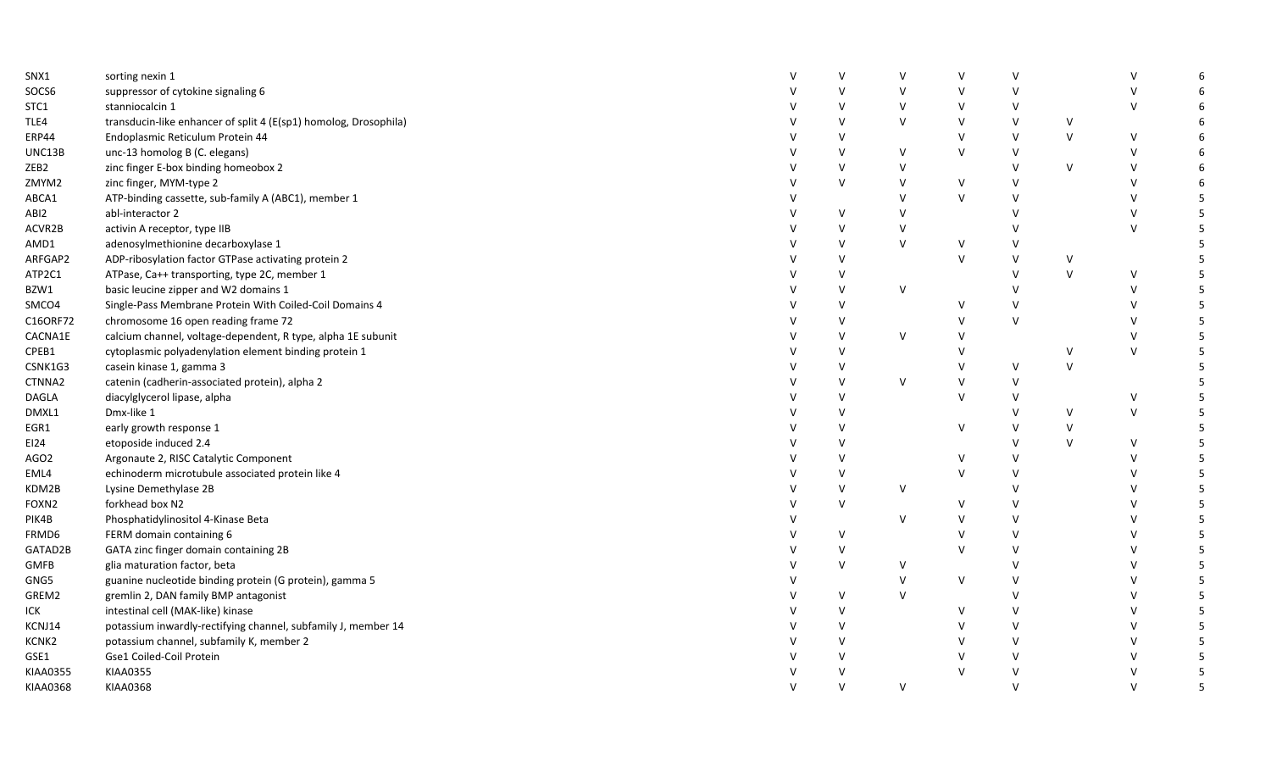| SNX1             | sorting nexin 1                                                  |              | $\mathsf{V}$ | $\vee$        | V            | $\mathsf{V}$ |        | $\vee$       | 6 |
|------------------|------------------------------------------------------------------|--------------|--------------|---------------|--------------|--------------|--------|--------------|---|
| SOCS6            | suppressor of cytokine signaling 6                               |              |              | $\vee$        | $\vee$       |              |        | $\vee$       | 6 |
| STC1             | stanniocalcin 1                                                  |              |              | $\vee$        | $\vee$       | $\vee$       |        | $\vee$       | 6 |
| TLE4             | transducin-like enhancer of split 4 (E(sp1) homolog, Drosophila) |              | $\mathsf{V}$ | $\vee$        | $\vee$       | $\vee$       | V      |              | 6 |
| ERP44            | Endoplasmic Reticulum Protein 44                                 |              | $\mathsf{V}$ |               | $\mathsf{V}$ | $\vee$       | $\vee$ | $\mathsf{V}$ | 6 |
| UNC13B           | unc-13 homolog B (C. elegans)                                    |              | $\vee$       | $\vee$        | $\vee$       | V            |        | $\vee$       | 6 |
| ZEB2             | zinc finger E-box binding homeobox 2                             |              | $\vee$       | $\vee$        |              | V            | $\vee$ | $\vee$       | 6 |
| ZMYM2            | zinc finger, MYM-type 2                                          |              | V            | $\vee$        | V            | V            |        | $\vee$       | 6 |
| ABCA1            | ATP-binding cassette, sub-family A (ABC1), member 1              |              |              | $\vee$        | $\vee$       | $\vee$       |        | $\vee$       | 5 |
| ABI2             | abl-interactor 2                                                 |              | $\vee$       | $\vee$        |              | $\mathsf{V}$ |        | $\vee$       | 5 |
| ACVR2B           | activin A receptor, type IIB                                     |              | $\mathsf{V}$ | $\vee$        |              |              |        | $\vee$       | 5 |
| AMD1             | adenosylmethionine decarboxylase 1                               |              | $\mathsf{V}$ | $\vee$        | $\vee$       |              |        |              | 5 |
| ARFGAP2          | ADP-ribosylation factor GTPase activating protein 2              |              |              |               | $\vee$       | $\vee$       | $\vee$ |              | 5 |
| ATP2C1           | ATPase, Ca++ transporting, type 2C, member 1                     |              | $\mathsf{V}$ |               |              | $\vee$       | $\vee$ | $\vee$       | 5 |
| BZW1             | basic leucine zipper and W2 domains 1                            |              | $\mathsf{V}$ | $\vee$        |              | $\mathsf{V}$ |        | $\vee$       | 5 |
| SMCO4            | Single-Pass Membrane Protein With Coiled-Coil Domains 4          |              | $\vee$       |               | v            | V            |        | $\vee$       | 5 |
| C16ORF72         | chromosome 16 open reading frame 72                              |              | $\vee$       |               | $\vee$       | $\vee$       |        | $\vee$       | 5 |
| CACNA1E          | calcium channel, voltage-dependent, R type, alpha 1E subunit     |              | $\vee$       | $\vee$        | $\vee$       |              |        | $\vee$       | 5 |
| CPEB1            | cytoplasmic polyadenylation element binding protein 1            |              | $\mathsf{V}$ |               | $\mathsf{V}$ |              | V      | $\vee$       | 5 |
| CSNK1G3          | casein kinase 1, gamma 3                                         |              | $\vee$       |               | $\vee$       | $\vee$       | $\vee$ |              | 5 |
| CTNNA2           | catenin (cadherin-associated protein), alpha 2                   |              | $\vee$       | $\vee$        | $\vee$       | V            |        |              |   |
| DAGLA            | diacylglycerol lipase, alpha                                     |              | $\vee$       |               | $\mathsf{V}$ | v            |        | $\vee$       | 5 |
| DMXL1            | Dmx-like 1                                                       |              | $\vee$       |               |              | $\vee$       | $\vee$ | $\mathsf{V}$ | 5 |
| EGR1             | early growth response 1                                          |              | $\vee$       |               | V            | $\vee$       | $\vee$ |              | 5 |
| EI24             | etoposide induced 2.4                                            |              | $\mathsf{V}$ |               |              | $\vee$       | $\vee$ | $\mathsf{V}$ | 5 |
| AGO <sub>2</sub> | Argonaute 2, RISC Catalytic Component                            |              | $\vee$       |               | V            | V            |        | $\vee$       | 5 |
| EML4             | echinoderm microtubule associated protein like 4                 |              | $\vee$       |               | $\vee$       |              |        | $\vee$       | 5 |
| KDM2B            | Lysine Demethylase 2B                                            |              | $\vee$       | $\vee$        |              |              |        | $\vee$       | 5 |
| FOXN2            | forkhead box N2                                                  |              | $\vee$       |               | V            | v            |        | $\vee$       | 5 |
| PIK4B            | Phosphatidylinositol 4-Kinase Beta                               |              |              | $\vee$        | $\vee$       | $\vee$       |        | $\vee$       | 5 |
| FRMD6            | FERM domain containing 6                                         |              | $\vee$       |               | $\mathsf{V}$ | $\vee$       |        | $\mathsf{V}$ | 5 |
| GATAD2B          | GATA zinc finger domain containing 2B                            |              | $\vee$       |               | $\mathsf{V}$ | V            |        | $\vee$       | 5 |
| GMFB             | glia maturation factor, beta                                     |              | $\vee$       | $\vee$        |              | $\vee$       |        | $\vee$       | 5 |
| GNG5             | guanine nucleotide binding protein (G protein), gamma 5          |              |              | $\vee$        | V            | $\vee$       |        | $\vee$       | 5 |
| GREM2            | gremlin 2, DAN family BMP antagonist                             |              | $\vee$       | $\mathcal{U}$ |              | $\mathsf{V}$ |        | $\vee$       | 5 |
| ICK              | intestinal cell (MAK-like) kinase                                |              | $\vee$       |               | $\vee$       | $\vee$       |        | $\vee$       | 5 |
| KCNJ14           | potassium inwardly-rectifying channel, subfamily J, member 14    |              | $\vee$       |               | $\mathsf{V}$ | V            |        | $\vee$       | 5 |
| KCNK2            | potassium channel, subfamily K, member 2                         |              | $\vee$       |               | v            | V            |        | $\vee$       | 5 |
| GSE1             | Gse1 Coiled-Coil Protein                                         |              |              |               |              |              |        | $\vee$       | 5 |
| KIAA0355         | <b>KIAA0355</b>                                                  |              |              |               | $\vee$       |              |        | $\vee$       | 5 |
| <b>KIAA0368</b>  | <b>KIAA0368</b>                                                  | $\mathsf{V}$ | $\vee$       | $\vee$        |              | $\vee$       |        | $\vee$       | 5 |
|                  |                                                                  |              |              |               |              |              |        |              |   |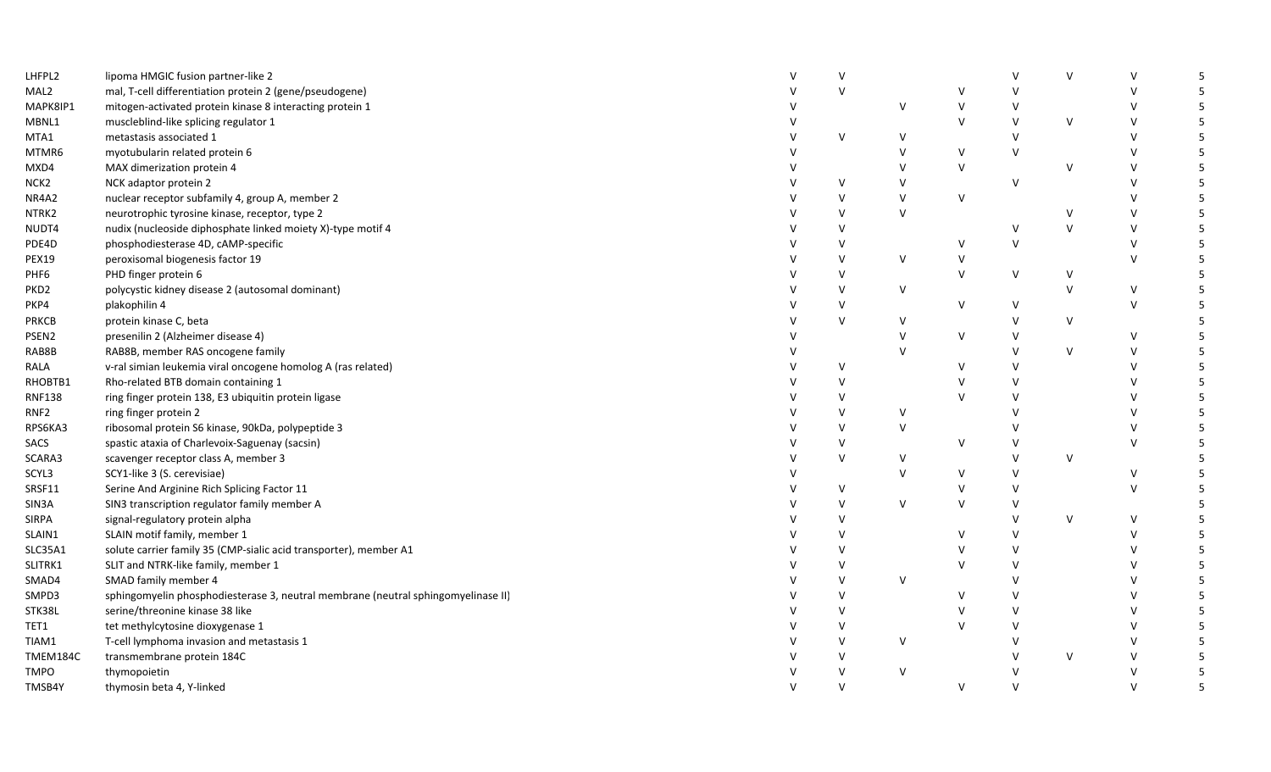| LHFPL2           | lipoma HMGIC fusion partner-like 2                                                |              | $\vee$ |              |               |        | $\vee$       | v            | 5  |
|------------------|-----------------------------------------------------------------------------------|--------------|--------|--------------|---------------|--------|--------------|--------------|----|
| MAL2             | mal, T-cell differentiation protein 2 (gene/pseudogene)                           |              | $\vee$ |              | $\vee$        |        |              | $\vee$       | 5  |
| MAPK8IP1         | mitogen-activated protein kinase 8 interacting protein 1                          |              |        | $\vee$       | $\vee$        |        |              | $\mathsf{V}$ | 5  |
| MBNL1            | muscleblind-like splicing regulator 1                                             |              |        |              | $\vee$        | $\vee$ | $\vee$       | $\vee$       | 5  |
| MTA1             | metastasis associated 1                                                           |              | $\vee$ | V            |               | $\vee$ |              | $\vee$       | 5  |
| MTMR6            | myotubularin related protein 6                                                    |              |        | $\vee$       | $\vee$        | $\vee$ |              | $\vee$       | 5  |
| MXD4             | MAX dimerization protein 4                                                        |              |        | $\vee$       | $\vee$        |        | $\mathsf{V}$ | $\vee$       | 5  |
| NCK <sub>2</sub> | NCK adaptor protein 2                                                             |              | v      | $\vee$       |               | $\vee$ |              | $\vee$       | 5  |
| NR4A2            | nuclear receptor subfamily 4, group A, member 2                                   |              | $\vee$ | $\mathsf{V}$ | $\vee$        |        |              | $\vee$       | 5  |
| NTRK2            | neurotrophic tyrosine kinase, receptor, type 2                                    |              | $\vee$ | $\vee$       |               |        | $\vee$       | $\vee$       | 5  |
| NUDT4            | nudix (nucleoside diphosphate linked moiety X)-type motif 4                       |              | $\vee$ |              |               | $\vee$ | $\vee$       | $\vee$       | 5  |
| PDE4D            | phosphodiesterase 4D, cAMP-specific                                               |              | $\vee$ |              | $\vee$        | $\vee$ |              | $\vee$       | 5  |
| <b>PEX19</b>     | peroxisomal biogenesis factor 19                                                  |              | $\vee$ | $\vee$       | $\vee$        |        |              | $\vee$       | 5  |
| PHF6             | PHD finger protein 6                                                              |              | $\vee$ |              | $\vee$        | V      | $\mathsf{V}$ |              | 5  |
| PKD <sub>2</sub> | polycystic kidney disease 2 (autosomal dominant)                                  |              | $\vee$ | $\vee$       |               |        | $\vee$       | $\vee$       | 5  |
| PKP4             | plakophilin 4                                                                     |              | V      |              | $\vee$        | V      |              | $\vee$       | 5  |
| PRKCB            | protein kinase C, beta                                                            |              | $\vee$ | $\mathsf{V}$ |               | $\vee$ | $\mathsf{V}$ |              | 5  |
| PSEN2            | presenilin 2 (Alzheimer disease 4)                                                |              |        | $\vee$       | $\vee$        | v      |              | $\vee$       | 5  |
| RAB8B            | RAB8B, member RAS oncogene family                                                 |              |        | $\vee$       |               | $\vee$ | $\vee$       | $\vee$       | 5  |
| RALA             | v-ral simian leukemia viral oncogene homolog A (ras related)                      |              | $\vee$ |              | $\vee$        | $\vee$ |              | $\vee$       | 5  |
| RHOBTB1          | Rho-related BTB domain containing 1                                               |              | $\vee$ |              | $\vee$        |        |              | $\vee$       | 5  |
| <b>RNF138</b>    | ring finger protein 138, E3 ubiquitin protein ligase                              |              | $\vee$ |              | $\mathsf{V}$  |        |              | $\vee$       | 5  |
| RNF <sub>2</sub> | ring finger protein 2                                                             |              | V      | $\vee$       |               |        |              | $\vee$       | 5  |
| RPS6KA3          | ribosomal protein S6 kinase, 90kDa, polypeptide 3                                 |              | $\vee$ | $\vee$       |               |        |              | $\vee$       | 5  |
| <b>SACS</b>      | spastic ataxia of Charlevoix-Saguenay (sacsin)                                    |              | $\vee$ |              | $\vee$        | $\vee$ |              | $\vee$       | 5  |
| SCARA3           | scavenger receptor class A, member 3                                              |              | $\vee$ | $\vee$       |               | $\vee$ | $\vee$       |              | 5  |
| SCYL3            | SCY1-like 3 (S. cerevisiae)                                                       |              |        | $\vee$       | V             | v      |              | $\vee$       |    |
| SRSF11           | Serine And Arginine Rich Splicing Factor 11                                       |              | V      |              | $\vee$        |        |              | $\vee$       | 5  |
| SIN3A            | SIN3 transcription regulator family member A                                      |              | $\vee$ | $\vee$       | $\vee$        | V      |              |              | 5  |
| <b>SIRPA</b>     | signal-regulatory protein alpha                                                   |              | $\vee$ |              |               | $\vee$ | $\vee$       | $\mathsf{V}$ | 5  |
| SLAIN1           | SLAIN motif family, member 1                                                      |              | $\vee$ |              | $\vee$        | $\vee$ |              | $\vee$       | 5  |
| SLC35A1          | solute carrier family 35 (CMP-sialic acid transporter), member A1                 |              | V      |              | $\vee$        | $\vee$ |              | $\vee$       | 5  |
| SLITRK1          | SLIT and NTRK-like family, member 1                                               |              | V      |              | $\vee$        |        |              | $\vee$       | 5  |
| SMAD4            | SMAD family member 4                                                              |              | $\vee$ | $\vee$       |               |        |              | $\vee$       | 5  |
| SMPD3            | sphingomyelin phosphodiesterase 3, neutral membrane (neutral sphingomyelinase II) |              | $\vee$ |              | $\vee$        |        |              | $\vee$       | 5  |
| STK38L           | serine/threonine kinase 38 like                                                   |              | $\vee$ |              | $\mathsf{V}$  |        |              | $\vee$       | 5  |
| TET1             | tet methylcytosine dioxygenase 1                                                  |              | $\vee$ |              | $\mathcal{U}$ |        |              | $\vee$       | 5  |
| TIAM1            | T-cell lymphoma invasion and metastasis 1                                         |              | V      | V            |               |        |              | $\vee$       | 5. |
| TMEM184C         | transmembrane protein 184C                                                        |              | V      |              |               |        | $\vee$       | V            |    |
| <b>TMPO</b>      | thymopoietin                                                                      |              | $\vee$ | $\vee$       |               |        |              | $\vee$       | 5  |
| TMSB4Y           | thymosin beta 4, Y-linked                                                         | $\mathsf{V}$ | $\vee$ |              | $\vee$        | $\vee$ |              | $\vee$       | 5  |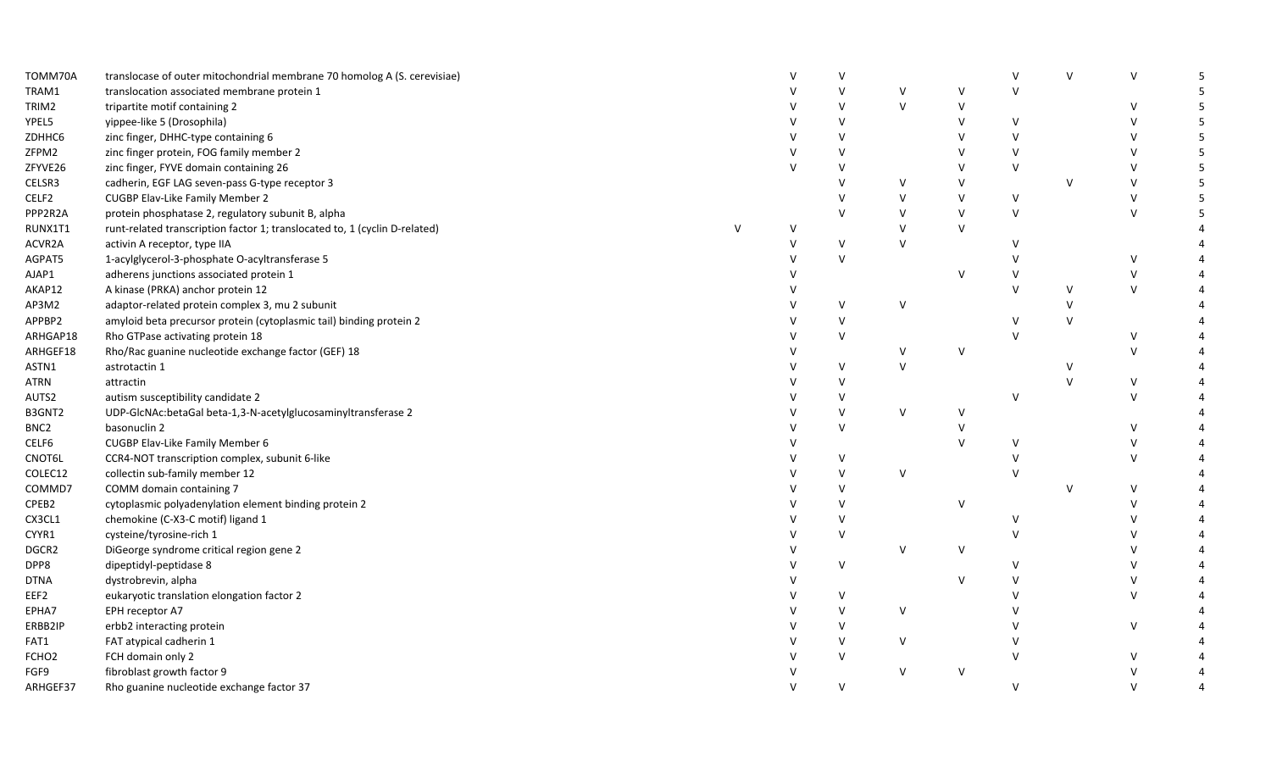| TOMM70A           | translocase of outer mitochondrial membrane 70 homolog A (S. cerevisiae)   |          |        |              |        |              | $\vee$        | $\vee$ | $\vee$       |   |
|-------------------|----------------------------------------------------------------------------|----------|--------|--------------|--------|--------------|---------------|--------|--------------|---|
| TRAM1             | translocation associated membrane protein 1                                |          |        |              | $\vee$ | $\vee$       | $\vee$        |        |              |   |
| TRIM2             | tripartite motif containing 2                                              |          |        | $\vee$       | $\vee$ | V            |               |        | $\vee$       |   |
| YPEL5             | yippee-like 5 (Drosophila)                                                 |          |        | $\vee$       |        | $\mathsf{V}$ | $\vee$        |        | $\mathsf{V}$ |   |
| ZDHHC6            | zinc finger, DHHC-type containing 6                                        |          |        | $\vee$       |        | v            | $\vee$        |        | $\vee$       |   |
| ZFPM2             | zinc finger protein, FOG family member 2                                   |          |        | $\vee$       |        |              | $\vee$        |        | $\vee$       | 5 |
| ZFYVE26           | zinc finger, FYVE domain containing 26                                     |          |        | $\vee$       |        |              | $\vee$        |        | $\vee$       |   |
| CELSR3            | cadherin, EGF LAG seven-pass G-type receptor 3                             |          |        |              | v      | $\vee$       |               | v      | $\vee$       |   |
| CELF2             | CUGBP Elav-Like Family Member 2                                            |          |        | $\mathsf{V}$ | $\vee$ | $\vee$       | $\vee$        |        | $\vee$       |   |
| PPP2R2A           | protein phosphatase 2, regulatory subunit B, alpha                         |          |        | $\mathsf{V}$ | $\vee$ | $\mathsf{V}$ | $\vee$        |        | $\mathsf{V}$ |   |
| RUNX1T1           | runt-related transcription factor 1; translocated to, 1 (cyclin D-related) | <u>v</u> |        |              | $\vee$ | $\vee$       |               |        |              |   |
| ACVR2A            | activin A receptor, type IIA                                               |          |        | $\vee$       | $\vee$ |              | $\vee$        |        |              |   |
| AGPAT5            | 1-acylglycerol-3-phosphate O-acyltransferase 5                             |          |        | $\vee$       |        |              |               |        | $\vee$       |   |
| AJAP1             | adherens junctions associated protein 1                                    |          |        |              |        | $\vee$       | $\vee$        |        | $\vee$       |   |
| AKAP12            | A kinase (PRKA) anchor protein 12                                          |          |        |              |        |              | $\vee$        | $\vee$ | $\vee$       |   |
| AP3M2             | adaptor-related protein complex 3, mu 2 subunit                            |          |        | V            | $\vee$ |              |               | v      |              |   |
| APPBP2            | amyloid beta precursor protein (cytoplasmic tail) binding protein 2        |          |        | V            |        |              | $\vee$        | $\vee$ |              |   |
| ARHGAP18          | Rho GTPase activating protein 18                                           |          |        | $\vee$       |        |              | $\vee$        |        | $\vee$       |   |
| ARHGEF18          | Rho/Rac guanine nucleotide exchange factor (GEF) 18                        |          |        |              | $\vee$ | $\vee$       |               |        | $\vee$       |   |
| ASTN1             | astrotactin 1                                                              |          |        | $\vee$       | $\vee$ |              |               | v      |              |   |
| ATRN              | attractin                                                                  |          |        | $\vee$       |        |              |               | $\vee$ | $\vee$       |   |
| AUTS2             | autism susceptibility candidate 2                                          |          |        | v            |        |              | v             |        | $\vee$       |   |
| B3GNT2            | UDP-GlcNAc:betaGal beta-1,3-N-acetylglucosaminyltransferase 2              |          |        | $\vee$       | $\vee$ | $\vee$       |               |        |              |   |
| BNC <sub>2</sub>  | basonuclin 2                                                               |          |        | V            |        |              |               |        | $\vee$       |   |
| CELF6             | CUGBP Elav-Like Family Member 6                                            |          |        |              |        |              | $\vee$        |        | $\vee$       |   |
| CNOT6L            | CCR4-NOT transcription complex, subunit 6-like                             |          |        | V            |        |              |               |        | $\mathsf{V}$ |   |
| COLEC12           | collectin sub-family member 12                                             |          |        | V            | $\vee$ |              | $\vee$        |        |              |   |
| COMMD7            | COMM domain containing 7                                                   |          |        | $\vee$       |        |              |               | v      | $\vee$       |   |
| CPEB2             | cytoplasmic polyadenylation element binding protein 2                      |          |        | $\vee$       |        | $\vee$       |               |        | $\mathsf{V}$ |   |
| CX3CL1            | chemokine (C-X3-C motif) ligand 1                                          |          |        | $\vee$       |        |              | $\vee$        |        | $\mathsf{V}$ |   |
| CYYR1             | cysteine/tyrosine-rich 1                                                   |          |        | $\vee$       |        |              | $\vee$        |        | $\vee$       |   |
| DGCR2             | DiGeorge syndrome critical region gene 2                                   |          |        |              | $\vee$ | V            |               |        | $\mathsf{V}$ |   |
| DPP8              | dipeptidyl-peptidase 8                                                     |          |        | $\mathsf{V}$ |        |              |               |        | $\vee$       |   |
| <b>DTNA</b>       | dystrobrevin, alpha                                                        |          |        |              |        | $\mathsf{V}$ |               |        | $\vee$       |   |
| EEF2              | eukaryotic translation elongation factor 2                                 |          |        | V            |        |              |               |        | $\vee$       |   |
| EPHA7             | EPH receptor A7                                                            |          |        | $\vee$       | $\vee$ |              | $\mathcal{U}$ |        |              |   |
| ERBB2IP           | erbb2 interacting protein                                                  |          |        | $\vee$       |        |              |               |        | $\vee$       |   |
| FAT1              | FAT atypical cadherin 1                                                    |          |        | $\vee$       | v      |              |               |        |              |   |
| FCHO <sub>2</sub> | FCH domain only 2                                                          |          |        | $\vee$       |        |              | $\vee$        |        | $\vee$       |   |
| FGF9              | fibroblast growth factor 9                                                 |          |        |              | $\vee$ | $\vee$       |               |        | $\vee$       |   |
| ARHGEF37          | Rho guanine nucleotide exchange factor 37                                  |          | $\vee$ | $\vee$       |        |              | $\vee$        |        | $\mathsf{V}$ |   |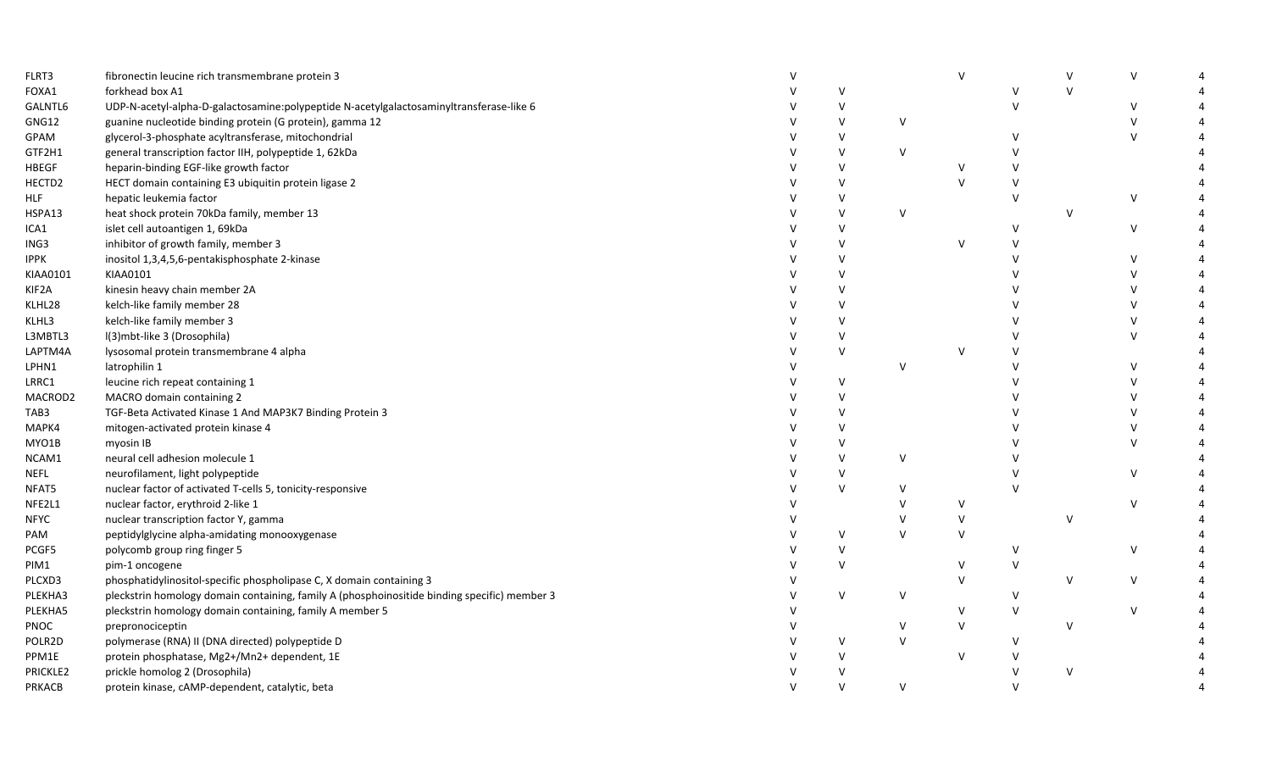| FLRT3         | fibronectin leucine rich transmembrane protein 3                                             |              |              |              | $\mathsf{v}$ |               | $\vee$ | $\vee$ |  |
|---------------|----------------------------------------------------------------------------------------------|--------------|--------------|--------------|--------------|---------------|--------|--------|--|
| FOXA1         | forkhead box A1                                                                              |              | $\mathsf{v}$ |              |              |               | $\vee$ |        |  |
| GALNTL6       | UDP-N-acetyl-alpha-D-galactosamine:polypeptide N-acetylgalactosaminyltransferase-like 6      |              | $\vee$       |              |              | $\vee$        |        | $\vee$ |  |
| GNG12         | guanine nucleotide binding protein (G protein), gamma 12                                     |              | $\vee$       | V            |              |               |        | $\vee$ |  |
| GPAM          | glycerol-3-phosphate acyltransferase, mitochondrial                                          |              | $\mathsf{V}$ |              |              | $\vee$        |        | $\vee$ |  |
| GTF2H1        | general transcription factor IIH, polypeptide 1, 62kDa                                       |              | $\vee$       | $\vee$       |              |               |        |        |  |
| <b>HBEGF</b>  | heparin-binding EGF-like growth factor                                                       |              | $\vee$       |              |              |               |        |        |  |
| HECTD2        | HECT domain containing E3 ubiquitin protein ligase 2                                         |              | $\mathsf{V}$ |              | $\vee$       |               |        |        |  |
| HLF           | hepatic leukemia factor                                                                      |              | $\vee$       |              |              | $\vee$        |        | V      |  |
| HSPA13        | heat shock protein 70kDa family, member 13                                                   |              | $\vee$       | $\vee$       |              |               | $\vee$ |        |  |
| ICA1          | islet cell autoantigen 1, 69kDa                                                              |              | $\vee$       |              |              |               |        | V      |  |
| ING3          | inhibitor of growth family, member 3                                                         |              | $\vee$       |              | $\vee$       |               |        |        |  |
| <b>IPPK</b>   | inositol 1,3,4,5,6-pentakisphosphate 2-kinase                                                |              | $\mathsf{V}$ |              |              |               |        | V      |  |
| KIAA0101      | KIAA0101                                                                                     |              | $\vee$       |              |              |               |        | V      |  |
| KIF2A         | kinesin heavy chain member 2A                                                                |              | $\vee$       |              |              |               |        | V      |  |
| KLHL28        | kelch-like family member 28                                                                  |              | $\mathsf{V}$ |              |              |               |        | V      |  |
| KLHL3         | kelch-like family member 3                                                                   |              | $\vee$       |              |              |               |        | V      |  |
| L3MBTL3       | I(3)mbt-like 3 (Drosophila)                                                                  |              | $\vee$       |              |              |               |        | $\vee$ |  |
| LAPTM4A       | lysosomal protein transmembrane 4 alpha                                                      |              | $\vee$       |              | $\vee$       |               |        |        |  |
| LPHN1         | latrophilin 1                                                                                |              |              | $\vee$       |              |               |        | $\vee$ |  |
| LRRC1         | leucine rich repeat containing 1                                                             |              | $\vee$       |              |              |               |        | V      |  |
| MACROD2       | MACRO domain containing 2                                                                    |              | $\vee$       |              |              |               |        | V      |  |
| TAB3          | TGF-Beta Activated Kinase 1 And MAP3K7 Binding Protein 3                                     |              | $\vee$       |              |              |               |        | V      |  |
| MAPK4         | mitogen-activated protein kinase 4                                                           |              | $\mathsf{V}$ |              |              |               |        | V      |  |
| MYO1B         | myosin IB                                                                                    |              | $\vee$       |              |              |               |        | $\vee$ |  |
| NCAM1         | neural cell adhesion molecule 1                                                              |              | $\vee$       | $\vee$       |              |               |        |        |  |
| NEFL          | neurofilament, light polypeptide                                                             |              | $\vee$       |              |              |               |        | V      |  |
| NFAT5         | nuclear factor of activated T-cells 5, tonicity-responsive                                   |              | $\vee$       | V            |              |               |        |        |  |
| NFE2L1        | nuclear factor, erythroid 2-like 1                                                           |              |              | $\vee$       | $\vee$       |               |        | V      |  |
| NFYC          | nuclear transcription factor Y, gamma                                                        |              |              |              | $\vee$       |               | $\vee$ |        |  |
| PAM           | peptidylglycine alpha-amidating monooxygenase                                                |              | $\vee$       | $\mathsf{V}$ | $\vee$       |               |        |        |  |
| PCGF5         | polycomb group ring finger 5                                                                 |              | $\vee$       |              |              | v             |        | V      |  |
| PIM1          | pim-1 oncogene                                                                               |              | $\vee$       |              | $\vee$       | $\vee$        |        |        |  |
| PLCXD3        | phosphatidylinositol-specific phospholipase C, X domain containing 3                         |              |              |              | $\vee$       |               | $\vee$ | $\vee$ |  |
| PLEKHA3       | pleckstrin homology domain containing, family A (phosphoinositide binding specific) member 3 |              | $\vee$       | V            |              | $\vee$        |        |        |  |
| PLEKHA5       | pleckstrin homology domain containing, family A member 5                                     | $\mathsf{V}$ |              |              | $\vee$       | V             |        | V      |  |
| <b>PNOC</b>   | prepronociceptin                                                                             |              |              | $\vee$       | $\vee$       |               | $\vee$ |        |  |
| POLR2D        | polymerase (RNA) II (DNA directed) polypeptide D                                             |              | V            | $\vee$       |              | v             |        |        |  |
| PPM1E         | protein phosphatase, Mg2+/Mn2+ dependent, 1E                                                 |              | $\mathsf{V}$ |              | $\vee$       |               |        |        |  |
| PRICKLE2      | prickle homolog 2 (Drosophila)                                                               |              |              |              |              |               | $\vee$ |        |  |
| <b>PRKACB</b> | protein kinase, cAMP-dependent, catalytic, beta                                              | $\mathsf{V}$ | $\vee$       | $\vee$       |              | $\mathcal{U}$ |        |        |  |
|               |                                                                                              |              |              |              |              |               |        |        |  |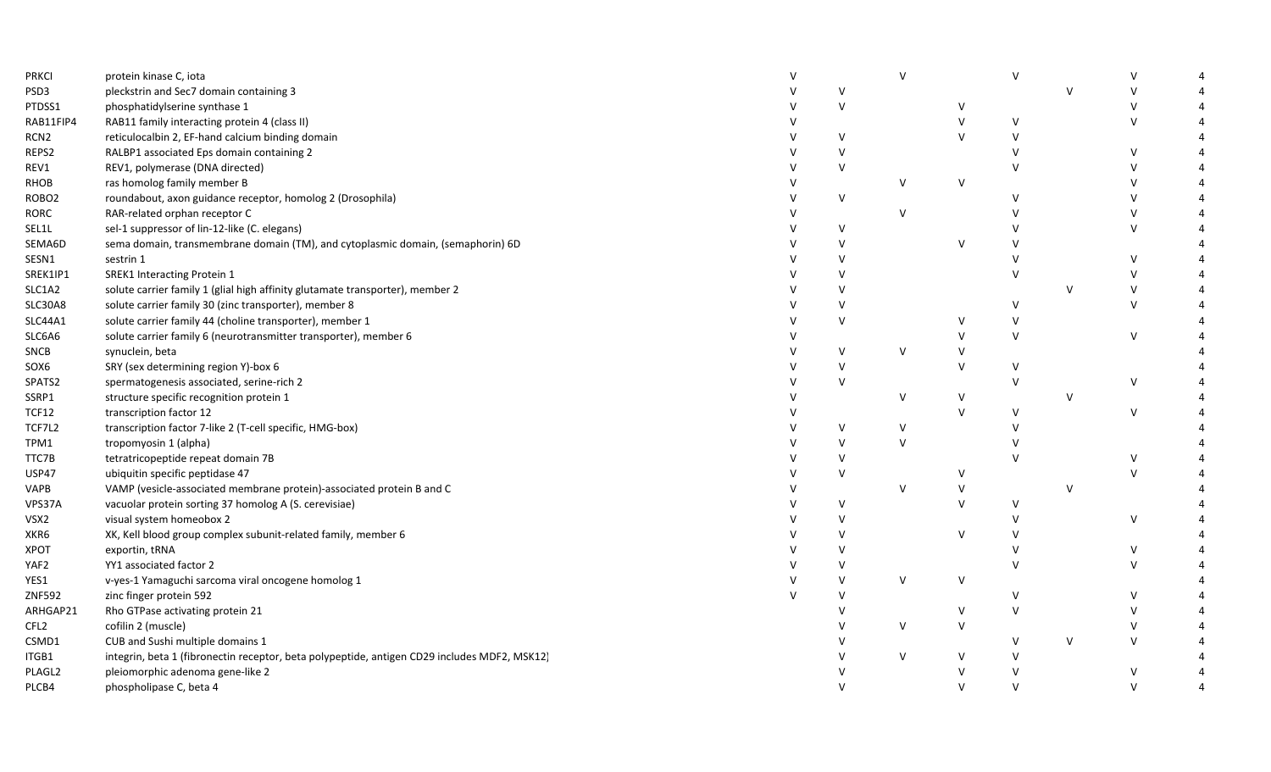| <b>PRKCI</b>      | protein kinase C, iota                                                                       |              |              | $\vee$ |              | $\mathsf{V}$  |        |              |  |
|-------------------|----------------------------------------------------------------------------------------------|--------------|--------------|--------|--------------|---------------|--------|--------------|--|
| PSD3              | pleckstrin and Sec7 domain containing 3                                                      |              | $\vee$       |        |              |               | $\vee$ |              |  |
| PTDSS1            | phosphatidylserine synthase 1                                                                |              | $\vee$       |        | V            |               |        | $\vee$       |  |
| RAB11FIP4         | RAB11 family interacting protein 4 (class II)                                                |              |              |        |              | $\mathsf{V}$  |        | $\vee$       |  |
| RCN <sub>2</sub>  | reticulocalbin 2, EF-hand calcium binding domain                                             |              | V            |        | V            | $\mathsf{V}$  |        |              |  |
| REPS2             | RALBP1 associated Eps domain containing 2                                                    |              | $\vee$       |        |              |               |        | v            |  |
| REV1              | REV1, polymerase (DNA directed)                                                              |              | $\vee$       |        |              | $\mathcal{U}$ |        | $\vee$       |  |
| RHOB              | ras homolog family member B                                                                  |              |              | $\vee$ | $\vee$       |               |        | $\vee$       |  |
| ROBO <sub>2</sub> | roundabout, axon guidance receptor, homolog 2 (Drosophila)                                   |              | $\vee$       |        |              | $\vee$        |        | $\vee$       |  |
| <b>RORC</b>       | RAR-related orphan receptor C                                                                |              |              | $\vee$ |              |               |        | $\vee$       |  |
| SEL1L             | sel-1 suppressor of lin-12-like (C. elegans)                                                 |              | V            |        |              |               |        | $\vee$       |  |
| SEMA6D            | sema domain, transmembrane domain (TM), and cytoplasmic domain, (semaphorin) 6D              |              | $\vee$       |        | $\vee$       |               |        |              |  |
| SESN1             | sestrin 1                                                                                    |              | $\vee$       |        |              |               |        | $\vee$       |  |
| SREK1IP1          | <b>SREK1 Interacting Protein 1</b>                                                           |              | $\mathsf{V}$ |        |              | $\vee$        |        | $\vee$       |  |
| SLC1A2            | solute carrier family 1 (glial high affinity glutamate transporter), member 2                |              | $\vee$       |        |              |               | $\vee$ | $\vee$       |  |
| SLC30A8           | solute carrier family 30 (zinc transporter), member 8                                        |              | $\vee$       |        |              | v             |        | $\vee$       |  |
| SLC44A1           | solute carrier family 44 (choline transporter), member 1                                     |              | $\vee$       |        | V            | $\vee$        |        |              |  |
| SLC6A6            | solute carrier family 6 (neurotransmitter transporter), member 6                             |              |              |        | $\vee$       | $\vee$        |        | $\vee$       |  |
| <b>SNCB</b>       | synuclein, beta                                                                              |              | $\vee$       | $\vee$ | V            |               |        |              |  |
| SOX6              | SRY (sex determining region Y)-box 6                                                         |              | $\vee$       |        | $\vee$       | $\vee$        |        |              |  |
| SPATS2            | spermatogenesis associated, serine-rich 2                                                    |              | $\mathsf{V}$ |        |              | $\vee$        |        | $\sf V$      |  |
| SSRP1             | structure specific recognition protein 1                                                     |              |              | v      | V            |               | V      |              |  |
| TCF12             | transcription factor 12                                                                      |              |              |        | $\mathsf{V}$ | $\vee$        |        | $\vee$       |  |
| TCF7L2            | transcription factor 7-like 2 (T-cell specific, HMG-box)                                     |              | $\vee$       | v      |              | $\vee$        |        |              |  |
| TPM1              | tropomyosin 1 (alpha)                                                                        |              | $\mathsf{V}$ | $\vee$ |              | $\mathcal{U}$ |        |              |  |
| TTC7B             | tetratricopeptide repeat domain 7B                                                           |              | $\vee$       |        |              | $\mathsf{V}$  |        | $\vee$       |  |
| <b>USP47</b>      | ubiquitin specific peptidase 47                                                              |              | V            |        | v            |               |        | $\vee$       |  |
| VAPB              | VAMP (vesicle-associated membrane protein)-associated protein B and C                        |              |              | $\vee$ | V            |               | $\vee$ |              |  |
| VPS37A            | vacuolar protein sorting 37 homolog A (S. cerevisiae)                                        |              | $\vee$       |        | $\mathsf{V}$ | $\vee$        |        |              |  |
| VSX2              | visual system homeobox 2                                                                     |              | $\mathsf{V}$ |        |              | $\mathsf{V}$  |        | $\sf V$      |  |
| XKR6              | XK, Kell blood group complex subunit-related family, member 6                                |              | $\vee$       |        | $\vee$       | $\mathsf{V}$  |        |              |  |
| XPOT              | exportin, tRNA                                                                               |              | $\vee$       |        |              | $\vee$        |        | V            |  |
| YAF2              | YY1 associated factor 2                                                                      |              | v            |        |              | $\vee$        |        | $\vee$       |  |
| YES1              | v-yes-1 Yamaguchi sarcoma viral oncogene homolog 1                                           |              | $\vee$       | $\vee$ | $\vee$       |               |        |              |  |
| ZNF592            | zinc finger protein 592                                                                      | $\mathsf{v}$ | $\vee$       |        |              | $\vee$        |        | $\vee$       |  |
| ARHGAP21          | Rho GTPase activating protein 21                                                             |              | $\mathsf{V}$ |        | $\vee$       | $\vee$        |        | $\vee$       |  |
| CFL <sub>2</sub>  | cofilin 2 (muscle)                                                                           |              |              | v      | V            |               |        | $\vee$       |  |
| CSMD1             | CUB and Sushi multiple domains 1                                                             |              |              |        |              | $\vee$        | V      | $\mathsf{V}$ |  |
| ITGB1             | integrin, beta 1 (fibronectin receptor, beta polypeptide, antigen CD29 includes MDF2, MSK12) |              |              | $\vee$ | V            | $\vee$        |        |              |  |
| PLAGL2            | pleiomorphic adenoma gene-like 2                                                             |              |              |        |              | $\vee$        |        | $\vee$       |  |
| PLCB4             | phospholipase C, beta 4                                                                      |              | $\vee$       |        | $\vee$       | $\vee$        |        | $\vee$       |  |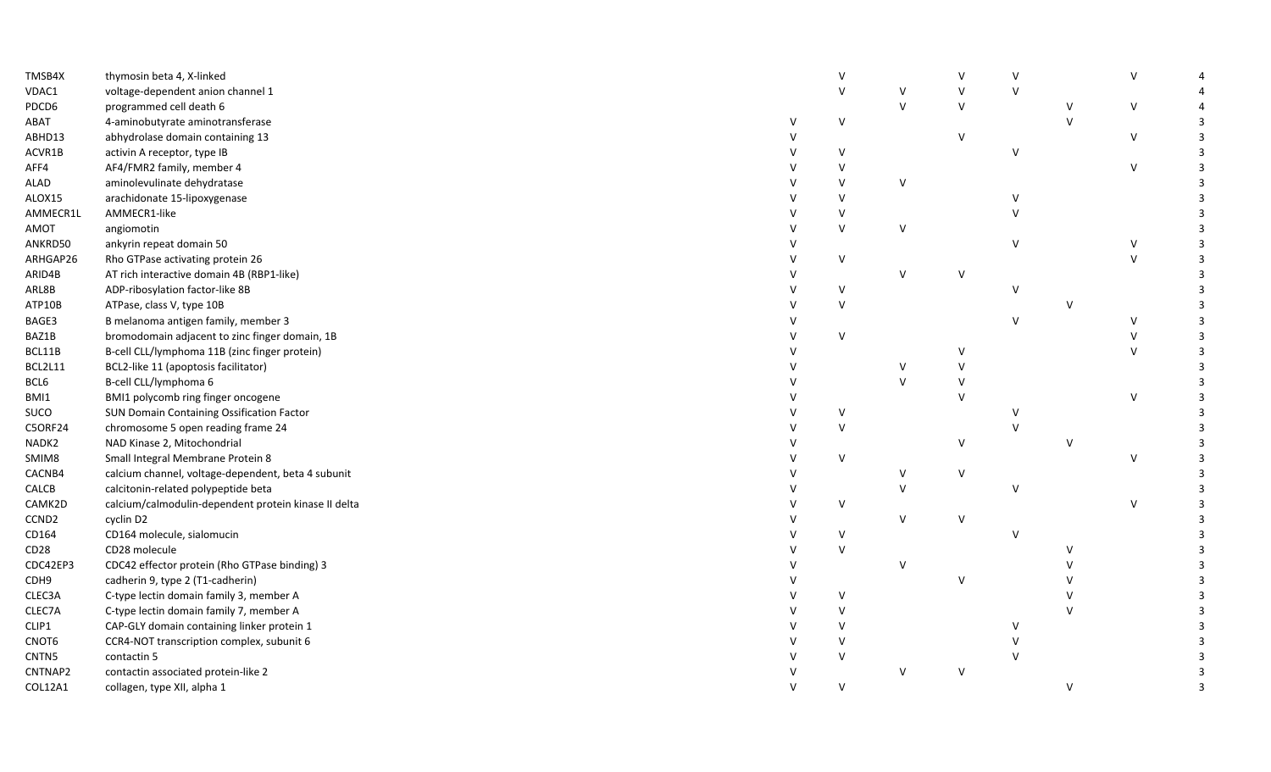| TMSB4X            | thymosin beta 4, X-linked                            |        |              |              |              | $\mathsf{V}$ |              | $\vee$       |   |
|-------------------|------------------------------------------------------|--------|--------------|--------------|--------------|--------------|--------------|--------------|---|
| VDAC1             | voltage-dependent anion channel 1                    |        | $\vee$       | $\vee$       | $\vee$       | $\vee$       |              |              |   |
| PDCD6             | programmed cell death 6                              |        |              | $\mathsf{v}$ | $\vee$       |              | $\vee$       | $\vee$       |   |
| ABAT              | 4-aminobutyrate aminotransferase                     | v      | $\vee$       |              |              |              | $\vee$       |              | 3 |
| ABHD13            | abhydrolase domain containing 13                     |        |              |              | $\mathsf{V}$ |              |              | $\mathsf{V}$ |   |
| ACVR1B            | activin A receptor, type IB                          |        | v            |              |              | $\vee$       |              |              |   |
| AFF4              | AF4/FMR2 family, member 4                            |        |              |              |              |              |              | $\vee$       |   |
| ALAD              | aminolevulinate dehydratase                          |        | $\mathsf{V}$ | $\vee$       |              |              |              |              |   |
| ALOX15            | arachidonate 15-lipoxygenase                         |        | $\mathsf{V}$ |              |              |              |              |              |   |
| AMMECR1L          | AMMECR1-like                                         |        |              |              |              |              |              |              |   |
| AMOT              | angiomotin                                           |        | $\vee$       | $\vee$       |              |              |              |              |   |
| ANKRD50           | ankyrin repeat domain 50                             |        |              |              |              | $\mathsf{V}$ |              | $\vee$       |   |
| ARHGAP26          | Rho GTPase activating protein 26                     |        | $\vee$       |              |              |              |              | $\mathsf{V}$ |   |
| ARID4B            | AT rich interactive domain 4B (RBP1-like)            |        |              | $\mathsf{v}$ |              |              |              |              |   |
| ARL8B             | ADP-ribosylation factor-like 8B                      |        | $\vee$       |              |              |              |              |              |   |
| ATP10B            | ATPase, class V, type 10B                            |        | $\vee$       |              |              |              | $\vee$       |              |   |
| BAGE3             | B melanoma antigen family, member 3                  |        |              |              |              | $\vee$       |              | $\vee$       | 3 |
| BAZ1B             | bromodomain adjacent to zinc finger domain, 1B       |        | $\vee$       |              |              |              |              | $\vee$       |   |
| BCL11B            | B-cell CLL/lymphoma 11B (zinc finger protein)        |        |              |              |              |              |              | $\vee$       |   |
| BCL2L11           | BCL2-like 11 (apoptosis facilitator)                 |        |              | $\vee$       |              |              |              |              |   |
| BCL6              | B-cell CLL/lymphoma 6                                |        |              | $\mathsf{V}$ |              |              |              |              |   |
| BMI1              | BMI1 polycomb ring finger oncogene                   |        |              |              |              |              |              | $\mathsf{V}$ |   |
| SUCO              | SUN Domain Containing Ossification Factor            |        | $\vee$       |              |              |              |              |              |   |
| <b>C5ORF24</b>    | chromosome 5 open reading frame 24                   |        | $\vee$       |              |              |              |              |              |   |
| NADK2             | NAD Kinase 2, Mitochondrial                          |        |              |              | $\mathsf{V}$ |              | $\mathsf{v}$ |              |   |
| SMIM8             | Small Integral Membrane Protein 8                    |        | $\vee$       |              |              |              |              | $\vee$       |   |
| CACNB4            | calcium channel, voltage-dependent, beta 4 subunit   |        |              | V            | V            |              |              |              |   |
| CALCB             | calcitonin-related polypeptide beta                  |        |              | $\vee$       |              | v            |              |              | 3 |
| CAMK2D            | calcium/calmodulin-dependent protein kinase II delta |        | V            |              |              |              |              | $\mathsf{V}$ |   |
| CCND <sub>2</sub> | cyclin D2                                            |        |              | $\vee$       | $\vee$       |              |              |              |   |
| CD164             | CD164 molecule, sialomucin                           |        | V            |              |              | v            |              |              |   |
| CD28              | CD28 molecule                                        |        | $\vee$       |              |              |              |              |              |   |
| CDC42EP3          | CDC42 effector protein (Rho GTPase binding) 3        |        |              | V            |              |              |              |              |   |
| CDH9              | cadherin 9, type 2 (T1-cadherin)                     |        |              |              | $\vee$       |              |              |              |   |
| CLEC3A            | C-type lectin domain family 3, member A              |        | $\vee$       |              |              |              | $\mathsf{v}$ |              |   |
| CLEC7A            | C-type lectin domain family 7, member A              |        | $\mathsf{V}$ |              |              |              | $\mathsf{V}$ |              |   |
| CLIP1             | CAP-GLY domain containing linker protein 1           |        |              |              |              |              |              |              |   |
| CNOT6             | CCR4-NOT transcription complex, subunit 6            |        |              |              |              |              |              |              |   |
| CNTN5             | contactin 5                                          |        | $\mathsf{V}$ |              |              |              |              |              |   |
| CNTNAP2           | contactin associated protein-like 2                  |        |              | $\vee$       | $\vee$       |              |              |              |   |
| COL12A1           | collagen, type XII, alpha 1                          | $\vee$ | $\vee$       |              |              |              | $\vee$       |              | 3 |
|                   |                                                      |        |              |              |              |              |              |              |   |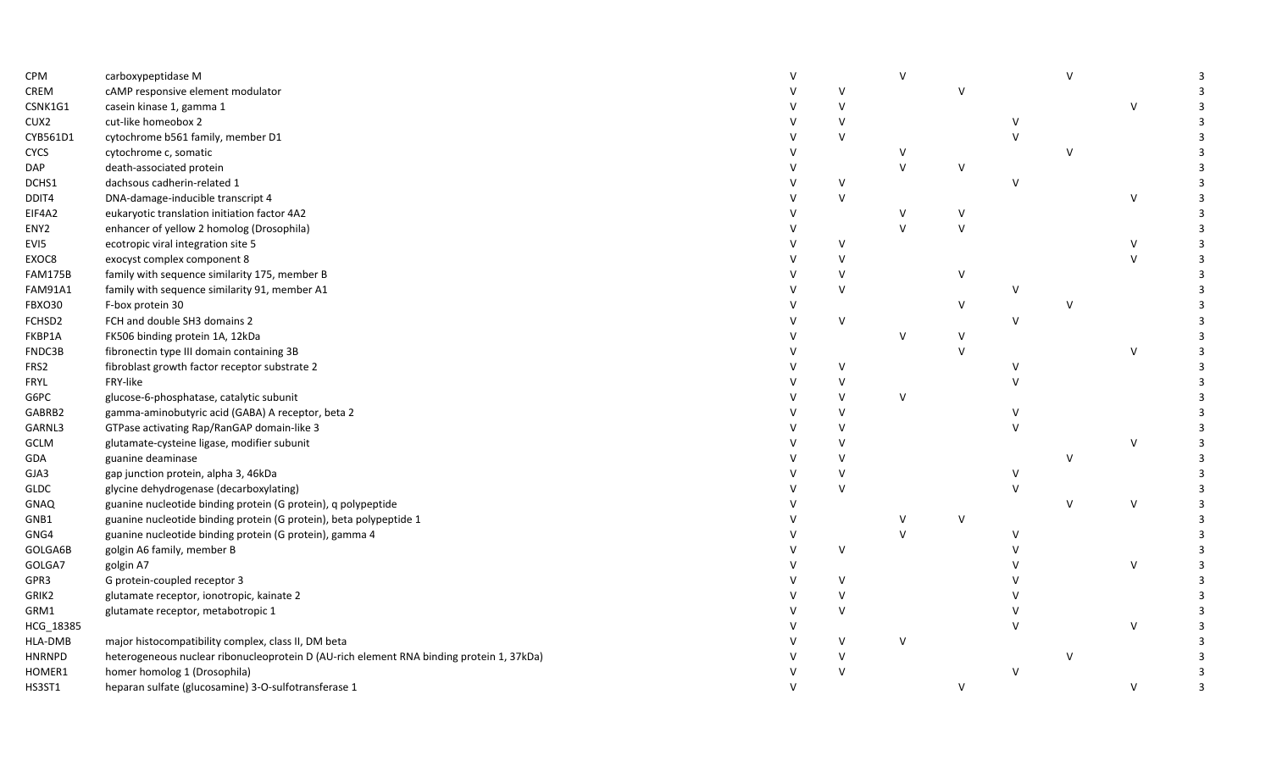| CPM              | carboxypeptidase M                                                                       |              |              |              |               |              |               | ર |
|------------------|------------------------------------------------------------------------------------------|--------------|--------------|--------------|---------------|--------------|---------------|---|
| CREM             | cAMP responsive element modulator                                                        | $\vee$       |              | $\vee$       |               |              |               |   |
| CSNK1G1          | casein kinase 1, gamma 1                                                                 | V            |              |              |               |              | $\mathsf{V}$  |   |
| CUX2             | cut-like homeobox 2                                                                      | $\vee$       |              |              | $\mathcal{U}$ |              |               |   |
| CYB561D1         | cytochrome b561 family, member D1                                                        | $\vee$       |              |              |               |              |               |   |
| <b>CYCS</b>      | cytochrome c, somatic                                                                    |              | v            |              |               |              |               |   |
| DAP              | death-associated protein                                                                 |              | $\mathsf{V}$ | V            |               |              |               |   |
| DCHS1            | dachsous cadherin-related 1                                                              | $\vee$       |              |              | $\vee$        |              |               |   |
| DDIT4            | DNA-damage-inducible transcript 4                                                        | $\vee$       |              |              |               |              | $\mathcal{U}$ | 3 |
| EIF4A2           | eukaryotic translation initiation factor 4A2                                             |              |              | v            |               |              |               |   |
| ENY <sub>2</sub> | enhancer of yellow 2 homolog (Drosophila)                                                |              |              | $\vee$       |               |              |               |   |
| EVI5             | ecotropic viral integration site 5                                                       | v            |              |              |               |              |               | 3 |
| EXOC8            | exocyst complex component 8                                                              | $\vee$       |              |              |               |              | $\vee$        |   |
| <b>FAM175B</b>   | family with sequence similarity 175, member B                                            | $\vee$       |              | V            |               |              |               |   |
| <b>FAM91A1</b>   | family with sequence similarity 91, member A1                                            | $\vee$       |              |              | $\vee$        |              |               |   |
| FBXO30           | F-box protein 30                                                                         |              |              | V            |               |              |               |   |
| FCHSD2           | FCH and double SH3 domains 2                                                             | $\vee$       |              |              | $\vee$        |              |               |   |
| FKBP1A           | FK506 binding protein 1A, 12kDa                                                          |              | v            | v            |               |              |               |   |
| FNDC3B           | fibronectin type III domain containing 3B                                                |              |              | $\mathsf{V}$ |               |              | $\vee$        |   |
| FRS2             | fibroblast growth factor receptor substrate 2                                            | $\vee$       |              |              | $\vee$        |              |               |   |
| <b>FRYL</b>      | FRY-like                                                                                 | v            |              |              |               |              |               |   |
| G6PC             | glucose-6-phosphatase, catalytic subunit                                                 | $\vee$       | $\vee$       |              |               |              |               |   |
| GABRB2           | gamma-aminobutyric acid (GABA) A receptor, beta 2                                        | $\vee$       |              |              |               |              |               |   |
| GARNL3           | GTPase activating Rap/RanGAP domain-like 3                                               | $\vee$       |              |              |               |              |               |   |
| GCLM             | glutamate-cysteine ligase, modifier subunit                                              | $\vee$       |              |              |               |              | $\mathcal{U}$ |   |
| GDA              | guanine deaminase                                                                        | $\vee$       |              |              |               | $\mathsf{V}$ |               |   |
| GJA3             | gap junction protein, alpha 3, 46kDa                                                     | V            |              |              | V             |              |               |   |
| <b>GLDC</b>      | glycine dehydrogenase (decarboxylating)                                                  | $\vee$       |              |              |               |              |               | 3 |
| <b>GNAQ</b>      | guanine nucleotide binding protein (G protein), q polypeptide                            |              |              |              |               | $\vee$       | $\vee$        |   |
| GNB1             | guanine nucleotide binding protein (G protein), beta polypeptide 1                       |              |              | v            |               |              |               |   |
| GNG4             | guanine nucleotide binding protein (G protein), gamma 4                                  |              |              |              | $\vee$        |              |               |   |
| GOLGA6B          | golgin A6 family, member B                                                               | $\mathsf{V}$ |              |              |               |              |               |   |
| GOLGA7           | golgin A7                                                                                |              |              |              |               |              | V             | 3 |
| GPR3             | G protein-coupled receptor 3                                                             | V            |              |              |               |              |               |   |
| GRIK2            | glutamate receptor, ionotropic, kainate 2                                                | $\vee$       |              |              |               |              |               |   |
| GRM1             | glutamate receptor, metabotropic 1                                                       | $\vee$       |              |              |               |              |               |   |
| HCG_18385        |                                                                                          |              |              |              |               |              | $\vee$        |   |
| HLA-DMB          | major histocompatibility complex, class II, DM beta                                      | $\vee$       | $\vee$       |              |               |              |               |   |
| <b>HNRNPD</b>    | heterogeneous nuclear ribonucleoprotein D (AU-rich element RNA binding protein 1, 37kDa) | $\vee$       |              |              |               |              |               |   |
| HOMER1           | homer homolog 1 (Drosophila)                                                             | $\vee$       |              |              | $\vee$        |              |               |   |
| HS3ST1           | heparan sulfate (glucosamine) 3-O-sulfotransferase 1                                     |              |              | $\vee$       |               |              | $\vee$        | 3 |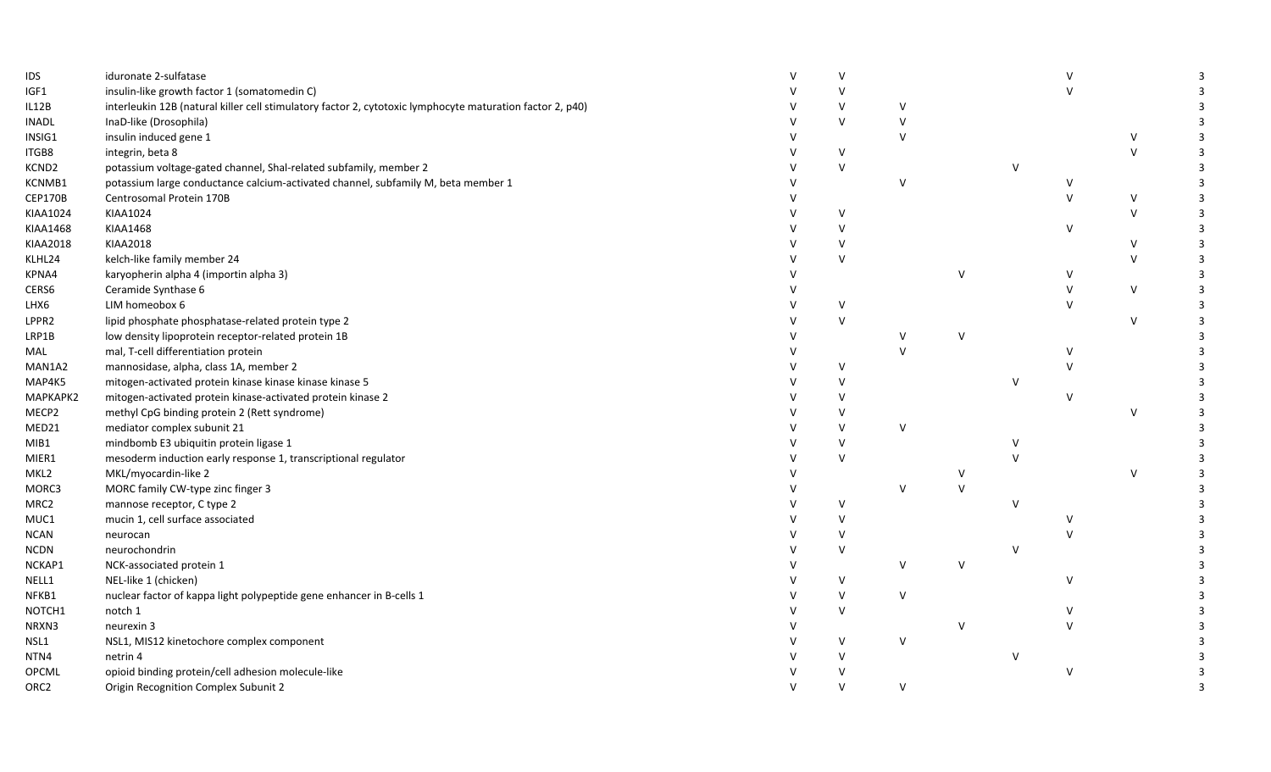| IDS              | iduronate 2-sulfatase                                                                                     | $\vee$ |        |              |              |        |              | 3              |
|------------------|-----------------------------------------------------------------------------------------------------------|--------|--------|--------------|--------------|--------|--------------|----------------|
| IGF1             | insulin-like growth factor 1 (somatomedin C)                                                              | $\vee$ |        |              |              |        |              |                |
| IL12B            | interleukin 12B (natural killer cell stimulatory factor 2, cytotoxic lymphocyte maturation factor 2, p40) | $\vee$ | v      |              |              |        |              |                |
| <b>INADL</b>     | InaD-like (Drosophila)                                                                                    | $\vee$ | $\vee$ |              |              |        |              | 3              |
| INSIG1           | insulin induced gene 1                                                                                    |        | $\vee$ |              |              |        | $\vee$       | 3              |
| ITGB8            | integrin, beta 8                                                                                          | $\vee$ |        |              |              |        | $\vee$       | 3              |
| KCND2            | potassium voltage-gated channel, Shal-related subfamily, member 2                                         | $\vee$ |        |              | v            |        |              |                |
| KCNMB1           | potassium large conductance calcium-activated channel, subfamily M, beta member 1                         |        | $\vee$ |              |              |        |              | 3              |
| CEP170B          | Centrosomal Protein 170B                                                                                  |        |        |              |              |        | $\vee$       | $\overline{3}$ |
| KIAA1024         | KIAA1024                                                                                                  | V      |        |              |              |        | $\vee$       | 3              |
| KIAA1468         | KIAA1468                                                                                                  | V      |        |              |              | $\vee$ |              | 3              |
| KIAA2018         | KIAA2018                                                                                                  | $\vee$ |        |              |              |        | $\vee$       | 3              |
| KLHL24           | kelch-like family member 24                                                                               | $\vee$ |        |              |              |        | $\vee$       | 3              |
| KPNA4            | karyopherin alpha 4 (importin alpha 3)                                                                    |        |        | V            |              | $\vee$ |              | $\overline{3}$ |
| CERS6            | Ceramide Synthase 6                                                                                       |        |        |              |              |        | $\vee$       | 3              |
| LHX6             | LIM homeobox 6                                                                                            | v      |        |              |              |        |              | 3              |
| LPPR2            | lipid phosphate phosphatase-related protein type 2                                                        | $\vee$ |        |              |              |        | $\mathsf{V}$ | 3              |
| LRP1B            | low density lipoprotein receptor-related protein 1B                                                       |        |        | v            |              |        |              |                |
| MAL              | mal, T-cell differentiation protein                                                                       |        |        |              |              |        |              |                |
| MAN1A2           | mannosidase, alpha, class 1A, member 2                                                                    | V      |        |              |              |        |              |                |
| MAP4K5           | mitogen-activated protein kinase kinase kinase kinase 5                                                   | $\vee$ |        |              | $\vee$       |        |              |                |
| МАРКАРК2         | mitogen-activated protein kinase-activated protein kinase 2                                               | v      |        |              |              |        |              |                |
| MECP2            | methyl CpG binding protein 2 (Rett syndrome)                                                              |        |        |              |              |        | $\vee$       |                |
| MED21            | mediator complex subunit 21                                                                               | $\vee$ | $\vee$ |              |              |        |              |                |
| MIB1             | mindbomb E3 ubiquitin protein ligase 1                                                                    | $\vee$ |        |              |              |        |              | $\mathbf{R}$   |
| MIER1            | mesoderm induction early response 1, transcriptional regulator                                            | $\vee$ |        |              |              |        |              |                |
| MKL2             | MKL/myocardin-like 2                                                                                      |        |        |              |              |        | V            |                |
| MORC3            | MORC family CW-type zinc finger 3                                                                         |        | $\vee$ | $\vee$       |              |        |              |                |
| MRC2             | mannose receptor, C type 2                                                                                | V      |        |              | V            |        |              |                |
| MUC1             | mucin 1, cell surface associated                                                                          | $\vee$ |        |              |              |        |              |                |
| <b>NCAN</b>      | neurocan                                                                                                  | $\vee$ |        |              |              |        |              |                |
| NCDN             | neurochondrin                                                                                             | $\vee$ |        |              | $\mathsf{V}$ |        |              |                |
| NCKAP1           | NCK-associated protein 1                                                                                  |        | $\vee$ | $\mathsf{v}$ |              |        |              |                |
| NELL1            | NEL-like 1 (chicken)                                                                                      | $\vee$ |        |              |              |        |              |                |
| NFKB1            | nuclear factor of kappa light polypeptide gene enhancer in B-cells 1                                      | $\vee$ | $\vee$ |              |              |        |              |                |
| NOTCH1           | notch 1                                                                                                   | $\vee$ |        |              |              |        |              |                |
| NRXN3            | neurexin 3                                                                                                |        |        | $\mathsf{v}$ |              |        |              |                |
| NSL1             | NSL1, MIS12 kinetochore complex component                                                                 | $\vee$ | $\vee$ |              |              |        |              |                |
| NTN4             | netrin 4                                                                                                  | $\vee$ |        |              |              |        |              |                |
| OPCML            | opioid binding protein/cell adhesion molecule-like                                                        | V      |        |              |              | $\vee$ |              |                |
| ORC <sub>2</sub> | Origin Recognition Complex Subunit 2                                                                      | $\vee$ | $\vee$ |              |              |        |              | $\overline{3}$ |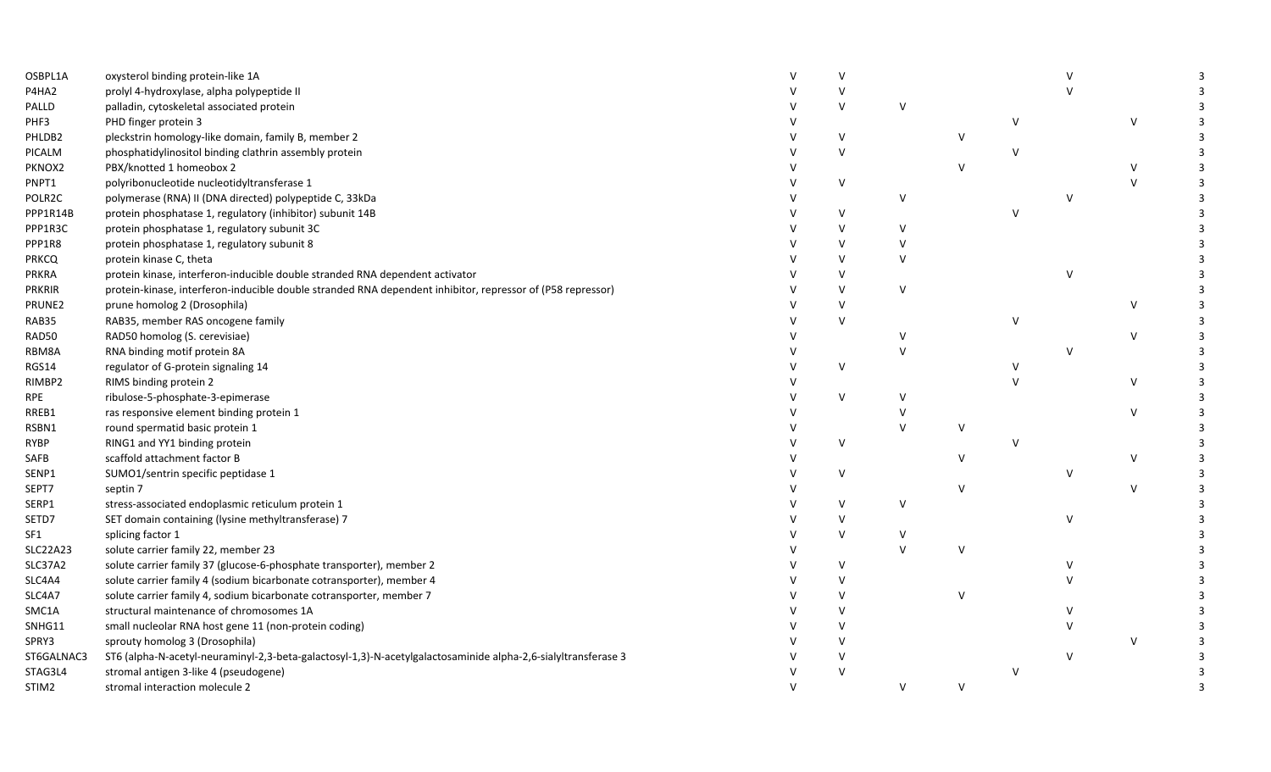| OSBPL1A         | oxysterol binding protein-like 1A                                                                             | $\vee$ |              |               |               |              |        |  |
|-----------------|---------------------------------------------------------------------------------------------------------------|--------|--------------|---------------|---------------|--------------|--------|--|
| P4HA2           | prolyl 4-hydroxylase, alpha polypeptide II                                                                    | V      |              |               |               |              |        |  |
| PALLD           | palladin, cytoskeletal associated protein                                                                     | V      | V            |               |               |              |        |  |
| PHF3            | PHD finger protein 3                                                                                          |        |              |               | $\vee$        |              | $\vee$ |  |
| PHLDB2          | pleckstrin homology-like domain, family B, member 2                                                           | V      |              | $\mathsf{V}$  |               |              |        |  |
| PICALM          | phosphatidylinositol binding clathrin assembly protein                                                        | $\vee$ |              |               | $\vee$        |              |        |  |
| PKNOX2          | PBX/knotted 1 homeobox 2                                                                                      |        |              | $\mathsf{V}$  |               |              |        |  |
| PNPT1           | polyribonucleotide nucleotidyltransferase 1                                                                   | V      |              |               |               |              | $\vee$ |  |
| POLR2C          | polymerase (RNA) II (DNA directed) polypeptide C, 33kDa                                                       |        | $\vee$       |               |               | $\vee$       |        |  |
| PPP1R14B        | protein phosphatase 1, regulatory (inhibitor) subunit 14B                                                     | V      |              |               | $\vee$        |              |        |  |
| PPP1R3C         | protein phosphatase 1, regulatory subunit 3C                                                                  | $\vee$ | V            |               |               |              |        |  |
| PPP1R8          | protein phosphatase 1, regulatory subunit 8                                                                   | V      | $\vee$       |               |               |              |        |  |
| <b>PRKCQ</b>    | protein kinase C, theta                                                                                       |        | $\vee$       |               |               |              |        |  |
| PRKRA           | protein kinase, interferon-inducible double stranded RNA dependent activator                                  | $\vee$ |              |               |               |              |        |  |
| <b>PRKRIR</b>   | protein-kinase, interferon-inducible double stranded RNA dependent inhibitor, repressor of (P58 repressor)    | V      | $\vee$       |               |               |              |        |  |
| PRUNE2          | prune homolog 2 (Drosophila)                                                                                  | V      |              |               |               |              | v      |  |
| RAB35           | RAB35, member RAS oncogene family                                                                             | V      |              |               | $\vee$        |              |        |  |
| RAD50           | RAD50 homolog (S. cerevisiae)                                                                                 |        | V            |               |               |              | V      |  |
| RBM8A           | RNA binding motif protein 8A                                                                                  |        |              |               |               | v            |        |  |
| RGS14           | regulator of G-protein signaling 14                                                                           | V      |              |               | $\vee$        |              |        |  |
| RIMBP2          | RIMS binding protein 2                                                                                        |        |              |               | $\mathcal{U}$ |              | v      |  |
| <b>RPE</b>      | ribulose-5-phosphate-3-epimerase                                                                              | V      | v            |               |               |              |        |  |
| RREB1           | ras responsive element binding protein 1                                                                      |        |              |               |               |              | V      |  |
| RSBN1           | round spermatid basic protein 1                                                                               |        | $\vee$       |               |               |              |        |  |
| <b>RYBP</b>     | RING1 and YY1 binding protein                                                                                 | V      |              |               | $\vee$        |              |        |  |
| SAFB            | scaffold attachment factor B                                                                                  |        |              | $\mathcal{U}$ |               |              | V      |  |
| SENP1           | SUMO1/sentrin specific peptidase 1                                                                            | V      |              |               |               | v            |        |  |
| SEPT7           | septin 7                                                                                                      |        |              |               |               |              | $\vee$ |  |
| SERP1           | stress-associated endoplasmic reticulum protein 1                                                             | V      | $\vee$       |               |               |              |        |  |
| SETD7           | SET domain containing (lysine methyltransferase) 7                                                            | v      |              |               |               | $\mathsf{V}$ |        |  |
| SF1             | splicing factor 1                                                                                             | $\vee$ | $\vee$       |               |               |              |        |  |
| <b>SLC22A23</b> | solute carrier family 22, member 23                                                                           |        | $\mathsf{V}$ | $\mathsf{V}$  |               |              |        |  |
| SLC37A2         | solute carrier family 37 (glucose-6-phosphate transporter), member 2                                          | V      |              |               |               |              |        |  |
| SLC4A4          | solute carrier family 4 (sodium bicarbonate cotransporter), member 4                                          | V      |              |               |               |              |        |  |
| SLC4A7          | solute carrier family 4, sodium bicarbonate cotransporter, member 7                                           | V      |              | $\vee$        |               |              |        |  |
| SMC1A           | structural maintenance of chromosomes 1A                                                                      | $\vee$ |              |               |               |              |        |  |
| SNHG11          | small nucleolar RNA host gene 11 (non-protein coding)                                                         | $\vee$ |              |               |               |              |        |  |
| SPRY3           | sprouty homolog 3 (Drosophila)                                                                                |        |              |               |               |              |        |  |
| ST6GALNAC3      | ST6 (alpha-N-acetyl-neuraminyl-2,3-beta-galactosyl-1,3)-N-acetylgalactosaminide alpha-2,6-sialyltransferase 3 |        |              |               |               | $\vee$       |        |  |
| STAG3L4         | stromal antigen 3-like 4 (pseudogene)                                                                         | V      |              |               | $\vee$        |              |        |  |
| STIM2           | stromal interaction molecule 2                                                                                |        | $\vee$       | $\vee$        |               |              |        |  |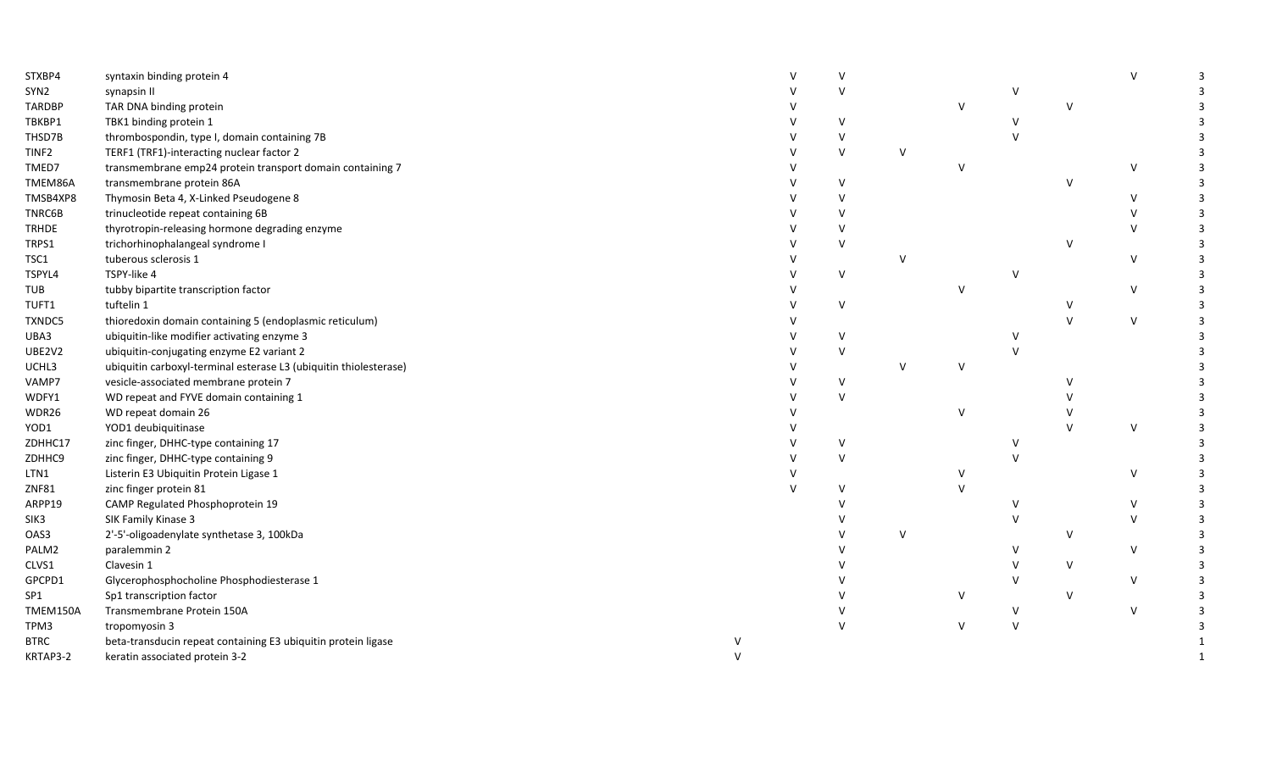| STXBP4            | syntaxin binding protein 4                                        |  | $\vee$        |              |        |              |              | $\mathsf{V}$ | 3 |
|-------------------|-------------------------------------------------------------------|--|---------------|--------------|--------|--------------|--------------|--------------|---|
| SYN2              | synapsin II                                                       |  | $\vee$        |              |        |              |              |              |   |
| <b>TARDBP</b>     | TAR DNA binding protein                                           |  |               |              | $\vee$ |              | $\mathsf{V}$ |              |   |
| TBKBP1            | TBK1 binding protein 1                                            |  | $\vee$        |              |        |              |              |              |   |
| THSD7B            | thrombospondin, type I, domain containing 7B                      |  | $\vee$        |              |        |              |              |              |   |
| TINF <sub>2</sub> | TERF1 (TRF1)-interacting nuclear factor 2                         |  | $\vee$        | $\vee$       |        |              |              |              |   |
| TMED7             | transmembrane emp24 protein transport domain containing 7         |  |               |              | $\vee$ |              |              | $\vee$       |   |
| TMEM86A           | transmembrane protein 86A                                         |  | $\vee$        |              |        |              | $\mathsf{V}$ |              | 3 |
| TMSB4XP8          | Thymosin Beta 4, X-Linked Pseudogene 8                            |  | $\vee$        |              |        |              |              | $\vee$       | 3 |
| TNRC6B            | trinucleotide repeat containing 6B                                |  | $\vee$        |              |        |              |              | $\vee$       | 3 |
| <b>TRHDE</b>      | thyrotropin-releasing hormone degrading enzyme                    |  | $\vee$        |              |        |              |              | $\vee$       | 3 |
| TRPS1             | trichorhinophalangeal syndrome I                                  |  | $\vee$        |              |        |              | V            |              |   |
| TSC1              | tuberous sclerosis 1                                              |  |               |              |        |              |              | $\vee$       | 3 |
| TSPYL4            | TSPY-like 4                                                       |  | $\vee$        |              |        | $\mathsf{V}$ |              |              | 3 |
| TUB               | tubby bipartite transcription factor                              |  |               |              | v      |              |              | V            |   |
| TUFT1             | tuftelin 1                                                        |  | $\sf V$       |              |        |              | $\vee$       |              |   |
| TXNDC5            | thioredoxin domain containing 5 (endoplasmic reticulum)           |  |               |              |        |              | $\vee$       | $\vee$       |   |
| UBA3              | ubiquitin-like modifier activating enzyme 3                       |  | $\vee$        |              |        |              |              |              |   |
| UBE2V2            | ubiquitin-conjugating enzyme E2 variant 2                         |  | $\vee$        |              |        |              |              |              |   |
| UCHL3             | ubiquitin carboxyl-terminal esterase L3 (ubiquitin thiolesterase) |  |               | $\mathsf{V}$ | v      |              |              |              |   |
| VAMP7             | vesicle-associated membrane protein 7                             |  | $\vee$        |              |        |              |              |              |   |
| WDFY1             | WD repeat and FYVE domain containing 1                            |  | $\vee$        |              |        |              |              |              |   |
| WDR26             | WD repeat domain 26                                               |  |               |              | $\vee$ |              |              |              |   |
| YOD1              | YOD1 deubiquitinase                                               |  |               |              |        |              | $\mathsf{V}$ | V            |   |
| ZDHHC17           | zinc finger, DHHC-type containing 17                              |  | $\vee$        |              |        |              |              |              |   |
| ZDHHC9            | zinc finger, DHHC-type containing 9                               |  | $\vee$        |              |        |              |              |              |   |
| LTN1              | Listerin E3 Ubiquitin Protein Ligase 1                            |  |               |              |        |              |              | $\vee$       |   |
| <b>ZNF81</b>      | zinc finger protein 81                                            |  | $\vee$        |              |        |              |              |              | 3 |
| ARPP19            | CAMP Regulated Phosphoprotein 19                                  |  | $\mathcal{U}$ |              |        |              |              | $\vee$       | 3 |
| SIK3              | SIK Family Kinase 3                                               |  |               |              |        |              |              | $\vee$       | 3 |
| OAS3              | 2'-5'-oligoadenylate synthetase 3, 100kDa                         |  |               | $\vee$       |        |              | V            |              | 3 |
| PALM2             | paralemmin 2                                                      |  |               |              |        |              |              | $\vee$       | 3 |
| CLVS1             | Clavesin 1                                                        |  |               |              |        |              | V            |              |   |
| GPCPD1            | Glycerophosphocholine Phosphodiesterase 1                         |  |               |              |        |              |              | $\vee$       |   |
| SP1               | Sp1 transcription factor                                          |  |               |              |        |              | $\vee$       |              |   |
| TMEM150A          | Transmembrane Protein 150A                                        |  |               |              |        | $\vee$       |              | $\vee$       |   |
| TPM3              | tropomyosin 3                                                     |  | $\mathsf{V}$  |              | $\vee$ | $\vee$       |              |              |   |
| <b>BTRC</b>       | beta-transducin repeat containing E3 ubiquitin protein ligase     |  |               |              |        |              |              |              |   |
| KRTAP3-2          | keratin associated protein 3-2                                    |  |               |              |        |              |              |              |   |
|                   |                                                                   |  |               |              |        |              |              |              |   |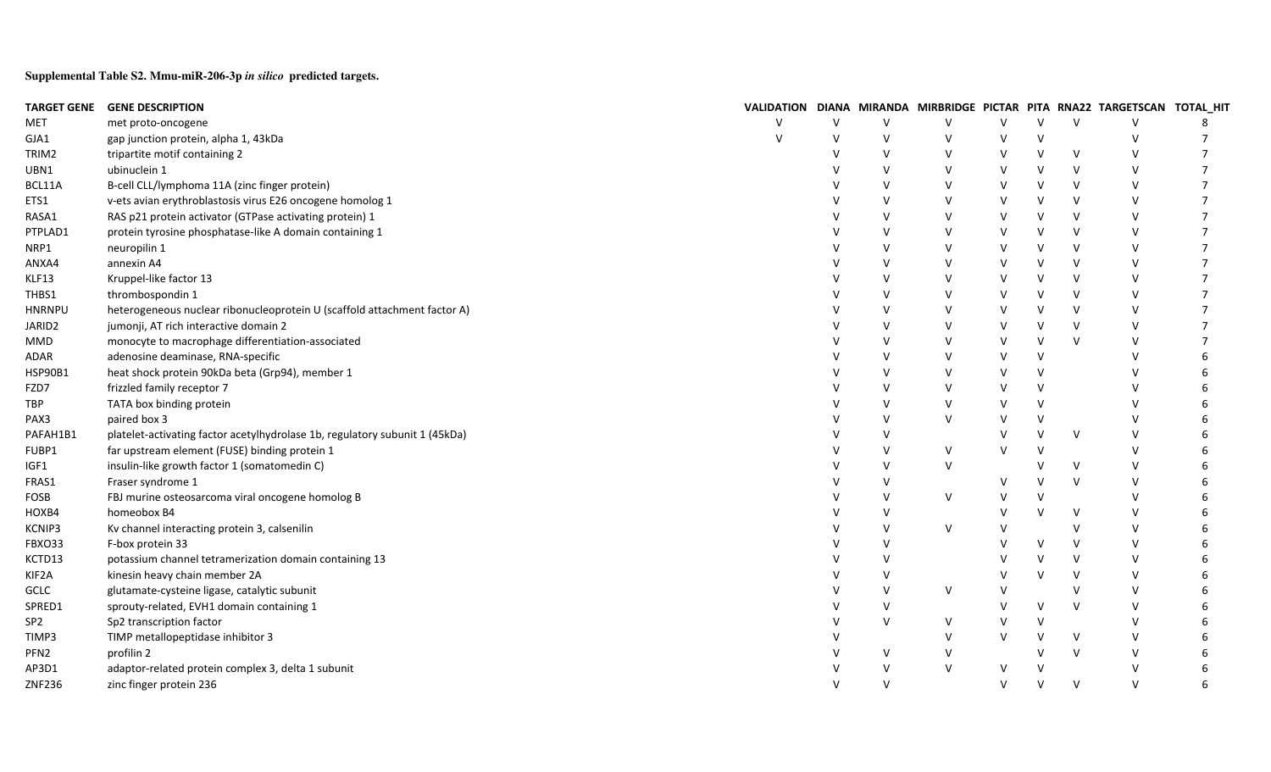**Supplemental Table S2. Mmu-miR-206-3p** *in silico* **predicted targets.**

|                  | TARGET GENE GENE DESCRIPTION                                                |              |        |        |        |        |              |              | VALIDATION DIANA MIRANDA MIRBRIDGE PICTAR PITA RNA22 TARGETSCAN TOTAL_HIT |                |
|------------------|-----------------------------------------------------------------------------|--------------|--------|--------|--------|--------|--------------|--------------|---------------------------------------------------------------------------|----------------|
| MET              | met proto-oncogene                                                          |              | $\vee$ | $\vee$ | $\vee$ |        |              | $\vee$       | $\vee$                                                                    | 8              |
| GJA1             | gap junction protein, alpha 1, 43kDa                                        | $\mathsf{V}$ | $\vee$ | $\vee$ | ν      | v      | $\mathsf{V}$ |              | $\vee$                                                                    | 7              |
| TRIM2            | tripartite motif containing 2                                               |              |        | v      |        | v      | $\mathsf{V}$ | V            | $\vee$                                                                    |                |
| UBN1             | ubinuclein 1                                                                |              |        | $\vee$ |        | v      | v            | v            | $\vee$                                                                    | 7              |
| BCL11A           | B-cell CLL/lymphoma 11A (zinc finger protein)                               |              |        | $\vee$ |        | v      |              | v            | $\vee$                                                                    |                |
| ETS1             | v-ets avian erythroblastosis virus E26 oncogene homolog 1                   |              |        | $\vee$ |        | v      | $\mathsf{V}$ | $\mathsf{V}$ | $\vee$                                                                    |                |
| RASA1            | RAS p21 protein activator (GTPase activating protein) 1                     |              |        | $\vee$ |        |        | $\mathsf{V}$ | $\vee$       | $\vee$                                                                    |                |
| PTPLAD1          | protein tyrosine phosphatase-like A domain containing 1                     |              |        | $\vee$ |        |        | V            | $\vee$       | v                                                                         |                |
| NRP1             | neuropilin 1                                                                |              |        | $\vee$ |        |        | $\mathsf{V}$ | $\vee$       | $\vee$                                                                    |                |
| ANXA4            | annexin A4                                                                  |              |        | $\vee$ |        |        | $\mathsf{V}$ | $\vee$       | $\vee$                                                                    |                |
| KLF13            | Kruppel-like factor 13                                                      |              |        | $\vee$ |        |        | $\mathsf{V}$ | $\vee$       | $\vee$                                                                    | $\overline{7}$ |
| THBS1            | thrombospondin 1                                                            |              |        | $\vee$ |        |        | $\mathsf{V}$ | $\vee$       | $\vee$                                                                    |                |
| <b>HNRNPU</b>    | heterogeneous nuclear ribonucleoprotein U (scaffold attachment factor A)    |              |        | $\vee$ |        |        | $\mathsf{V}$ | $\vee$       | $\vee$                                                                    | 7              |
| JARID2           | jumonji, AT rich interactive domain 2                                       |              |        | $\vee$ |        |        | $\mathsf{v}$ | $\mathsf{V}$ | $\vee$                                                                    |                |
| <b>MMD</b>       | monocyte to macrophage differentiation-associated                           |              |        | $\vee$ |        |        | $\mathsf{V}$ | $\mathsf{V}$ | $\mathsf{V}$                                                              |                |
| ADAR             | adenosine deaminase, RNA-specific                                           |              |        | $\vee$ |        | $\vee$ | $\mathsf{V}$ |              | $\mathsf{V}$                                                              |                |
| <b>HSP90B1</b>   | heat shock protein 90kDa beta (Grp94), member 1                             |              |        | $\vee$ |        | $\vee$ | $\mathsf{V}$ |              |                                                                           |                |
| FZD7             | frizzled family receptor 7                                                  |              |        | $\vee$ |        | v      | V            |              |                                                                           |                |
| TBP              | TATA box binding protein                                                    |              |        | $\vee$ |        | V      | $\mathsf{V}$ |              | $\mathcal{U}$                                                             |                |
| PAX3             | paired box 3                                                                |              |        | $\vee$ | $\vee$ | v      | $\mathsf{V}$ |              |                                                                           | h              |
| PAFAH1B1         | platelet-activating factor acetylhydrolase 1b, regulatory subunit 1 (45kDa) |              |        | $\vee$ |        | v      | $\mathsf{V}$ | $\vee$       | $\vee$                                                                    |                |
| FUBP1            | far upstream element (FUSE) binding protein 1                               |              |        | $\vee$ | v      | v      | $\mathsf{V}$ |              | $\vee$                                                                    | 6              |
| IGF1             | insulin-like growth factor 1 (somatomedin C)                                |              |        | $\vee$ | V      |        |              | V            | v                                                                         |                |
| FRAS1            | Fraser syndrome 1                                                           |              |        | $\vee$ |        |        |              | $\mathsf{V}$ | $\vee$                                                                    | h              |
| FOSB             | FBJ murine osteosarcoma viral oncogene homolog B                            |              |        | $\vee$ | $\vee$ |        | $\mathsf{V}$ |              |                                                                           | h              |
| HOXB4            | homeobox B4                                                                 |              |        | $\vee$ |        |        | $\mathsf{V}$ | $\vee$       | $\vee$                                                                    | h              |
| KCNIP3           | Kv channel interacting protein 3, calsenilin                                |              |        | $\vee$ | V      |        |              | $\vee$       | $\vee$                                                                    | h              |
| FBXO33           | F-box protein 33                                                            |              |        | V      |        |        | V            | v            | v                                                                         |                |
| KCTD13           | potassium channel tetramerization domain containing 13                      |              |        | $\vee$ |        |        | V            | $\vee$       | $\vee$                                                                    |                |
| KIF2A            | kinesin heavy chain member 2A                                               |              |        | $\vee$ |        |        | $\mathsf{V}$ | $\vee$       | $\vee$                                                                    |                |
| GCLC             | glutamate-cysteine ligase, catalytic subunit                                |              |        | $\vee$ | $\vee$ |        |              |              | $\vee$                                                                    |                |
| SPRED1           | sprouty-related, EVH1 domain containing 1                                   |              |        | V      |        |        | V            | $\vee$       | $\vee$                                                                    |                |
| SP <sub>2</sub>  | Sp2 transcription factor                                                    |              |        | $\vee$ | V      |        | V            |              | $\vee$                                                                    |                |
| TIMP3            | TIMP metallopeptidase inhibitor 3                                           |              |        |        | $\vee$ | $\vee$ | $\mathsf{V}$ | $\vee$       | $\vee$                                                                    |                |
| PFN <sub>2</sub> | profilin 2                                                                  |              |        | $\vee$ | v      |        | $\mathsf{V}$ | $\vee$       | $\vee$                                                                    |                |
| AP3D1            | adaptor-related protein complex 3, delta 1 subunit                          |              |        | $\vee$ | $\vee$ | v      | V            |              | v                                                                         |                |
| <b>ZNF236</b>    | zinc finger protein 236                                                     |              |        | $\vee$ |        | $\vee$ | $\mathsf{V}$ | $\vee$       | $\vee$                                                                    |                |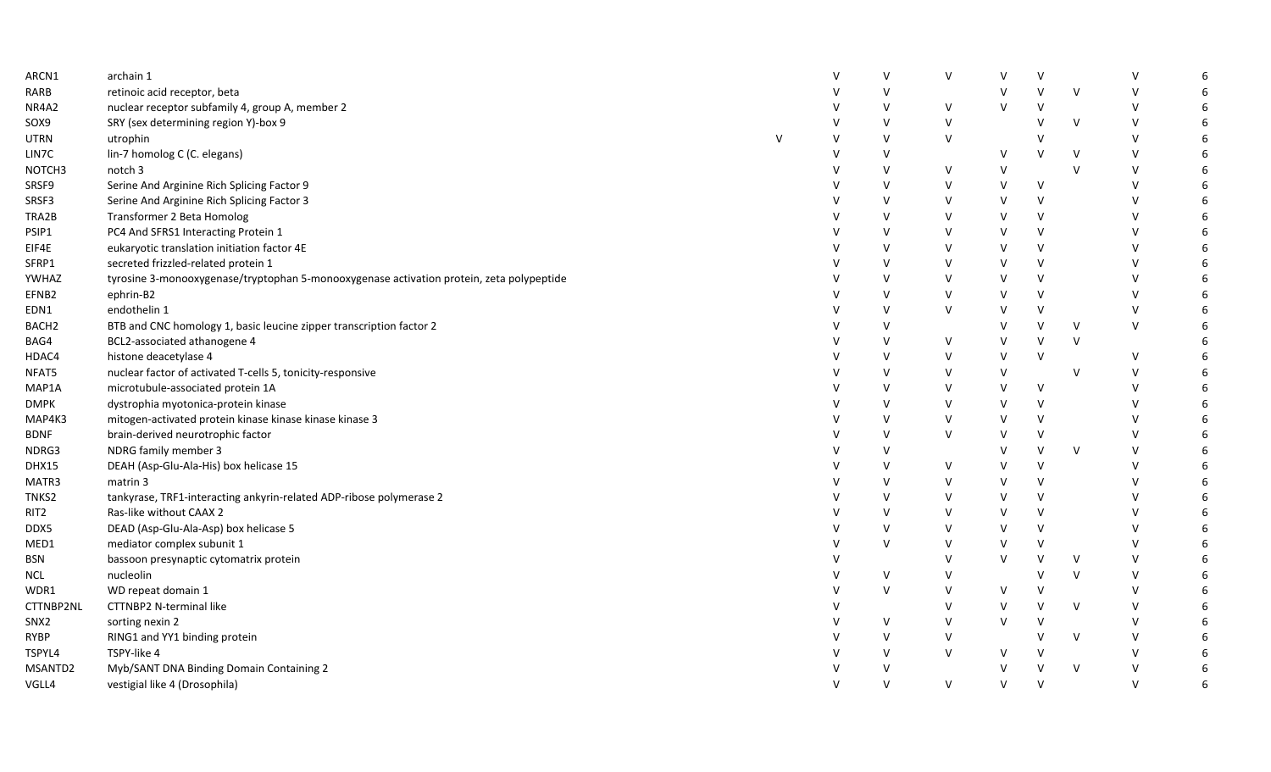| ARCN1             | archain 1                                                                                |        | V      | V | V      |        |        | $\mathsf{V}$ |    |
|-------------------|------------------------------------------------------------------------------------------|--------|--------|---|--------|--------|--------|--------------|----|
| RARB              | retinoic acid receptor, beta                                                             |        | $\vee$ |   | V      | v      | $\vee$ | V            |    |
| NR4A2             | nuclear receptor subfamily 4, group A, member 2                                          |        | $\vee$ | V | $\vee$ | $\vee$ |        | $\vee$       | 6  |
| SOX9              | SRY (sex determining region Y)-box 9                                                     | v      | v      | V |        | $\vee$ | $\vee$ | V            |    |
| UTRN              | utrophin<br>$\mathsf{V}$                                                                 | V      | V      | V |        |        |        | $\vee$       | 6  |
| LIN7C             | lin-7 homolog C (C. elegans)                                                             | v      | V      |   | $\vee$ |        | $\vee$ | V            | 6  |
| NOTCH3            | notch 3                                                                                  | V      | V      | V | $\vee$ |        | $\vee$ | $\vee$       | 6  |
| SRSF9             | Serine And Arginine Rich Splicing Factor 9                                               |        | V      | V | V      | $\vee$ |        | V            | 6  |
| SRSF3             | Serine And Arginine Rich Splicing Factor 3                                               |        | V      | V | V      | $\vee$ |        | V            |    |
| TRA2B             | Transformer 2 Beta Homolog                                                               |        | V      | V | V      | $\vee$ |        | $\vee$       |    |
| PSIP1             | PC4 And SFRS1 Interacting Protein 1                                                      |        | $\vee$ | V | $\vee$ | $\vee$ |        | V            |    |
| EIF4E             | eukaryotic translation initiation factor 4E                                              | $\vee$ | $\vee$ | V | V      | $\vee$ |        | v            | 6  |
| SFRP1             | secreted frizzled-related protein 1                                                      |        | $\vee$ | V | V      | $\vee$ |        | v            |    |
| YWHAZ             | tyrosine 3-monooxygenase/tryptophan 5-monooxygenase activation protein, zeta polypeptide |        | V      | V | V      | $\vee$ |        | V            |    |
| EFNB2             | ephrin-B2                                                                                |        | V      | V | V      | $\vee$ |        | V            |    |
| EDN1              | endothelin 1                                                                             |        | V      | V | v      | V      |        | $\vee$       |    |
| BACH <sub>2</sub> | BTB and CNC homology 1, basic leucine zipper transcription factor 2                      |        | $\vee$ |   | v      | $\vee$ | $\vee$ | $\vee$       |    |
| BAG4              | BCL2-associated athanogene 4                                                             |        | $\vee$ | V | v      | $\vee$ | $\vee$ |              | 6  |
| HDAC4             | histone deacetylase 4                                                                    |        | $\vee$ | V | V      | $\vee$ |        | $\vee$       | 6  |
| NFAT5             | nuclear factor of activated T-cells 5, tonicity-responsive                               | v      | V      | V | $\vee$ |        | $\vee$ | V            | 6  |
| MAP1A             | microtubule-associated protein 1A                                                        |        | $\vee$ | V | V      | $\vee$ |        | V            |    |
| DMPK              | dystrophia myotonica-protein kinase                                                      |        | V      | V | V      | $\vee$ |        | V            |    |
| MAP4K3            | mitogen-activated protein kinase kinase kinase kinase 3                                  |        | V      | V | V      | $\vee$ |        | $\vee$       |    |
| <b>BDNF</b>       | brain-derived neurotrophic factor                                                        |        | $\vee$ | V | v      | $\vee$ |        | $\vee$       |    |
| NDRG3             | NDRG family member 3                                                                     |        | $\vee$ |   | V      | $\vee$ | $\vee$ | V            |    |
| <b>DHX15</b>      | DEAH (Asp-Glu-Ala-His) box helicase 15                                                   |        | V      | V | V      | $\vee$ |        | V            | 6  |
| MATR3             | matrin 3                                                                                 |        | V      | V | V      | $\vee$ |        | V            | 6  |
| TNKS2             | tankyrase, TRF1-interacting ankyrin-related ADP-ribose polymerase 2                      |        | $\vee$ | v | V      | $\vee$ |        | V            | -6 |
| RIT2              | Ras-like without CAAX 2                                                                  |        | $\vee$ | V | V      | $\vee$ |        | V            |    |
| DDX5              | DEAD (Asp-Glu-Ala-Asp) box helicase 5                                                    |        | V      | V | V      | $\vee$ |        | V            |    |
| MED1              | mediator complex subunit 1                                                               |        | $\vee$ | V | v      | $\vee$ |        | $\vee$       | 6  |
| BSN               | bassoon presynaptic cytomatrix protein                                                   |        |        | V | V      | $\vee$ | $\vee$ | $\vee$       |    |
| <b>NCL</b>        | nucleolin                                                                                |        | $\vee$ | V |        |        | $\vee$ | V            | 6  |
| WDR1              | WD repeat domain 1                                                                       | $\vee$ | V      | V | V      | V      |        | V            | 6  |
| CTTNBP2NL         | CTTNBP2 N-terminal like                                                                  |        |        | v | V      | $\vee$ | $\vee$ | V            | 6  |
| SNX2              | sorting nexin 2                                                                          |        | V      | V | V      | v      |        | $\vee$       |    |
| RYBP              | RING1 and YY1 binding protein                                                            |        | V      | V |        | v      | $\vee$ | V            |    |
| TSPYL4            | TSPY-like 4                                                                              |        | V      | V | V      |        |        | V            |    |
| MSANTD2           | Myb/SANT DNA Binding Domain Containing 2                                                 |        | $\vee$ |   | V      | $\vee$ | $\vee$ | v            |    |
| VGLL4             | vestigial like 4 (Drosophila)                                                            | $\vee$ | $\vee$ | V | $\vee$ | $\vee$ |        | $\vee$       | 6  |
|                   |                                                                                          |        |        |   |        |        |        |              |    |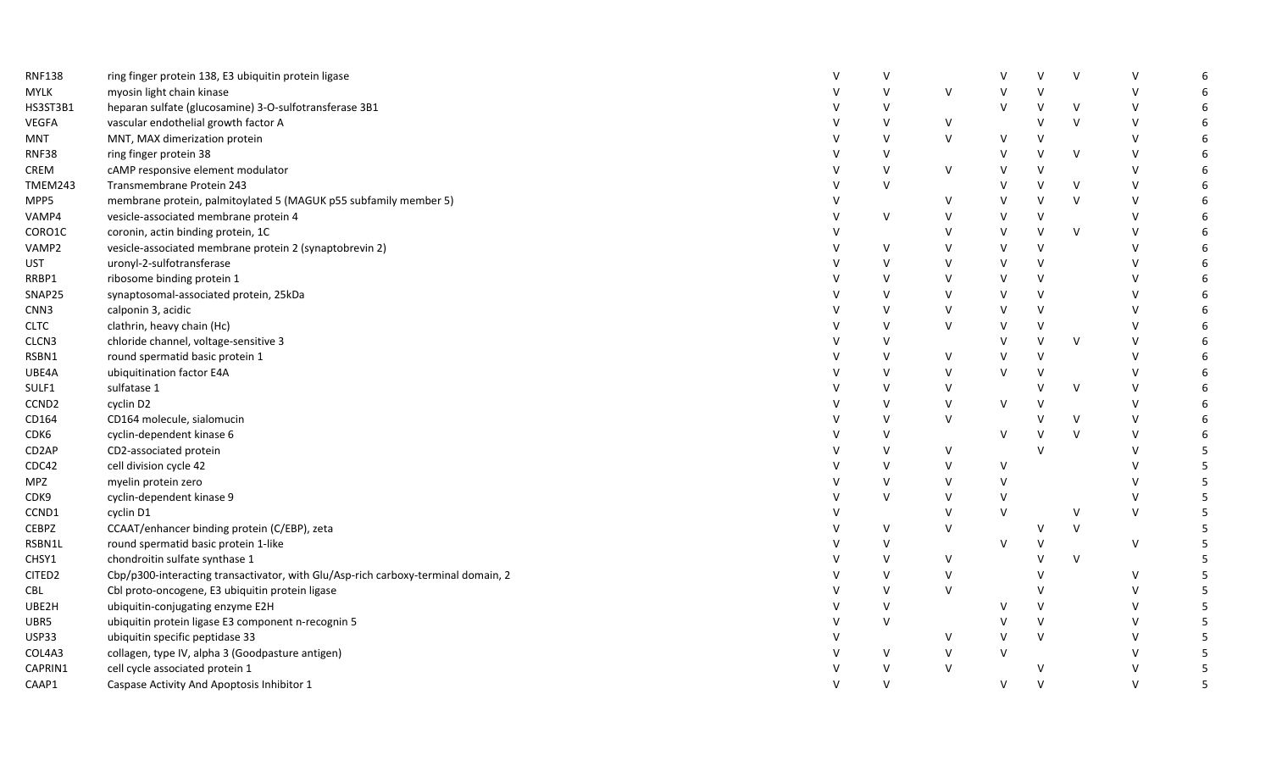| <b>RNF138</b>     | ring finger protein 138, E3 ubiquitin protein ligase                              |              | $\vee$ |        | V      | $\mathsf{V}$ | V            | $\vee$       | -6 |
|-------------------|-----------------------------------------------------------------------------------|--------------|--------|--------|--------|--------------|--------------|--------------|----|
| <b>MYLK</b>       | myosin light chain kinase                                                         |              | $\vee$ | V      | ٧      | $\mathsf{V}$ |              | $\vee$       | 6  |
| HS3ST3B1          | heparan sulfate (glucosamine) 3-O-sulfotransferase 3B1                            |              | $\vee$ |        | V      | v            | V            | $\vee$       | 6  |
| <b>VEGFA</b>      | vascular endothelial growth factor A                                              |              | $\vee$ | V      |        | $\mathsf{V}$ | $\mathsf{V}$ | $\vee$       | 6  |
| MNT               | MNT, MAX dimerization protein                                                     |              | $\vee$ | $\vee$ | V      | V            |              | $\vee$       | -6 |
| <b>RNF38</b>      | ring finger protein 38                                                            |              | $\vee$ |        | V      | v            | $\mathsf V$  | $\vee$       | 6  |
| CREM              | cAMP responsive element modulator                                                 |              | $\vee$ | V      | v      | $\vee$       |              | $\vee$       | 6  |
| TMEM243           | Transmembrane Protein 243                                                         |              | $\vee$ |        | V      | v            | V            | $\vee$       | 6  |
| MPP5              | membrane protein, palmitoylated 5 (MAGUK p55 subfamily member 5)                  |              |        | v      | V      | v            | $\sf V$      | $\vee$       | 6  |
| VAMP4             | vesicle-associated membrane protein 4                                             |              | V      | $\vee$ | $\vee$ | $\vee$       |              | $\vee$       | 6  |
| CORO1C            | coronin, actin binding protein, 1C                                                |              |        | v      | $\vee$ | $\vee$       | V            | $\vee$       | 6  |
| VAMP2             | vesicle-associated membrane protein 2 (synaptobrevin 2)                           |              | $\vee$ | V      | V      | V            |              | $\vee$       | 6  |
| <b>UST</b>        | uronyl-2-sulfotransferase                                                         |              | $\vee$ | V      | V      | $\vee$       |              | $\vee$       | 6  |
| RRBP1             | ribosome binding protein 1                                                        |              | $\vee$ | v      | V      | $\vee$       |              | $\vee$       | 6  |
| SNAP25            | synaptosomal-associated protein, 25kDa                                            |              | $\vee$ | $\vee$ | $\vee$ | $\vee$       |              | $\vee$       | 6  |
| CNN3              | calponin 3, acidic                                                                |              | $\vee$ | $\vee$ | V      | $\mathsf{V}$ |              | $\vee$       | 6  |
| <b>CLTC</b>       | clathrin, heavy chain (Hc)                                                        |              | $\vee$ | V      | V      | $\vee$       |              | $\vee$       | 6  |
| CLCN3             | chloride channel, voltage-sensitive 3                                             |              | $\vee$ |        | $\vee$ | $\mathsf{V}$ | V            | $\vee$       | 6  |
| RSBN1             | round spermatid basic protein 1                                                   |              | $\vee$ | V      | $\vee$ | $\mathsf{V}$ |              | $\vee$       | 6  |
| UBE4A             | ubiquitination factor E4A                                                         |              | $\vee$ | V      | V      | V            |              | $\vee$       | 6  |
| SULF1             | sulfatase 1                                                                       |              | $\vee$ | v      |        | V            | V            | $\vee$       | -6 |
| CCND <sub>2</sub> | cyclin D2                                                                         |              | $\vee$ | V      | V      | $\mathsf{V}$ |              | $\mathsf{V}$ | 6  |
| CD164             | CD164 molecule, sialomucin                                                        |              | $\vee$ | V      |        |              | V            | $\vee$       | 6  |
| CDK6              | cyclin-dependent kinase 6                                                         |              | $\vee$ |        | V      |              | $\sf V$      | $\vee$       | 6  |
| CD2AP             | CD2-associated protein                                                            |              | $\vee$ | V      |        |              |              | $\vee$       | 5  |
| CDC42             | cell division cycle 42                                                            |              | $\vee$ | V      | $\vee$ |              |              | $\vee$       | 5  |
| MPZ               | myelin protein zero                                                               |              | $\vee$ | V      | V      |              |              | $\vee$       | 5  |
| CDK9              | cyclin-dependent kinase 9                                                         |              | $\vee$ | V      | V      |              |              | V            | -5 |
| CCND1             | cyclin D1                                                                         |              |        | $\vee$ | $\vee$ |              | V            | $\vee$       | 5  |
| <b>CEBPZ</b>      | CCAAT/enhancer binding protein (C/EBP), zeta                                      |              | $\vee$ | V      |        |              | $\sf V$      |              | 5  |
| RSBN1L            | round spermatid basic protein 1-like                                              |              | $\vee$ |        | $\vee$ |              |              | $\vee$       | 5  |
| CHSY1             | chondroitin sulfate synthase 1                                                    |              | $\vee$ | V      |        |              | V            |              | 5  |
| CITED2            | Cbp/p300-interacting transactivator, with Glu/Asp-rich carboxy-terminal domain, 2 |              | $\vee$ | V      |        |              |              | $\vee$       | 5  |
| CBL               | Cbl proto-oncogene, E3 ubiquitin protein ligase                                   |              | $\vee$ | V      |        |              |              | $\vee$       | 5  |
| UBE2H             | ubiquitin-conjugating enzyme E2H                                                  |              | $\vee$ |        | V      | $\vee$       |              | $\vee$       | 5  |
| UBR5              | ubiquitin protein ligase E3 component n-recognin 5                                | v            | $\vee$ |        | v      | V            |              | $\vee$       | -5 |
| USP33             | ubiquitin specific peptidase 33                                                   |              |        | v      | v      | $\mathsf{V}$ |              | $\mathsf{V}$ | 5  |
| COL4A3            | collagen, type IV, alpha 3 (Goodpasture antigen)                                  |              | V      | V      | V      |              |              | $\vee$       | 5  |
| CAPRIN1           | cell cycle associated protein 1                                                   |              | $\vee$ | $\vee$ |        | v            |              | $\vee$       | 5  |
| CAAP1             | Caspase Activity And Apoptosis Inhibitor 1                                        | $\mathsf{v}$ | $\vee$ |        | $\vee$ | $\vee$       |              | $\vee$       | 5  |
|                   |                                                                                   |              |        |        |        |              |              |              |    |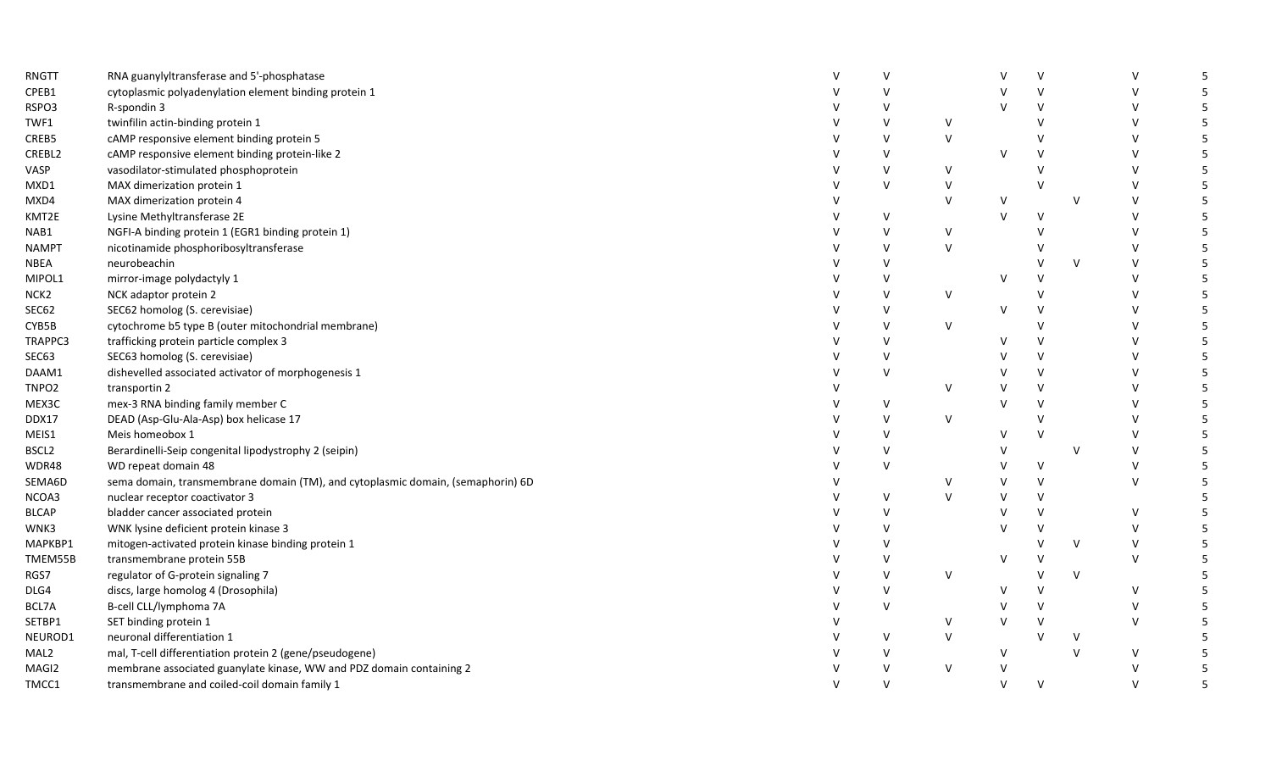| RNGTT             | RNA guanylyltransferase and 5'-phosphatase                                      | v      |        |        | $\vee$       |              | $\vee$       | 5  |
|-------------------|---------------------------------------------------------------------------------|--------|--------|--------|--------------|--------------|--------------|----|
| CPEB1             | cytoplasmic polyadenylation element binding protein 1                           | $\vee$ |        |        | $\mathsf{V}$ |              | $\vee$       |    |
| RSPO3             | R-spondin 3                                                                     | $\vee$ |        | $\vee$ | $\vee$       |              | $\vee$       | 5  |
| TWF1              | twinfilin actin-binding protein 1                                               | $\vee$ | v      |        | $\vee$       |              | $\vee$       | 5  |
| CREB5             | cAMP responsive element binding protein 5                                       | V      | $\vee$ |        | $\vee$       |              | $\mathsf{V}$ | 5  |
| CREBL2            | cAMP responsive element binding protein-like 2                                  | V      |        | $\vee$ | $\vee$       |              | $\vee$       | 5  |
| VASP              | vasodilator-stimulated phosphoprotein                                           | V      | V      |        | $\vee$       |              | $\vee$       | 5  |
| MXD1              | MAX dimerization protein 1                                                      | V      | $\vee$ |        | $\vee$       |              | $\vee$       | 5  |
| MXD4              | MAX dimerization protein 4                                                      |        | $\vee$ | V      |              | $\vee$       | $\vee$       | 5  |
| KMT2E             | Lysine Methyltransferase 2E                                                     | V      |        | $\vee$ | $\mathsf{V}$ |              | $\vee$       | 5  |
| NAB1              | NGFI-A binding protein 1 (EGR1 binding protein 1)                               | $\vee$ | V      |        | $\vee$       |              | $\vee$       | 5  |
| <b>NAMPT</b>      | nicotinamide phosphoribosyltransferase                                          | V      | $\vee$ |        | $\mathsf{V}$ |              | $\vee$       | 5  |
| NBEA              | neurobeachin                                                                    | V      |        |        | V            | $\vee$       | $\vee$       | 5  |
| MIPOL1            | mirror-image polydactyly 1                                                      | V      |        | V      | V            |              | $\vee$       | 5  |
| NCK <sub>2</sub>  | NCK adaptor protein 2                                                           | V      | V      |        | $\vee$       |              | $\vee$       | 5  |
| <b>SEC62</b>      | SEC62 homolog (S. cerevisiae)                                                   | V      |        | $\vee$ | $\vee$       |              | $\vee$       | 5  |
| CYB5B             | cytochrome b5 type B (outer mitochondrial membrane)                             | V      | V      |        | $\vee$       |              | $\vee$       | 5  |
| TRAPPC3           | trafficking protein particle complex 3                                          | V      |        | V      | $\vee$       |              | $\mathbf{v}$ | 5  |
| SEC63             | SEC63 homolog (S. cerevisiae)                                                   | V      |        | $\vee$ | $\vee$       |              | $\vee$       | 5  |
| DAAM1             | dishevelled associated activator of morphogenesis 1                             | V      |        | V      | $\vee$       |              | $\vee$       | 5  |
| TNPO <sub>2</sub> | transportin 2                                                                   |        | v      | V      | $\vee$       |              | $\vee$       | 5  |
| MEX3C             | mex-3 RNA binding family member C                                               | V      |        | $\vee$ | $\vee$       |              | $\vee$       | 5  |
| DDX17             | DEAD (Asp-Glu-Ala-Asp) box helicase 17                                          | V      | V      |        | $\vee$       |              | $\vee$       |    |
| MEIS1             | Meis homeobox 1                                                                 | $\vee$ |        | $\vee$ | $\vee$       |              | $\vee$       | 5  |
| BSCL2             | Berardinelli-Seip congenital lipodystrophy 2 (seipin)                           | $\vee$ |        | V      |              | $\vee$       | $\vee$       |    |
| WDR48             | WD repeat domain 48                                                             | V      |        | $\vee$ | $\vee$       |              | $\vee$       | 5  |
| SEMA6D            | sema domain, transmembrane domain (TM), and cytoplasmic domain, (semaphorin) 6D |        | v      | V      | $\mathsf{V}$ |              | $\vee$       | 5  |
| NCOA3             | nuclear receptor coactivator 3                                                  | V      | $\vee$ | $\vee$ | $\vee$       |              |              |    |
| <b>BLCAP</b>      | bladder cancer associated protein                                               | $\vee$ |        | v      | $\vee$       |              | $\vee$       | 5. |
| WNK3              | WNK lysine deficient protein kinase 3                                           | V      |        | V      | $\vee$       |              | $\vee$       | 5  |
| MAPKBP1           | mitogen-activated protein kinase binding protein 1                              | $\vee$ |        |        | $\vee$       | $\vee$       | $\vee$       | 5  |
| TMEM55B           | transmembrane protein 55B                                                       | $\vee$ |        | $\vee$ | $\vee$       |              | $\vee$       | 5  |
| RGS7              | regulator of G-protein signaling 7                                              | V      | v      |        | $\vee$       | $\vee$       |              | 5  |
| DLG4              | discs, large homolog 4 (Drosophila)                                             | V      |        | V      | $\vee$       |              | $\vee$       |    |
| BCL7A             | B-cell CLL/lymphoma 7A                                                          | V      |        | V      | $\vee$       |              | $\vee$       | 5  |
| SETBP1            | SET binding protein 1                                                           |        | V      | v      | $\vee$       |              | $\vee$       |    |
| NEUROD1           | neuronal differentiation 1                                                      | V      | $\vee$ |        | $\vee$       | $\vee$       |              |    |
| MAL <sub>2</sub>  | mal, T-cell differentiation protein 2 (gene/pseudogene)                         | $\vee$ |        | V      |              | $\mathsf{V}$ | $\vee$       |    |
| MAGI2             | membrane associated guanylate kinase, WW and PDZ domain containing 2            | V      | V      | $\vee$ |              |              | $\vee$       |    |
| TMCC1             | transmembrane and coiled-coil domain family 1                                   | V      |        | $\vee$ | $\vee$       |              | $\vee$       | 5  |
|                   |                                                                                 |        |        |        |              |              |              |    |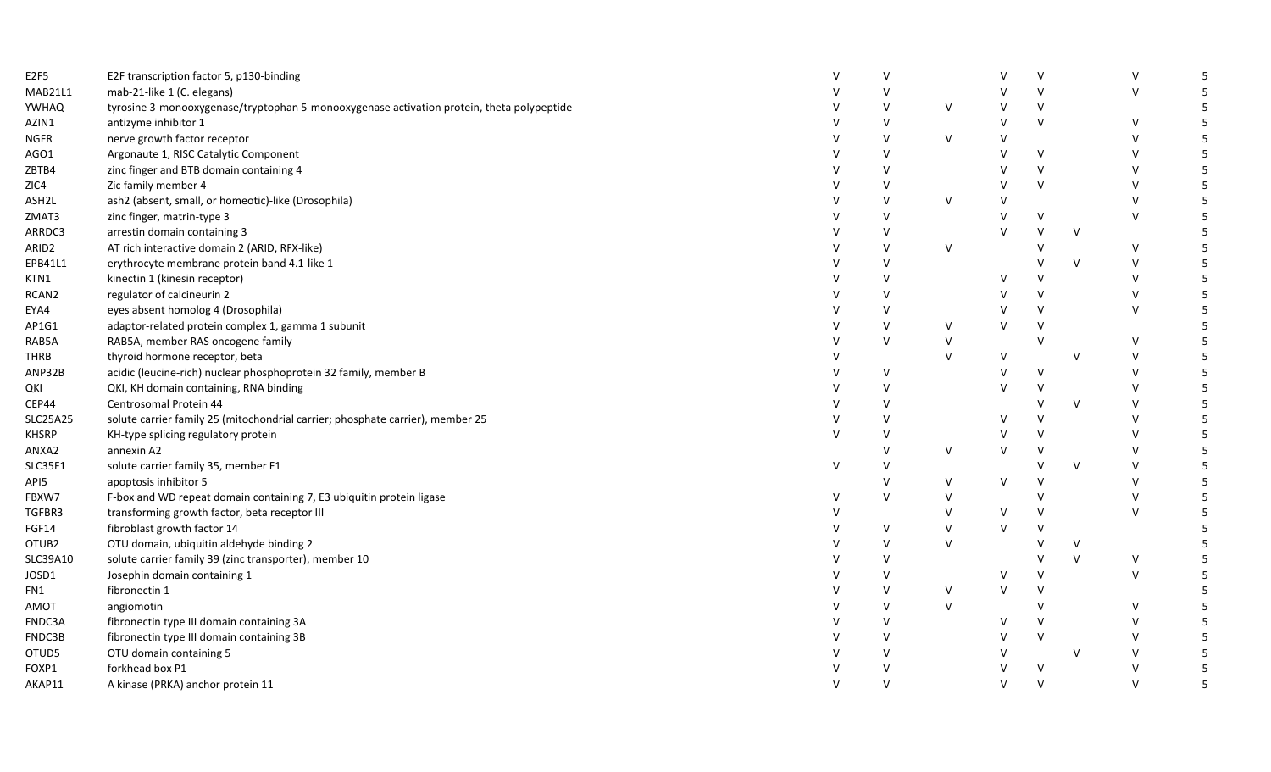| E2F5        | E2F transcription factor 5, p130-binding                                                  | $\vee$       | $\vee$ |        | V      | $\vee$ |        | V      | -5 |
|-------------|-------------------------------------------------------------------------------------------|--------------|--------|--------|--------|--------|--------|--------|----|
| MAB21L1     | mab-21-like 1 (C. elegans)                                                                | $\mathsf{V}$ | $\vee$ |        | V      | $\vee$ |        | $\vee$ | -5 |
| YWHAQ       | tyrosine 3-monooxygenase/tryptophan 5-monooxygenase activation protein, theta polypeptide |              | $\vee$ | V      | V      | $\vee$ |        |        | 5  |
| AZIN1       | antizyme inhibitor 1                                                                      | V            | $\vee$ |        | V      | $\vee$ |        | V      | -5 |
| NGFR        | nerve growth factor receptor                                                              | $\mathsf{V}$ | $\vee$ | $\vee$ | $\vee$ |        |        | $\vee$ | -5 |
| AGO1        | Argonaute 1, RISC Catalytic Component                                                     | V            | $\vee$ |        | V      | V      |        | $\vee$ | -5 |
| ZBTB4       | zinc finger and BTB domain containing 4                                                   | V            | $\vee$ |        | V      | $\vee$ |        | $\vee$ |    |
| ZIC4        | Zic family member 4                                                                       | V            | $\vee$ |        | V      | $\vee$ |        | $\vee$ | 5  |
| ASH2L       | ash2 (absent, small, or homeotic)-like (Drosophila)                                       | V            | $\vee$ | $\vee$ | V      |        |        | V      | -5 |
| ZMAT3       | zinc finger, matrin-type 3                                                                |              | $\vee$ |        | V      | V      |        | $\vee$ | .5 |
| ARRDC3      | arrestin domain containing 3                                                              | $\mathsf{V}$ | v      |        | $\vee$ | $\vee$ | $\vee$ |        | -5 |
| ARID2       | AT rich interactive domain 2 (ARID, RFX-like)                                             | $\vee$       | $\vee$ | $\vee$ |        | $\vee$ |        | $\vee$ | -5 |
| EPB41L1     | erythrocyte membrane protein band 4.1-like 1                                              |              | $\vee$ |        |        |        | V      | $\vee$ | -5 |
| KTN1        | kinectin 1 (kinesin receptor)                                                             | V            | $\vee$ |        | V      | v      |        | V      |    |
| RCAN2       | regulator of calcineurin 2                                                                |              | $\vee$ |        | v      | $\vee$ |        | $\vee$ | .5 |
| EYA4        | eyes absent homolog 4 (Drosophila)                                                        |              | v      |        | V      | $\vee$ |        | $\vee$ | -5 |
| AP1G1       | adaptor-related protein complex 1, gamma 1 subunit                                        |              | $\vee$ | V      | V      | $\vee$ |        |        | -5 |
| RAB5A       | RAB5A, member RAS oncogene family                                                         | $\vee$       | $\vee$ | $\vee$ |        | V      |        | $\vee$ | -5 |
| THRB        | thyroid hormone receptor, beta                                                            | V            |        | $\vee$ | V      |        | V      | $\vee$ | 5  |
| ANP32B      | acidic (leucine-rich) nuclear phosphoprotein 32 family, member B                          | V            | $\vee$ |        | V      | $\vee$ |        | V      | -5 |
| QKI         | QKI, KH domain containing, RNA binding                                                    | V            | $\vee$ |        | V      |        |        | $\vee$ |    |
| CEP44       | Centrosomal Protein 44                                                                    | V            | $\vee$ |        |        | v      | $\vee$ | V      | 5  |
| SLC25A25    | solute carrier family 25 (mitochondrial carrier; phosphate carrier), member 25            | V            | $\vee$ |        | $\vee$ | $\vee$ |        | $\vee$ | -5 |
| KHSRP       | KH-type splicing regulatory protein                                                       | $\mathsf{V}$ | $\vee$ |        | V      | $\vee$ |        | $\vee$ | .5 |
| ANXA2       | annexin A2                                                                                |              | v      | $\vee$ | V      | $\vee$ |        | $\vee$ | -5 |
| SLC35F1     | solute carrier family 35, member F1                                                       | $\vee$       | $\vee$ |        |        | $\vee$ | V      | $\vee$ | -5 |
| API5.       | apoptosis inhibitor 5                                                                     |              | $\vee$ | V      | $\vee$ | V      |        | V      | -5 |
| FBXW7       | F-box and WD repeat domain containing 7, E3 ubiquitin protein ligase                      | V            | $\vee$ | v      |        | v      |        | V      | -5 |
| TGFBR3      | transforming growth factor, beta receptor III                                             |              |        | V      | V      | V      |        | $\vee$ | -5 |
| FGF14       | fibroblast growth factor 14                                                               | V            | $\vee$ | $\vee$ | $\vee$ | $\vee$ |        |        |    |
| OTUB2       | OTU domain, ubiquitin aldehyde binding 2                                                  |              | $\vee$ | $\vee$ |        |        | V      |        | -5 |
| SLC39A10    | solute carrier family 39 (zinc transporter), member 10                                    | V            | $\vee$ |        |        |        | $\vee$ | V      | -5 |
| JOSD1       | Josephin domain containing 1                                                              | $\mathsf{V}$ | $\vee$ |        | $\vee$ | V      |        | $\vee$ | .5 |
| FN1         | fibronectin 1                                                                             | $\mathsf{v}$ | $\vee$ | V      | V      | $\vee$ |        |        | -5 |
| <b>TOMA</b> | angiomotin                                                                                | v            | $\vee$ | $\vee$ |        | $\vee$ |        | V      |    |
| FNDC3A      | fibronectin type III domain containing 3A                                                 | V            | $\vee$ |        | V      | V      |        | $\vee$ | 5  |
| FNDC3B      | fibronectin type III domain containing 3B                                                 |              | v      |        | V      | $\vee$ |        | $\vee$ | -5 |
| OTUD5       | OTU domain containing 5                                                                   |              | $\vee$ |        | V      |        | V      |        | -5 |
| FOXP1       | forkhead box P1                                                                           |              | $\vee$ |        | $\vee$ | $\vee$ |        |        | 5  |
| AKAP11      | A kinase (PRKA) anchor protein 11                                                         | $\mathsf{V}$ | $\vee$ |        | $\vee$ | $\vee$ |        | $\vee$ | 5  |
|             |                                                                                           |              |        |        |        |        |        |        |    |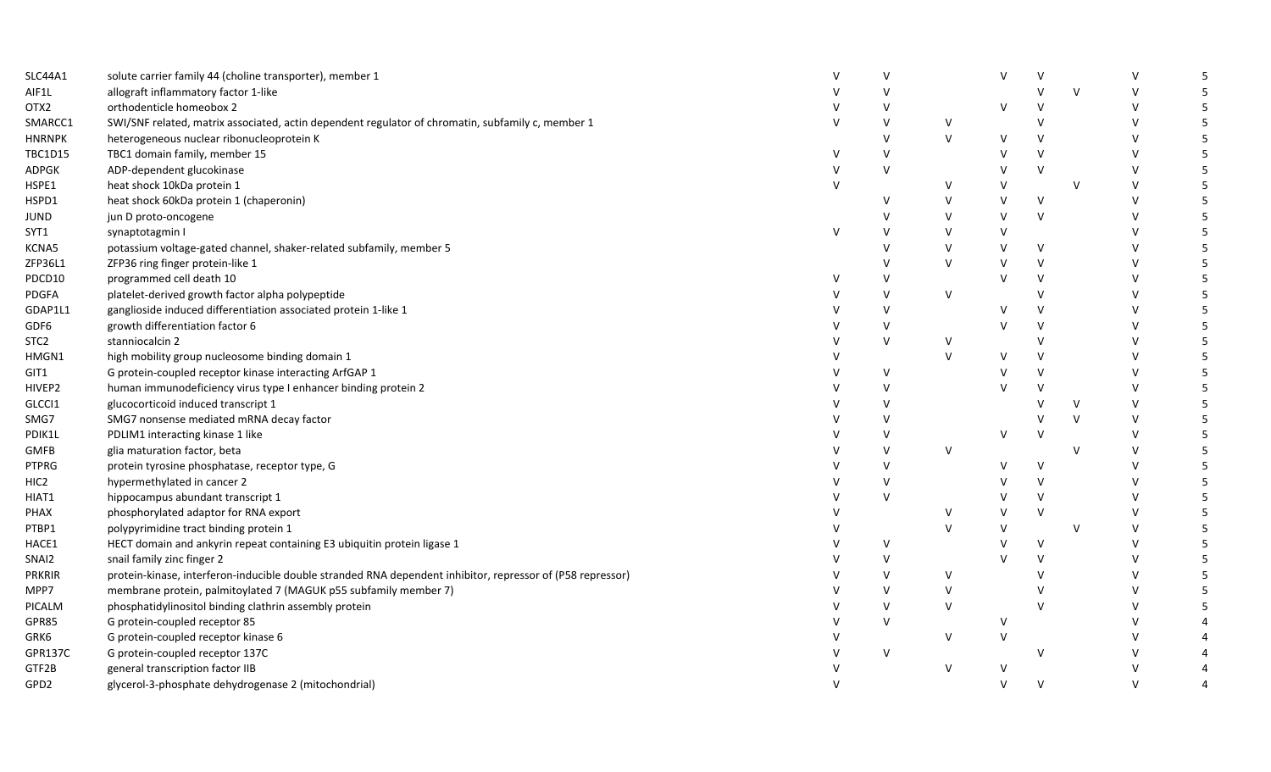| SLC44A1           | solute carrier family 44 (choline transporter), member 1                                                   |              | $\mathsf{V}$ |        | V      |              |        | $\vee$ | -5 |
|-------------------|------------------------------------------------------------------------------------------------------------|--------------|--------------|--------|--------|--------------|--------|--------|----|
| AIF1L             | allograft inflammatory factor 1-like                                                                       |              |              |        |        |              | $\vee$ | $\vee$ | 5  |
| OTX2              | orthodenticle homeobox 2                                                                                   |              |              |        | V      | v            |        | $\vee$ | 5  |
| SMARCC1           | SWI/SNF related, matrix associated, actin dependent regulator of chromatin, subfamily c, member 1          | $\vee$       | $\vee$       | V      |        |              |        | $\vee$ | 5  |
| <b>HNRNPK</b>     | heterogeneous nuclear ribonucleoprotein K                                                                  |              | $\vee$       | $\vee$ | $\vee$ | $\vee$       |        | V      | 5  |
| <b>TBC1D15</b>    | TBC1 domain family, member 15                                                                              | v            | $\vee$       |        | $\vee$ | $\vee$       |        | $\vee$ | 5  |
| ADPGK             | ADP-dependent glucokinase                                                                                  | v            | $\vee$       |        | v      | $\vee$       |        | $\vee$ | 5  |
| HSPE1             | heat shock 10kDa protein 1                                                                                 |              |              | V      | V      |              | $\vee$ | $\vee$ | 5  |
| HSPD1             | heat shock 60kDa protein 1 (chaperonin)                                                                    |              | v            | V      | $\vee$ | $\vee$       |        | $\vee$ | 5  |
| JUND              | jun D proto-oncogene                                                                                       |              | $\vee$       | v      | V      | $\vee$       |        | $\vee$ | 5  |
| SYT1              | synaptotagmin I                                                                                            | $\mathsf{V}$ | $\vee$       | v      | $\vee$ |              |        | $\vee$ | 5  |
| KCNA5             | potassium voltage-gated channel, shaker-related subfamily, member 5                                        |              | $\vee$       | V      | $\vee$ | $\mathsf{V}$ |        | $\vee$ | 5  |
| ZFP36L1           | ZFP36 ring finger protein-like 1                                                                           |              |              | V      | $\vee$ | $\vee$       |        | $\vee$ | -5 |
| PDCD10            | programmed cell death 10                                                                                   |              | v            |        | $\vee$ | V            |        | V      | -5 |
| <b>PDGFA</b>      | platelet-derived growth factor alpha polypeptide                                                           |              | $\vee$       | V      |        | $\mathsf{V}$ |        | V      | -5 |
| GDAP1L1           | ganglioside induced differentiation associated protein 1-like 1                                            |              | $\vee$       |        | v      | $\vee$       |        | $\vee$ | -5 |
| GDF6              | growth differentiation factor 6                                                                            |              | $\vee$       |        | V      | $\vee$       |        | $\vee$ | 5  |
| STC <sub>2</sub>  | stanniocalcin 2                                                                                            |              | $\vee$       | V      |        | $\mathsf{V}$ |        | $\vee$ | 5  |
| HMGN1             | high mobility group nucleosome binding domain 1                                                            |              |              | V      | $\vee$ | $\vee$       |        | V      | -5 |
| GIT1              | G protein-coupled receptor kinase interacting ArfGAP 1                                                     |              | $\vee$       |        | v      | V            |        | $\vee$ | 5  |
| HIVEP2            | human immunodeficiency virus type I enhancer binding protein 2                                             |              | $\vee$       |        | v      | V            |        | $\vee$ | 5  |
| GLCC <sub>1</sub> | glucocorticoid induced transcript 1                                                                        |              | $\vee$       |        |        |              | V      | $\vee$ | 5  |
| SMG7              | SMG7 nonsense mediated mRNA decay factor                                                                   |              | v            |        |        |              | $\vee$ | $\vee$ | -5 |
| PDIK1L            | PDLIM1 interacting kinase 1 like                                                                           |              |              |        | V      |              |        | $\vee$ | .5 |
| GMFB              | glia maturation factor, beta                                                                               |              | $\vee$       | $\vee$ |        |              | $\vee$ | $\vee$ | 5  |
| <b>PTPRG</b>      | protein tyrosine phosphatase, receptor type, G                                                             |              | $\vee$       |        | $\vee$ | $\mathsf{V}$ |        | $\vee$ | 5  |
| HIC2              | hypermethylated in cancer 2                                                                                |              | $\vee$       |        | V      | $\vee$       |        | $\vee$ | -5 |
| HIAT1             | hippocampus abundant transcript 1                                                                          |              | $\vee$       |        | V      | $\vee$       |        | V      | -5 |
| PHAX              | phosphorylated adaptor for RNA export                                                                      |              |              |        | V      | $\vee$       |        | $\vee$ | -5 |
| PTBP1             | polypyrimidine tract binding protein 1                                                                     |              |              | V      | $\vee$ |              | V      | $\vee$ | 5  |
| HACE1             | HECT domain and ankyrin repeat containing E3 ubiquitin protein ligase 1                                    |              | $\vee$       |        | $\vee$ | $\vee$       |        | $\vee$ | 5  |
| SNAI2             | snail family zinc finger 2                                                                                 |              | $\vee$       |        |        |              |        | $\vee$ | 5  |
| <b>PRKRIR</b>     | protein-kinase, interferon-inducible double stranded RNA dependent inhibitor, repressor of (P58 repressor) |              | $\vee$       | V      |        |              |        | $\vee$ | 5  |
| MPP7              | membrane protein, palmitoylated 7 (MAGUK p55 subfamily member 7)                                           |              | $\vee$       | V      |        |              |        | $\vee$ | 5  |
| PICALM            | phosphatidylinositol binding clathrin assembly protein                                                     |              | $\vee$       | V      |        |              |        | $\vee$ | 5  |
| GPR85             | G protein-coupled receptor 85                                                                              |              | $\vee$       |        | V      |              |        | V      |    |
| GRK6              | G protein-coupled receptor kinase 6                                                                        |              |              | V      | $\vee$ |              |        | $\vee$ |    |
| GPR137C           | G protein-coupled receptor 137C                                                                            |              | $\vee$       |        |        | v            |        | $\vee$ |    |
| GTF2B             | general transcription factor IIB                                                                           |              |              | V      | $\vee$ |              |        |        |    |
| GPD2              | glycerol-3-phosphate dehydrogenase 2 (mitochondrial)                                                       |              |              |        | V      | $\vee$       |        | $\vee$ |    |
|                   |                                                                                                            |              |              |        |        |              |        |        |    |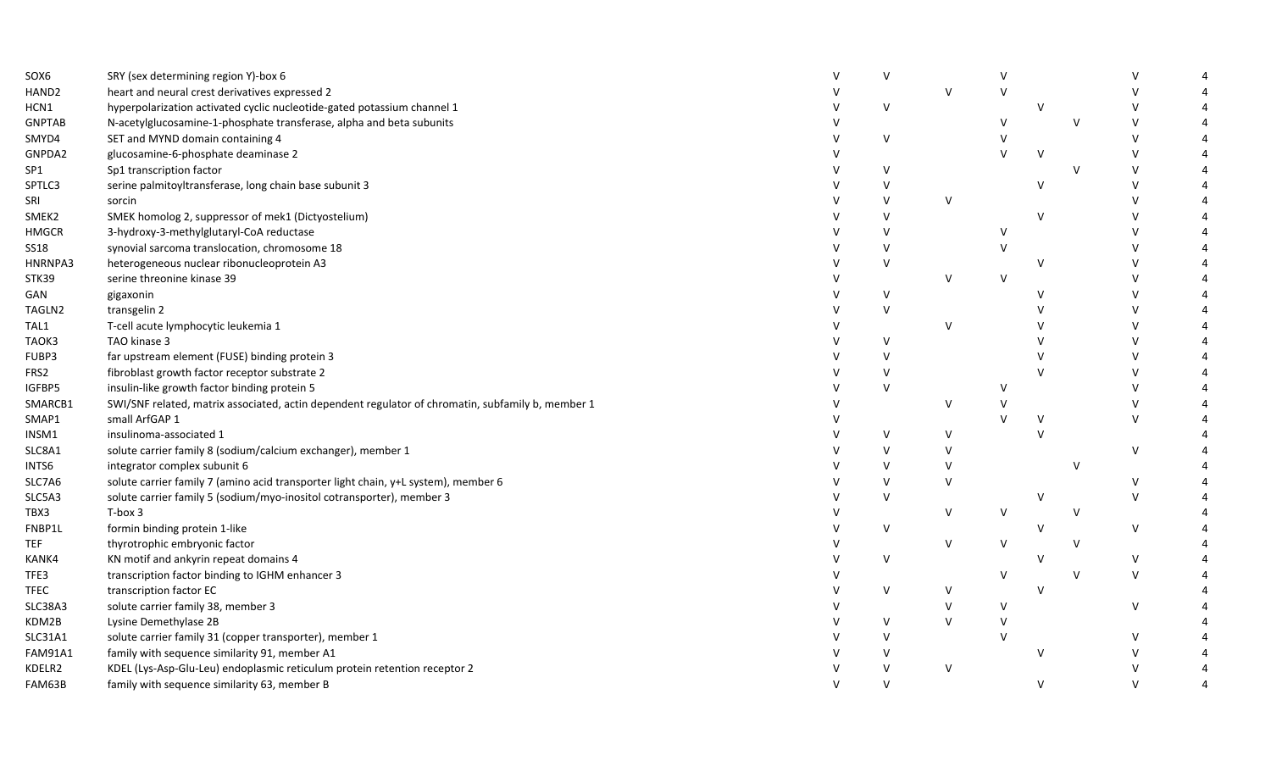| SOX6           | SRY (sex determining region Y)-box 6                                                              | v      |        |               |              |        |               |  |
|----------------|---------------------------------------------------------------------------------------------------|--------|--------|---------------|--------------|--------|---------------|--|
| HAND2          | heart and neural crest derivatives expressed 2                                                    |        | $\vee$ | V             |              |        | $\vee$        |  |
| HCN1           | hyperpolarization activated cyclic nucleotide-gated potassium channel 1                           | $\vee$ |        |               | $\vee$       |        | $\vee$        |  |
| <b>GNPTAB</b>  | N-acetylglucosamine-1-phosphate transferase, alpha and beta subunits                              |        |        | $\vee$        |              | v      | $\vee$        |  |
| SMYD4          | SET and MYND domain containing 4                                                                  | V      |        | $\mathsf{V}$  |              |        | $\vee$        |  |
| GNPDA2         | glucosamine-6-phosphate deaminase 2                                                               |        |        | $\mathcal{U}$ | $\vee$       |        | $\vee$        |  |
| SP1            | Sp1 transcription factor                                                                          | v      |        |               |              | v      | $\vee$        |  |
| SPTLC3         | serine palmitoyltransferase, long chain base subunit 3                                            | ν      |        |               | $\vee$       |        | $\vee$        |  |
| SRI            | sorcin                                                                                            | v      | $\vee$ |               |              |        | $\vee$        |  |
| SMEK2          | SMEK homolog 2, suppressor of mek1 (Dictyostelium)                                                | v      |        |               | $\mathbf v$  |        | $\vee$        |  |
| <b>HMGCR</b>   | 3-hydroxy-3-methylglutaryl-CoA reductase                                                          | v      |        | $\vee$        |              |        | $\vee$        |  |
| <b>SS18</b>    | synovial sarcoma translocation, chromosome 18                                                     | $\vee$ |        | $\vee$        |              |        | $\vee$        |  |
| HNRNPA3        | heterogeneous nuclear ribonucleoprotein A3                                                        | $\vee$ |        |               | V            |        | $\vee$        |  |
| STK39          | serine threonine kinase 39                                                                        |        | v      | V             |              |        | V             |  |
| GAN            | gigaxonin                                                                                         | $\vee$ |        |               |              |        | $\vee$        |  |
| TAGLN2         | transgelin 2                                                                                      | v      |        |               |              |        | $\vee$        |  |
| TAL1           | T-cell acute lymphocytic leukemia 1                                                               |        | $\vee$ |               |              |        | $\vee$        |  |
| TAOK3          | TAO kinase 3                                                                                      | $\vee$ |        |               |              |        | $\mathcal{U}$ |  |
| FUBP3          | far upstream element (FUSE) binding protein 3                                                     | $\vee$ |        |               |              |        | $\vee$        |  |
| FRS2           | fibroblast growth factor receptor substrate 2                                                     | $\vee$ |        |               |              |        | $\vee$        |  |
| IGFBP5         | insulin-like growth factor binding protein 5                                                      | $\vee$ |        | V             |              |        | $\vee$        |  |
| SMARCB1        | SWI/SNF related, matrix associated, actin dependent regulator of chromatin, subfamily b, member 1 |        | v      |               |              |        | $\vee$        |  |
| SMAP1          | small ArfGAP 1                                                                                    |        |        |               | $\vee$       |        | $\vee$        |  |
| INSM1          | insulinoma-associated 1                                                                           | v      | v      |               | $\mathbf{v}$ |        |               |  |
| SLC8A1         | solute carrier family 8 (sodium/calcium exchanger), member 1                                      | v      | v      |               |              |        | $\vee$        |  |
| INTS6          | integrator complex subunit 6                                                                      | $\vee$ |        |               |              | $\vee$ |               |  |
| SLC7A6         | solute carrier family 7 (amino acid transporter light chain, y+L system), member 6                | v      |        |               |              |        | $\vee$        |  |
| SLC5A3         | solute carrier family 5 (sodium/myo-inositol cotransporter), member 3                             | V      |        |               | $\vee$       |        | $\vee$        |  |
| TBX3           | T-box 3                                                                                           |        | v      | V             |              | $\vee$ |               |  |
| FNBP1L         | formin binding protein 1-like                                                                     | V      |        |               | V            |        | $\vee$        |  |
| TEF            | thyrotrophic embryonic factor                                                                     |        | $\vee$ | V             |              | $\vee$ |               |  |
| KANK4          | KN motif and ankyrin repeat domains 4                                                             | $\vee$ |        |               | N            |        | $\vee$        |  |
| TFE3           | transcription factor binding to IGHM enhancer 3                                                   |        |        | V             |              | $\vee$ | $\vee$        |  |
| TFEC           | transcription factor EC                                                                           | $\vee$ | v      |               | $\vee$       |        |               |  |
| SLC38A3        | solute carrier family 38, member 3                                                                |        | $\vee$ | V             |              |        | $\vee$        |  |
| KDM2B          | Lysine Demethylase 2B                                                                             | V      | $\vee$ |               |              |        |               |  |
| <b>SLC31A1</b> | solute carrier family 31 (copper transporter), member 1                                           | v      |        | $\vee$        |              |        | $\vee$        |  |
| <b>FAM91A1</b> | family with sequence similarity 91, member A1                                                     | V      |        |               | $\vee$       |        | $\mathsf{V}$  |  |
| KDELR2         | KDEL (Lys-Asp-Glu-Leu) endoplasmic reticulum protein retention receptor 2                         | V      | $\vee$ |               |              |        |               |  |
| FAM63B         | family with sequence similarity 63, member B                                                      | V      |        |               | $\mathbf v$  |        | $\mathsf{V}$  |  |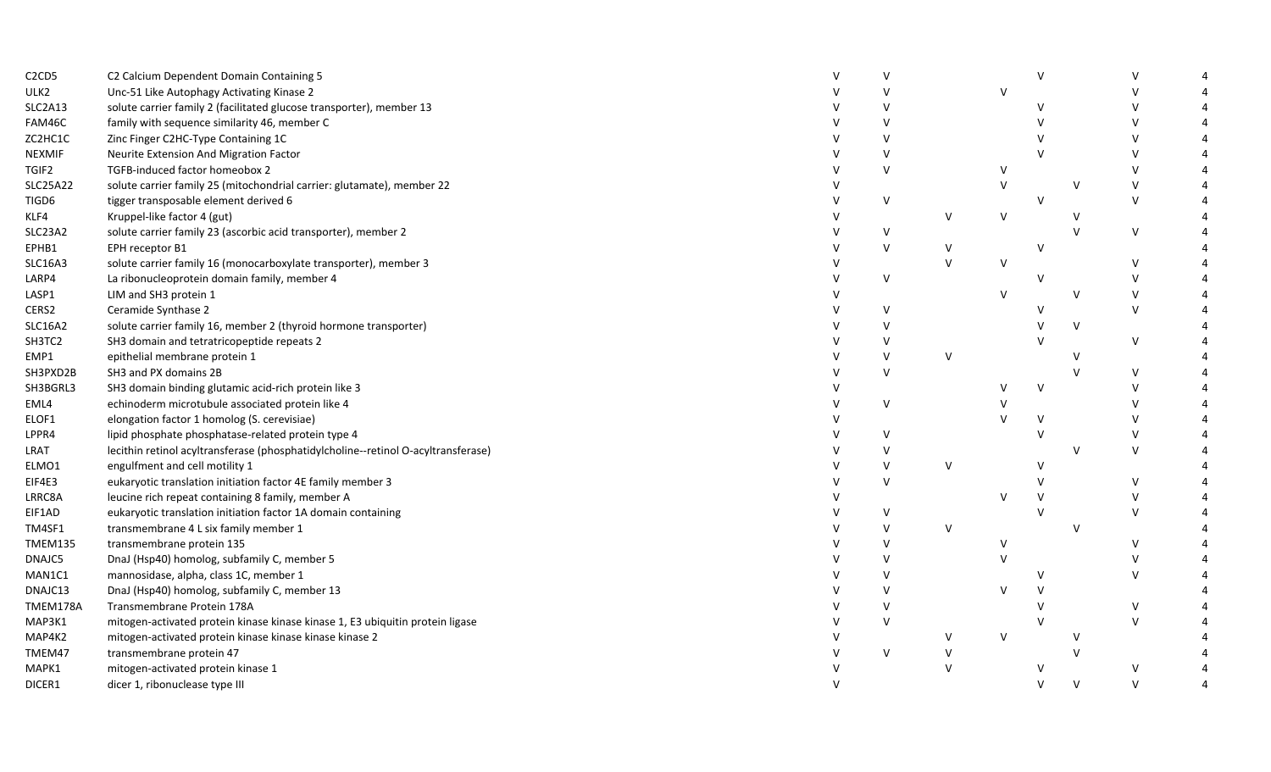| C <sub>2</sub> C <sub>D</sub> <sub>5</sub> | C2 Calcium Dependent Domain Containing 5                                          | $\mathsf{V}$ |              |         |              |              |              |  |
|--------------------------------------------|-----------------------------------------------------------------------------------|--------------|--------------|---------|--------------|--------------|--------------|--|
| ULK2                                       | Unc-51 Like Autophagy Activating Kinase 2                                         |              |              | $\vee$  |              |              | $\vee$       |  |
| SLC2A13                                    | solute carrier family 2 (facilitated glucose transporter), member 13              |              |              |         |              |              | $\vee$       |  |
| FAM46C                                     | family with sequence similarity 46, member C                                      |              |              |         |              |              | $\vee$       |  |
| ZC2HC1C                                    | Zinc Finger C2HC-Type Containing 1C                                               |              |              |         |              |              | $\mathsf{V}$ |  |
| NEXMIF                                     | Neurite Extension And Migration Factor                                            | $\mathsf{V}$ |              |         |              |              | $\mathsf{V}$ |  |
| TGIF2                                      | TGFB-induced factor homeobox 2                                                    | v            |              | v       |              |              | $\vee$       |  |
| <b>SLC25A22</b>                            | solute carrier family 25 (mitochondrial carrier: glutamate), member 22            |              |              | $\sf V$ |              | $\vee$       | $\vee$       |  |
| TIGD6                                      | tigger transposable element derived 6                                             | V            |              |         | $\mathsf{v}$ |              | $\vee$       |  |
| KLF4                                       | Kruppel-like factor 4 (gut)                                                       |              | $\mathsf{V}$ | V       |              | v            |              |  |
| SLC23A2                                    | solute carrier family 23 (ascorbic acid transporter), member 2                    | v            |              |         |              | $\mathsf{V}$ | $\vee$       |  |
| EPHB1                                      | EPH receptor B1                                                                   | V            | V            |         | $\vee$       |              |              |  |
| <b>SLC16A3</b>                             | solute carrier family 16 (monocarboxylate transporter), member 3                  |              | $\mathsf{V}$ | $\vee$  |              |              | $\vee$       |  |
| LARP4                                      | La ribonucleoprotein domain family, member 4                                      | v            |              |         |              |              | $\vee$       |  |
| LASP1                                      | LIM and SH3 protein 1                                                             |              |              | $\vee$  |              | $\vee$       | $\vee$       |  |
| CERS2                                      | Ceramide Synthase 2                                                               | v            |              |         |              |              | $\vee$       |  |
| <b>SLC16A2</b>                             | solute carrier family 16, member 2 (thyroid hormone transporter)                  |              |              |         |              | $\vee$       |              |  |
| SH3TC2                                     | SH3 domain and tetratricopeptide repeats 2                                        |              |              |         |              |              | $\vee$       |  |
| EMP1                                       | epithelial membrane protein 1                                                     | $\mathsf{V}$ | $\vee$       |         |              | $\vee$       |              |  |
| SH3PXD2B                                   | SH3 and PX domains 2B                                                             | $\mathsf{V}$ |              |         |              |              | $\vee$       |  |
| SH3BGRL3                                   | SH3 domain binding glutamic acid-rich protein like 3                              |              |              | v       | V            |              | $\vee$       |  |
| EML4                                       | echinoderm microtubule associated protein like 4                                  | $\vee$       |              |         |              |              | $\vee$       |  |
| ELOF1                                      | elongation factor 1 homolog (S. cerevisiae)                                       |              |              | $\vee$  |              |              | $\vee$       |  |
| LPPR4                                      | lipid phosphate phosphatase-related protein type 4                                | $\mathsf{V}$ |              |         |              |              | $\vee$       |  |
| LRAT                                       | lecithin retinol acyltransferase (phosphatidylcholine--retinol O-acyltransferase) | v            |              |         |              | $\mathsf{V}$ | $\mathsf{V}$ |  |
| ELMO1                                      | engulfment and cell motility 1                                                    | $\vee$       | $\vee$       |         |              |              |              |  |
| EIF4E3                                     | eukaryotic translation initiation factor 4E family member 3                       | $\vee$       |              |         |              |              | $\vee$       |  |
| LRRC8A                                     | leucine rich repeat containing 8 family, member A                                 |              |              | $\vee$  |              |              | $\vee$       |  |
| EIF1AD                                     | eukaryotic translation initiation factor 1A domain containing                     | V            |              |         |              |              | $\vee$       |  |
| TM4SF1                                     | transmembrane 4 L six family member 1                                             | $\vee$       | $\vee$       |         |              | $\vee$       |              |  |
| TMEM135                                    | transmembrane protein 135                                                         | $\vee$       |              | $\vee$  |              |              | $\vee$       |  |
| DNAJC5                                     | DnaJ (Hsp40) homolog, subfamily C, member 5                                       |              |              | $\vee$  |              |              | $\vee$       |  |
| MAN1C1                                     | mannosidase, alpha, class 1C, member 1                                            |              |              |         |              |              | $\mathsf{V}$ |  |
| DNAJC13                                    | DnaJ (Hsp40) homolog, subfamily C, member 13                                      | $\mathsf{V}$ |              | $\vee$  |              |              |              |  |
| TMEM178A                                   | Transmembrane Protein 178A                                                        |              |              |         |              |              | $\vee$       |  |
| MAP3K1                                     | mitogen-activated protein kinase kinase kinase 1, E3 ubiquitin protein ligase     | $\mathsf{V}$ |              |         |              |              | $\vee$       |  |
| MAP4K2                                     | mitogen-activated protein kinase kinase kinase kinase 2                           |              | $\vee$       | $\vee$  |              | v            |              |  |
| TMEM47                                     | transmembrane protein 47                                                          | $\vee$       | V            |         |              |              |              |  |
| MAPK1                                      | mitogen-activated protein kinase 1                                                |              | $\vee$       |         |              |              | $\vee$       |  |
| DICER1                                     | dicer 1, ribonuclease type III                                                    |              |              |         |              | $\vee$       | $\vee$       |  |
|                                            |                                                                                   |              |              |         |              |              |              |  |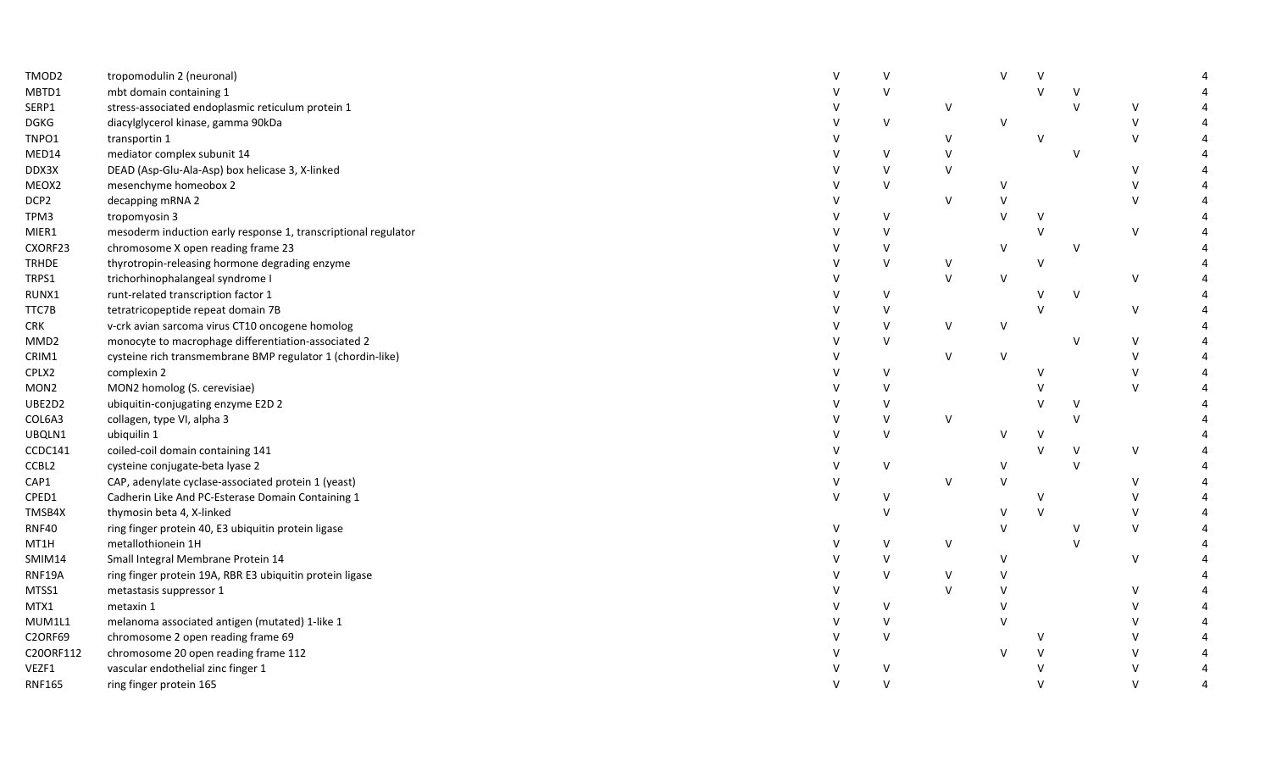| TMOD2            | tropomodulin 2 (neuronal)                                      |        |        |        | $\mathsf{v}$ |              |              |  |
|------------------|----------------------------------------------------------------|--------|--------|--------|--------------|--------------|--------------|--|
| MBTD1            | mbt domain containing 1                                        |        |        |        |              |              |              |  |
| SERP1            | stress-associated endoplasmic reticulum protein 1              |        | $\vee$ |        |              |              | V            |  |
| <b>DGKG</b>      | diacylglycerol kinase, gamma 90kDa                             | $\vee$ |        | $\vee$ |              |              | $\mathsf{V}$ |  |
| TNPO1            | transportin 1                                                  |        | $\vee$ |        | $\mathsf{V}$ |              | $\vee$       |  |
| MED14            | mediator complex subunit 14                                    | v      | V      |        |              | $\mathsf{V}$ |              |  |
| DDX3X            | DEAD (Asp-Glu-Ala-Asp) box helicase 3, X-linked                | $\vee$ | $\vee$ |        |              |              | $\vee$       |  |
| MEOX2            | mesenchyme homeobox 2                                          | $\vee$ |        | v      |              |              | $\vee$       |  |
| DCP2             | decapping mRNA 2                                               |        | $\vee$ |        |              |              | $\vee$       |  |
| TPM3             | tropomyosin 3                                                  | V      |        | $\vee$ | $\mathsf{V}$ |              |              |  |
| MIER1            | mesoderm induction early response 1, transcriptional regulator | $\vee$ |        |        | $\mathsf{V}$ |              | $\mathsf{V}$ |  |
| CXORF23          | chromosome X open reading frame 23                             | $\vee$ |        | $\vee$ |              | $\vee$       |              |  |
| <b>TRHDE</b>     | thyrotropin-releasing hormone degrading enzyme                 | $\vee$ | V      |        | $\vee$       |              |              |  |
| TRPS1            | trichorhinophalangeal syndrome I                               |        | $\vee$ | $\vee$ |              |              | V            |  |
| RUNX1            | runt-related transcription factor 1                            | $\vee$ |        |        | V            | $\vee$       |              |  |
| TTC7B            | tetratricopeptide repeat domain 7B                             | V      |        |        | $\vee$       |              | V            |  |
| <b>CRK</b>       | v-crk avian sarcoma virus CT10 oncogene homolog                | $\vee$ | V      | V      |              |              |              |  |
| MMD <sub>2</sub> | monocyte to macrophage differentiation-associated 2            | $\vee$ |        |        |              |              | $\vee$       |  |
| CRIM1            | cysteine rich transmembrane BMP regulator 1 (chordin-like)     |        | $\vee$ | V      |              |              | $\vee$       |  |
| CPLX2            | complexin 2                                                    | $\vee$ |        |        | $\mathsf{V}$ |              | $\vee$       |  |
| MON <sub>2</sub> | MON2 homolog (S. cerevisiae)                                   | $\vee$ |        |        |              |              | $\vee$       |  |
| UBE2D2           | ubiquitin-conjugating enzyme E2D 2                             | V      |        |        | V            | V            |              |  |
| COL6A3           | collagen, type VI, alpha 3                                     | $\vee$ | $\vee$ |        |              | $\mathsf{V}$ |              |  |
| UBQLN1           | ubiquilin 1                                                    | $\vee$ |        | v      | v            |              |              |  |
| CCDC141          | coiled-coil domain containing 141                              |        |        |        |              | $\vee$       | V            |  |
| CCBL2            | cysteine conjugate-beta lyase 2                                | $\vee$ |        | V      |              | $\mathbf{V}$ |              |  |
| CAP1             | CAP, adenylate cyclase-associated protein 1 (yeast)            |        | $\vee$ | $\vee$ |              |              | $\vee$       |  |
| CPED1            | Cadherin Like And PC-Esterase Domain Containing 1              | V      |        |        | v            |              | $\vee$       |  |
| TMSB4X           | thymosin beta 4, X-linked                                      | $\vee$ |        | v      | $\vee$       |              | $\vee$       |  |
| <b>RNF40</b>     | ring finger protein 40, E3 ubiquitin protein ligase            |        |        | V      |              |              | $\mathsf{V}$ |  |
| MT1H             | metallothionein 1H                                             | V      | V      |        |              | $\mathsf{V}$ |              |  |
| SMIM14           | Small Integral Membrane Protein 14                             | $\vee$ |        | V      |              |              | $\vee$       |  |
| RNF19A           | ring finger protein 19A, RBR E3 ubiquitin protein ligase       | $\vee$ |        | $\vee$ |              |              |              |  |
| MTSS1            | metastasis suppressor 1                                        |        |        | V      |              |              | $\vee$       |  |
| MTX1             | metaxin 1                                                      | V      |        | $\vee$ |              |              | $\vee$       |  |
| MUM1L1           | melanoma associated antigen (mutated) 1-like 1                 | $\vee$ |        | $\vee$ |              |              | $\vee$       |  |
| <b>C2ORF69</b>   | chromosome 2 open reading frame 69                             | $\vee$ |        |        | v            |              | $\vee$       |  |
| C20ORF112        | chromosome 20 open reading frame 112                           |        |        |        |              |              | $\vee$       |  |
| VEZF1            | vascular endothelial zinc finger 1                             |        |        |        |              |              | $\vee$       |  |
| <b>RNF165</b>    | ring finger protein 165                                        | $\vee$ |        |        |              |              | $\vee$       |  |
|                  |                                                                |        |        |        |              |              |              |  |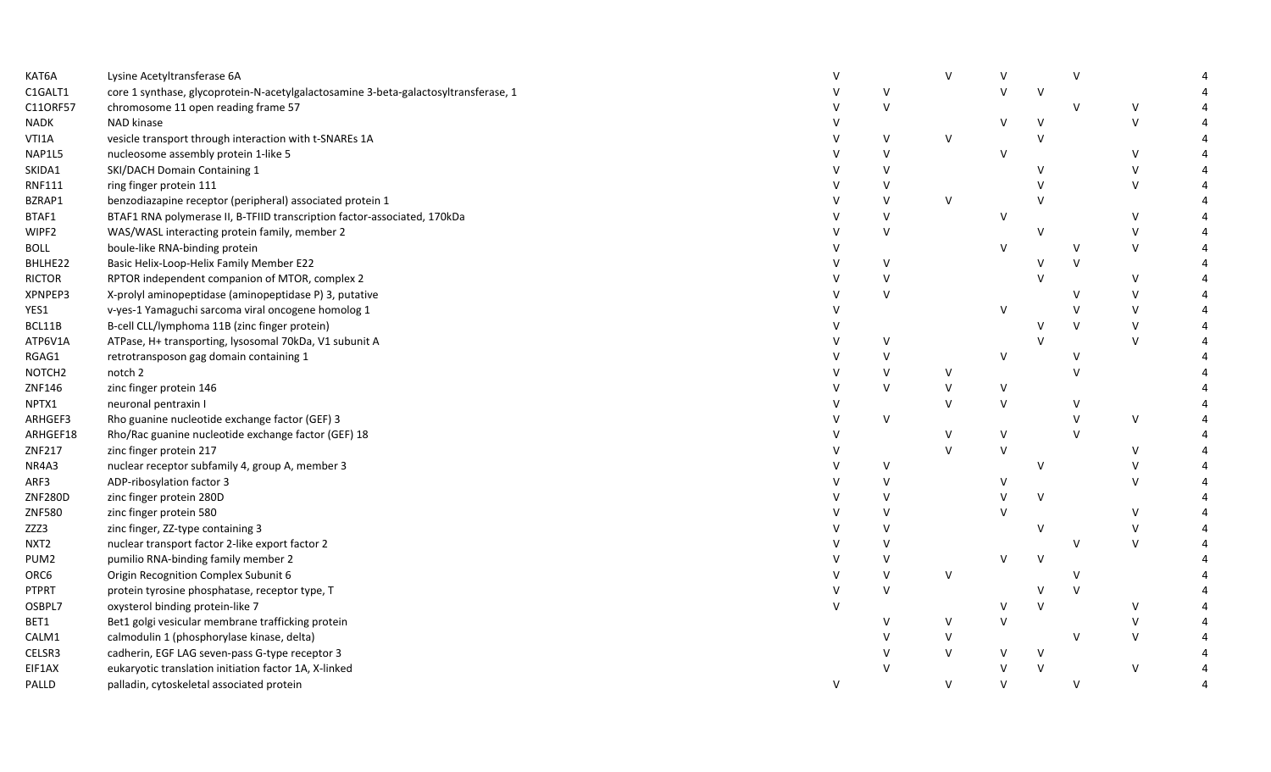| KAT6A              | Lysine Acetyltransferase 6A                                                         |        |        |        |        |              | $\vee$ |        |  |
|--------------------|-------------------------------------------------------------------------------------|--------|--------|--------|--------|--------------|--------|--------|--|
| C1GALT1            | core 1 synthase, glycoprotein-N-acetylgalactosamine 3-beta-galactosyltransferase, 1 |        | V      |        | $\vee$ | $\vee$       |        |        |  |
| C11ORF57           | chromosome 11 open reading frame 57                                                 |        | $\vee$ |        |        |              | $\vee$ | $\vee$ |  |
| NADK               | NAD kinase                                                                          |        |        |        | V      | V            |        | $\vee$ |  |
| VTI1A              | vesicle transport through interaction with t-SNAREs 1A                              |        | $\vee$ | V      |        | $\mathsf{V}$ |        |        |  |
| NAP1L5             | nucleosome assembly protein 1-like 5                                                |        | V      |        | $\vee$ |              |        | $\vee$ |  |
| SKIDA1             | SKI/DACH Domain Containing 1                                                        |        | V      |        |        | V            |        | $\vee$ |  |
| RNF111             | ring finger protein 111                                                             |        | v      |        |        | V            |        | $\vee$ |  |
| BZRAP1             | benzodiazapine receptor (peripheral) associated protein 1                           |        | V      | V      |        | $\vee$       |        |        |  |
| BTAF1              | BTAF1 RNA polymerase II, B-TFIID transcription factor-associated, 170kDa            |        | $\vee$ |        | V      |              |        | $\vee$ |  |
| WIPF2              | WAS/WASL interacting protein family, member 2                                       |        | V      |        |        | V            |        | $\vee$ |  |
| <b>BOLL</b>        | boule-like RNA-binding protein                                                      |        |        |        | $\vee$ |              | $\vee$ | $\vee$ |  |
| BHLHE22            | Basic Helix-Loop-Helix Family Member E22                                            |        | v      |        |        | V            | V      |        |  |
| <b>RICTOR</b>      | RPTOR independent companion of MTOR, complex 2                                      |        | v      |        |        | V            |        | $\vee$ |  |
| XPNPEP3            | X-prolyl aminopeptidase (aminopeptidase P) 3, putative                              |        | V      |        |        |              | ν      | $\vee$ |  |
| YES1               | v-yes-1 Yamaguchi sarcoma viral oncogene homolog 1                                  |        |        |        | V      |              | V      | $\vee$ |  |
| BCL11B             | B-cell CLL/lymphoma 11B (zinc finger protein)                                       |        |        |        |        |              | V      | $\vee$ |  |
| ATP6V1A            | ATPase, H+ transporting, lysosomal 70kDa, V1 subunit A                              |        | $\vee$ |        |        |              |        | $\vee$ |  |
| RGAG1              | retrotransposon gag domain containing 1                                             |        | V      |        | V      |              | v      |        |  |
| NOTCH <sub>2</sub> | notch 2                                                                             |        | $\vee$ | V      |        |              |        |        |  |
| ZNF146             | zinc finger protein 146                                                             |        | $\vee$ | V      | V      |              |        |        |  |
| NPTX1              | neuronal pentraxin I                                                                |        |        | $\vee$ | $\vee$ |              |        |        |  |
| ARHGEF3            | Rho guanine nucleotide exchange factor (GEF) 3                                      |        | V      |        |        |              | $\vee$ | $\vee$ |  |
| ARHGEF18           | Rho/Rac guanine nucleotide exchange factor (GEF) 18                                 |        |        | V      | V      |              | $\vee$ |        |  |
| ZNF217             | zinc finger protein 217                                                             |        |        | $\vee$ | $\vee$ |              |        | $\vee$ |  |
| NR4A3              | nuclear receptor subfamily 4, group A, member 3                                     |        | V      |        |        | V            |        | $\vee$ |  |
| ARF3               | ADP-ribosylation factor 3                                                           |        | V      |        | V      |              |        | $\vee$ |  |
| ZNF280D            | zinc finger protein 280D                                                            |        | v      |        | V      | $\vee$       |        |        |  |
| ZNF580             | zinc finger protein 580                                                             |        | $\vee$ |        | $\vee$ |              |        | $\vee$ |  |
| ZZZ3               | zinc finger, ZZ-type containing 3                                                   |        | $\vee$ |        |        | V            |        | $\vee$ |  |
| NXT <sub>2</sub>   | nuclear transport factor 2-like export factor 2                                     |        | $\vee$ |        |        |              | v      | $\vee$ |  |
| PUM2               | pumilio RNA-binding family member 2                                                 |        | $\vee$ |        | $\vee$ | $\vee$       |        |        |  |
| ORC6               | Origin Recognition Complex Subunit 6                                                |        | $\vee$ | $\vee$ |        |              | $\vee$ |        |  |
| PTPRT              | protein tyrosine phosphatase, receptor type, T                                      |        | $\vee$ |        |        | V            | V      |        |  |
| OSBPL7             | oxysterol binding protein-like 7                                                    |        |        |        | V      | $\vee$       |        | $\vee$ |  |
| BET1               | Bet1 golgi vesicular membrane trafficking protein                                   |        | v      | V      | V      |              |        | $\vee$ |  |
| CALM1              | calmodulin 1 (phosphorylase kinase, delta)                                          |        | V      | V      |        |              | V      | $\vee$ |  |
| CELSR3             | cadherin, EGF LAG seven-pass G-type receptor 3                                      |        |        | $\vee$ | V      | $\vee$       |        |        |  |
| EIF1AX             | eukaryotic translation initiation factor 1A, X-linked                               |        |        |        | v      | $\vee$       |        | $\vee$ |  |
| PALLD              | palladin, cytoskeletal associated protein                                           | $\vee$ |        | $\vee$ | $\vee$ |              | $\vee$ |        |  |
|                    |                                                                                     |        |        |        |        |              |        |        |  |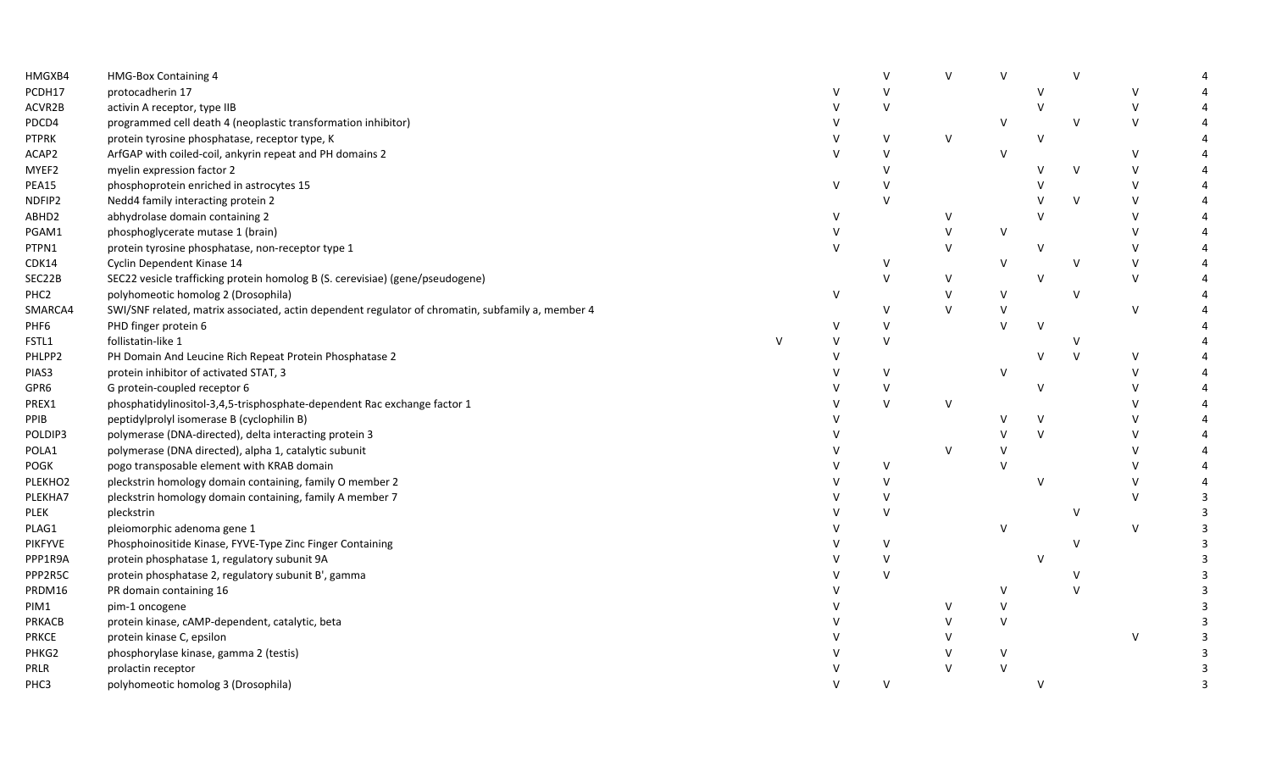| HMGXB4           | <b>HMG-Box Containing 4</b>                                                                       |              |              | $\vee$       | $\mathsf{V}$ | $\vee$       |        | $\vee$       |              |                       |
|------------------|---------------------------------------------------------------------------------------------------|--------------|--------------|--------------|--------------|--------------|--------|--------------|--------------|-----------------------|
| PCDH17           | protocadherin 17                                                                                  |              | v            | $\mathsf{V}$ |              |              | V      |              | $\vee$       |                       |
| ACVR2B           | activin A receptor, type IIB                                                                      |              |              | $\vee$       |              |              | $\vee$ |              | $\vee$       |                       |
| PDCD4            | programmed cell death 4 (neoplastic transformation inhibitor)                                     |              |              |              |              | <b>V</b>     |        | $\vee$       | $\vee$       | Δ                     |
| <b>PTPRK</b>     | protein tyrosine phosphatase, receptor type, K                                                    |              | $\mathsf{V}$ | $\mathsf{V}$ | $\vee$       |              | $\vee$ |              |              | $\boldsymbol{\Delta}$ |
| ACAP2            | ArfGAP with coiled-coil, ankyrin repeat and PH domains 2                                          |              | $\vee$       | V            |              | $\vee$       |        |              | $\vee$       | $\overline{a}$        |
| MYEF2            | myelin expression factor 2                                                                        |              |              | $\vee$       |              |              | v      | $\vee$       | $\vee$       | $\boldsymbol{\Delta}$ |
| PEA15            | phosphoprotein enriched in astrocytes 15                                                          |              | V            | V            |              |              |        |              | $\vee$       | Δ                     |
| NDFIP2           | Nedd4 family interacting protein 2                                                                |              |              | $\vee$       |              |              |        | $\vee$       | $\vee$       |                       |
| ABHD2            | abhydrolase domain containing 2                                                                   |              | $\vee$       |              | V            |              | $\vee$ |              | $\vee$       |                       |
| PGAM1            | phosphoglycerate mutase 1 (brain)                                                                 |              | $\vee$       |              | $\vee$       | $\vee$       |        |              | $\mathsf{V}$ |                       |
| PTPN1            | protein tyrosine phosphatase, non-receptor type 1                                                 |              | $\vee$       |              | $\vee$       |              | $\vee$ |              | $\mathsf{V}$ |                       |
| CDK14            | Cyclin Dependent Kinase 14                                                                        |              |              | V            |              | $\vee$       |        | $\vee$       | $\vee$       |                       |
| SEC22B           | SEC22 vesicle trafficking protein homolog B (S. cerevisiae) (gene/pseudogene)                     |              |              | V            | V            |              | v      |              | $\mathsf{V}$ |                       |
| PHC <sub>2</sub> | polyhomeotic homolog 2 (Drosophila)                                                               |              | V            |              | $\vee$       | $\vee$       |        | $\vee$       |              |                       |
| SMARCA4          | SWI/SNF related, matrix associated, actin dependent regulator of chromatin, subfamily a, member 4 |              |              | v            | $\vee$       | $\mathsf{V}$ |        |              | $\vee$       |                       |
| PHF6             | PHD finger protein 6                                                                              |              |              | $\vee$       |              | $\mathsf{V}$ | $\vee$ |              |              |                       |
| FSTL1            | follistatin-like 1                                                                                | $\mathsf{V}$ |              | V            |              |              |        | V            |              |                       |
| PHLPP2           | PH Domain And Leucine Rich Repeat Protein Phosphatase 2                                           |              | $\vee$       |              |              |              | v      | $\vee$       | $\vee$       |                       |
| PIAS3            | protein inhibitor of activated STAT, 3                                                            |              |              | $\vee$       |              | $\vee$       |        |              | $\mathsf{V}$ |                       |
| GPR6             | G protein-coupled receptor 6                                                                      |              |              | V            |              |              | $\vee$ |              | $\mathsf{V}$ |                       |
| PREX1            | phosphatidylinositol-3,4,5-trisphosphate-dependent Rac exchange factor 1                          |              |              | $\vee$       | $\vee$       |              |        |              | $\mathsf{V}$ |                       |
| PPIB             | peptidylprolyl isomerase B (cyclophilin B)                                                        |              |              |              |              |              | V      |              | $\vee$       |                       |
| POLDIP3          | polymerase (DNA-directed), delta interacting protein 3                                            |              |              |              |              |              | V      |              | $\mathsf{V}$ |                       |
| POLA1            | polymerase (DNA directed), alpha 1, catalytic subunit                                             |              |              |              | $\mathsf{V}$ |              |        |              | $\mathsf{V}$ | Δ                     |
| <b>POGK</b>      | pogo transposable element with KRAB domain                                                        |              |              | V            |              | $\mathsf{v}$ |        |              | $\mathsf{V}$ | $\boldsymbol{\Delta}$ |
| PLEKHO2          | pleckstrin homology domain containing, family O member 2                                          |              |              | $\vee$       |              |              | $\vee$ |              | $\vee$       | $\overline{4}$        |
| PLEKHA7          | pleckstrin homology domain containing, family A member 7                                          |              |              | V            |              |              |        |              | $\mathsf{V}$ | $\overline{3}$        |
| <b>PLEK</b>      | pleckstrin                                                                                        |              |              | $\vee$       |              |              |        | v            |              | 3                     |
| PLAG1            | pleiomorphic adenoma gene 1                                                                       |              |              |              |              | $\vee$       |        |              | V            | $\overline{3}$        |
| <b>PIKFYVE</b>   | Phosphoinositide Kinase, FYVE-Type Zinc Finger Containing                                         |              |              | $\vee$       |              |              |        | $\vee$       |              | $\overline{3}$        |
| PPP1R9A          | protein phosphatase 1, regulatory subunit 9A                                                      |              |              | $\vee$       |              |              | v      |              |              | $\overline{3}$        |
| PPP2R5C          | protein phosphatase 2, regulatory subunit B', gamma                                               |              |              | $\vee$       |              |              |        |              |              | 3                     |
| PRDM16           | PR domain containing 16                                                                           |              |              |              |              | $\vee$       |        | $\mathsf{V}$ |              | $\overline{3}$        |
| PIM1             | pim-1 oncogene                                                                                    |              |              |              | $\vee$       | $\vee$       |        |              |              | 3                     |
| <b>PRKACB</b>    | protein kinase, cAMP-dependent, catalytic, beta                                                   |              |              |              |              | $\vee$       |        |              |              | 3                     |
| <b>PRKCE</b>     | protein kinase C, epsilon                                                                         |              |              |              |              |              |        |              | $\mathsf{V}$ | 3                     |
| PHKG2            | phosphorylase kinase, gamma 2 (testis)                                                            |              |              |              |              | <sup>V</sup> |        |              |              | 3                     |
| PRLR             | prolactin receptor                                                                                |              |              |              |              | $\vee$       |        |              |              | $\overline{3}$        |
| PHC3             | polyhomeotic homolog 3 (Drosophila)                                                               |              | $\mathsf{V}$ | V            |              |              | v      |              |              | $\overline{3}$        |
|                  |                                                                                                   |              |              |              |              |              |        |              |              |                       |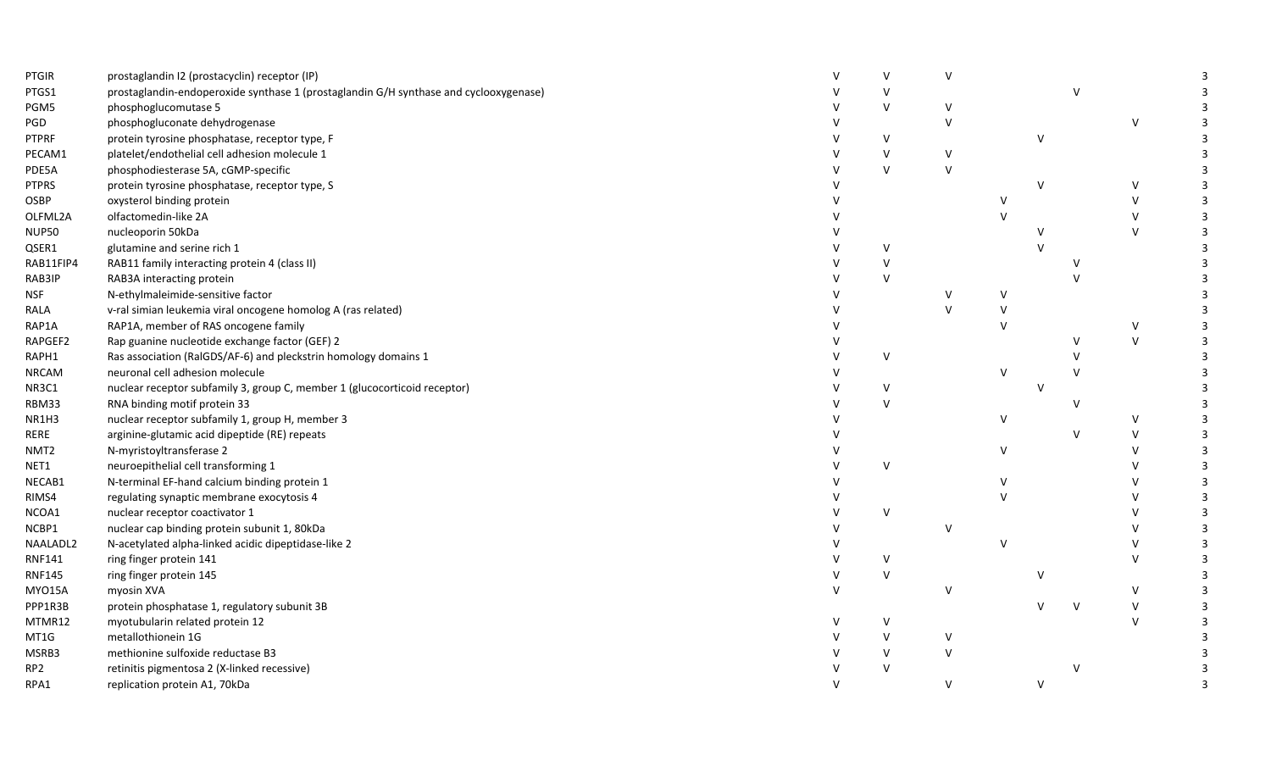| PTGIR            | prostaglandin I2 (prostacyclin) receptor (IP)                                         |              | $\vee$       | v      |              |        |              |              |                |
|------------------|---------------------------------------------------------------------------------------|--------------|--------------|--------|--------------|--------|--------------|--------------|----------------|
| PTGS1            | prostaglandin-endoperoxide synthase 1 (prostaglandin G/H synthase and cyclooxygenase) |              | $\vee$       |        |              |        | $\vee$       |              |                |
| PGM5             | phosphoglucomutase 5                                                                  |              | $\vee$       | v      |              |        |              |              |                |
| PGD              | phosphogluconate dehydrogenase                                                        |              |              | $\vee$ |              |        |              | $\vee$       |                |
| <b>PTPRF</b>     | protein tyrosine phosphatase, receptor type, F                                        |              | $\vee$       |        |              | $\vee$ |              |              |                |
| PECAM1           | platelet/endothelial cell adhesion molecule 1                                         |              | $\vee$       | V      |              |        |              |              |                |
| PDE5A            | phosphodiesterase 5A, cGMP-specific                                                   |              | $\vee$       | $\vee$ |              |        |              |              |                |
| <b>PTPRS</b>     | protein tyrosine phosphatase, receptor type, S                                        |              |              |        |              | $\vee$ |              | $\vee$       |                |
| OSBP             | oxysterol binding protein                                                             |              |              |        | $\vee$       |        |              | $\vee$       |                |
| OLFML2A          | olfactomedin-like 2A                                                                  |              |              |        | $\vee$       |        |              | $\vee$       |                |
| <b>NUP50</b>     | nucleoporin 50kDa                                                                     |              |              |        |              |        |              | $\vee$       |                |
| QSER1            | glutamine and serine rich 1                                                           |              | $\vee$       |        |              |        |              |              |                |
| RAB11FIP4        | RAB11 family interacting protein 4 (class II)                                         |              | $\vee$       |        |              |        |              |              |                |
| RAB3IP           | RAB3A interacting protein                                                             |              | $\vee$       |        |              |        |              |              |                |
| NSF              | N-ethylmaleimide-sensitive factor                                                     |              |              |        | v            |        |              |              |                |
| RALA             | v-ral simian leukemia viral oncogene homolog A (ras related)                          |              |              | $\vee$ | $\vee$       |        |              |              |                |
| RAP1A            | RAP1A, member of RAS oncogene family                                                  |              |              |        | $\vee$       |        |              | $\vee$       |                |
| RAPGEF2          | Rap guanine nucleotide exchange factor (GEF) 2                                        |              |              |        |              |        | $\vee$       | $\vee$       |                |
| RAPH1            | Ras association (RalGDS/AF-6) and pleckstrin homology domains 1                       |              | $\vee$       |        |              |        | $\mathsf{v}$ |              |                |
| <b>NRCAM</b>     | neuronal cell adhesion molecule                                                       |              |              |        | $\vee$       |        |              |              |                |
| NR3C1            | nuclear receptor subfamily 3, group C, member 1 (glucocorticoid receptor)             |              | V            |        |              | v      |              |              |                |
| RBM33            | RNA binding motif protein 33                                                          |              | $\mathsf{V}$ |        |              |        | v            |              |                |
| NR1H3            | nuclear receptor subfamily 1, group H, member 3                                       |              |              |        | $\vee$       |        |              | $\vee$       |                |
| RERE             | arginine-glutamic acid dipeptide (RE) repeats                                         |              |              |        |              |        | $\vee$       | $\vee$       |                |
| NMT <sub>2</sub> | N-myristoyltransferase 2                                                              |              |              |        | $\vee$       |        |              | $\vee$       |                |
| NET1             | neuroepithelial cell transforming 1                                                   |              | $\vee$       |        |              |        |              |              |                |
| NECAB1           | N-terminal EF-hand calcium binding protein 1                                          |              |              |        | v            |        |              | $\vee$       |                |
| RIMS4            | regulating synaptic membrane exocytosis 4                                             |              |              |        | $\mathsf{V}$ |        |              | $\vee$       | 3              |
| NCOA1            | nuclear receptor coactivator 1                                                        |              | $\vee$       |        |              |        |              | $\vee$       |                |
| NCBP1            | nuclear cap binding protein subunit 1, 80kDa                                          |              |              | $\vee$ |              |        |              | $\vee$       |                |
| NAALADL2         | N-acetylated alpha-linked acidic dipeptidase-like 2                                   |              |              |        | $\vee$       |        |              | $\vee$       |                |
| RNF141           | ring finger protein 141                                                               |              | $\vee$       |        |              |        |              | $\vee$       |                |
| <b>RNF145</b>    | ring finger protein 145                                                               |              | $\vee$       |        |              | $\vee$ |              |              | $\overline{3}$ |
| <b>MYO15A</b>    | myosin XVA                                                                            | V            |              | v      |              |        |              | $\vee$       |                |
| PPP1R3B          | protein phosphatase 1, regulatory subunit 3B                                          |              |              |        |              |        | $\mathsf{v}$ | $\mathsf{V}$ | 3              |
| MTMR12           | myotubularin related protein 12                                                       |              | V            |        |              |        |              | $\vee$       |                |
| MT1G             | metallothionein 1G                                                                    |              | $\vee$       | V      |              |        |              |              |                |
| MSRB3            | methionine sulfoxide reductase B3                                                     |              | $\vee$       | $\vee$ |              |        |              |              |                |
| RP2              | retinitis pigmentosa 2 (X-linked recessive)                                           |              | $\vee$       |        |              |        |              |              |                |
| RPA1             | replication protein A1, 70kDa                                                         | $\mathsf{V}$ |              | $\vee$ |              | $\vee$ |              |              |                |
|                  |                                                                                       |              |              |        |              |        |              |              |                |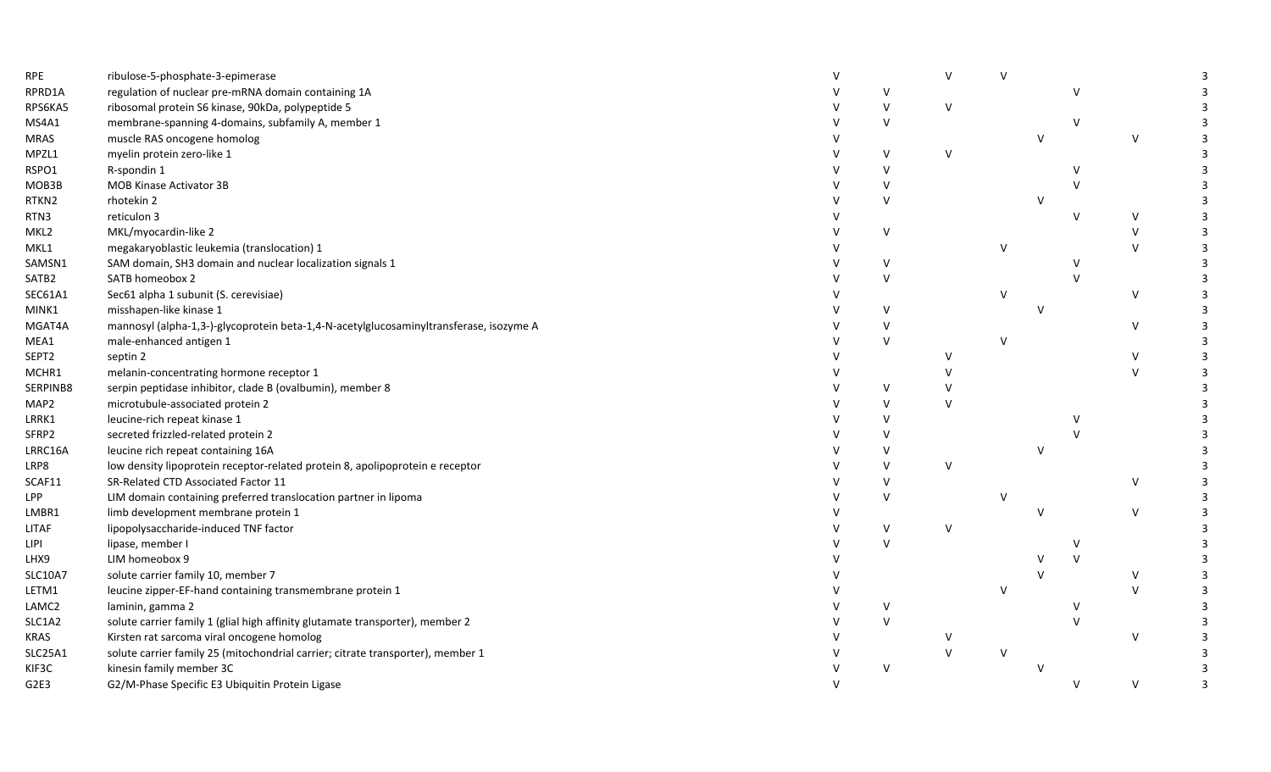| <b>RPE</b>     | ribulose-5-phosphate-3-epimerase                                                       |        | V            | $\vee$ |  |               |  |
|----------------|----------------------------------------------------------------------------------------|--------|--------------|--------|--|---------------|--|
| RPRD1A         | regulation of nuclear pre-mRNA domain containing 1A                                    | V      |              |        |  |               |  |
| RPS6KA5        | ribosomal protein S6 kinase, 90kDa, polypeptide 5                                      | $\vee$ | V            |        |  |               |  |
| MS4A1          | membrane-spanning 4-domains, subfamily A, member 1                                     | $\vee$ |              |        |  |               |  |
| MRAS           | muscle RAS oncogene homolog                                                            |        |              |        |  | $\vee$        |  |
| MPZL1          | myelin protein zero-like 1                                                             | $\vee$ | $\mathsf{V}$ |        |  |               |  |
| RSPO1          | R-spondin 1                                                                            | $\vee$ |              |        |  |               |  |
| MOB3B          | <b>MOB Kinase Activator 3B</b>                                                         | V      |              |        |  |               |  |
| RTKN2          | rhotekin 2                                                                             | $\vee$ |              |        |  |               |  |
| RTN3           | reticulon 3                                                                            |        |              |        |  | V             |  |
| MKL2           | MKL/myocardin-like 2                                                                   | $\vee$ |              |        |  |               |  |
| MKL1           | megakaryoblastic leukemia (translocation) 1                                            |        |              | $\vee$ |  |               |  |
| SAMSN1         | SAM domain, SH3 domain and nuclear localization signals 1                              | V      |              |        |  |               |  |
| SATB2          | SATB homeobox 2                                                                        | V      |              |        |  |               |  |
| SEC61A1        | Sec61 alpha 1 subunit (S. cerevisiae)                                                  |        |              | $\vee$ |  | $\vee$        |  |
| MINK1          | misshapen-like kinase 1                                                                | V      |              |        |  |               |  |
| MGAT4A         | mannosyl (alpha-1,3-)-glycoprotein beta-1,4-N-acetylglucosaminyltransferase, isozyme A |        |              |        |  | $\vee$        |  |
| MEA1           | male-enhanced antigen 1                                                                | $\vee$ |              | $\vee$ |  |               |  |
| SEPT2          | septin 2                                                                               |        | v            |        |  | $\vee$        |  |
| MCHR1          | melanin-concentrating hormone receptor 1                                               |        |              |        |  | $\vee$        |  |
| SERPINB8       | serpin peptidase inhibitor, clade B (ovalbumin), member 8                              | V      |              |        |  |               |  |
| MAP2           | microtubule-associated protein 2                                                       | V      | v            |        |  |               |  |
| LRRK1          | leucine-rich repeat kinase 1                                                           | $\vee$ |              |        |  |               |  |
| SFRP2          | secreted frizzled-related protein 2                                                    | $\vee$ |              |        |  |               |  |
| LRRC16A        | leucine rich repeat containing 16A                                                     | V      |              |        |  |               |  |
| LRP8           | low density lipoprotein receptor-related protein 8, apolipoprotein e receptor          | $\vee$ | v            |        |  |               |  |
| SCAF11         | SR-Related CTD Associated Factor 11                                                    | $\vee$ |              |        |  | $\vee$        |  |
| LPP            | LIM domain containing preferred translocation partner in lipoma                        | $\vee$ |              | v      |  |               |  |
| LMBR1          | limb development membrane protein 1                                                    |        |              |        |  | $\vee$        |  |
| <b>LITAF</b>   | lipopolysaccharide-induced TNF factor                                                  | $\vee$ | V            |        |  |               |  |
| lipi           | lipase, member I                                                                       | $\vee$ |              |        |  |               |  |
| LHX9           | LIM homeobox 9                                                                         |        |              |        |  |               |  |
| <b>SLC10A7</b> | solute carrier family 10, member 7                                                     |        |              |        |  | $\vee$        |  |
| LETM1          | leucine zipper-EF-hand containing transmembrane protein 1                              |        |              | V      |  | $\mathcal{U}$ |  |
| LAMC2          | laminin, gamma 2                                                                       |        |              |        |  |               |  |
| SLC1A2         | solute carrier family 1 (glial high affinity glutamate transporter), member 2          |        |              |        |  |               |  |
| <b>KRAS</b>    | Kirsten rat sarcoma viral oncogene homolog                                             |        |              |        |  | $\vee$        |  |
| SLC25A1        | solute carrier family 25 (mitochondrial carrier; citrate transporter), member 1        |        | $\vee$       | $\vee$ |  |               |  |
| KIF3C          | kinesin family member 3C                                                               | $\vee$ |              |        |  |               |  |
| G2E3           | G2/M-Phase Specific E3 Ubiquitin Protein Ligase                                        |        |              |        |  | $\vee$        |  |
|                |                                                                                        |        |              |        |  |               |  |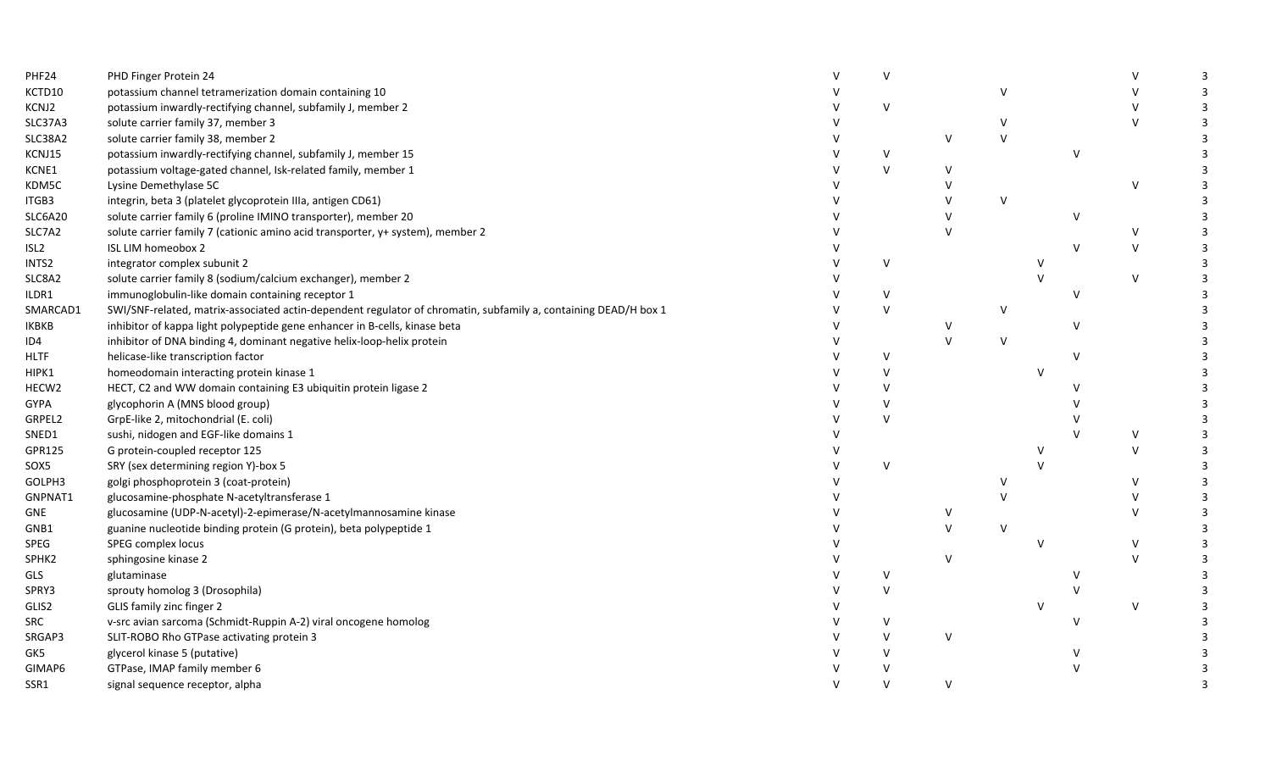| PHF24            | PHD Finger Protein 24                                                                                           | $\vee$       |        |        |              |        |  |
|------------------|-----------------------------------------------------------------------------------------------------------------|--------------|--------|--------|--------------|--------|--|
| KCTD10           | potassium channel tetramerization domain containing 10                                                          |              |        | V      |              |        |  |
| KCNJ2            | potassium inwardly-rectifying channel, subfamily J, member 2                                                    | $\vee$       |        |        |              |        |  |
| SLC37A3          | solute carrier family 37, member 3                                                                              |              |        | V      |              |        |  |
| SLC38A2          | solute carrier family 38, member 2                                                                              |              | $\vee$ | $\vee$ |              |        |  |
| KCNJ15           | potassium inwardly-rectifying channel, subfamily J, member 15                                                   | $\vee$       |        |        | $\mathsf{V}$ |        |  |
| KCNE1            | potassium voltage-gated channel, Isk-related family, member 1                                                   | $\vee$       |        |        |              |        |  |
| KDM5C            | Lysine Demethylase 5C                                                                                           |              |        |        |              |        |  |
| ITGB3            | integrin, beta 3 (platelet glycoprotein IIIa, antigen CD61)                                                     |              |        | $\vee$ |              |        |  |
| SLC6A20          | solute carrier family 6 (proline IMINO transporter), member 20                                                  |              |        |        | v            |        |  |
| SLC7A2           | solute carrier family 7 (cationic amino acid transporter, y+ system), member 2                                  |              |        |        |              |        |  |
| ISL <sub>2</sub> | ISL LIM homeobox 2                                                                                              |              |        |        |              |        |  |
| INTS2            | integrator complex subunit 2                                                                                    | $\vee$       |        |        |              |        |  |
| SLC8A2           | solute carrier family 8 (sodium/calcium exchanger), member 2                                                    |              |        |        |              | $\vee$ |  |
| ILDR1            | immunoglobulin-like domain containing receptor 1                                                                | V            |        |        | v            |        |  |
| SMARCAD1         | SWI/SNF-related, matrix-associated actin-dependent regulator of chromatin, subfamily a, containing DEAD/H box 1 | $\vee$       |        | $\vee$ |              |        |  |
| IKBKB            | inhibitor of kappa light polypeptide gene enhancer in B-cells, kinase beta                                      |              | $\vee$ |        |              |        |  |
| ID4              | inhibitor of DNA binding 4, dominant negative helix-loop-helix protein                                          |              | $\vee$ | $\vee$ |              |        |  |
| <b>HLTF</b>      | helicase-like transcription factor                                                                              | $\vee$       |        |        |              |        |  |
| HIPK1            | homeodomain interacting protein kinase 1                                                                        | v            |        |        |              |        |  |
| HECW2            | HECT, C2 and WW domain containing E3 ubiquitin protein ligase 2                                                 | v            |        |        |              |        |  |
| GYPA             | glycophorin A (MNS blood group)                                                                                 | $\vee$       |        |        |              |        |  |
| GRPEL2           | GrpE-like 2, mitochondrial (E. coli)                                                                            | $\vee$       |        |        |              |        |  |
| SNED1            | sushi, nidogen and EGF-like domains 1                                                                           |              |        |        |              |        |  |
| GPR125           | G protein-coupled receptor 125                                                                                  |              |        |        |              |        |  |
| SOX5             | SRY (sex determining region Y)-box 5                                                                            | $\vee$       |        |        |              |        |  |
| GOLPH3           | golgi phosphoprotein 3 (coat-protein)                                                                           |              |        | V      |              |        |  |
| GNPNAT1          | glucosamine-phosphate N-acetyltransferase 1                                                                     |              |        | $\vee$ |              |        |  |
| GNE              | glucosamine (UDP-N-acetyl)-2-epimerase/N-acetylmannosamine kinase                                               |              |        |        |              |        |  |
| GNB1             | guanine nucleotide binding protein (G protein), beta polypeptide 1                                              |              | $\vee$ | $\vee$ |              |        |  |
| SPEG             | SPEG complex locus                                                                                              |              |        |        |              | $\vee$ |  |
| SPHK2            | sphingosine kinase 2                                                                                            |              | $\vee$ |        |              | $\vee$ |  |
| GLS              | glutaminase                                                                                                     | $\vee$       |        |        |              |        |  |
| SPRY3            | sprouty homolog 3 (Drosophila)                                                                                  | $\mathsf{V}$ |        |        |              |        |  |
| GLIS2            | GLIS family zinc finger 2                                                                                       |              |        |        |              | $\vee$ |  |
| SRC              | v-src avian sarcoma (Schmidt-Ruppin A-2) viral oncogene homolog                                                 | V            |        |        |              |        |  |
| SRGAP3           | SLIT-ROBO Rho GTPase activating protein 3                                                                       | $\vee$       | $\vee$ |        |              |        |  |
| GK5              | glycerol kinase 5 (putative)                                                                                    | $\vee$       |        |        |              |        |  |
| GIMAP6           | GTPase, IMAP family member 6                                                                                    |              |        |        |              |        |  |
| SSR1             | signal sequence receptor, alpha                                                                                 | $\vee$       | $\vee$ |        |              |        |  |
|                  |                                                                                                                 |              |        |        |              |        |  |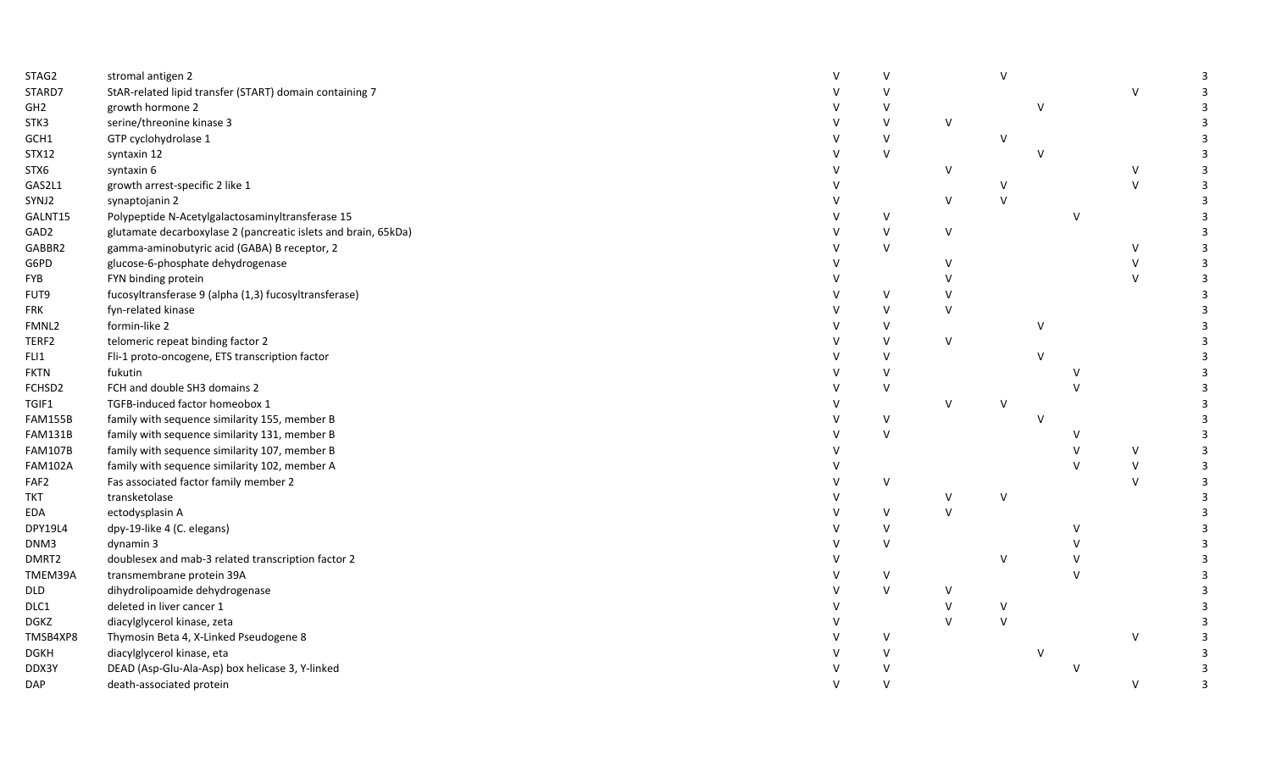| STAG2            | stromal antigen 2                                              | $\mathsf{V}$ |        | $\vee$       |               |               |              | 3 |
|------------------|----------------------------------------------------------------|--------------|--------|--------------|---------------|---------------|--------------|---|
| STARD7           | StAR-related lipid transfer (START) domain containing 7        |              |        |              |               |               | $\vee$       | 3 |
| GH <sub>2</sub>  | growth hormone 2                                               |              |        |              | $\mathcal{U}$ |               |              |   |
| STK3             | serine/threonine kinase 3                                      | $\vee$       | V      |              |               |               |              |   |
| GCH1             | GTP cyclohydrolase 1                                           | $\vee$       |        | $\vee$       |               |               |              |   |
| <b>STX12</b>     | syntaxin 12                                                    | $\vee$       |        |              |               |               |              |   |
| STX6             | syntaxin 6                                                     |              | V      |              |               |               | $\vee$       | 3 |
| GAS2L1           | growth arrest-specific 2 like 1                                |              |        |              |               |               | $\mathsf{V}$ | 3 |
| SYNJ2            | synaptojanin 2                                                 |              | V      | $\vee$       |               |               |              | 3 |
| GALNT15          | Polypeptide N-Acetylgalactosaminyltransferase 15               | $\vee$       |        |              |               | v             |              |   |
| GAD <sub>2</sub> | glutamate decarboxylase 2 (pancreatic islets and brain, 65kDa) | $\vee$       | V      |              |               |               |              |   |
| GABBR2           | gamma-aminobutyric acid (GABA) B receptor, 2                   | $\vee$       |        |              |               |               | $\vee$       | 3 |
| G6PD             | glucose-6-phosphate dehydrogenase                              |              | $\vee$ |              |               |               | $\vee$       | 3 |
| <b>FYB</b>       | FYN binding protein                                            |              | v      |              |               |               | $\mathsf{V}$ | 3 |
| FUT9             | fucosyltransferase 9 (alpha (1,3) fucosyltransferase)          | $\vee$       | V      |              |               |               |              | 3 |
| <b>FRK</b>       | fyn-related kinase                                             | $\vee$       | v      |              |               |               |              |   |
| FMNL2            | formin-like 2                                                  | $\vee$       |        |              | $\vee$        |               |              |   |
| TERF2            | telomeric repeat binding factor 2                              | $\vee$       | V      |              |               |               |              |   |
| FLI1             | Fli-1 proto-oncogene, ETS transcription factor                 | V            |        |              |               |               |              |   |
| <b>FKTN</b>      | fukutin                                                        | $\vee$       |        |              |               |               |              |   |
| FCHSD2           | FCH and double SH3 domains 2                                   | $\vee$       |        |              |               |               |              |   |
| TGIF1            | TGFB-induced factor homeobox 1                                 |              | ٧      | V            |               |               |              |   |
| <b>FAM155B</b>   | family with sequence similarity 155, member B                  | $\vee$       |        |              |               |               |              |   |
| <b>FAM131B</b>   | family with sequence similarity 131, member B                  | $\vee$       |        |              |               |               |              |   |
| <b>FAM107B</b>   | family with sequence similarity 107, member B                  |              |        |              |               |               | $\vee$       | 3 |
| <b>FAM102A</b>   | family with sequence similarity 102, member A                  |              |        |              |               | $\mathcal{U}$ | $\vee$       | 3 |
| FAF2             | Fas associated factor family member 2                          | v            |        |              |               |               | $\vee$       | 3 |
| <b>TKT</b>       | transketolase                                                  |              |        | $\vee$       |               |               |              | 3 |
| EDA              | ectodysplasin A                                                | V            | $\vee$ |              |               |               |              |   |
| <b>DPY19L4</b>   | dpy-19-like 4 (C. elegans)                                     | $\vee$       |        |              |               |               |              |   |
| DNM3             | dynamin 3                                                      | $\vee$       |        |              |               |               |              |   |
| DMRT2            | doublesex and mab-3 related transcription factor 2             |              |        | $\vee$       |               |               |              |   |
| TMEM39A          | transmembrane protein 39A                                      | v            |        |              |               |               |              |   |
| <b>DLD</b>       | dihydrolipoamide dehydrogenase                                 | $\vee$       | v      |              |               |               |              |   |
| DLC1             | deleted in liver cancer 1                                      |              | V      | $\sf V$      |               |               |              |   |
| <b>DGKZ</b>      | diacylglycerol kinase, zeta                                    |              | V      | $\mathsf{V}$ |               |               |              |   |
| TMSB4XP8         | Thymosin Beta 4, X-Linked Pseudogene 8                         | $\vee$       |        |              |               |               | $\vee$       |   |
| <b>DGKH</b>      | diacylglycerol kinase, eta                                     | $\vee$       |        |              |               |               |              |   |
| DDX3Y            | DEAD (Asp-Glu-Ala-Asp) box helicase 3, Y-linked                | $\vee$       |        |              |               |               |              |   |
| DAP              | death-associated protein                                       | $\vee$       |        |              |               |               | $\vee$       | 3 |
|                  |                                                                |              |        |              |               |               |              |   |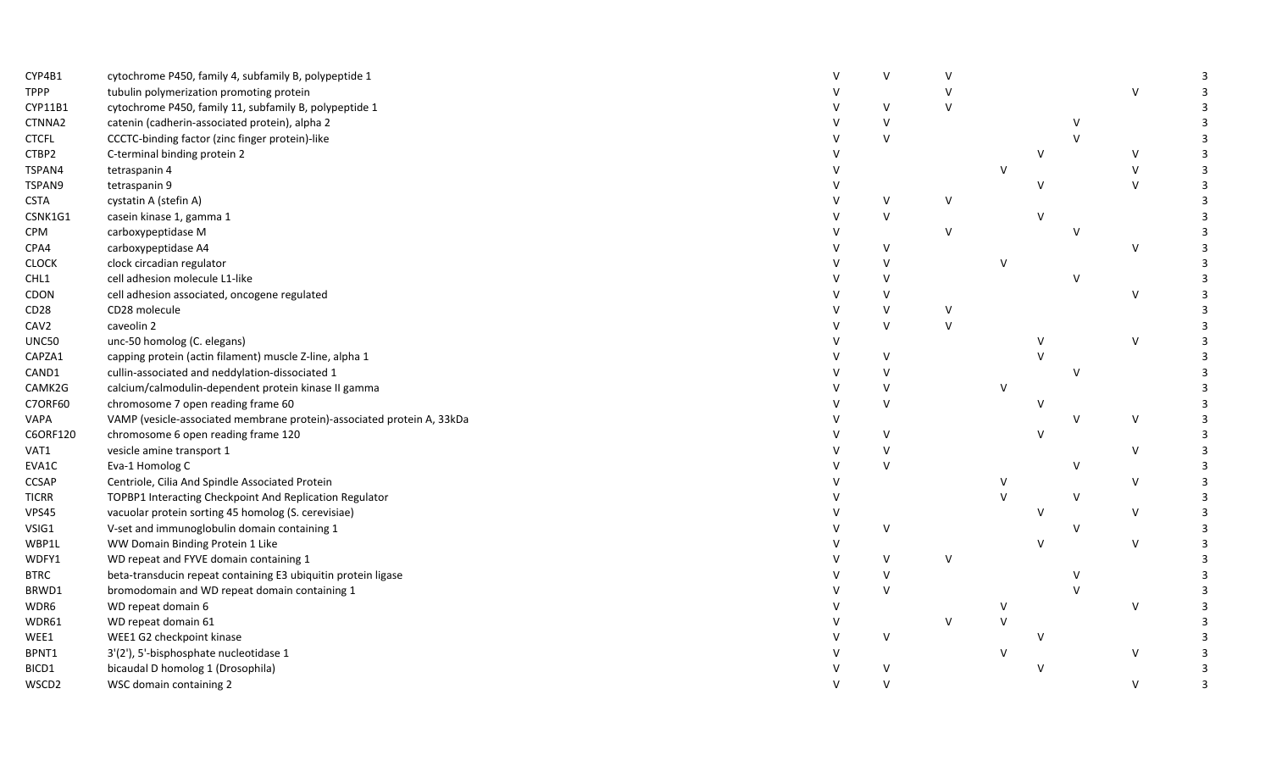| CYP4B1           | cytochrome P450, family 4, subfamily B, polypeptide 1                  | $\vee$ |        |        |        |               |        |                |
|------------------|------------------------------------------------------------------------|--------|--------|--------|--------|---------------|--------|----------------|
| <b>TPPP</b>      | tubulin polymerization promoting protein                               |        |        |        |        |               | $\vee$ |                |
| CYP11B1          | cytochrome P450, family 11, subfamily B, polypeptide 1                 | $\vee$ |        |        |        |               |        |                |
| CTNNA2           | catenin (cadherin-associated protein), alpha 2                         | $\vee$ |        |        |        | V             |        |                |
| <b>CTCFL</b>     | CCCTC-binding factor (zinc finger protein)-like                        | $\vee$ |        |        |        | $\mathcal{U}$ |        |                |
| CTBP2            | C-terminal binding protein 2                                           |        |        |        | v      |               | $\vee$ |                |
| TSPAN4           | tetraspanin 4                                                          |        |        | V      |        |               | $\vee$ |                |
| TSPAN9           | tetraspanin 9                                                          |        |        |        |        |               | $\vee$ |                |
| <b>CSTA</b>      | cystatin A (stefin A)                                                  | V      | V      |        |        |               |        |                |
| CSNK1G1          | casein kinase 1, gamma 1                                               | $\vee$ |        |        |        |               |        |                |
| <b>CPM</b>       | carboxypeptidase M                                                     |        | $\vee$ |        |        |               |        |                |
| CPA4             | carboxypeptidase A4                                                    | $\vee$ |        |        |        |               | $\vee$ |                |
| <b>CLOCK</b>     | clock circadian regulator                                              | $\vee$ |        | V      |        |               |        |                |
| CHL1             | cell adhesion molecule L1-like                                         | $\vee$ |        |        |        | V             |        |                |
| CDON             | cell adhesion associated, oncogene regulated                           | $\vee$ |        |        |        |               | $\vee$ |                |
| CD28             | CD28 molecule                                                          | $\vee$ | $\vee$ |        |        |               |        |                |
| CAV <sub>2</sub> | caveolin 2                                                             | $\vee$ | $\vee$ |        |        |               |        |                |
| UNC50            | unc-50 homolog (C. elegans)                                            |        |        |        |        |               | $\vee$ |                |
| CAPZA1           | capping protein (actin filament) muscle Z-line, alpha 1                | $\vee$ |        |        |        |               |        |                |
| CAND1            | cullin-associated and neddylation-dissociated 1                        | $\vee$ |        |        |        |               |        |                |
| CAMK2G           | calcium/calmodulin-dependent protein kinase II gamma                   | $\vee$ |        | V      |        |               |        |                |
| C7ORF60          | chromosome 7 open reading frame 60                                     | $\vee$ |        |        |        |               |        |                |
| VAPA             | VAMP (vesicle-associated membrane protein)-associated protein A, 33kDa |        |        |        |        | $\vee$        | $\vee$ |                |
| C6ORF120         | chromosome 6 open reading frame 120                                    | $\vee$ |        |        |        |               |        |                |
| VAT1             | vesicle amine transport 1                                              | $\vee$ |        |        |        |               | V      |                |
| EVA1C            | Eva-1 Homolog C                                                        | $\vee$ |        |        |        | $\vee$        |        |                |
| <b>CCSAP</b>     | Centriole, Cilia And Spindle Associated Protein                        |        |        | V      |        |               | V      |                |
| <b>TICRR</b>     | TOPBP1 Interacting Checkpoint And Replication Regulator                |        |        | $\vee$ |        | $\vee$        |        |                |
| VPS45            | vacuolar protein sorting 45 homolog (S. cerevisiae)                    |        |        |        |        |               | V      |                |
| VSIG1            | V-set and immunoglobulin domain containing 1                           | $\vee$ |        |        |        | V             |        |                |
| WBP1L            | WW Domain Binding Protein 1 Like                                       |        |        |        | $\vee$ |               | $\vee$ |                |
| WDFY1            | WD repeat and FYVE domain containing 1                                 | $\vee$ | $\vee$ |        |        |               |        |                |
| <b>BTRC</b>      | beta-transducin repeat containing E3 ubiquitin protein ligase          | $\vee$ |        |        |        | $\mathsf{V}$  |        |                |
| BRWD1            | bromodomain and WD repeat domain containing 1                          | $\vee$ |        |        |        | $\mathcal{U}$ |        |                |
| WDR6             | WD repeat domain 6                                                     |        |        | V      |        |               | $\vee$ |                |
| WDR61            | WD repeat domain 61                                                    |        | v      | $\vee$ |        |               |        |                |
| WEE1             | WEE1 G2 checkpoint kinase                                              | $\vee$ |        |        |        |               |        |                |
| BPNT1            | 3'(2'), 5'-bisphosphate nucleotidase 1                                 |        |        | $\vee$ |        |               | $\vee$ |                |
| BICD1            | bicaudal D homolog 1 (Drosophila)                                      | $\vee$ |        |        |        |               |        |                |
| WSCD2            | WSC domain containing 2                                                | $\vee$ |        |        |        |               | $\vee$ | $\overline{3}$ |
|                  |                                                                        |        |        |        |        |               |        |                |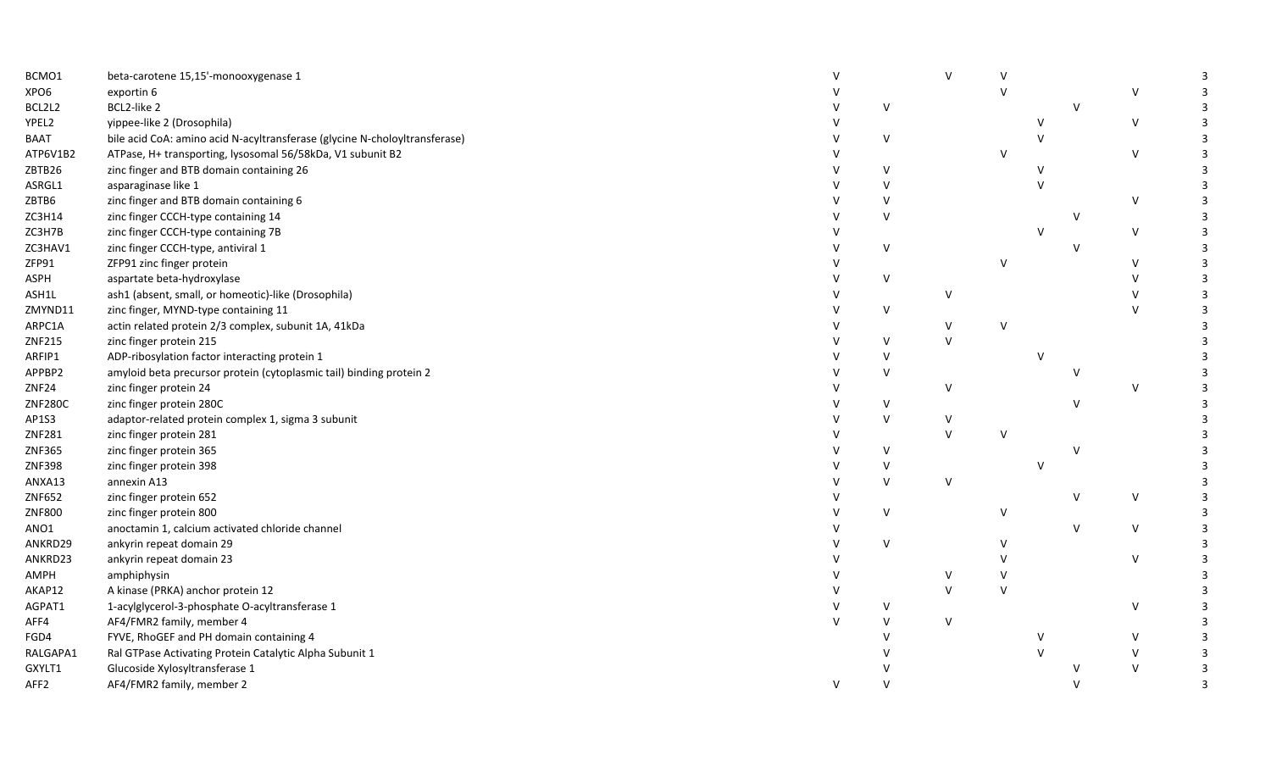| BCMO1            | beta-carotene 15,15'-monooxygenase 1                                       |   |             |              |        |              |        |  |
|------------------|----------------------------------------------------------------------------|---|-------------|--------------|--------|--------------|--------|--|
| XPO6             | exportin 6                                                                 |   |             |              | $\vee$ |              | $\vee$ |  |
| BCL2L2           | BCL2-like 2                                                                |   | $\vee$      |              |        | $\mathsf{V}$ |        |  |
| YPEL2            | yippee-like 2 (Drosophila)                                                 |   |             |              |        |              | $\vee$ |  |
| <b>BAAT</b>      | bile acid CoA: amino acid N-acyltransferase (glycine N-choloyltransferase) |   | $\vee$      |              |        |              |        |  |
| ATP6V1B2         | ATPase, H+ transporting, lysosomal 56/58kDa, V1 subunit B2                 |   |             |              | $\vee$ |              | $\vee$ |  |
| ZBTB26           | zinc finger and BTB domain containing 26                                   |   | $\vee$      |              |        |              |        |  |
| ASRGL1           | asparaginase like 1                                                        |   | V           |              |        |              |        |  |
| ZBTB6            | zinc finger and BTB domain containing 6                                    |   | $\vee$      |              |        |              | $\vee$ |  |
| ZC3H14           | zinc finger CCCH-type containing 14                                        |   | $\vee$      |              |        | $\vee$       |        |  |
| ZC3H7B           | zinc finger CCCH-type containing 7B                                        |   |             |              |        |              | $\vee$ |  |
| ZC3HAV1          | zinc finger CCCH-type, antiviral 1                                         |   | $\vee$      |              |        | $\mathsf{V}$ |        |  |
| ZFP91            | ZFP91 zinc finger protein                                                  |   |             |              | V      |              | V      |  |
| <b>ASPH</b>      | aspartate beta-hydroxylase                                                 |   | $\vee$      |              |        |              | $\vee$ |  |
| ASH1L            | ash1 (absent, small, or homeotic)-like (Drosophila)                        |   |             | v            |        |              |        |  |
| ZMYND11          | zinc finger, MYND-type containing 11                                       |   | $\vee$      |              |        |              |        |  |
| ARPC1A           | actin related protein 2/3 complex, subunit 1A, 41kDa                       |   |             | $\vee$       | $\vee$ |              |        |  |
| ZNF215           | zinc finger protein 215                                                    |   | $\vee$      | $\vee$       |        |              |        |  |
| ARFIP1           | ADP-ribosylation factor interacting protein 1                              |   | $\vee$      |              |        |              |        |  |
| APPBP2           | amyloid beta precursor protein (cytoplasmic tail) binding protein 2        |   | $\vee$      |              |        |              |        |  |
| ZNF24            | zinc finger protein 24                                                     |   |             | $\vee$       |        |              | $\vee$ |  |
| <b>ZNF280C</b>   | zinc finger protein 280C                                                   |   | $\vee$      |              |        |              |        |  |
| AP1S3            | adaptor-related protein complex 1, sigma 3 subunit                         |   | $\vee$      | ٧            |        |              |        |  |
| ZNF281           | zinc finger protein 281                                                    |   |             | $\vee$       | $\vee$ |              |        |  |
| ZNF365           | zinc finger protein 365                                                    |   | $\vee$      |              |        |              |        |  |
| ZNF398           | zinc finger protein 398                                                    |   | $\vee$      |              |        |              |        |  |
| ANXA13           | annexin A13                                                                |   | $\vee$      | $\vee$       |        |              |        |  |
| ZNF652           | zinc finger protein 652                                                    |   |             |              |        |              | $\vee$ |  |
| <b>ZNF800</b>    | zinc finger protein 800                                                    |   | $\vee$      |              | V      |              |        |  |
| ANO1             | anoctamin 1, calcium activated chloride channel                            |   |             |              |        | $\mathsf{V}$ | $\vee$ |  |
| ANKRD29          | ankyrin repeat domain 29                                                   |   | $\vee$      |              | V      |              |        |  |
| ANKRD23          | ankyrin repeat domain 23                                                   |   |             |              | v      |              | $\vee$ |  |
| AMPH             | amphiphysin                                                                |   |             | v            | V      |              |        |  |
| AKAP12           | A kinase (PRKA) anchor protein 12                                          |   |             | $\mathsf{V}$ | $\vee$ |              |        |  |
| AGPAT1           | 1-acylglycerol-3-phosphate O-acyltransferase 1                             |   | V           |              |        |              | $\vee$ |  |
|                  |                                                                            |   |             |              |        |              |        |  |
| AFF4             | AF4/FMR2 family, member 4                                                  |   | $\vee$<br>v | $\vee$       |        |              | $\vee$ |  |
| FGD4             | FYVE, RhoGEF and PH domain containing 4                                    |   |             |              |        |              |        |  |
| RALGAPA1         | Ral GTPase Activating Protein Catalytic Alpha Subunit 1                    |   |             |              |        |              |        |  |
| GXYLT1           | Glucoside Xylosyltransferase 1                                             |   |             |              |        |              |        |  |
| AFF <sub>2</sub> | AF4/FMR2 family, member 2                                                  | V |             |              |        |              |        |  |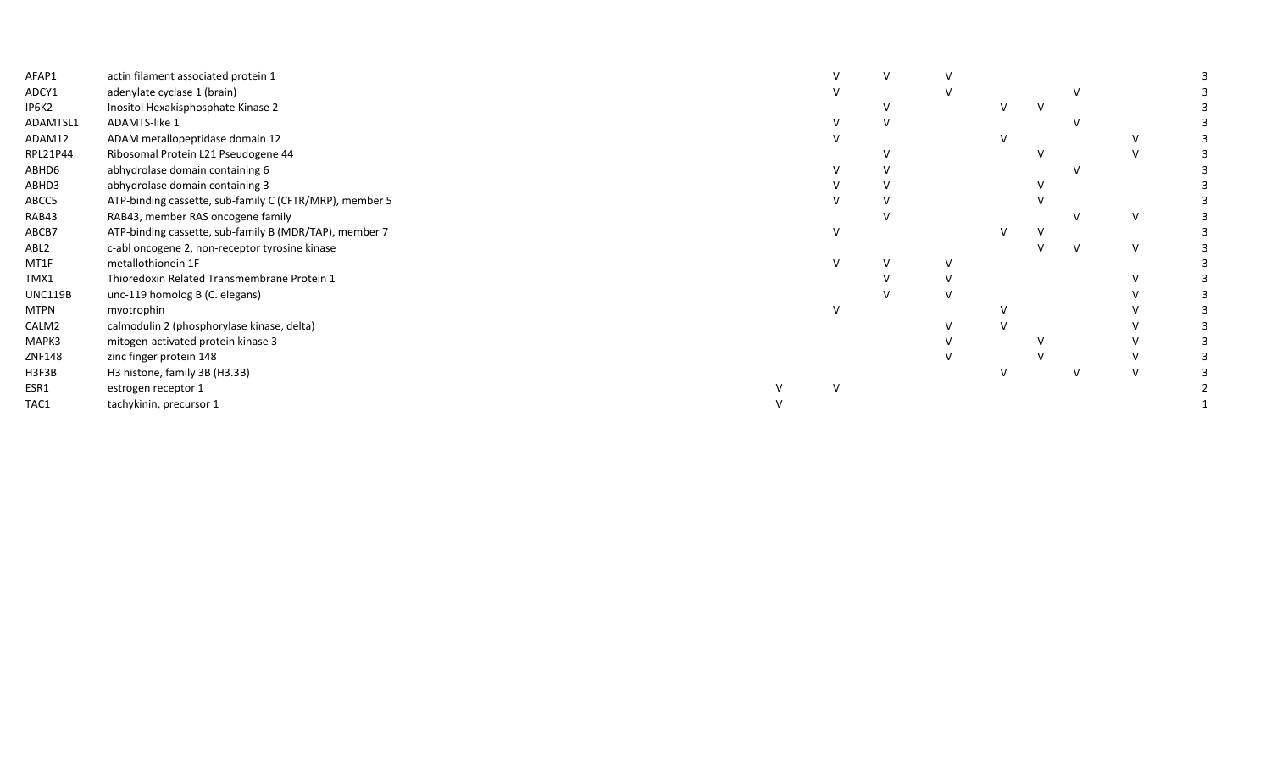| AFAP1            | actin filament associated protein 1                     |  |  |  |   |  |
|------------------|---------------------------------------------------------|--|--|--|---|--|
| ADCY1            | adenylate cyclase 1 (brain)                             |  |  |  |   |  |
| IP6K2            | Inositol Hexakisphosphate Kinase 2                      |  |  |  |   |  |
| ADAMTSL1         | ADAMTS-like 1                                           |  |  |  |   |  |
| ADAM12           | ADAM metallopeptidase domain 12                         |  |  |  |   |  |
| RPL21P44         | Ribosomal Protein L21 Pseudogene 44                     |  |  |  |   |  |
| ABHD6            | abhydrolase domain containing 6                         |  |  |  |   |  |
| ABHD3            | abhydrolase domain containing 3                         |  |  |  |   |  |
| ABCC5            | ATP-binding cassette, sub-family C (CFTR/MRP), member 5 |  |  |  |   |  |
| RAB43            | RAB43, member RAS oncogene family                       |  |  |  |   |  |
| ABCB7            | ATP-binding cassette, sub-family B (MDR/TAP), member 7  |  |  |  |   |  |
| ABL <sub>2</sub> | c-abl oncogene 2, non-receptor tyrosine kinase          |  |  |  | V |  |
| MT1F             | metallothionein 1F                                      |  |  |  |   |  |
| TMX1             | Thioredoxin Related Transmembrane Protein 1             |  |  |  |   |  |
| <b>UNC119B</b>   | unc-119 homolog B (C. elegans)                          |  |  |  |   |  |
| <b>MTPN</b>      | myotrophin                                              |  |  |  |   |  |
| CALM2            | calmodulin 2 (phosphorylase kinase, delta)              |  |  |  |   |  |
| MAPK3            | mitogen-activated protein kinase 3                      |  |  |  |   |  |
| ZNF148           | zinc finger protein 148                                 |  |  |  |   |  |
| H3F3B            | H3 histone, family 3B (H3.3B)                           |  |  |  |   |  |
| ESR1             | estrogen receptor 1                                     |  |  |  |   |  |
| TAC1             | tachykinin, precursor 1                                 |  |  |  |   |  |
|                  |                                                         |  |  |  |   |  |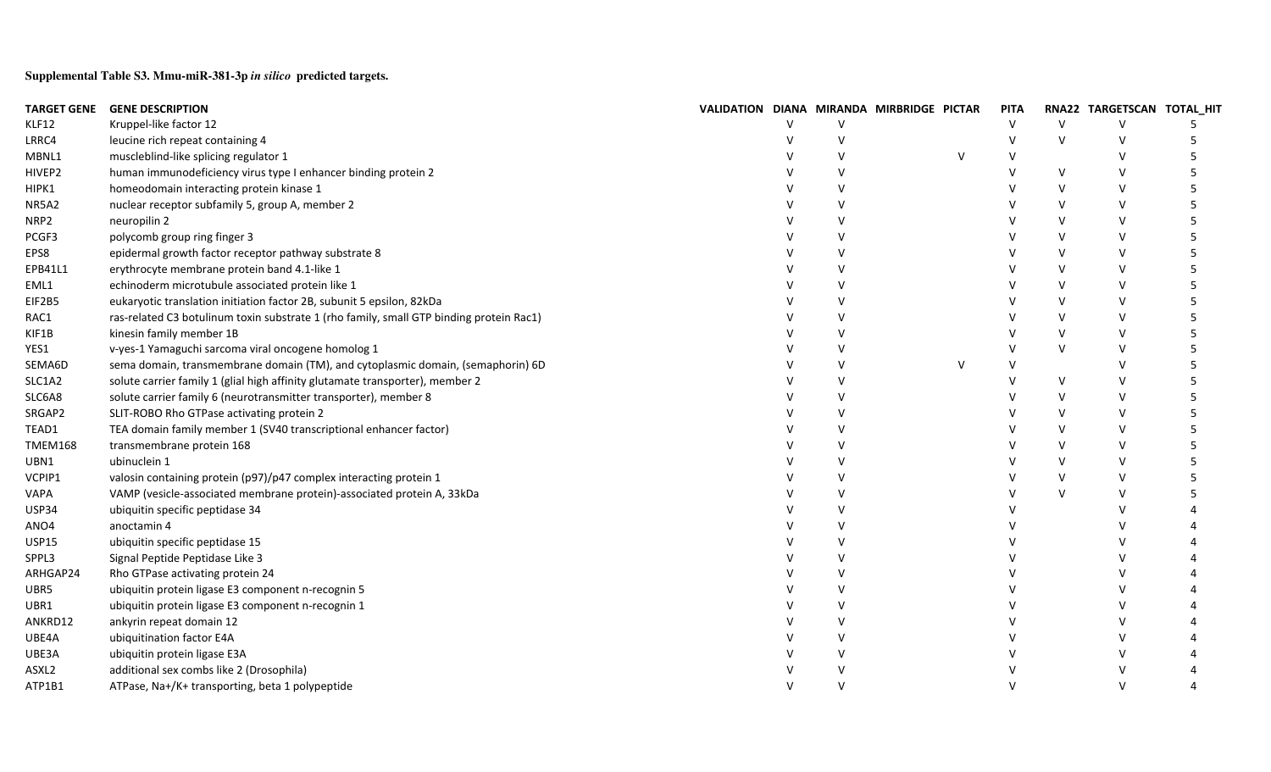**Supplemental Table S3. Mmu-miR-381-3p** *in silico* **predicted targets.**

| <b>TARGET GENE</b> | <b>GENE DESCRIPTION</b>                                                                 | VALIDATION DIANA MIRANDA MIRBRIDGE PICTAR |               |  | <b>PITA</b> |        | RNA22 TARGETSCAN TOTAL_HIT |  |
|--------------------|-----------------------------------------------------------------------------------------|-------------------------------------------|---------------|--|-------------|--------|----------------------------|--|
| KLF12              | Kruppel-like factor 12                                                                  |                                           |               |  | v           | v      |                            |  |
| LRRC4              | leucine rich repeat containing 4                                                        |                                           |               |  |             | $\vee$ |                            |  |
| MBNL1              | muscleblind-like splicing regulator 1                                                   |                                           |               |  |             |        |                            |  |
| HIVEP2             | human immunodeficiency virus type I enhancer binding protein 2                          |                                           | v             |  |             | $\vee$ |                            |  |
| HIPK1              | homeodomain interacting protein kinase 1                                                |                                           | v             |  |             | $\vee$ |                            |  |
| NR5A2              | nuclear receptor subfamily 5, group A, member 2                                         |                                           | v             |  |             | v      |                            |  |
| NRP2               | neuropilin 2                                                                            |                                           | V             |  |             | v      |                            |  |
| PCGF3              | polycomb group ring finger 3                                                            |                                           | V             |  |             | $\vee$ |                            |  |
| EPS8               | epidermal growth factor receptor pathway substrate 8                                    |                                           | V             |  |             | $\vee$ |                            |  |
| EPB41L1            | erythrocyte membrane protein band 4.1-like 1                                            |                                           | V             |  |             | v      |                            |  |
| EML1               | echinoderm microtubule associated protein like 1                                        |                                           | V             |  |             | v      |                            |  |
| EIF2B5             | eukaryotic translation initiation factor 2B, subunit 5 epsilon, 82kDa                   |                                           | $\mathsf{V}$  |  |             | $\vee$ |                            |  |
| RAC1               | ras-related C3 botulinum toxin substrate 1 (rho family, small GTP binding protein Rac1) |                                           | V             |  |             | $\vee$ |                            |  |
| KIF1B              | kinesin family member 1B                                                                |                                           | V             |  |             | $\vee$ |                            |  |
| YES1               | v-yes-1 Yamaguchi sarcoma viral oncogene homolog 1                                      |                                           | $\mathsf{V}$  |  |             | $\vee$ |                            |  |
| SEMA6D             | sema domain, transmembrane domain (TM), and cytoplasmic domain, (semaphorin) 6D         |                                           | $\vee$        |  |             |        |                            |  |
| SLC1A2             | solute carrier family 1 (glial high affinity glutamate transporter), member 2           |                                           | $\vee$        |  |             | $\vee$ |                            |  |
| SLC6A8             | solute carrier family 6 (neurotransmitter transporter), member 8                        |                                           | $\vee$        |  |             | v      |                            |  |
| SRGAP2             | SLIT-ROBO Rho GTPase activating protein 2                                               |                                           | $\vee$        |  |             | v      |                            |  |
| TEAD1              | TEA domain family member 1 (SV40 transcriptional enhancer factor)                       |                                           | $\vee$        |  |             | $\vee$ |                            |  |
| <b>TMEM168</b>     | transmembrane protein 168                                                               |                                           | $\mathsf{V}$  |  |             | $\vee$ |                            |  |
| UBN1               | ubinuclein 1                                                                            |                                           | $\mathsf{V}$  |  |             | $\vee$ |                            |  |
| VCPIP1             | valosin containing protein (p97)/p47 complex interacting protein 1                      |                                           | $\mathsf{V}$  |  |             | v      |                            |  |
| VAPA               | VAMP (vesicle-associated membrane protein)-associated protein A, 33kDa                  |                                           | $\vee$        |  |             | $\vee$ |                            |  |
| USP34              | ubiquitin specific peptidase 34                                                         |                                           | $\mathsf{V}$  |  |             |        |                            |  |
| ANO4               | anoctamin 4                                                                             |                                           | $\mathsf{V}$  |  |             |        |                            |  |
| <b>USP15</b>       | ubiquitin specific peptidase 15                                                         |                                           | $\mathsf{V}$  |  |             |        |                            |  |
| SPPL3              | Signal Peptide Peptidase Like 3                                                         |                                           | $\mathcal{U}$ |  |             |        |                            |  |
| ARHGAP24           | Rho GTPase activating protein 24                                                        |                                           | $\mathsf{v}$  |  |             |        |                            |  |
| UBR5               | ubiquitin protein ligase E3 component n-recognin 5                                      |                                           | $\mathsf{V}$  |  |             |        |                            |  |
| UBR1               | ubiquitin protein ligase E3 component n-recognin 1                                      |                                           |               |  |             |        |                            |  |
| ANKRD12            | ankyrin repeat domain 12                                                                |                                           |               |  |             |        |                            |  |
| UBE4A              | ubiquitination factor E4A                                                               |                                           |               |  |             |        |                            |  |
| UBE3A              | ubiquitin protein ligase E3A                                                            |                                           |               |  |             |        |                            |  |
| ASXL2              | additional sex combs like 2 (Drosophila)                                                |                                           |               |  |             |        |                            |  |
| ATP1B1             | ATPase, Na+/K+ transporting, beta 1 polypeptide                                         |                                           |               |  |             |        |                            |  |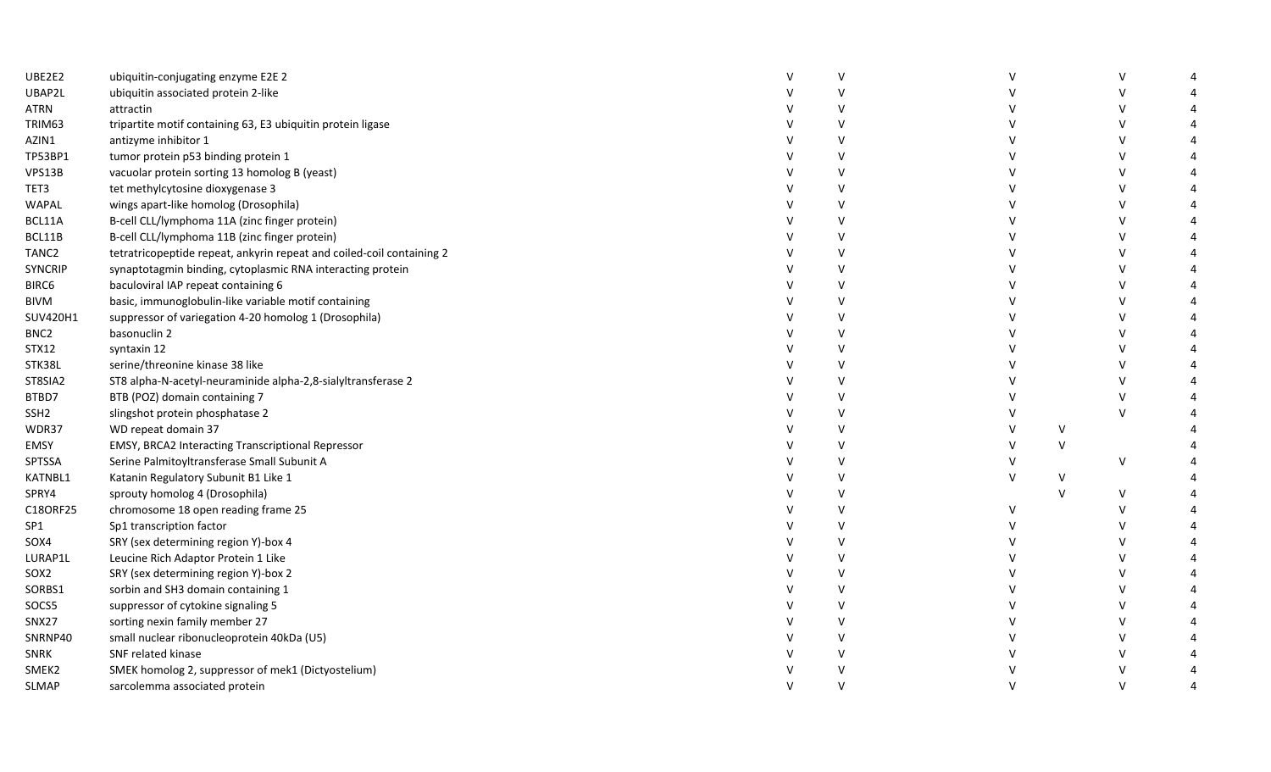| UBE2E2           | ubiquitin-conjugating enzyme E2E 2                                    | v       |              |              | V             |  |
|------------------|-----------------------------------------------------------------------|---------|--------------|--------------|---------------|--|
| UBAP2L           | ubiquitin associated protein 2-like                                   | $\vee$  |              |              | $\mathsf{V}$  |  |
| ATRN             | attractin                                                             | $\vee$  |              |              |               |  |
| TRIM63           | tripartite motif containing 63, E3 ubiquitin protein ligase           | $\vee$  |              |              | $\mathsf{v}$  |  |
| AZIN1            | antizyme inhibitor 1                                                  | $\vee$  |              |              | $\mathsf{V}$  |  |
| TP53BP1          | tumor protein p53 binding protein 1                                   | $\vee$  |              |              | $\mathcal{U}$ |  |
| VPS13B           | vacuolar protein sorting 13 homolog B (yeast)                         | $\vee$  |              |              | $\mathcal{U}$ |  |
| TET3             | tet methylcytosine dioxygenase 3                                      | V       |              |              | $\mathsf{V}$  |  |
| WAPAL            | wings apart-like homolog (Drosophila)                                 | $\vee$  |              |              | $\mathsf{V}$  |  |
| BCL11A           | B-cell CLL/lymphoma 11A (zinc finger protein)                         | $\vee$  |              |              | $\mathsf{V}$  |  |
| BCL11B           | B-cell CLL/lymphoma 11B (zinc finger protein)                         | V       |              |              | $\mathsf{V}$  |  |
| TANC2            | tetratricopeptide repeat, ankyrin repeat and coiled-coil containing 2 | $\vee$  |              |              |               |  |
| <b>SYNCRIP</b>   | synaptotagmin binding, cytoplasmic RNA interacting protein            | V       |              |              | $\vee$        |  |
| BIRC6            | baculoviral IAP repeat containing 6                                   | v       |              |              |               |  |
| <b>BIVM</b>      | basic, immunoglobulin-like variable motif containing                  | $\vee$  |              |              | $\mathcal{U}$ |  |
| SUV420H1         | suppressor of variegation 4-20 homolog 1 (Drosophila)                 | $\vee$  |              |              |               |  |
| BNC <sub>2</sub> | basonuclin 2                                                          | $\vee$  |              |              |               |  |
| <b>STX12</b>     | syntaxin 12                                                           | $\vee$  |              |              | $\mathsf{V}$  |  |
| STK38L           | serine/threonine kinase 38 like                                       | V       |              |              | $\mathsf{V}$  |  |
| ST8SIA2          | ST8 alpha-N-acetyl-neuraminide alpha-2,8-sialyltransferase 2          | $\vee$  |              |              | $\mathsf{V}$  |  |
| BTBD7            | BTB (POZ) domain containing 7                                         | V       |              |              | $\mathsf{V}$  |  |
| SSH <sub>2</sub> | slingshot protein phosphatase 2                                       | $\vee$  |              |              | $\vee$        |  |
| WDR37            | WD repeat domain 37                                                   | $\vee$  |              | $\vee$       |               |  |
| EMSY             | EMSY, BRCA2 Interacting Transcriptional Repressor                     | V       | $\mathsf{V}$ | $\vee$       |               |  |
| SPTSSA           | Serine Palmitoyltransferase Small Subunit A                           | $\vee$  | v            |              | $\vee$        |  |
| KATNBL1          | Katanin Regulatory Subunit B1 Like 1                                  | $\vee$  | $\mathsf{V}$ | $\vee$       |               |  |
| SPRY4            | sprouty homolog 4 (Drosophila)                                        | $\vee$  |              | $\mathsf{V}$ | $\vee$        |  |
| C18ORF25         | chromosome 18 open reading frame 25                                   | $\sf V$ | $\mathsf{V}$ |              | $\mathsf{V}$  |  |
| SP1              | Sp1 transcription factor                                              | V       |              |              | $\mathsf{V}$  |  |
| SOX4             | SRY (sex determining region Y)-box 4                                  | $\vee$  |              |              | $\mathsf{V}$  |  |
| LURAP1L          | Leucine Rich Adaptor Protein 1 Like                                   | $\vee$  |              |              | $\mathsf{V}$  |  |
| SOX <sub>2</sub> | SRY (sex determining region Y)-box 2                                  | V       |              |              | $\mathsf{V}$  |  |
| SORBS1           | sorbin and SH3 domain containing 1                                    | $\vee$  |              |              |               |  |
| SOCS5            | suppressor of cytokine signaling 5                                    | V       |              |              | $\vee$        |  |
| SNX27            | sorting nexin family member 27                                        | v       |              |              | $\mathsf{V}$  |  |
| SNRNP40          | small nuclear ribonucleoprotein 40kDa (U5)                            | $\vee$  |              |              | $\mathsf{v}$  |  |
| SNRK             | SNF related kinase                                                    | $\vee$  |              |              | $\mathsf{v}$  |  |
| SMEK2            | SMEK homolog 2, suppressor of mek1 (Dictyostelium)                    | $\vee$  |              |              | $\mathsf{v}$  |  |
| <b>SLMAP</b>     | sarcolemma associated protein                                         | $\vee$  | $\mathsf{V}$ |              | $\vee$        |  |
|                  |                                                                       |         |              |              |               |  |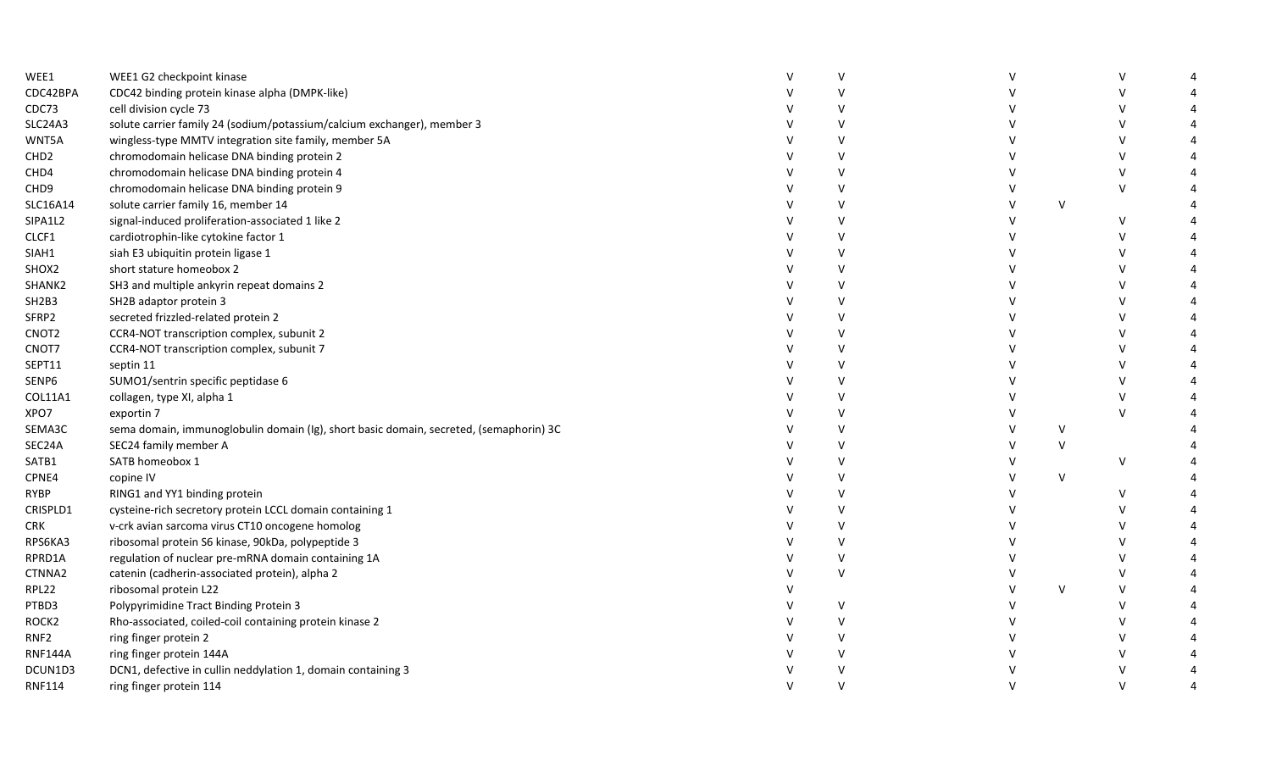| WEE1                           | WEE1 G2 checkpoint kinase                                                              |              | V      |        |              |  |
|--------------------------------|----------------------------------------------------------------------------------------|--------------|--------|--------|--------------|--|
| CDC42BPA                       | CDC42 binding protein kinase alpha (DMPK-like)                                         |              | $\vee$ |        | $\vee$       |  |
| CDC73                          | cell division cycle 73                                                                 |              | V      |        | V            |  |
| <b>SLC24A3</b>                 | solute carrier family 24 (sodium/potassium/calcium exchanger), member 3                |              | $\vee$ |        | $\vee$       |  |
| WNT5A                          | wingless-type MMTV integration site family, member 5A                                  |              | V      |        | $\mathsf{V}$ |  |
| CHD <sub>2</sub>               | chromodomain helicase DNA binding protein 2                                            |              | V      |        | $\vee$       |  |
| CHD4                           | chromodomain helicase DNA binding protein 4                                            |              | V      |        | $\vee$       |  |
| CHD <sub>9</sub>               | chromodomain helicase DNA binding protein 9                                            |              | $\vee$ |        | $\vee$       |  |
| SLC16A14                       | solute carrier family 16, member 14                                                    |              | $\vee$ | V      |              |  |
| SIPA1L2                        | signal-induced proliferation-associated 1 like 2                                       |              | V      |        | $\vee$       |  |
| CLCF1                          | cardiotrophin-like cytokine factor 1                                                   |              | V      |        | V            |  |
| SIAH1                          | siah E3 ubiquitin protein ligase 1                                                     |              | $\vee$ |        | v            |  |
| SHOX2                          | short stature homeobox 2                                                               |              | $\vee$ |        |              |  |
| SHANK2                         | SH3 and multiple ankyrin repeat domains 2                                              |              | V      |        |              |  |
| SH <sub>2</sub> B <sub>3</sub> | SH2B adaptor protein 3                                                                 |              | $\vee$ |        |              |  |
| SFRP2                          | secreted frizzled-related protein 2                                                    |              | V      |        | v            |  |
| CNOT <sub>2</sub>              | CCR4-NOT transcription complex, subunit 2                                              |              | V      |        | $\mathsf{V}$ |  |
| CNOT7                          | CCR4-NOT transcription complex, subunit 7                                              |              | $\vee$ |        | $\mathsf{V}$ |  |
| SEPT11                         | septin 11                                                                              |              | V      |        | $\vee$       |  |
| SENP6                          | SUMO1/sentrin specific peptidase 6                                                     |              | V      |        | V            |  |
| COL11A1                        | collagen, type XI, alpha 1                                                             |              | $\vee$ |        | $\vee$       |  |
| XPO7                           | exportin 7                                                                             |              | V      |        | $\mathsf{V}$ |  |
| SEMA3C                         | sema domain, immunoglobulin domain (Ig), short basic domain, secreted, (semaphorin) 3C |              | $\vee$ | V      |              |  |
| SEC24A                         | SEC24 family member A                                                                  |              | $\vee$ | $\vee$ |              |  |
| SATB1                          | SATB homeobox 1                                                                        |              | $\vee$ |        | $\vee$       |  |
| CPNE4                          | copine IV                                                                              |              | $\vee$ | $\vee$ |              |  |
| <b>RYBP</b>                    | RING1 and YY1 binding protein                                                          |              | V      |        | V            |  |
| CRISPLD1                       | cysteine-rich secretory protein LCCL domain containing 1                               |              | $\vee$ |        | $\vee$       |  |
| <b>CRK</b>                     | v-crk avian sarcoma virus CT10 oncogene homolog                                        |              | $\vee$ |        | $\vee$       |  |
| RPS6KA3                        | ribosomal protein S6 kinase, 90kDa, polypeptide 3                                      |              | V      |        | $\vee$       |  |
| RPRD1A                         | regulation of nuclear pre-mRNA domain containing 1A                                    |              | V      |        | $\vee$       |  |
| CTNNA2                         | catenin (cadherin-associated protein), alpha 2                                         |              | V      |        | V            |  |
| RPL22                          | ribosomal protein L22                                                                  |              |        | V      | V            |  |
| PTBD3                          | Polypyrimidine Tract Binding Protein 3                                                 |              | $\vee$ |        | $\vee$       |  |
| ROCK <sub>2</sub>              | Rho-associated, coiled-coil containing protein kinase 2                                |              | $\vee$ |        | $\vee$       |  |
| RNF <sub>2</sub>               | ring finger protein 2                                                                  |              | V      |        | $\vee$       |  |
| <b>RNF144A</b>                 | ring finger protein 144A                                                               |              | V      |        | $\vee$       |  |
| DCUN1D3                        | DCN1, defective in cullin neddylation 1, domain containing 3                           |              | $\vee$ |        | $\vee$       |  |
| <b>RNF114</b>                  | ring finger protein 114                                                                | $\mathsf{V}$ | $\vee$ |        | $\vee$       |  |
|                                |                                                                                        |              |        |        |              |  |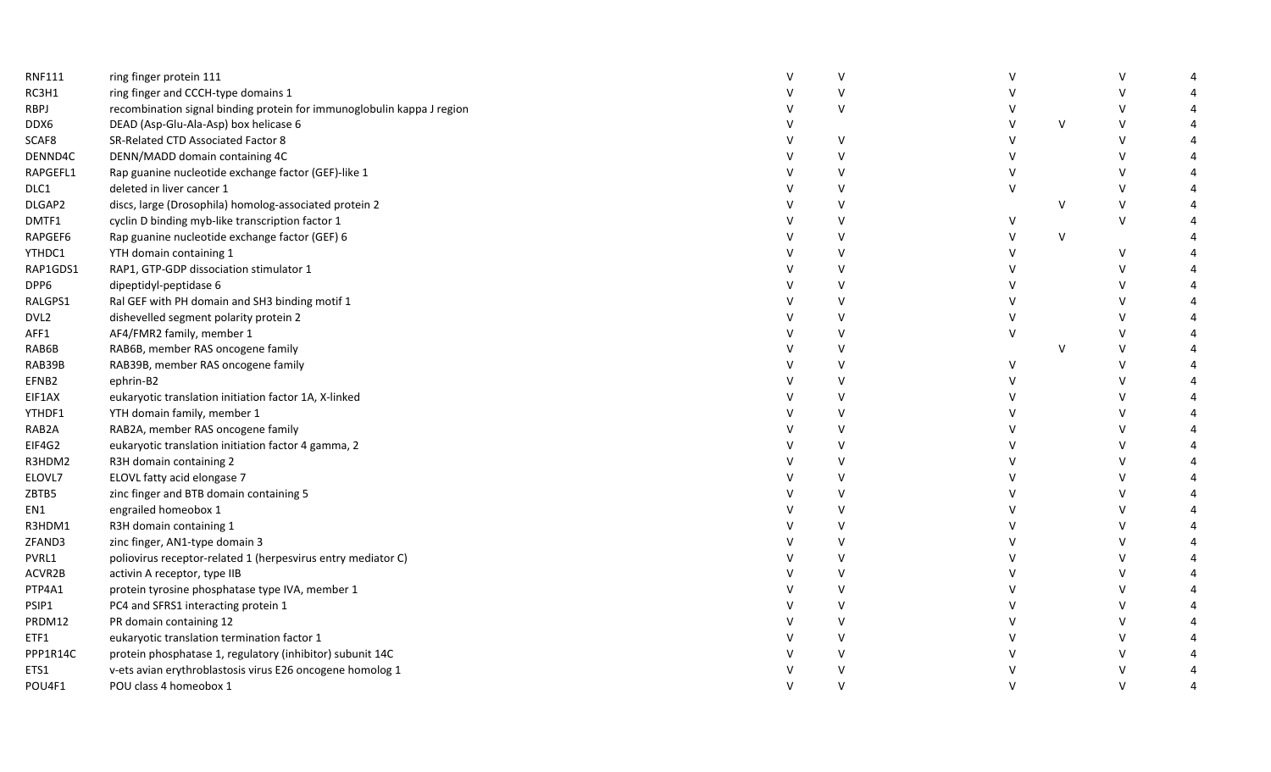| <b>RNF111</b>    | ring finger protein 111                                                |              | V            |        |              |              |  |
|------------------|------------------------------------------------------------------------|--------------|--------------|--------|--------------|--------------|--|
| RC3H1            | ring finger and CCCH-type domains 1                                    |              | $\vee$       |        |              | v            |  |
| <b>RBPJ</b>      | recombination signal binding protein for immunoglobulin kappa J region |              | $\vee$       |        |              |              |  |
| DDX6             | DEAD (Asp-Glu-Ala-Asp) box helicase 6                                  |              |              |        | $\vee$       | $\vee$       |  |
| SCAF8            | SR-Related CTD Associated Factor 8                                     |              | V            |        |              | $\vee$       |  |
| DENND4C          | DENN/MADD domain containing 4C                                         |              | $\mathsf{V}$ |        |              |              |  |
| RAPGEFL1         | Rap guanine nucleotide exchange factor (GEF)-like 1                    |              | V            |        |              |              |  |
| DLC1             | deleted in liver cancer 1                                              |              | $\mathsf{V}$ | V      |              | $\mathsf{V}$ |  |
| DLGAP2           | discs, large (Drosophila) homolog-associated protein 2                 |              | V            |        | V            | $\vee$       |  |
| DMTF1            | cyclin D binding myb-like transcription factor 1                       |              | $\mathsf{V}$ | v      |              | $\vee$       |  |
| RAPGEF6          | Rap guanine nucleotide exchange factor (GEF) 6                         |              | V            |        | $\vee$       |              |  |
| YTHDC1           | YTH domain containing 1                                                |              | $\vee$       |        |              | V            |  |
| RAP1GDS1         | RAP1, GTP-GDP dissociation stimulator 1                                |              | V            |        |              | v            |  |
| DPP6             | dipeptidyl-peptidase 6                                                 |              | $\vee$       |        |              |              |  |
| RALGPS1          | Ral GEF with PH domain and SH3 binding motif 1                         |              | V            |        |              |              |  |
| DVL <sub>2</sub> | dishevelled segment polarity protein 2                                 |              | $\vee$       |        |              | $\vee$       |  |
| AFF1             | AF4/FMR2 family, member 1                                              |              | $\vee$       | $\vee$ |              |              |  |
| RAB6B            | RAB6B, member RAS oncogene family                                      |              | $\vee$       |        | $\mathsf{V}$ | $\vee$       |  |
| RAB39B           | RAB39B, member RAS oncogene family                                     |              | V            | v      |              | $\vee$       |  |
| EFNB2            | ephrin-B2                                                              |              | $\vee$       |        |              | $\vee$       |  |
| EIF1AX           | eukaryotic translation initiation factor 1A, X-linked                  |              | $\vee$       |        |              |              |  |
| YTHDF1           | YTH domain family, member 1                                            |              | $\vee$       |        |              |              |  |
| RAB2A            | RAB2A, member RAS oncogene family                                      |              | V            |        |              |              |  |
| EIF4G2           | eukaryotic translation initiation factor 4 gamma, 2                    |              | $\vee$       |        |              |              |  |
| R3HDM2           | R3H domain containing 2                                                |              | $\vee$       |        |              |              |  |
| ELOVL7           | ELOVL fatty acid elongase 7                                            |              | v            |        |              |              |  |
| ZBTB5            | zinc finger and BTB domain containing 5                                |              | $\vee$       |        |              |              |  |
| EN1              | engrailed homeobox 1                                                   |              | V            |        |              | $\mathsf{V}$ |  |
| R3HDM1           | R3H domain containing 1                                                |              | $\vee$       |        |              | $\mathsf{V}$ |  |
| ZFAND3           | zinc finger, AN1-type domain 3                                         |              | V            |        |              | $\mathsf{V}$ |  |
| PVRL1            | poliovirus receptor-related 1 (herpesvirus entry mediator C)           |              | V            |        |              |              |  |
| ACVR2B           | activin A receptor, type IIB                                           |              | V            |        |              |              |  |
| PTP4A1           | protein tyrosine phosphatase type IVA, member 1                        |              | V            |        |              |              |  |
| PSIP1            | PC4 and SFRS1 interacting protein 1                                    |              | V            |        |              |              |  |
| PRDM12           | PR domain containing 12                                                |              | $\vee$       |        |              |              |  |
| ETF1             | eukaryotic translation termination factor 1                            |              | V            |        |              |              |  |
| PPP1R14C         | protein phosphatase 1, regulatory (inhibitor) subunit 14C              |              | v            |        |              |              |  |
| ETS1             | v-ets avian erythroblastosis virus E26 oncogene homolog 1              |              | $\vee$       |        |              |              |  |
| POU4F1           | POU class 4 homeobox 1                                                 | $\mathsf{V}$ | $\vee$       |        |              | $\vee$       |  |
|                  |                                                                        |              |              |        |              |              |  |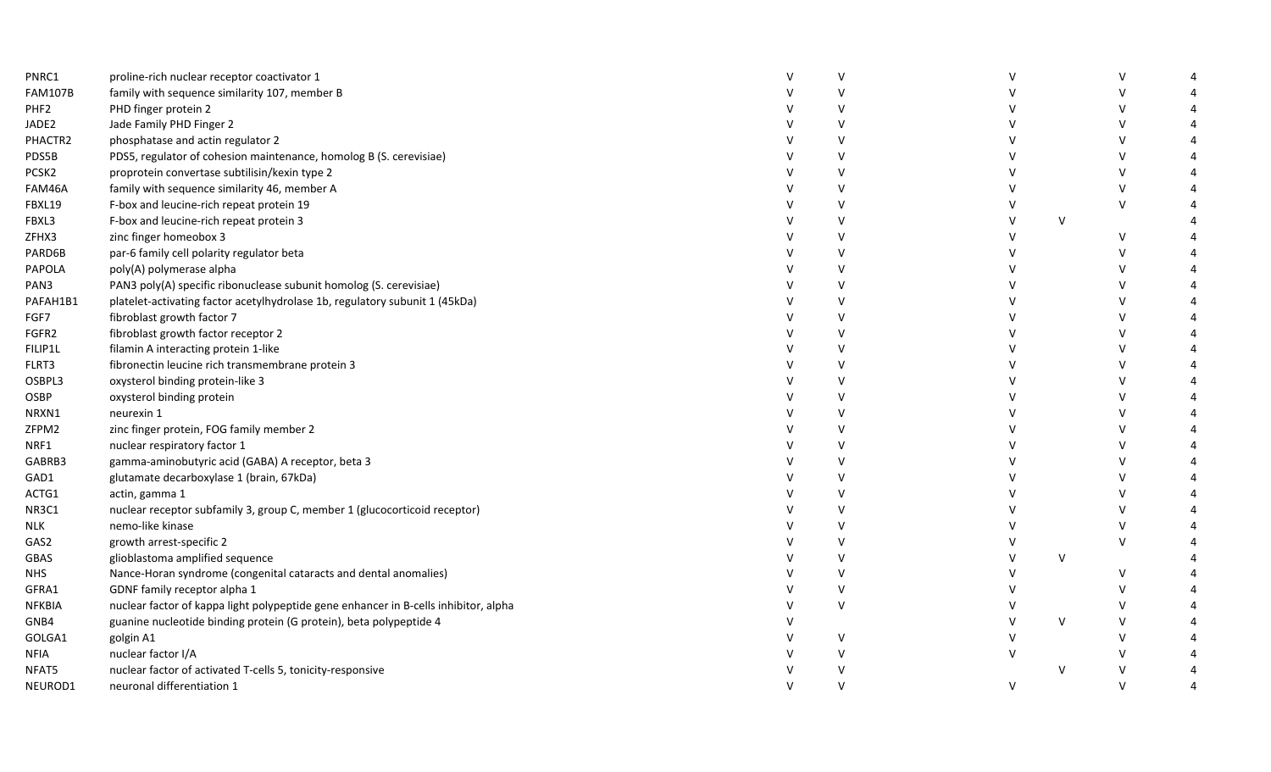| PNRC1            | proline-rich nuclear receptor coactivator 1                                         | V      |        |        |        |  |
|------------------|-------------------------------------------------------------------------------------|--------|--------|--------|--------|--|
| <b>FAM107B</b>   | family with sequence similarity 107, member B                                       | $\vee$ |        |        |        |  |
| PHF <sub>2</sub> | PHD finger protein 2                                                                | v      |        |        |        |  |
| JADE2            | Jade Family PHD Finger 2                                                            | $\vee$ |        |        |        |  |
| PHACTR2          | phosphatase and actin regulator 2                                                   | V      |        |        |        |  |
| PDS5B            | PDS5, regulator of cohesion maintenance, homolog B (S. cerevisiae)                  | $\vee$ |        |        |        |  |
| PCSK2            | proprotein convertase subtilisin/kexin type 2                                       | V      |        |        |        |  |
| FAM46A           | family with sequence similarity 46, member A                                        | V      |        |        | $\vee$ |  |
| FBXL19           | F-box and leucine-rich repeat protein 19                                            | $\vee$ |        |        | $\vee$ |  |
| FBXL3            | F-box and leucine-rich repeat protein 3                                             | V      |        | $\vee$ |        |  |
| ZFHX3            | zinc finger homeobox 3                                                              | V      |        |        | V      |  |
| PARD6B           | par-6 family cell polarity regulator beta                                           | V      |        |        |        |  |
| PAPOLA           | poly(A) polymerase alpha                                                            | V      |        |        |        |  |
| PAN3             | PAN3 poly(A) specific ribonuclease subunit homolog (S. cerevisiae)                  | v      |        |        |        |  |
| PAFAH1B1         | platelet-activating factor acetylhydrolase 1b, regulatory subunit 1 (45kDa)         | $\vee$ |        |        |        |  |
| FGF7             | fibroblast growth factor 7                                                          | $\vee$ |        |        |        |  |
| FGFR2            | fibroblast growth factor receptor 2                                                 | V      |        |        |        |  |
| FILIP1L          | filamin A interacting protein 1-like                                                | $\vee$ |        |        |        |  |
| FLRT3            | fibronectin leucine rich transmembrane protein 3                                    | v      |        |        |        |  |
| OSBPL3           | oxysterol binding protein-like 3                                                    | V      |        |        |        |  |
| OSBP             | oxysterol binding protein                                                           | V      |        |        |        |  |
| NRXN1            | neurexin 1                                                                          | v      |        |        |        |  |
| ZFPM2            | zinc finger protein, FOG family member 2                                            | $\vee$ |        |        |        |  |
| NRF1             | nuclear respiratory factor 1                                                        | V      |        |        |        |  |
| GABRB3           | gamma-aminobutyric acid (GABA) A receptor, beta 3                                   | $\vee$ |        |        |        |  |
| GAD1             | glutamate decarboxylase 1 (brain, 67kDa)                                            | $\vee$ |        |        |        |  |
| ACTG1            | actin, gamma 1                                                                      | $\vee$ |        |        |        |  |
| NR3C1            | nuclear receptor subfamily 3, group C, member 1 (glucocorticoid receptor)           | V      |        |        |        |  |
| NLK              | nemo-like kinase                                                                    | V      |        |        | $\vee$ |  |
| GAS2             | growth arrest-specific 2                                                            | $\vee$ |        |        | $\vee$ |  |
| GBAS             | glioblastoma amplified sequence                                                     | V      |        | $\vee$ |        |  |
| <b>NHS</b>       | Nance-Horan syndrome (congenital cataracts and dental anomalies)                    | V      |        |        | v      |  |
| GFRA1            | GDNF family receptor alpha 1                                                        | V      |        |        |        |  |
| <b>NFKBIA</b>    | nuclear factor of kappa light polypeptide gene enhancer in B-cells inhibitor, alpha | $\vee$ |        |        |        |  |
| GNB4             | guanine nucleotide binding protein (G protein), beta polypeptide 4                  |        |        | $\vee$ |        |  |
| GOLGA1           | golgin A1                                                                           | V      |        |        |        |  |
| <b>NFIA</b>      | nuclear factor I/A                                                                  | $\vee$ |        |        |        |  |
| NFAT5            | nuclear factor of activated T-cells 5, tonicity-responsive                          |        |        | $\vee$ |        |  |
| NEUROD1          | neuronal differentiation 1                                                          | $\vee$ | $\vee$ |        |        |  |
|                  |                                                                                     |        |        |        |        |  |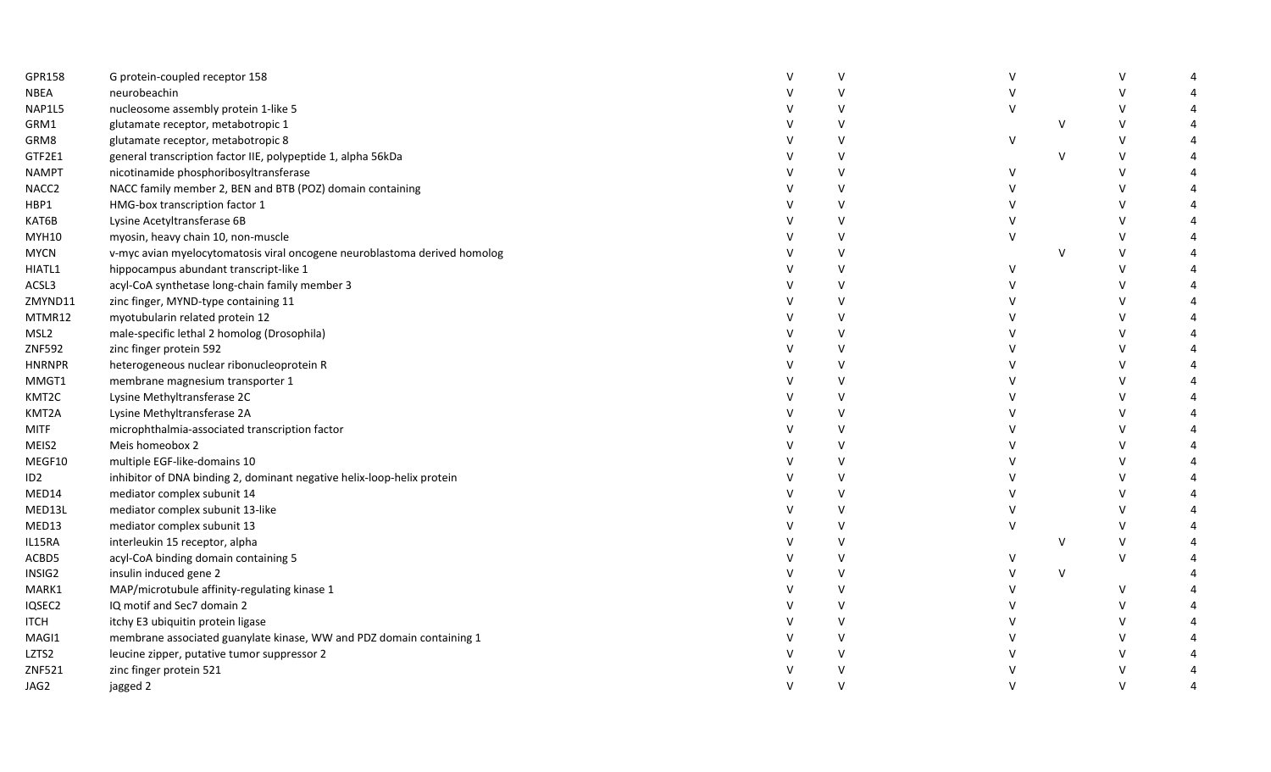| GPR158  | G protein-coupled receptor 158                                            | V      |   |        |              |  |
|---------|---------------------------------------------------------------------------|--------|---|--------|--------------|--|
| NBEA    | neurobeachin                                                              | $\vee$ |   |        |              |  |
| NAP1L5  | nucleosome assembly protein 1-like 5                                      | v      |   |        |              |  |
| GRM1    | glutamate receptor, metabotropic 1                                        | $\vee$ |   | $\vee$ |              |  |
| GRM8    | glutamate receptor, metabotropic 8                                        | V      | V |        | V            |  |
| GTF2E1  | general transcription factor IIE, polypeptide 1, alpha 56kDa              | V      |   | $\vee$ |              |  |
| NAMPT   | nicotinamide phosphoribosyltransferase                                    | V      |   |        |              |  |
| NACC2   | NACC family member 2, BEN and BTB (POZ) domain containing                 | V      |   |        |              |  |
| HBP1    | HMG-box transcription factor 1                                            | $\vee$ |   |        |              |  |
| KAT6B   | Lysine Acetyltransferase 6B                                               | V      |   |        |              |  |
| MYH10   | myosin, heavy chain 10, non-muscle                                        | V      |   |        |              |  |
| MYCN    | v-myc avian myelocytomatosis viral oncogene neuroblastoma derived homolog | $\vee$ |   | V      |              |  |
| HIATL1  | hippocampus abundant transcript-like 1                                    | V      |   |        |              |  |
| ACSL3   | acyl-CoA synthetase long-chain family member 3                            | V      |   |        |              |  |
| ZMYND11 | zinc finger, MYND-type containing 11                                      | V      |   |        |              |  |
| MTMR12  | myotubularin related protein 12                                           | V      |   |        |              |  |
| MSL2    | male-specific lethal 2 homolog (Drosophila)                               | V      |   |        |              |  |
| ZNF592  | zinc finger protein 592                                                   | V      |   |        |              |  |
| HNRNPR  | heterogeneous nuclear ribonucleoprotein R                                 | V      |   |        |              |  |
| MMGT1   | membrane magnesium transporter 1                                          | $\vee$ |   |        |              |  |
| KMT2C   | Lysine Methyltransferase 2C                                               | V      |   |        |              |  |
| KMT2A   | Lysine Methyltransferase 2A                                               | V      |   |        |              |  |
| MITF    | microphthalmia-associated transcription factor                            | $\vee$ |   |        |              |  |
| MEIS2   | Meis homeobox 2                                                           | $\vee$ |   |        |              |  |
| MEGF10  | multiple EGF-like-domains 10                                              | $\vee$ |   |        |              |  |
| ID2     | inhibitor of DNA binding 2, dominant negative helix-loop-helix protein    | V      |   |        |              |  |
| MED14   | mediator complex subunit 14                                               | V      |   |        |              |  |
| MED13L  | mediator complex subunit 13-like                                          | V      |   |        |              |  |
| MED13   | mediator complex subunit 13                                               | $\vee$ |   |        | $\mathsf{V}$ |  |
| IL15RA  | interleukin 15 receptor, alpha                                            | V      |   | V      | $\vee$       |  |
| ACBD5   | acyl-CoA binding domain containing 5                                      | V      |   |        | V            |  |
| INSIG2  | insulin induced gene 2                                                    | $\vee$ |   | $\vee$ |              |  |
| MARK1   | MAP/microtubule affinity-regulating kinase 1                              | V      |   |        | v            |  |
| IQSEC2  | IQ motif and Sec7 domain 2                                                | V      |   |        |              |  |
| ITCH    | itchy E3 ubiquitin protein ligase                                         | $\vee$ |   |        |              |  |
| MAGI1   | membrane associated guanylate kinase, WW and PDZ domain containing 1      | V      |   |        |              |  |
| LZTS2   | leucine zipper, putative tumor suppressor 2                               | $\vee$ |   |        |              |  |
| ZNF521  | zinc finger protein 521                                                   | $\vee$ |   |        | V            |  |
| JAG2    | jagged 2                                                                  | $\vee$ |   |        | $\vee$       |  |
|         |                                                                           |        |   |        |              |  |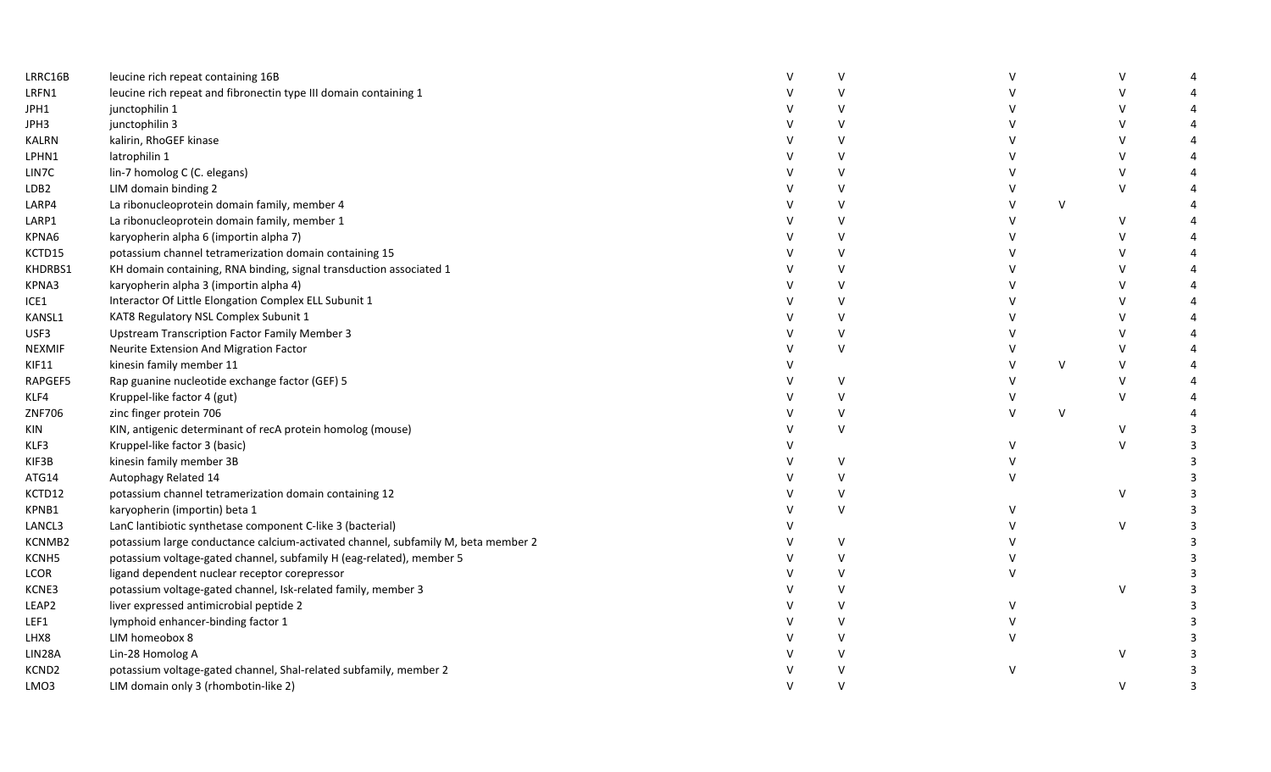| LRRC16B       | leucine rich repeat containing 16B                                                | v<br>$\vee$  |   |   |              |  |
|---------------|-----------------------------------------------------------------------------------|--------------|---|---|--------------|--|
| LRFN1         | leucine rich repeat and fibronectin type III domain containing 1                  | V            |   |   |              |  |
| JPH1          | junctophilin 1                                                                    | $\vee$       |   |   |              |  |
| JPH3          | junctophilin 3                                                                    |              |   |   |              |  |
| KALRN         | kalirin, RhoGEF kinase                                                            | v<br>$\vee$  |   |   |              |  |
| LPHN1         | latrophilin 1                                                                     |              |   |   | $\mathsf{V}$ |  |
| LIN7C         | lin-7 homolog C (C. elegans)                                                      | $\vee$       |   |   |              |  |
| LDB2          | LIM domain binding 2                                                              | V            |   |   | $\vee$       |  |
| LARP4         | La ribonucleoprotein domain family, member 4                                      | V            |   | V |              |  |
| LARP1         | La ribonucleoprotein domain family, member 1                                      | $\vee$       |   |   | V            |  |
| KPNA6         | karyopherin alpha 6 (importin alpha 7)                                            | V            |   |   | V            |  |
| KCTD15        | potassium channel tetramerization domain containing 15                            | v            |   |   |              |  |
| KHDRBS1       | KH domain containing, RNA binding, signal transduction associated 1               | $\vee$       |   |   |              |  |
| KPNA3         | karyopherin alpha 3 (importin alpha 4)                                            | V            |   |   |              |  |
| ICE1          | Interactor Of Little Elongation Complex ELL Subunit 1                             | V            |   |   |              |  |
| KANSL1        | KAT8 Regulatory NSL Complex Subunit 1                                             | V            |   |   |              |  |
| USF3          | Upstream Transcription Factor Family Member 3                                     | V            |   |   |              |  |
| <b>NEXMIF</b> | Neurite Extension And Migration Factor                                            | V            |   |   |              |  |
| <b>KIF11</b>  | kinesin family member 11                                                          |              |   | V | $\mathsf{V}$ |  |
| RAPGEF5       | Rap guanine nucleotide exchange factor (GEF) 5                                    | V            |   |   | $\vee$       |  |
| KLF4          | Kruppel-like factor 4 (gut)                                                       | V            |   |   | $\vee$       |  |
| ZNF706        | zinc finger protein 706                                                           | V            | V | V |              |  |
| KIN           | KIN, antigenic determinant of recA protein homolog (mouse)                        | $\vee$       |   |   |              |  |
| KLF3          | Kruppel-like factor 3 (basic)                                                     |              |   |   | $\mathsf{V}$ |  |
| KIF3B         | kinesin family member 3B                                                          | V            |   |   |              |  |
| ATG14         | Autophagy Related 14                                                              | $\mathsf{V}$ |   |   |              |  |
| KCTD12        | potassium channel tetramerization domain containing 12                            | V            |   |   | V            |  |
| KPNB1         | karyopherin (importin) beta 1                                                     | $\mathsf{V}$ |   |   |              |  |
| LANCL3        | LanC lantibiotic synthetase component C-like 3 (bacterial)                        |              |   |   | V            |  |
| KCNMB2        | potassium large conductance calcium-activated channel, subfamily M, beta member 2 | V            |   |   |              |  |
| KCNH5         | potassium voltage-gated channel, subfamily H (eag-related), member 5              | V            |   |   |              |  |
| LCOR          | ligand dependent nuclear receptor corepressor                                     | V            |   |   |              |  |
| KCNE3         | potassium voltage-gated channel, Isk-related family, member 3                     | V            |   |   | v            |  |
| LEAP2         | liver expressed antimicrobial peptide 2                                           | V            |   |   |              |  |
| LEF1          | lymphoid enhancer-binding factor 1                                                | $\vee$       |   |   |              |  |
| LHX8          | LIM homeobox 8                                                                    | $\vee$       |   |   |              |  |
| LIN28A        | Lin-28 Homolog A                                                                  | $\vee$       |   |   | V            |  |
| KCND2         | potassium voltage-gated channel, Shal-related subfamily, member 2                 | v            |   |   |              |  |
| LMO3          | LIM domain only 3 (rhombotin-like 2)                                              | $\mathsf{V}$ |   |   | V            |  |
|               |                                                                                   |              |   |   |              |  |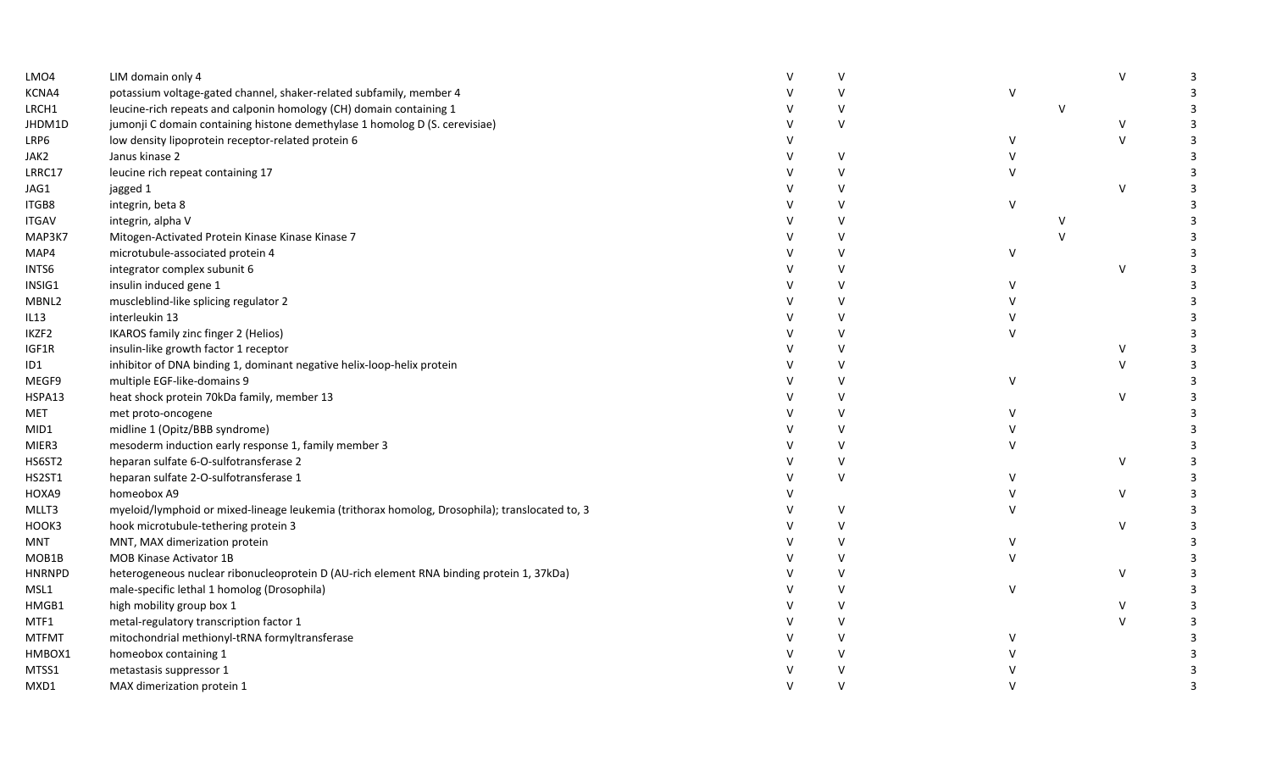| LMO4          | LIM domain only 4                                                                              | $\mathsf{V}$ |              |        | $\vee$       | 3 |
|---------------|------------------------------------------------------------------------------------------------|--------------|--------------|--------|--------------|---|
| KCNA4         | potassium voltage-gated channel, shaker-related subfamily, member 4                            | $\vee$       | V            |        |              |   |
| LRCH1         | leucine-rich repeats and calponin homology (CH) domain containing 1                            | $\vee$       |              | $\vee$ |              |   |
| JHDM1D        | jumonji C domain containing histone demethylase 1 homolog D (S. cerevisiae)                    | $\vee$       |              |        | V            |   |
| LRP6          | low density lipoprotein receptor-related protein 6                                             |              |              |        | $\sf V$      |   |
| JAK2          | Janus kinase 2                                                                                 | $\vee$       |              |        |              |   |
| LRRC17        | leucine rich repeat containing 17                                                              | $\vee$       |              |        |              |   |
| JAG1          | jagged 1                                                                                       | $\mathsf{V}$ |              |        | $\mathsf{V}$ |   |
| ITGB8         | integrin, beta 8                                                                               | $\vee$       | $\mathsf{V}$ |        |              |   |
| <b>ITGAV</b>  | integrin, alpha V                                                                              | $\mathsf{V}$ |              |        |              |   |
| MAP3K7        | Mitogen-Activated Protein Kinase Kinase Kinase 7                                               | $\mathsf{V}$ |              |        |              |   |
| MAP4          | microtubule-associated protein 4                                                               | V            | V            |        |              |   |
| INTS6         | integrator complex subunit 6                                                                   | $\vee$       |              |        | $\vee$       |   |
| INSIG1        | insulin induced gene 1                                                                         | $\vee$       |              |        |              |   |
| MBNL2         | muscleblind-like splicing regulator 2                                                          | $\vee$       |              |        |              |   |
| IL13          | interleukin 13                                                                                 | v            |              |        |              |   |
| IKZF2         | IKAROS family zinc finger 2 (Helios)                                                           | $\vee$       |              |        |              |   |
| IGF1R         | insulin-like growth factor 1 receptor                                                          | $\mathsf{V}$ |              |        | V            |   |
| ID1           | inhibitor of DNA binding 1, dominant negative helix-loop-helix protein                         | $\vee$       |              |        | $\mathsf{V}$ |   |
| MEGF9         | multiple EGF-like-domains 9                                                                    | V            | V            |        |              |   |
| HSPA13        | heat shock protein 70kDa family, member 13                                                     | $\mathsf{V}$ |              |        | $\vee$       |   |
| MET           | met proto-oncogene                                                                             | V            |              |        |              |   |
| MID1          | midline 1 (Opitz/BBB syndrome)                                                                 | $\vee$       |              |        |              |   |
| MIER3         | mesoderm induction early response 1, family member 3                                           | $\mathsf{V}$ |              |        |              |   |
| HS6ST2        | heparan sulfate 6-O-sulfotransferase 2                                                         | $\vee$       |              |        | $\vee$       |   |
| HS2ST1        | heparan sulfate 2-O-sulfotransferase 1                                                         | $\vee$       |              |        |              |   |
| HOXA9         | homeobox A9                                                                                    |              |              |        | $\vee$       |   |
| MLLT3         | myeloid/lymphoid or mixed-lineage leukemia (trithorax homolog, Drosophila); translocated to, 3 | V            |              |        |              |   |
| HOOK3         | hook microtubule-tethering protein 3                                                           | $\vee$       |              |        | $\vee$       |   |
| MNT           | MNT, MAX dimerization protein                                                                  | V            |              |        |              |   |
| MOB1B         | <b>MOB Kinase Activator 1B</b>                                                                 | $\vee$       |              |        |              |   |
| <b>HNRNPD</b> | heterogeneous nuclear ribonucleoprotein D (AU-rich element RNA binding protein 1, 37kDa)       | V            |              |        | $\vee$       |   |
| MSL1          | male-specific lethal 1 homolog (Drosophila)                                                    | $\vee$       |              |        |              |   |
| HMGB1         | high mobility group box 1                                                                      | $\vee$       |              |        | V            |   |
| MTF1          | metal-regulatory transcription factor 1                                                        | $\vee$       |              |        | $\vee$       |   |
| <b>MTFMT</b>  | mitochondrial methionyl-tRNA formyltransferase                                                 | $\vee$       |              |        |              |   |
| HMBOX1        | homeobox containing 1                                                                          | V            |              |        |              |   |
| MTSS1         | metastasis suppressor 1                                                                        |              |              |        |              |   |
| MXD1          | MAX dimerization protein 1                                                                     |              |              |        |              |   |
|               |                                                                                                |              |              |        |              |   |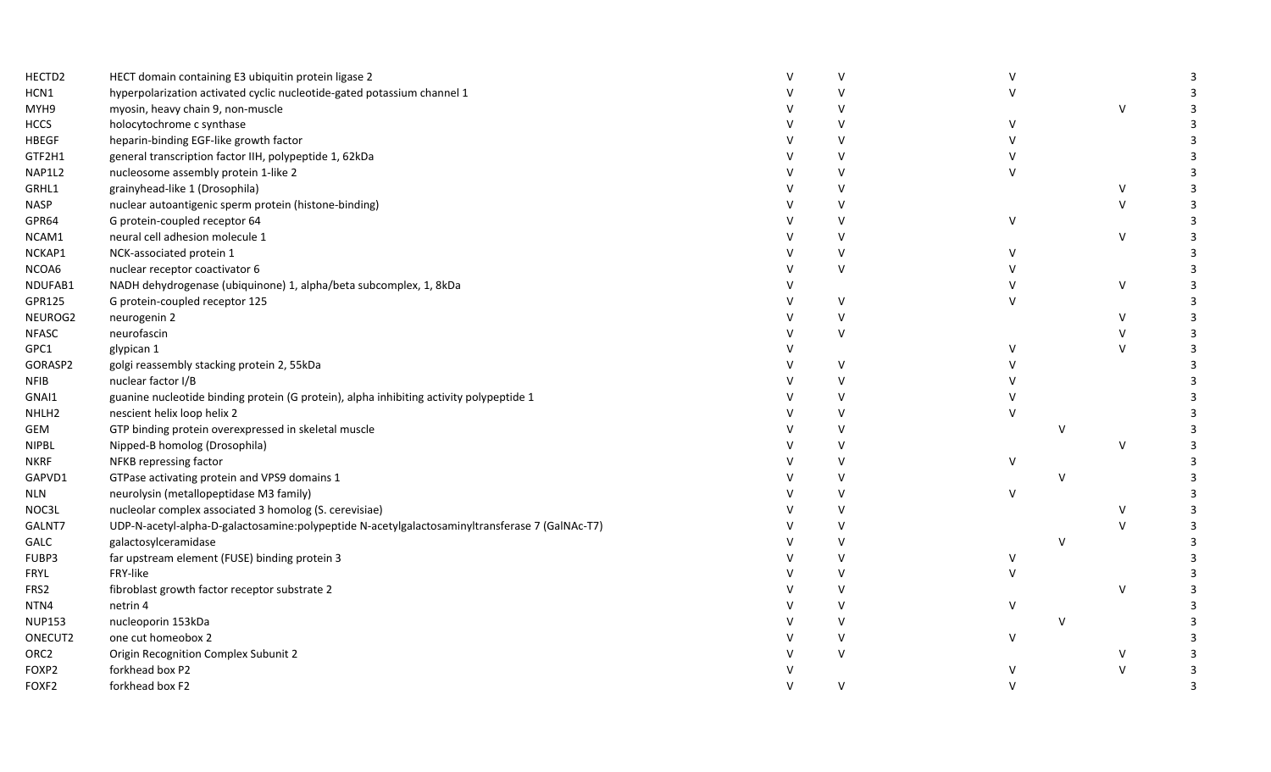| HECTD2            | HECT domain containing E3 ubiquitin protein ligase 2                                           | $\mathsf{v}$ |              |               |        | 3 |
|-------------------|------------------------------------------------------------------------------------------------|--------------|--------------|---------------|--------|---|
| HCN1              | hyperpolarization activated cyclic nucleotide-gated potassium channel 1                        | $\mathsf{v}$ |              |               |        |   |
| MYH9              | myosin, heavy chain 9, non-muscle                                                              | $\vee$       |              |               | $\vee$ | 3 |
| <b>HCCS</b>       | holocytochrome c synthase                                                                      |              |              |               |        |   |
| <b>HBEGF</b>      | heparin-binding EGF-like growth factor                                                         | $\mathsf{V}$ |              |               |        |   |
| GTF2H1            | general transcription factor IIH, polypeptide 1, 62kDa                                         | $\mathsf{v}$ |              |               |        |   |
| NAP1L2            | nucleosome assembly protein 1-like 2                                                           |              |              |               |        |   |
| GRHL1             | grainyhead-like 1 (Drosophila)                                                                 | $\mathbf{v}$ |              |               | V      |   |
| <b>NASP</b>       | nuclear autoantigenic sperm protein (histone-binding)                                          | $\vee$       |              |               | $\vee$ | 3 |
| GPR64             | G protein-coupled receptor 64                                                                  | $\mathsf{V}$ | $\mathsf{V}$ |               |        | 3 |
| NCAM1             | neural cell adhesion molecule 1                                                                | $\mathsf{v}$ |              |               | V      | 3 |
| NCKAP1            | NCK-associated protein 1                                                                       | $\vee$       |              |               |        | 3 |
| NCOA6             | nuclear receptor coactivator 6                                                                 | $\vee$       |              |               |        |   |
| NDUFAB1           | NADH dehydrogenase (ubiquinone) 1, alpha/beta subcomplex, 1, 8kDa                              |              |              |               | V      |   |
| GPR125            | G protein-coupled receptor 125                                                                 | $\mathbf{v}$ |              |               |        |   |
| NEUROG2           | neurogenin 2                                                                                   | $\mathsf{V}$ |              |               | $\vee$ |   |
| <b>NFASC</b>      | neurofascin                                                                                    | $\vee$       |              |               | $\vee$ |   |
| GPC1              | glypican 1                                                                                     |              |              |               | $\vee$ |   |
| GORASP2           | golgi reassembly stacking protein 2, 55kDa                                                     | $\mathsf{V}$ |              |               |        |   |
| <b>NFIB</b>       | nuclear factor I/B                                                                             | $\mathsf{v}$ |              |               |        |   |
| GNAI1             | guanine nucleotide binding protein (G protein), alpha inhibiting activity polypeptide 1        | $\mathsf{v}$ |              |               |        |   |
| NHLH <sub>2</sub> | nescient helix loop helix 2                                                                    | $\mathbf{v}$ |              |               |        |   |
| GEM               | GTP binding protein overexpressed in skeletal muscle                                           | $\mathsf{v}$ |              | $\mathsf{v}$  |        |   |
| <b>NIPBL</b>      | Nipped-B homolog (Drosophila)                                                                  | $\mathsf{v}$ |              |               | V      |   |
| <b>NKRF</b>       | NFKB repressing factor                                                                         |              | V            |               |        |   |
| GAPVD1            | GTPase activating protein and VPS9 domains 1                                                   |              |              | $\mathcal{N}$ |        |   |
| $\sf NLN$         | neurolysin (metallopeptidase M3 family)                                                        | $\mathsf{v}$ | $\vee$       |               |        |   |
| NOC3L             | nucleolar complex associated 3 homolog (S. cerevisiae)                                         | $\mathsf{v}$ |              |               | V      |   |
| GALNT7            | UDP-N-acetyl-alpha-D-galactosamine:polypeptide N-acetylgalactosaminyltransferase 7 (GalNAc-T7) | $\mathsf{v}$ |              |               | V      |   |
| GALC              | galactosylceramidase                                                                           | $\mathbf{v}$ |              | $\mathcal{N}$ |        |   |
| FUBP3             | far upstream element (FUSE) binding protein 3                                                  | $\vee$       | v            |               |        |   |
| FRYL              | FRY-like                                                                                       | $\vee$       |              |               |        |   |
| FRS2              | fibroblast growth factor receptor substrate 2                                                  | $\vee$       |              |               | V      |   |
| NTN4              | netrin 4                                                                                       | $\mathsf{V}$ | v            |               |        |   |
| <b>NUP153</b>     | nucleoporin 153kDa                                                                             | $\mathsf{V}$ |              | $\mathbf{v}$  |        |   |
| ONECUT2           | one cut homeobox 2                                                                             | $\mathsf{v}$ | $\mathsf{V}$ |               |        |   |
| ORC <sub>2</sub>  | Origin Recognition Complex Subunit 2                                                           | $\mathsf{v}$ |              |               | V      |   |
| FOXP2             | forkhead box P2                                                                                |              |              |               | V      |   |
| FOXF2             | forkhead box F2                                                                                | $\vee$       |              |               |        |   |
|                   |                                                                                                |              |              |               |        |   |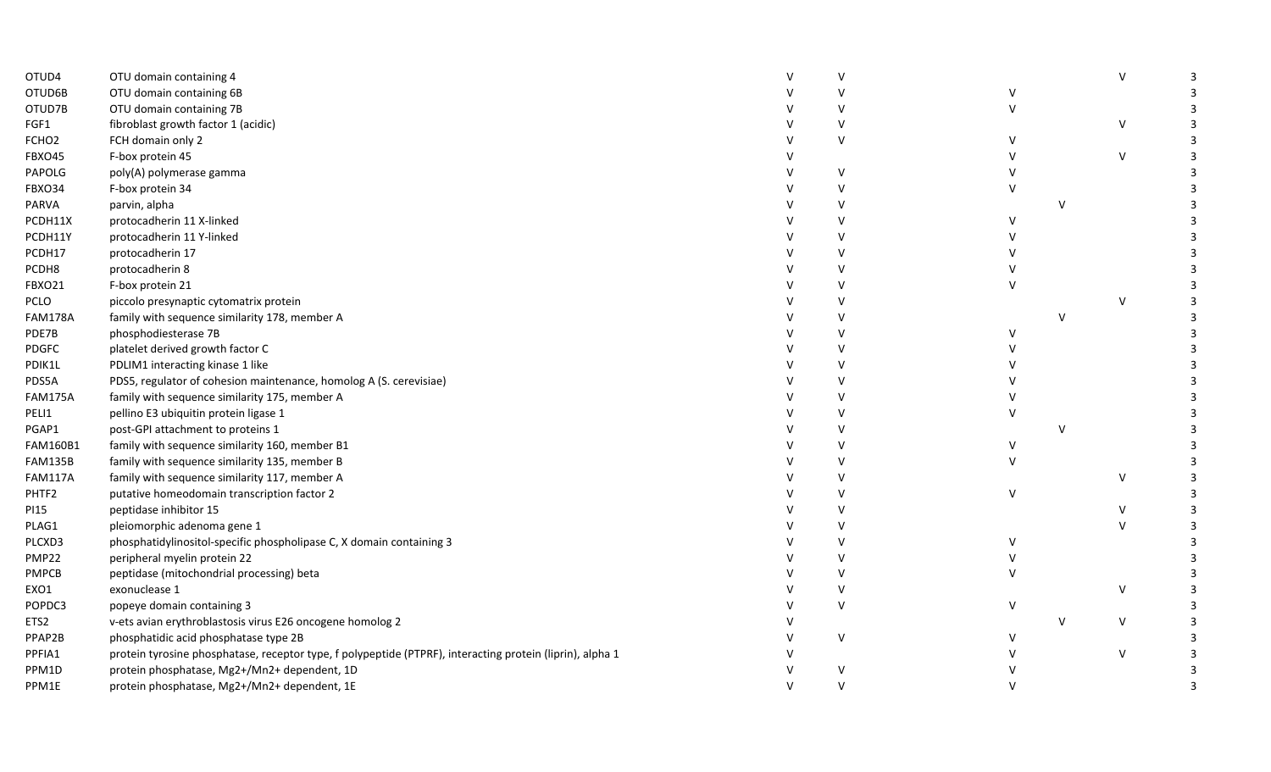| OTUD4             | OTU domain containing 4                                                                                   | $\mathsf{V}$ |              |               | $\vee$    |  |
|-------------------|-----------------------------------------------------------------------------------------------------------|--------------|--------------|---------------|-----------|--|
| OTUD6B            | OTU domain containing 6B                                                                                  | $\mathsf{V}$ |              |               |           |  |
| OTUD7B            | OTU domain containing 7B                                                                                  | $\mathsf{V}$ |              |               |           |  |
| FGF1              | fibroblast growth factor 1 (acidic)                                                                       | $\vee$       |              |               | V         |  |
| FCHO <sub>2</sub> | FCH domain only 2                                                                                         | $\vee$       |              |               |           |  |
| <b>FBXO45</b>     | F-box protein 45                                                                                          |              |              |               | $\vee$    |  |
| PAPOLG            | poly(A) polymerase gamma                                                                                  | v            |              |               |           |  |
| FBXO34            | F-box protein 34                                                                                          | $\mathsf{V}$ |              |               |           |  |
| PARVA             | parvin, alpha                                                                                             | $\mathsf{V}$ |              | $\mathcal{U}$ |           |  |
| PCDH11X           | protocadherin 11 X-linked                                                                                 | $\vee$       | $\mathsf{V}$ |               |           |  |
| PCDH11Y           | protocadherin 11 Y-linked                                                                                 | $\mathsf{V}$ |              |               |           |  |
| PCDH17            | protocadherin 17                                                                                          | $\mathsf{V}$ |              |               |           |  |
| PCDH8             | protocadherin 8                                                                                           | $\mathsf{V}$ |              |               |           |  |
| <b>FBXO21</b>     | F-box protein 21                                                                                          | $\vee$       |              |               |           |  |
| PCLO              | piccolo presynaptic cytomatrix protein                                                                    | $\vee$       |              |               | $\vee$    |  |
| <b>FAM178A</b>    | family with sequence similarity 178, member A                                                             | $\vee$       |              | $\mathsf{V}$  |           |  |
| PDE7B             | phosphodiesterase 7B                                                                                      | $\mathsf{V}$ | V            |               |           |  |
| PDGFC             | platelet derived growth factor C                                                                          | $\vee$       |              |               |           |  |
| PDIK1L            | PDLIM1 interacting kinase 1 like                                                                          | $\vee$       |              |               |           |  |
| PDS5A             | PDS5, regulator of cohesion maintenance, homolog A (S. cerevisiae)                                        | $\vee$       |              |               |           |  |
| <b>FAM175A</b>    | family with sequence similarity 175, member A                                                             | $\mathsf{V}$ |              |               |           |  |
| PELI1             | pellino E3 ubiquitin protein ligase 1                                                                     | $\mathsf{V}$ |              |               |           |  |
| PGAP1             | post-GPI attachment to proteins 1                                                                         | $\mathsf{V}$ |              | $\mathsf{V}$  |           |  |
| FAM160B1          | family with sequence similarity 160, member B1                                                            | $\vee$       |              |               |           |  |
| <b>FAM135B</b>    | family with sequence similarity 135, member B                                                             | $\vee$       |              |               |           |  |
| <b>FAM117A</b>    | family with sequence similarity 117, member A                                                             | $\vee$       |              |               | $\vee$    |  |
| PHTF2             | putative homeodomain transcription factor 2                                                               | $\mathsf{V}$ | $\vee$       |               |           |  |
| PI <sub>15</sub>  | peptidase inhibitor 15                                                                                    | $\mathsf{V}$ |              |               | $\vee$    |  |
| PLAG1             | pleiomorphic adenoma gene 1                                                                               | $\mathsf{V}$ |              |               | $\vee$    |  |
| PLCXD3            | phosphatidylinositol-specific phospholipase C, X domain containing 3                                      | $\vee$       | V            |               |           |  |
| PMP22             | peripheral myelin protein 22                                                                              | $\vee$       |              |               |           |  |
| <b>PMPCB</b>      | peptidase (mitochondrial processing) beta                                                                 | $\vee$       |              |               |           |  |
| EXO1              | exonuclease 1                                                                                             | $\vee$       |              |               | $\vee$    |  |
| POPDC3            | popeye domain containing 3                                                                                | $\vee$       | V            |               |           |  |
| ETS2              | v-ets avian erythroblastosis virus E26 oncogene homolog 2                                                 |              |              | $\vee$        | ${\sf V}$ |  |
| PPAP2B            | phosphatidic acid phosphatase type 2B                                                                     | $\vee$       |              |               |           |  |
| PPFIA1            | protein tyrosine phosphatase, receptor type, f polypeptide (PTPRF), interacting protein (liprin), alpha 1 |              |              |               | $\vee$    |  |
| PPM1D             | protein phosphatase, Mg2+/Mn2+ dependent, 1D                                                              |              |              |               |           |  |
| PPM1E             | protein phosphatase, Mg2+/Mn2+ dependent, 1E                                                              | $\mathsf{V}$ |              |               |           |  |
|                   |                                                                                                           |              |              |               |           |  |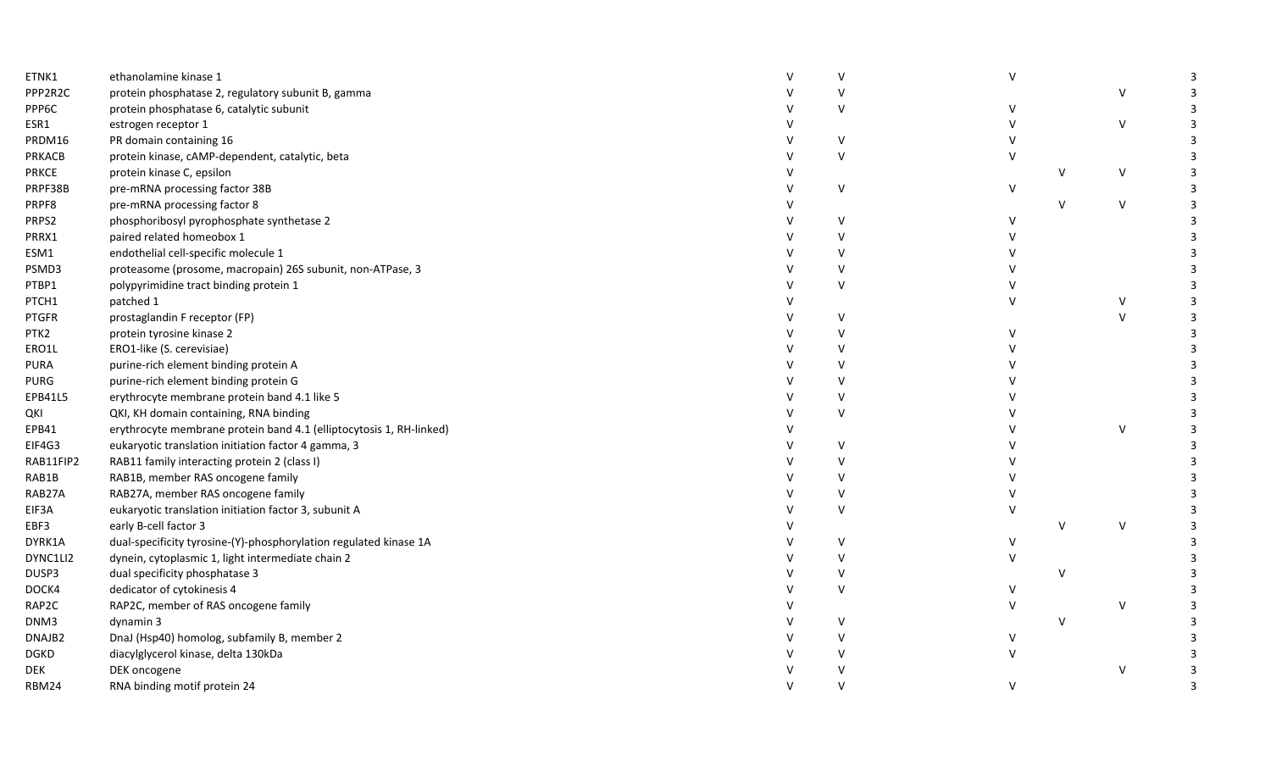| ETNK1              | ethanolamine kinase 1                                               | $\vee$ | $\vee$ |              |              | 3 |
|--------------------|---------------------------------------------------------------------|--------|--------|--------------|--------------|---|
| PPP2R2C            | protein phosphatase 2, regulatory subunit B, gamma                  | $\vee$ |        |              | $\vee$       | 3 |
| PPP6C              | protein phosphatase 6, catalytic subunit                            | $\vee$ |        |              |              | 3 |
| ESR1               | estrogen receptor 1                                                 |        |        |              | $\mathsf{V}$ |   |
| PRDM16             | PR domain containing 16                                             | $\vee$ |        |              |              |   |
| PRKACB             | protein kinase, cAMP-dependent, catalytic, beta                     | $\vee$ |        |              |              |   |
| PRKCE              | protein kinase C, epsilon                                           |        |        | $\vee$       | $\mathsf{V}$ |   |
| PRPF38B            | pre-mRNA processing factor 38B                                      | $\vee$ | $\vee$ |              |              | 3 |
| PRPF8              | pre-mRNA processing factor 8                                        |        |        | $\vee$       | ${\sf V}$    |   |
| PRPS2              | phosphoribosyl pyrophosphate synthetase 2                           | $\vee$ | V      |              |              | 3 |
| PRRX1              | paired related homeobox 1                                           | $\vee$ |        |              |              |   |
| ESM1               | endothelial cell-specific molecule 1                                | $\vee$ |        |              |              |   |
| PSMD3              | proteasome (prosome, macropain) 26S subunit, non-ATPase, 3          | $\vee$ |        |              |              |   |
| PTBP1              | polypyrimidine tract binding protein 1                              | $\vee$ |        |              |              |   |
| PTCH1              | patched 1                                                           |        |        |              | V            |   |
| <b>PTGFR</b>       | prostaglandin F receptor (FP)                                       | $\vee$ |        |              | $\vee$       |   |
| PTK2               | protein tyrosine kinase 2                                           | $\vee$ |        |              |              |   |
| ERO1L              | ERO1-like (S. cerevisiae)                                           | $\vee$ |        |              |              |   |
| <b>PURA</b>        | purine-rich element binding protein A                               | $\vee$ |        |              |              |   |
| <b>PURG</b>        | purine-rich element binding protein G                               | $\vee$ |        |              |              |   |
| EPB41L5            | erythrocyte membrane protein band 4.1 like 5                        | $\vee$ |        |              |              |   |
| QKI                | QKI, KH domain containing, RNA binding                              | $\vee$ |        |              |              |   |
| EPB41              | erythrocyte membrane protein band 4.1 (elliptocytosis 1, RH-linked) |        |        |              | $\vee$       |   |
| EIF4G3             | eukaryotic translation initiation factor 4 gamma, 3                 | $\vee$ |        |              |              |   |
| RAB11FIP2          | RAB11 family interacting protein 2 (class I)                        | $\vee$ |        |              |              |   |
| RAB1B              | RAB1B, member RAS oncogene family                                   | $\vee$ |        |              |              |   |
| RAB27A             | RAB27A, member RAS oncogene family                                  | $\vee$ |        |              |              |   |
| EIF3A              | eukaryotic translation initiation factor 3, subunit A               | $\vee$ |        |              |              |   |
| EBF3               | early B-cell factor 3                                               |        |        | $\vee$       | V            |   |
| DYRK1A             | dual-specificity tyrosine-(Y)-phosphorylation regulated kinase 1A   | $\vee$ | v      |              |              |   |
| DYNC1LI2           | dynein, cytoplasmic 1, light intermediate chain 2                   | $\vee$ |        |              |              |   |
| DUSP3              | dual specificity phosphatase 3                                      | $\vee$ |        | $\mathsf{v}$ |              |   |
| DOCK4              | dedicator of cytokinesis 4                                          | $\vee$ |        |              |              |   |
| RAP2C              | RAP2C, member of RAS oncogene family                                |        |        |              | V            |   |
| DNM3               | dynamin 3                                                           | $\vee$ |        | $\vee$       |              |   |
| DNAJB <sub>2</sub> | DnaJ (Hsp40) homolog, subfamily B, member 2                         | $\vee$ | V      |              |              |   |
| <b>DGKD</b>        | diacylglycerol kinase, delta 130kDa                                 | $\vee$ |        |              |              |   |
| DEK                | DEK oncogene                                                        |        |        |              | $\vee$       |   |
| RBM24              | RNA binding motif protein 24                                        |        | $\vee$ |              |              |   |
|                    |                                                                     |        |        |              |              |   |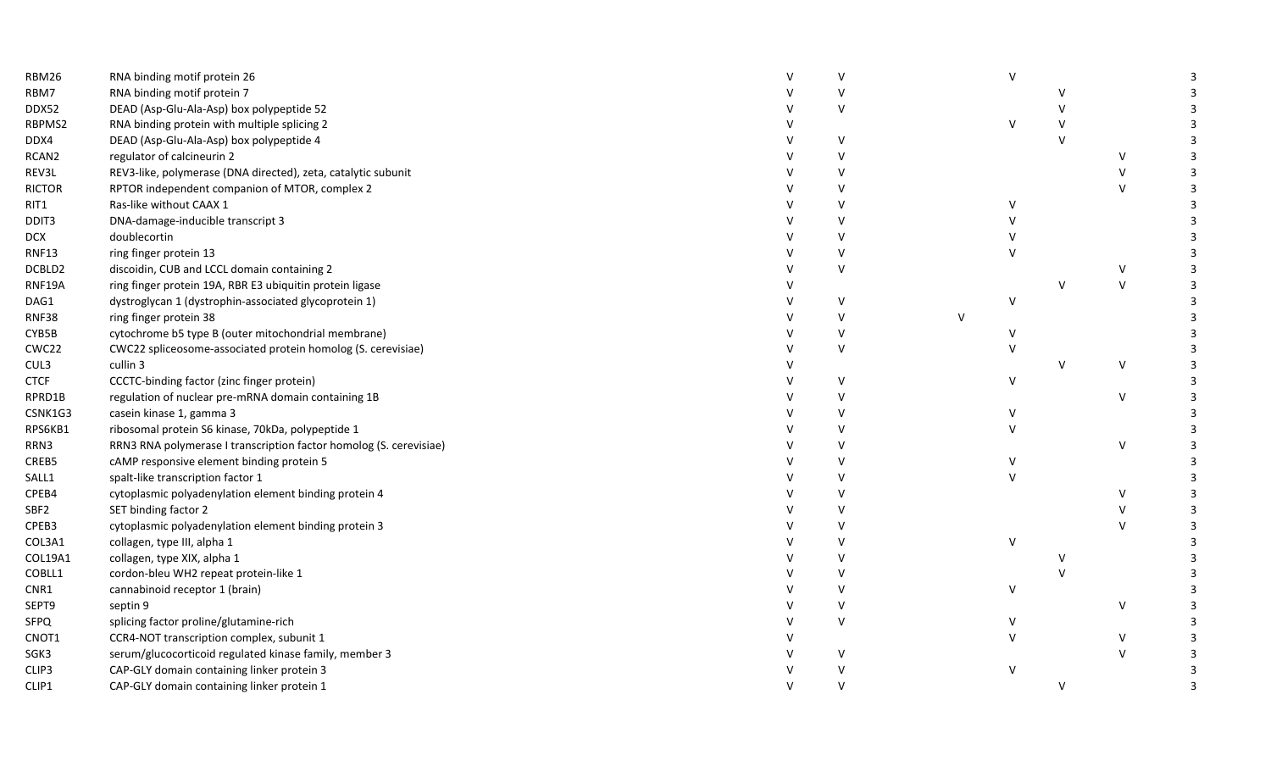| RBM26             | RNA binding motif protein 26                                       | $\vee$ |        | $\vee$  |              |             | 3 |
|-------------------|--------------------------------------------------------------------|--------|--------|---------|--------------|-------------|---|
| RBM7              | RNA binding motif protein 7                                        | $\vee$ |        |         |              |             |   |
| DDX52             | DEAD (Asp-Glu-Ala-Asp) box polypeptide 52                          | $\vee$ |        |         | $\vee$       |             |   |
| RBPMS2            | RNA binding protein with multiple splicing 2                       |        |        | $\vee$  |              |             |   |
| DDX4              | DEAD (Asp-Glu-Ala-Asp) box polypeptide 4                           | $\vee$ |        |         | $\vee$       |             |   |
| RCAN <sub>2</sub> | regulator of calcineurin 2                                         | $\vee$ |        |         |              | V           |   |
| REV3L             | REV3-like, polymerase (DNA directed), zeta, catalytic subunit      | $\vee$ |        |         |              | $\vee$      | 3 |
| <b>RICTOR</b>     | RPTOR independent companion of MTOR, complex 2                     | $\vee$ |        |         |              | $\vee$      |   |
| RIT1              | Ras-like without CAAX 1                                            | $\vee$ |        | $\vee$  |              |             |   |
| DDIT3             | DNA-damage-inducible transcript 3                                  | $\vee$ |        |         |              |             |   |
| DCX               | doublecortin                                                       | $\vee$ |        |         |              |             |   |
| <b>RNF13</b>      | ring finger protein 13                                             | $\vee$ |        |         |              |             |   |
| DCBLD2            | discoidin, CUB and LCCL domain containing 2                        | $\vee$ |        |         |              | V           |   |
| RNF19A            | ring finger protein 19A, RBR E3 ubiquitin protein ligase           |        |        |         | $\vee$       | $\mathsf V$ |   |
| DAG1              | dystroglycan 1 (dystrophin-associated glycoprotein 1)              | $\vee$ |        | $\sf V$ |              |             |   |
| <b>RNF38</b>      | ring finger protein 38                                             | $\vee$ | $\vee$ |         |              |             |   |
| CYB5B             | cytochrome b5 type B (outer mitochondrial membrane)                | $\vee$ |        |         |              |             |   |
| CWC22             | CWC22 spliceosome-associated protein homolog (S. cerevisiae)       | $\vee$ |        |         |              |             |   |
| CUL3              | cullin 3                                                           |        |        |         | $\mathsf{V}$ | V           |   |
| <b>CTCF</b>       | CCCTC-binding factor (zinc finger protein)                         | v      |        | $\vee$  |              |             |   |
| RPRD1B            | regulation of nuclear pre-mRNA domain containing 1B                | $\vee$ |        |         |              | $\vee$      | 3 |
| CSNK1G3           | casein kinase 1, gamma 3                                           | v      |        |         |              |             |   |
| RPS6KB1           | ribosomal protein S6 kinase, 70kDa, polypeptide 1                  | $\vee$ |        |         |              |             |   |
| RRN3              | RRN3 RNA polymerase I transcription factor homolog (S. cerevisiae) | v      |        |         |              | V           |   |
| CREB5             | cAMP responsive element binding protein 5                          | $\vee$ |        |         |              |             |   |
| SALL1             | spalt-like transcription factor 1                                  | $\vee$ |        |         |              |             |   |
| CPEB4             | cytoplasmic polyadenylation element binding protein 4              | $\vee$ |        |         |              | V           |   |
| SBF2              | SET binding factor 2                                               | $\vee$ |        |         |              | $\vee$      | 3 |
| CPEB3             | cytoplasmic polyadenylation element binding protein 3              | $\vee$ |        |         |              | $\vee$      |   |
| COL3A1            | collagen, type III, alpha 1                                        | $\vee$ |        | $\vee$  |              |             |   |
| COL19A1           | collagen, type XIX, alpha 1                                        | $\vee$ |        |         |              |             |   |
| COBLL1            | cordon-bleu WH2 repeat protein-like 1                              | $\vee$ |        |         |              |             |   |
| CNR1              | cannabinoid receptor 1 (brain)                                     | $\vee$ |        | $\vee$  |              |             |   |
| SEPT9             | septin 9                                                           | $\vee$ |        |         |              | V           |   |
| SFPQ              | splicing factor proline/glutamine-rich                             | $\vee$ |        | v       |              |             |   |
| CNOT1             | CCR4-NOT transcription complex, subunit 1                          |        |        |         |              | V           |   |
| SGK3              | serum/glucocorticoid regulated kinase family, member 3             | $\vee$ |        |         |              | $\vee$      |   |
| CLIP3             | CAP-GLY domain containing linker protein 3                         |        |        | V       |              |             |   |
| CLIP1             | CAP-GLY domain containing linker protein 1                         |        |        |         |              |             | 3 |
|                   |                                                                    |        |        |         |              |             |   |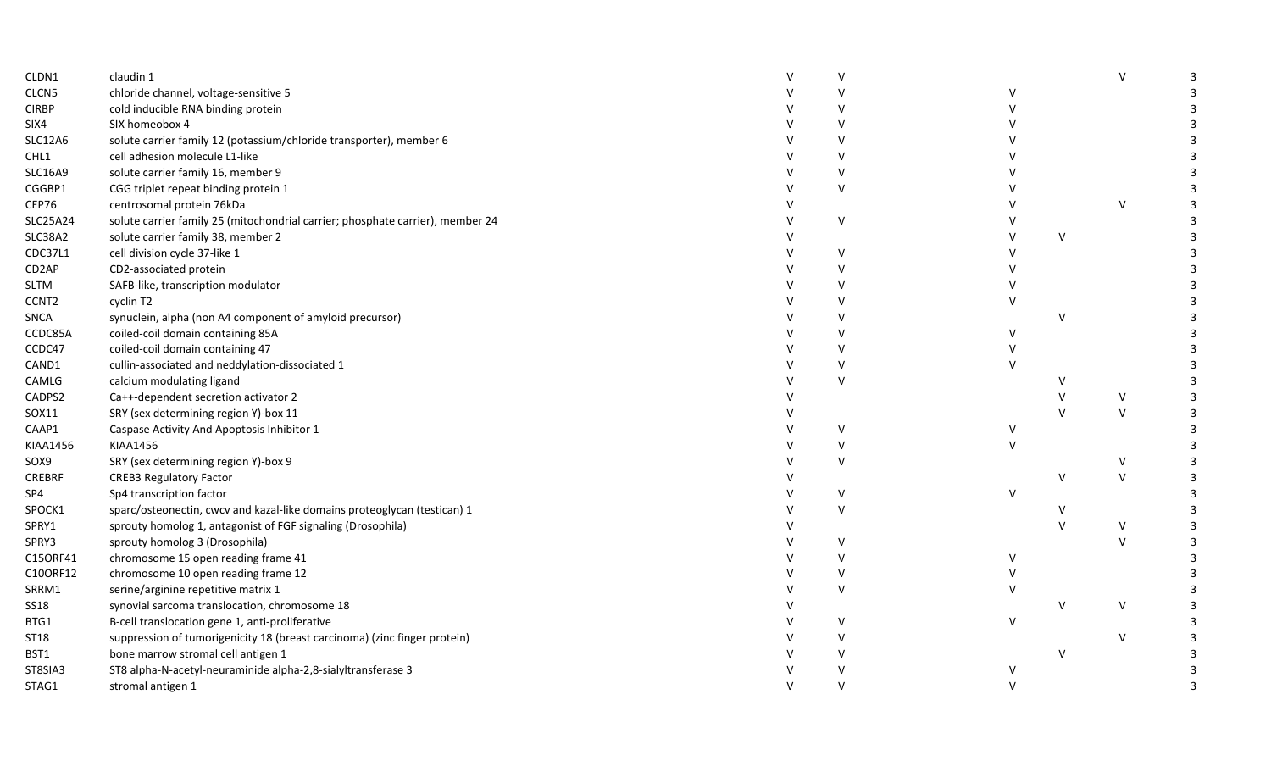| CLDN1              | claudin 1                                                                      |              |              |              | $\mathsf{v}$ |  |
|--------------------|--------------------------------------------------------------------------------|--------------|--------------|--------------|--------------|--|
| CLCN5              | chloride channel, voltage-sensitive 5                                          |              | v            |              |              |  |
| <b>CIRBP</b>       | cold inducible RNA binding protein                                             | $\vee$       |              |              |              |  |
| SIX4               | SIX homeobox 4                                                                 |              |              |              |              |  |
| <b>SLC12A6</b>     | solute carrier family 12 (potassium/chloride transporter), member 6            |              |              |              |              |  |
| CHL1               | cell adhesion molecule L1-like                                                 |              |              |              |              |  |
| <b>SLC16A9</b>     | solute carrier family 16, member 9                                             |              |              |              |              |  |
| CGGBP1             | CGG triplet repeat binding protein 1                                           | V            |              |              |              |  |
| CEP76              | centrosomal protein 76kDa                                                      |              |              |              | $\vee$       |  |
| <b>SLC25A24</b>    | solute carrier family 25 (mitochondrial carrier; phosphate carrier), member 24 | $\vee$       |              |              |              |  |
| SLC38A2            | solute carrier family 38, member 2                                             |              |              | $\mathsf{V}$ |              |  |
| CDC37L1            | cell division cycle 37-like 1                                                  | v            |              |              |              |  |
| CD <sub>2</sub> AP | CD2-associated protein                                                         | $\vee$       |              |              |              |  |
| <b>SLTM</b>        | SAFB-like, transcription modulator                                             | V            |              |              |              |  |
| CCNT <sub>2</sub>  | cyclin T2                                                                      |              |              |              |              |  |
| SNCA               | synuclein, alpha (non A4 component of amyloid precursor)                       |              |              | $\vee$       |              |  |
| CCDC85A            | coiled-coil domain containing 85A                                              |              | $\vee$       |              |              |  |
| CCDC47             | coiled-coil domain containing 47                                               |              |              |              |              |  |
| CAND1              | cullin-associated and neddylation-dissociated 1                                |              |              |              |              |  |
| CAMLG              | calcium modulating ligand                                                      | $\mathsf{V}$ |              |              |              |  |
| CADPS2             | Ca++-dependent secretion activator 2                                           |              |              |              | $\vee$       |  |
| SOX11              | SRY (sex determining region Y)-box 11                                          |              |              | $\mathbf{v}$ | $\vee$       |  |
| CAAP1              | Caspase Activity And Apoptosis Inhibitor 1                                     | v            | <sup>V</sup> |              |              |  |
| KIAA1456           | <b>KIAA1456</b>                                                                | $\vee$       | $\vee$       |              |              |  |
| SOX9               | SRY (sex determining region Y)-box 9                                           | V            |              |              | $\vee$       |  |
| CREBRF             | <b>CREB3 Regulatory Factor</b>                                                 |              |              | $\vee$       | $\vee$       |  |
| SP4                | Sp4 transcription factor                                                       | $\vee$       | $\mathbf{v}$ |              |              |  |
| SPOCK1             | sparc/osteonectin, cwcv and kazal-like domains proteoglycan (testican) 1       | $\mathsf{V}$ |              |              |              |  |
| SPRY1              | sprouty homolog 1, antagonist of FGF signaling (Drosophila)                    |              |              |              | $\vee$       |  |
| SPRY3              | sprouty homolog 3 (Drosophila)                                                 | V            |              |              | $\mathbf{v}$ |  |
| C15ORF41           | chromosome 15 open reading frame 41                                            | V            | ν            |              |              |  |
| C10ORF12           | chromosome 10 open reading frame 12                                            | $\vee$       |              |              |              |  |
| SRRM1              | serine/arginine repetitive matrix 1                                            | $\mathsf{v}$ |              |              |              |  |
| <b>SS18</b>        | synovial sarcoma translocation, chromosome 18                                  |              |              |              | $\vee$       |  |
| BTG1               | B-cell translocation gene 1, anti-proliferative                                |              | $\mathbf{v}$ |              |              |  |
| ST18               | suppression of tumorigenicity 18 (breast carcinoma) (zinc finger protein)      |              |              |              | $\vee$       |  |
| BST1               | bone marrow stromal cell antigen 1                                             |              |              | $\vee$       |              |  |
| ST8SIA3            | ST8 alpha-N-acetyl-neuraminide alpha-2,8-sialyltransferase 3                   |              | V            |              |              |  |
| STAG1              | stromal antigen 1                                                              |              |              |              |              |  |
|                    |                                                                                |              |              |              |              |  |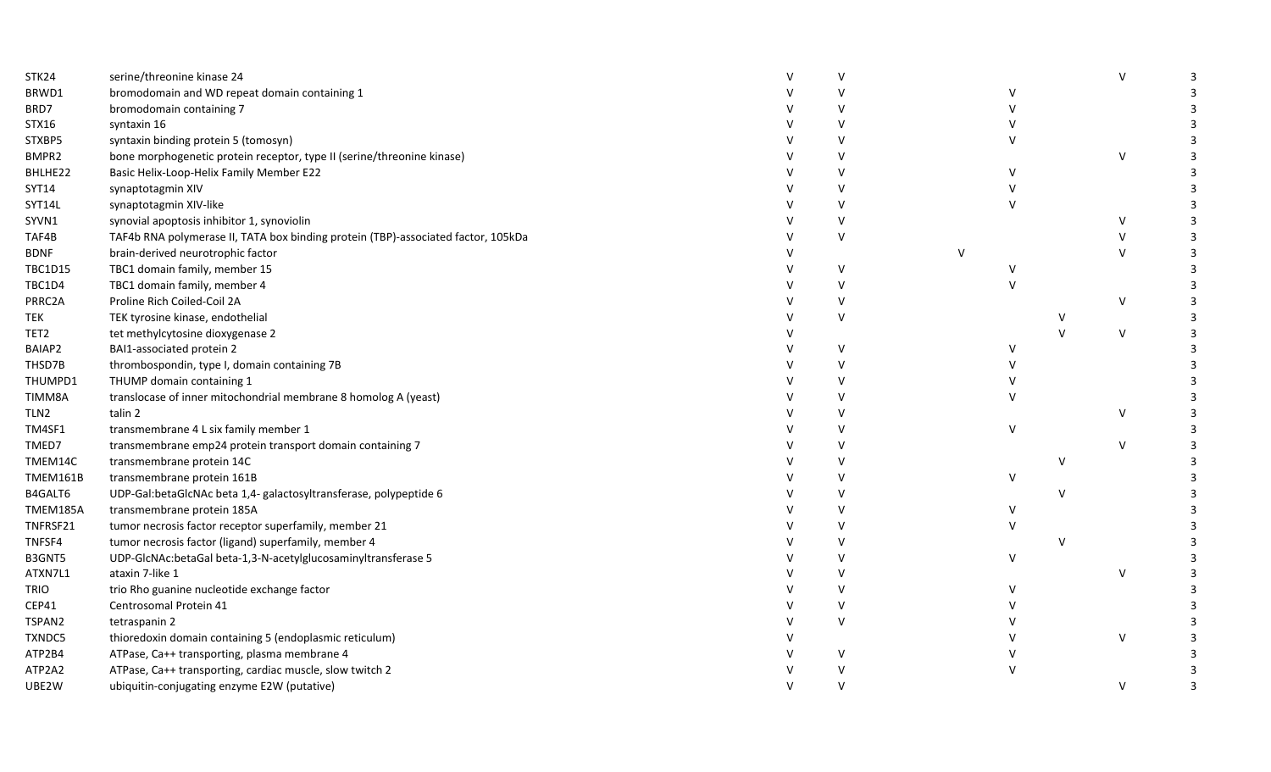| STK24            | serine/threonine kinase 24                                                        | $\vee$       |   |        |        | $\vee$  | 3 |
|------------------|-----------------------------------------------------------------------------------|--------------|---|--------|--------|---------|---|
| BRWD1            | bromodomain and WD repeat domain containing 1                                     | $\vee$       |   |        |        |         |   |
| BRD7             | bromodomain containing 7                                                          | $\vee$       |   |        |        |         |   |
| STX16            | syntaxin 16                                                                       | $\vee$       |   |        |        |         |   |
| STXBP5           | syntaxin binding protein 5 (tomosyn)                                              | $\vee$       |   |        |        |         |   |
| BMPR2            | bone morphogenetic protein receptor, type II (serine/threonine kinase)            | V            |   |        |        | $\sf V$ |   |
| BHLHE22          | Basic Helix-Loop-Helix Family Member E22                                          | $\vee$       |   |        |        |         |   |
| SYT14            | synaptotagmin XIV                                                                 | $\vee$       |   |        |        |         |   |
| SYT14L           | synaptotagmin XIV-like                                                            | $\mathsf{V}$ |   |        |        |         |   |
| SYVN1            | synovial apoptosis inhibitor 1, synoviolin                                        | $\vee$       |   |        |        | V       |   |
| TAF4B            | TAF4b RNA polymerase II, TATA box binding protein (TBP)-associated factor, 105kDa | $\vee$       |   |        |        | v       |   |
| <b>BDNF</b>      | brain-derived neurotrophic factor                                                 |              | V |        |        | $\vee$  |   |
| <b>TBC1D15</b>   | TBC1 domain family, member 15                                                     | $\vee$       |   |        |        |         |   |
| TBC1D4           | TBC1 domain family, member 4                                                      | $\vee$       |   |        |        |         |   |
| PRRC2A           | Proline Rich Coiled-Coil 2A                                                       | $\vee$       |   |        |        | V       |   |
| <b>TEK</b>       | TEK tyrosine kinase, endothelial                                                  | $\vee$       |   |        | V      |         |   |
| TET2             | tet methylcytosine dioxygenase 2                                                  |              |   |        | $\vee$ | $\vee$  |   |
| BAIAP2           | BAI1-associated protein 2                                                         | $\vee$       |   | v      |        |         |   |
| THSD7B           | thrombospondin, type I, domain containing 7B                                      | v            |   |        |        |         |   |
| THUMPD1          | THUMP domain containing 1                                                         | $\vee$       |   |        |        |         |   |
| TIMM8A           | translocase of inner mitochondrial membrane 8 homolog A (yeast)                   | $\vee$       |   |        |        |         |   |
| TLN <sub>2</sub> | talin 2                                                                           | v            |   |        |        | V       |   |
| TM4SF1           | transmembrane 4 L six family member 1                                             | $\vee$       |   | $\vee$ |        |         |   |
| TMED7            | transmembrane emp24 protein transport domain containing 7                         |              |   |        |        | $\vee$  |   |
| TMEM14C          | transmembrane protein 14C                                                         | $\mathsf{V}$ |   |        | V      |         |   |
| TMEM161B         | transmembrane protein 161B                                                        | $\vee$       |   | $\vee$ |        |         |   |
| B4GALT6          | UDP-Gal:betaGlcNAc beta 1,4- galactosyltransferase, polypeptide 6                 | $\vee$       |   |        | V      |         |   |
| TMEM185A         | transmembrane protein 185A                                                        | $\vee$       |   | v      |        |         |   |
| TNFRSF21         | tumor necrosis factor receptor superfamily, member 21                             | $\vee$       |   |        |        |         |   |
| TNFSF4           | tumor necrosis factor (ligand) superfamily, member 4                              | $\vee$       |   |        | $\vee$ |         |   |
| B3GNT5           | UDP-GlcNAc:betaGal beta-1,3-N-acetylglucosaminyltransferase 5                     | $\vee$       |   | $\vee$ |        |         |   |
| ATXN7L1          | ataxin 7-like 1                                                                   | $\vee$       |   |        |        | $\vee$  |   |
| <b>TRIO</b>      | trio Rho guanine nucleotide exchange factor                                       | $\vee$       |   |        |        |         |   |
| CEP41            | Centrosomal Protein 41                                                            | $\vee$       |   |        |        |         |   |
| TSPAN2           | tetraspanin 2                                                                     | $\vee$       |   |        |        |         |   |
| TXNDC5           | thioredoxin domain containing 5 (endoplasmic reticulum)                           |              |   |        |        | $\vee$  |   |
| ATP2B4           | ATPase, Ca++ transporting, plasma membrane 4                                      | V            |   |        |        |         |   |
| ATP2A2           | ATPase, Ca++ transporting, cardiac muscle, slow twitch 2                          | V            |   |        |        |         |   |
| UBE2W            | ubiquitin-conjugating enzyme E2W (putative)                                       | $\vee$       |   |        |        | $\vee$  |   |
|                  |                                                                                   |              |   |        |        |         |   |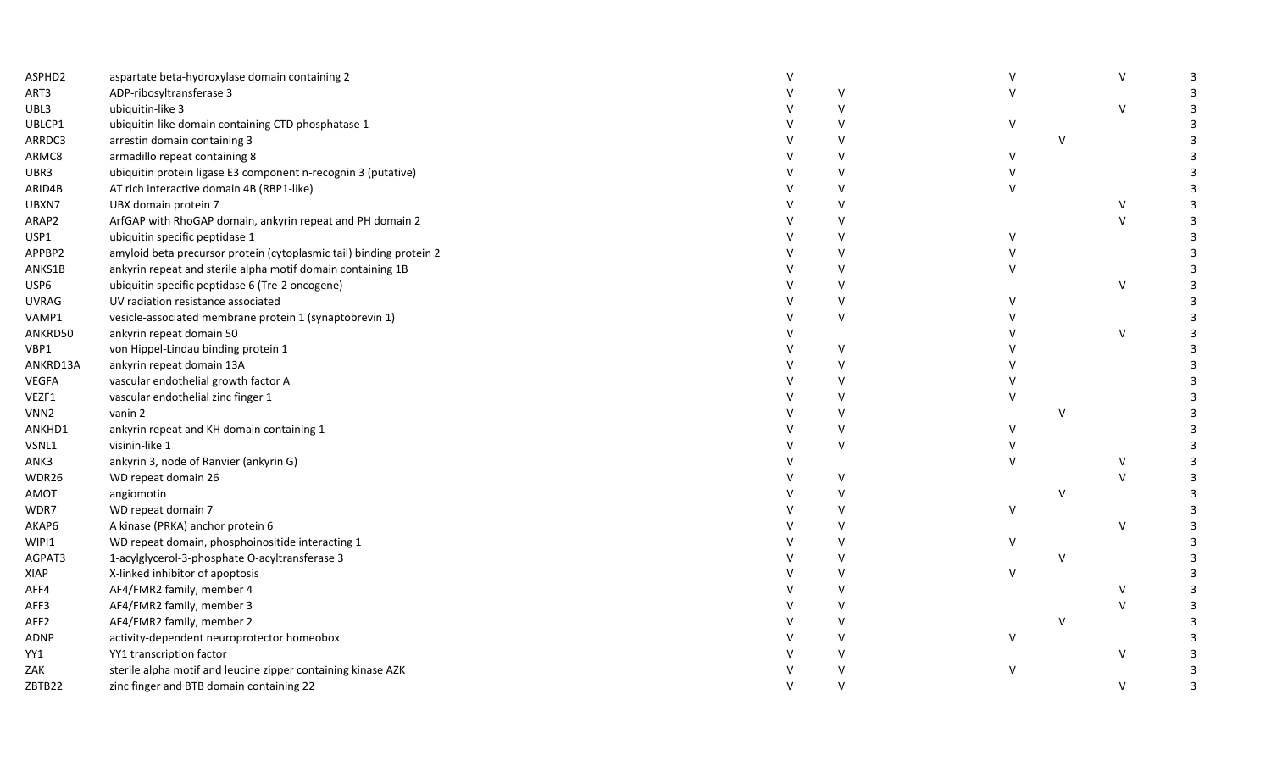| ASPHD2           | aspartate beta-hydroxylase domain containing 2                      | $\vee$       |               |              | V            | 3 |
|------------------|---------------------------------------------------------------------|--------------|---------------|--------------|--------------|---|
| ART3             | ADP-ribosyltransferase 3                                            | $\vee$       |               |              |              |   |
| UBL3             | ubiquitin-like 3                                                    | $\vee$       |               |              | $\mathsf{V}$ |   |
| UBLCP1           | ubiquitin-like domain containing CTD phosphatase 1                  |              | v             |              |              |   |
| ARRDC3           | arrestin domain containing 3                                        | $\vee$       |               | $\vee$       |              |   |
| ARMC8            | armadillo repeat containing 8                                       | $\vee$       | $\mathcal{U}$ |              |              |   |
| UBR3             | ubiquitin protein ligase E3 component n-recognin 3 (putative)       | $\vee$       |               |              |              |   |
| ARID4B           | AT rich interactive domain 4B (RBP1-like)                           | $\vee$       |               |              |              |   |
| UBXN7            | UBX domain protein 7                                                | $\vee$       |               |              | V            | 3 |
| ARAP2            | ArfGAP with RhoGAP domain, ankyrin repeat and PH domain 2           | $\vee$       |               |              | V            | 3 |
| USP1             | ubiquitin specific peptidase 1                                      | $\vee$       | v             |              |              |   |
| APPBP2           | amyloid beta precursor protein (cytoplasmic tail) binding protein 2 | $\vee$       |               |              |              |   |
| ANKS1B           | ankyrin repeat and sterile alpha motif domain containing 1B         | $\vee$       |               |              |              |   |
| USP6             | ubiquitin specific peptidase 6 (Tre-2 oncogene)                     | $\vee$       |               |              | V            |   |
| <b>UVRAG</b>     | UV radiation resistance associated                                  | $\vee$       |               |              |              |   |
| VAMP1            | vesicle-associated membrane protein 1 (synaptobrevin 1)             | $\vee$       |               |              |              |   |
| ANKRD50          | ankyrin repeat domain 50                                            |              |               |              | V            |   |
| VBP1             | von Hippel-Lindau binding protein 1                                 | V            |               |              |              |   |
| ANKRD13A         | ankyrin repeat domain 13A                                           | $\vee$       |               |              |              |   |
| <b>VEGFA</b>     | vascular endothelial growth factor A                                | $\vee$       |               |              |              |   |
| VEZF1            | vascular endothelial zinc finger 1                                  | $\vee$       |               |              |              |   |
| VNN <sub>2</sub> | vanin 2                                                             | $\vee$       |               | $\vee$       |              |   |
| ANKHD1           | ankyrin repeat and KH domain containing 1                           | $\vee$       |               |              |              |   |
| VSNL1            | visinin-like 1                                                      | $\vee$       |               |              |              |   |
| ANK3             | ankyrin 3, node of Ranvier (ankyrin G)                              |              |               |              | $\vee$       |   |
| WDR26            | WD repeat domain 26                                                 | $\vee$       |               |              | V            |   |
| AMOT             | angiomotin                                                          | $\vee$       |               | $\vee$       |              | 3 |
| WDR7             | WD repeat domain 7                                                  | $\vee$       | $\vee$        |              |              |   |
| AKAP6            | A kinase (PRKA) anchor protein 6                                    | $\vee$       |               |              | $\vee$       | 3 |
| WIPI1            | WD repeat domain, phosphoinositide interacting 1                    | $\vee$       | v             |              |              |   |
| AGPAT3           | 1-acylglycerol-3-phosphate O-acyltransferase 3                      | $\vee$       |               | $\mathsf{v}$ |              |   |
| XIAP             | X-linked inhibitor of apoptosis                                     | $\vee$       | $\vee$        |              |              |   |
| AFF4             | AF4/FMR2 family, member 4                                           | $\vee$       |               |              | V            |   |
| AFF3             | AF4/FMR2 family, member 3                                           | $\vee$       |               |              | $\sf V$      |   |
| AFF <sub>2</sub> | AF4/FMR2 family, member 2                                           | $\vee$       |               | $\mathsf{v}$ |              |   |
| ADNP             | activity-dependent neuroprotector homeobox                          | $\vee$       | $\vee$        |              |              |   |
| YY1              | YY1 transcription factor                                            | $\mathsf{V}$ |               |              | $\mathsf{V}$ |   |
| ZAK              | sterile alpha motif and leucine zipper containing kinase AZK        | $\vee$       |               |              |              | 3 |
| ZBTB22           | zinc finger and BTB domain containing 22                            | $\mathsf{v}$ |               |              | V            | 3 |
|                  |                                                                     |              |               |              |              |   |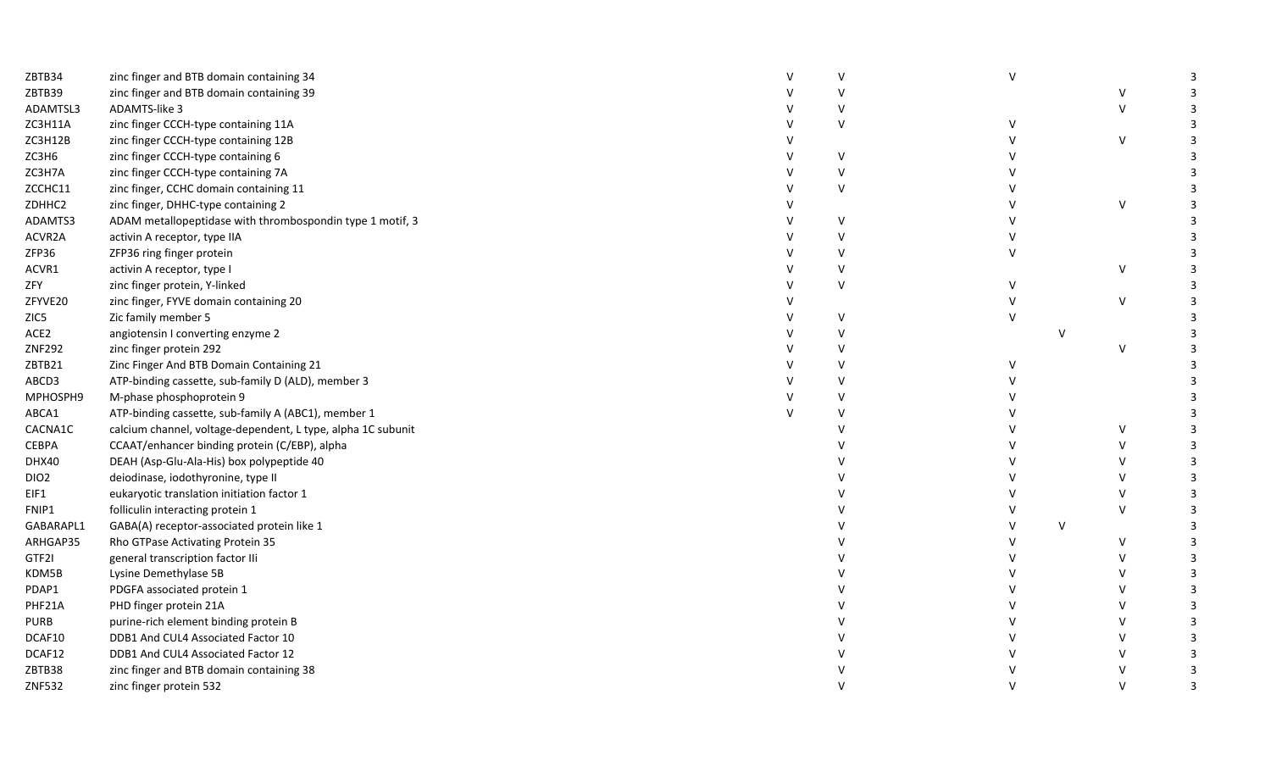| ZBTB34           | zinc finger and BTB domain containing 34                     | v       | $\vee$ |        |        |   |
|------------------|--------------------------------------------------------------|---------|--------|--------|--------|---|
| ZBTB39           | zinc finger and BTB domain containing 39                     | v       |        |        |        |   |
| ADAMTSL3         | ADAMTS-like 3                                                | V       |        |        | $\vee$ |   |
| ZC3H11A          | zinc finger CCCH-type containing 11A                         | V       |        |        |        |   |
| ZC3H12B          | zinc finger CCCH-type containing 12B                         |         |        |        | $\vee$ |   |
| ZC3H6            | zinc finger CCCH-type containing 6                           | $\vee$  |        |        |        |   |
| ZC3H7A           | zinc finger CCCH-type containing 7A                          | V       |        |        |        |   |
| ZCCHC11          | zinc finger, CCHC domain containing 11                       | V       |        |        |        |   |
| ZDHHC2           | zinc finger, DHHC-type containing 2                          |         |        |        | v      |   |
| ADAMTS3          | ADAM metallopeptidase with thrombospondin type 1 motif, 3    | $\vee$  |        |        |        |   |
| ACVR2A           | activin A receptor, type IIA                                 | v       |        |        |        |   |
| ZFP36            | ZFP36 ring finger protein                                    | $\vee$  |        |        |        |   |
| ACVR1            | activin A receptor, type I                                   | V       |        |        | v      |   |
| ZFY              | zinc finger protein, Y-linked                                | $\sf V$ |        |        |        |   |
| ZFYVE20          | zinc finger, FYVE domain containing 20                       |         |        |        | $\vee$ |   |
| ZIC5             | Zic family member 5                                          | v       |        |        |        |   |
| ACE <sub>2</sub> | angiotensin I converting enzyme 2                            | v       |        | v      |        |   |
| ZNF292           | zinc finger protein 292                                      | $\vee$  |        |        | $\vee$ |   |
| ZBTB21           | Zinc Finger And BTB Domain Containing 21                     | $\vee$  |        |        |        |   |
| ABCD3            | ATP-binding cassette, sub-family D (ALD), member 3           | v       |        |        |        |   |
| MPHOSPH9         | M-phase phosphoprotein 9                                     | v       |        |        |        |   |
| ABCA1            | ATP-binding cassette, sub-family A (ABC1), member 1          | v       |        |        |        |   |
| CACNA1C          | calcium channel, voltage-dependent, L type, alpha 1C subunit |         |        |        |        |   |
| CEBPA            | CCAAT/enhancer binding protein (C/EBP), alpha                |         |        |        |        |   |
| DHX40            | DEAH (Asp-Glu-Ala-His) box polypeptide 40                    |         |        |        |        |   |
| DIO <sub>2</sub> | deiodinase, iodothyronine, type II                           |         |        |        |        |   |
| EIF1             | eukaryotic translation initiation factor 1                   |         |        |        |        |   |
| FNIP1            | folliculin interacting protein 1                             |         |        |        |        |   |
| GABARAPL1        | GABA(A) receptor-associated protein like 1                   |         |        | $\vee$ |        |   |
| ARHGAP35         | Rho GTPase Activating Protein 35                             |         |        |        | v      |   |
| GTF2I            | general transcription factor IIi                             |         |        |        |        |   |
| KDM5B            | Lysine Demethylase 5B                                        |         |        |        |        | 3 |
| PDAP1            | PDGFA associated protein 1                                   |         |        |        |        | 3 |
| PHF21A           | PHD finger protein 21A                                       |         |        |        |        |   |
| <b>PURB</b>      | purine-rich element binding protein B                        |         |        |        |        |   |
| DCAF10           | DDB1 And CUL4 Associated Factor 10                           |         |        |        |        |   |
| DCAF12           | DDB1 And CUL4 Associated Factor 12                           |         |        |        |        |   |
| ZBTB38           | zinc finger and BTB domain containing 38                     |         |        |        |        |   |
| ZNF532           | zinc finger protein 532                                      |         |        |        |        |   |
|                  |                                                              |         |        |        |        |   |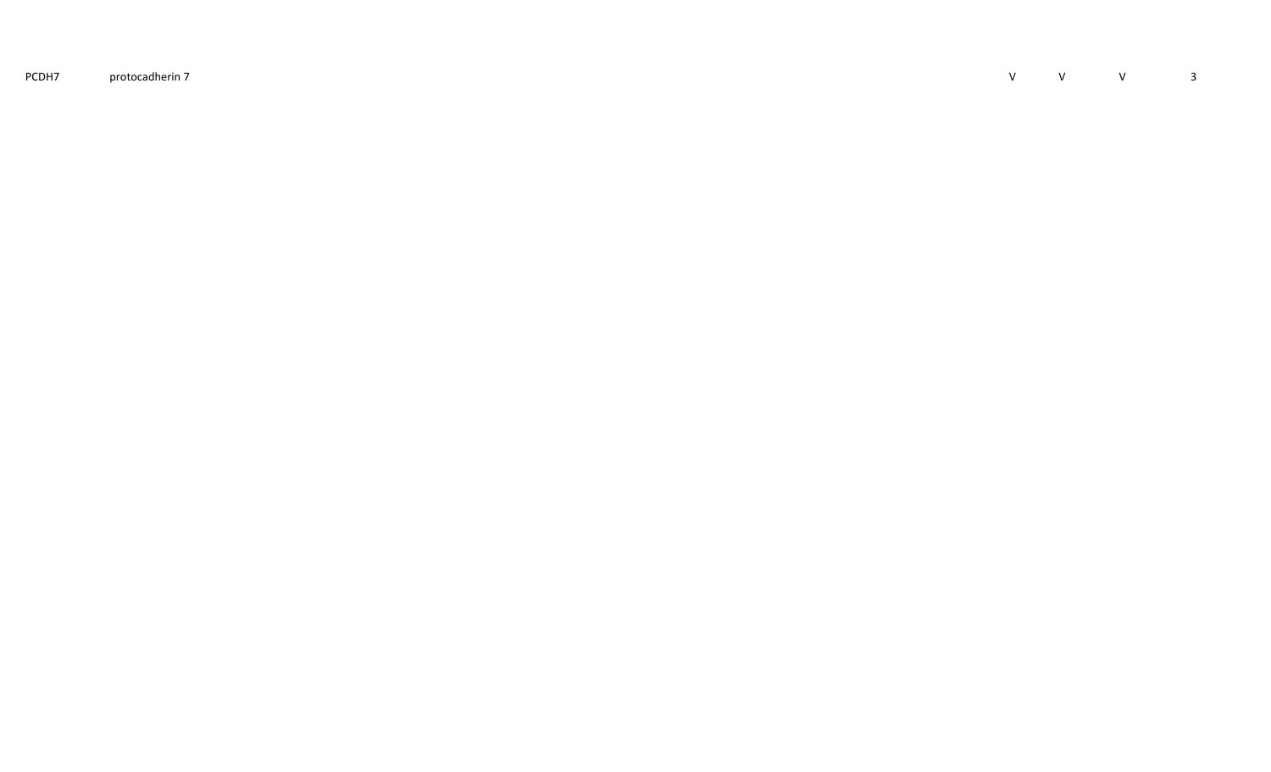PCDH7protocadherin 7 <sup>V</sup>

<sup>V</sup> <sup>V</sup> <sup>3</sup>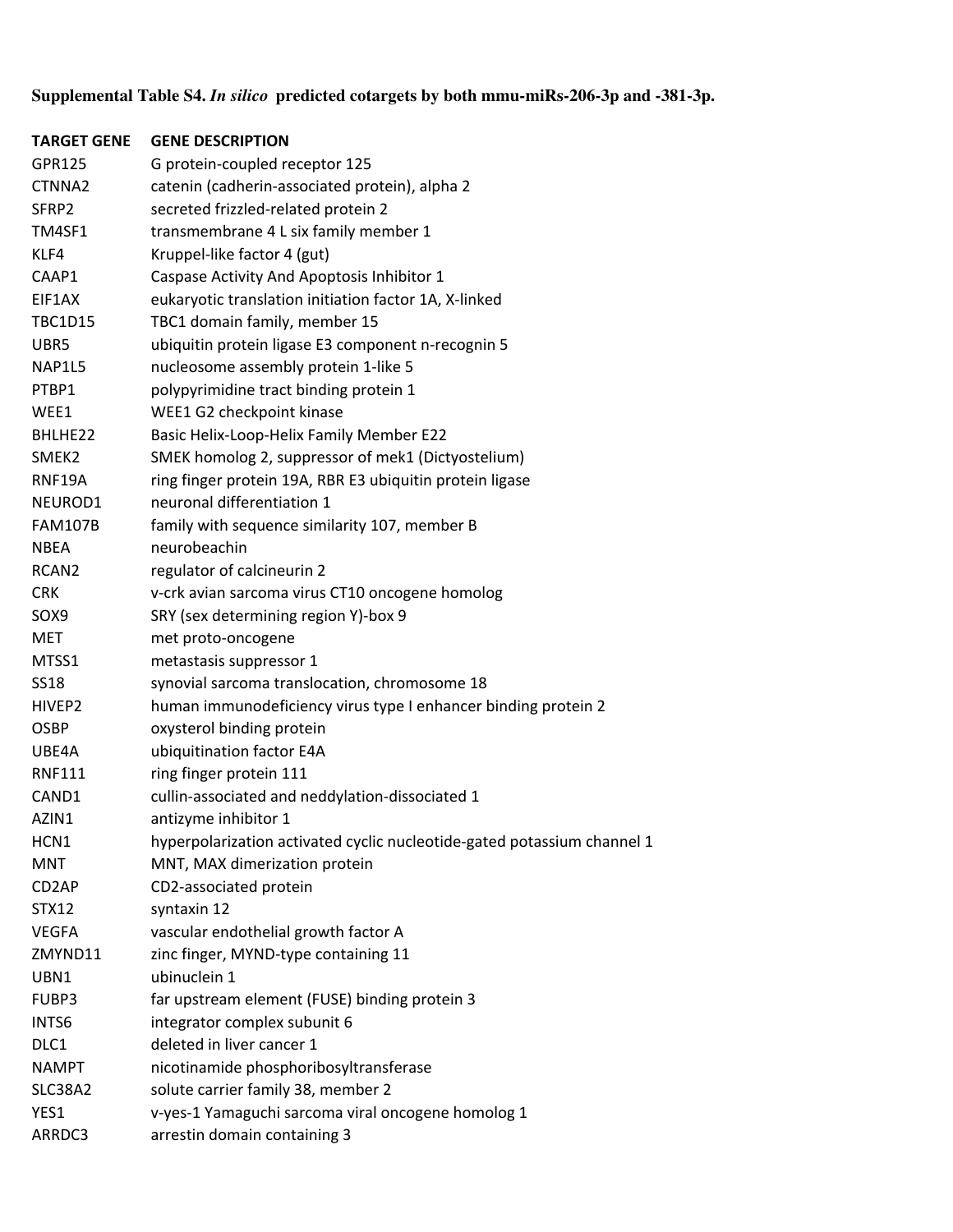## **Supplemental Table S4.** *In silico* **predicted cotargets by both mmu-miRs-206-3p and -381-3p.**

| <b>TARGET GENE</b> | <b>GENE DESCRIPTION</b>                                                 |
|--------------------|-------------------------------------------------------------------------|
| GPR125             | G protein-coupled receptor 125                                          |
| CTNNA2             | catenin (cadherin-associated protein), alpha 2                          |
| SFRP2              | secreted frizzled-related protein 2                                     |
| TM4SF1             | transmembrane 4 L six family member 1                                   |
| KLF4               | Kruppel-like factor 4 (gut)                                             |
| CAAP1              | Caspase Activity And Apoptosis Inhibitor 1                              |
| EIF1AX             | eukaryotic translation initiation factor 1A, X-linked                   |
| <b>TBC1D15</b>     | TBC1 domain family, member 15                                           |
| UBR5               | ubiquitin protein ligase E3 component n-recognin 5                      |
| NAP1L5             | nucleosome assembly protein 1-like 5                                    |
| PTBP1              | polypyrimidine tract binding protein 1                                  |
| WEE1               | WEE1 G2 checkpoint kinase                                               |
| BHLHE22            | Basic Helix-Loop-Helix Family Member E22                                |
| SMEK <sub>2</sub>  | SMEK homolog 2, suppressor of mek1 (Dictyostelium)                      |
| RNF19A             | ring finger protein 19A, RBR E3 ubiquitin protein ligase                |
| NEUROD1            | neuronal differentiation 1                                              |
| <b>FAM107B</b>     | family with sequence similarity 107, member B                           |
| <b>NBEA</b>        | neurobeachin                                                            |
| RCAN <sub>2</sub>  | regulator of calcineurin 2                                              |
| <b>CRK</b>         | v-crk avian sarcoma virus CT10 oncogene homolog                         |
| SOX9               | SRY (sex determining region Y)-box 9                                    |
| MET                | met proto-oncogene                                                      |
| MTSS1              | metastasis suppressor 1                                                 |
| <b>SS18</b>        | synovial sarcoma translocation, chromosome 18                           |
| HIVEP2             | human immunodeficiency virus type I enhancer binding protein 2          |
| <b>OSBP</b>        | oxysterol binding protein                                               |
| UBE4A              | ubiquitination factor E4A                                               |
| <b>RNF111</b>      | ring finger protein 111                                                 |
| CAND1              | cullin-associated and neddylation-dissociated 1                         |
| AZIN1              | antizyme inhibitor 1                                                    |
| HCN1               | hyperpolarization activated cyclic nucleotide-gated potassium channel 1 |
| <b>MNT</b>         | MNT, MAX dimerization protein                                           |
| CD <sub>2</sub> AP | CD2-associated protein                                                  |
| <b>STX12</b>       | syntaxin 12                                                             |
| <b>VEGFA</b>       | vascular endothelial growth factor A                                    |
| ZMYND11            | zinc finger, MYND-type containing 11                                    |
| UBN1               | ubinuclein 1                                                            |
| FUBP3              | far upstream element (FUSE) binding protein 3                           |
| INTS6              | integrator complex subunit 6                                            |
| DLC1               | deleted in liver cancer 1                                               |
| <b>NAMPT</b>       | nicotinamide phosphoribosyltransferase                                  |
| SLC38A2            | solute carrier family 38, member 2                                      |
| YES1               | v-yes-1 Yamaguchi sarcoma viral oncogene homolog 1                      |
| ARRDC3             | arrestin domain containing 3                                            |
|                    |                                                                         |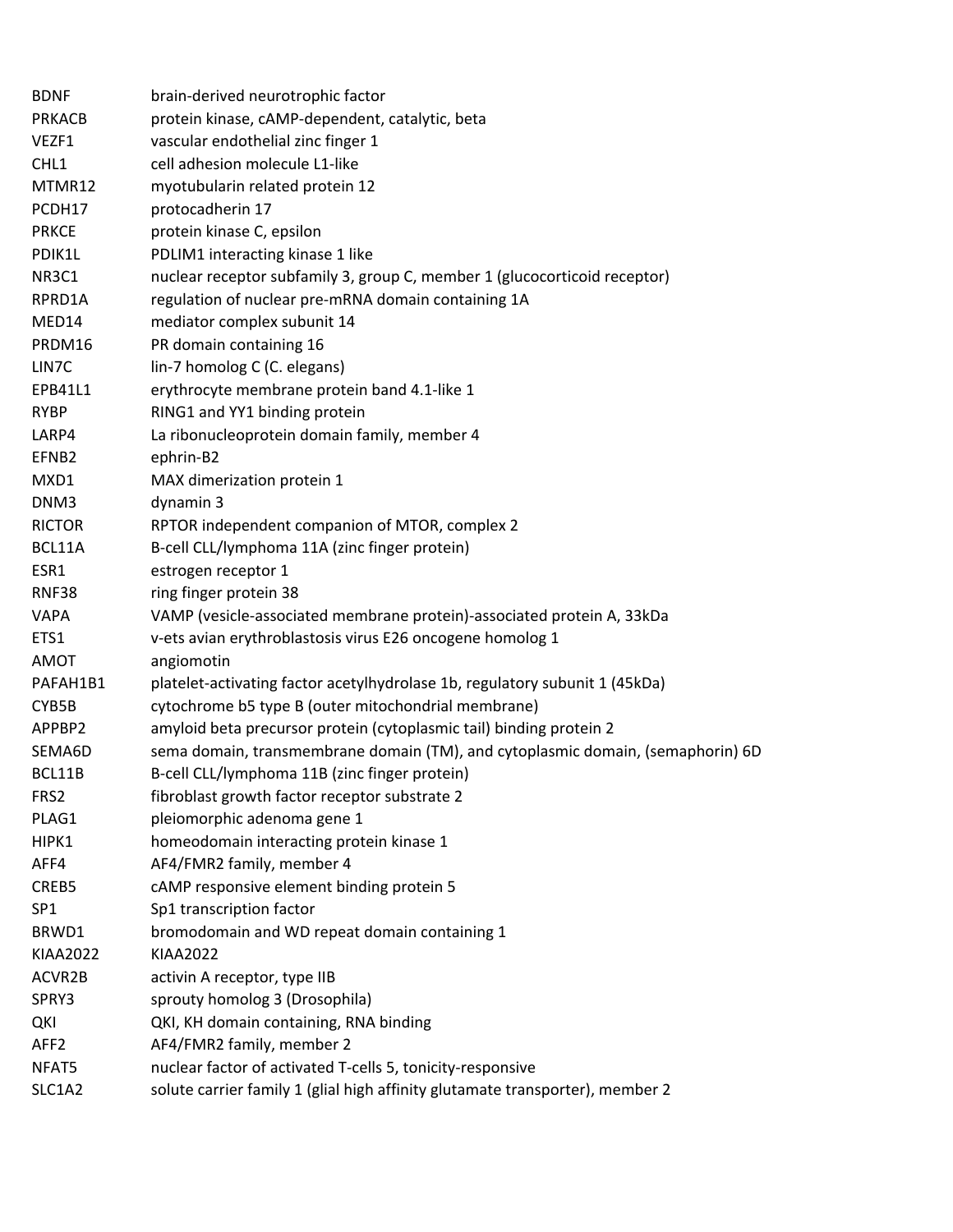| BDNF             | brain-derived neurotrophic factor                                               |
|------------------|---------------------------------------------------------------------------------|
| <b>PRKACB</b>    | protein kinase, cAMP-dependent, catalytic, beta                                 |
| VEZF1            | vascular endothelial zinc finger 1                                              |
| CHL1             | cell adhesion molecule L1-like                                                  |
| MTMR12           | myotubularin related protein 12                                                 |
| PCDH17           | protocadherin 17                                                                |
| <b>PRKCE</b>     | protein kinase C, epsilon                                                       |
| PDIK1L           | PDLIM1 interacting kinase 1 like                                                |
| NR3C1            | nuclear receptor subfamily 3, group C, member 1 (glucocorticoid receptor)       |
| RPRD1A           | regulation of nuclear pre-mRNA domain containing 1A                             |
| MED14            | mediator complex subunit 14                                                     |
| PRDM16           | PR domain containing 16                                                         |
| LIN7C            | lin-7 homolog C (C. elegans)                                                    |
| EPB41L1          | erythrocyte membrane protein band 4.1-like 1                                    |
| <b>RYBP</b>      | RING1 and YY1 binding protein                                                   |
| LARP4            | La ribonucleoprotein domain family, member 4                                    |
| EFNB2            | ephrin-B2                                                                       |
| MXD1             | MAX dimerization protein 1                                                      |
| DNM3             | dynamin 3                                                                       |
| <b>RICTOR</b>    | RPTOR independent companion of MTOR, complex 2                                  |
| BCL11A           | B-cell CLL/lymphoma 11A (zinc finger protein)                                   |
| ESR1             | estrogen receptor 1                                                             |
| RNF38            | ring finger protein 38                                                          |
| <b>VAPA</b>      | VAMP (vesicle-associated membrane protein)-associated protein A, 33kDa          |
| ETS1             | v-ets avian erythroblastosis virus E26 oncogene homolog 1                       |
| AMOT             | angiomotin                                                                      |
| PAFAH1B1         | platelet-activating factor acetylhydrolase 1b, regulatory subunit 1 (45kDa)     |
| CYB5B            | cytochrome b5 type B (outer mitochondrial membrane)                             |
| APPBP2           | amyloid beta precursor protein (cytoplasmic tail) binding protein 2             |
| SEMA6D           | sema domain, transmembrane domain (TM), and cytoplasmic domain, (semaphorin) 6D |
| BCL11B           | B-cell CLL/lymphoma 11B (zinc finger protein)                                   |
| FRS2             | fibroblast growth factor receptor substrate 2                                   |
| PLAG1            | pleiomorphic adenoma gene 1                                                     |
| HIPK1            | homeodomain interacting protein kinase 1                                        |
| AFF4             | AF4/FMR2 family, member 4                                                       |
| CREB5            | cAMP responsive element binding protein 5                                       |
| SP <sub>1</sub>  | Sp1 transcription factor                                                        |
| BRWD1            | bromodomain and WD repeat domain containing 1                                   |
| <b>KIAA2022</b>  | <b>KIAA2022</b>                                                                 |
| ACVR2B           | activin A receptor, type IIB                                                    |
| SPRY3            | sprouty homolog 3 (Drosophila)                                                  |
| QKI              | QKI, KH domain containing, RNA binding                                          |
| AFF <sub>2</sub> | AF4/FMR2 family, member 2                                                       |
| NFAT5            | nuclear factor of activated T-cells 5, tonicity-responsive                      |
| SLC1A2           | solute carrier family 1 (glial high affinity glutamate transporter), member 2   |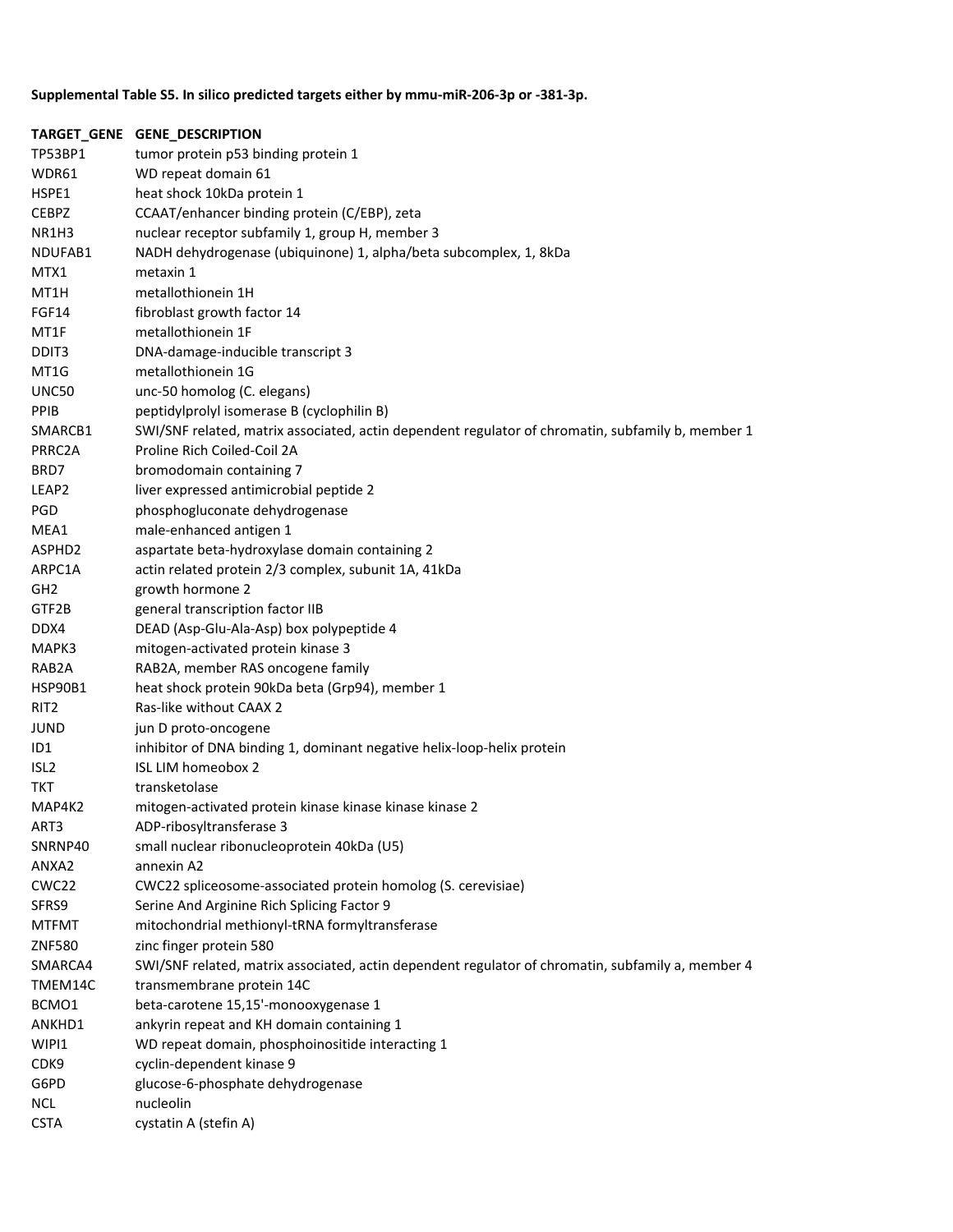## Supplemental Table S5. In silico predicted targets either by mmu-miR-206-3p or -381-3p.

|         | TARGET_GENE GENE_DESCRIPTION                                                                      |
|---------|---------------------------------------------------------------------------------------------------|
| TP53BP1 | tumor protein p53 binding protein 1                                                               |
| WDR61   | WD repeat domain 61                                                                               |
| HSPE1   | heat shock 10kDa protein 1                                                                        |
| CEBPZ   | CCAAT/enhancer binding protein (C/EBP), zeta                                                      |
| NR1H3   | nuclear receptor subfamily 1, group H, member 3                                                   |
| NDUFAB1 | NADH dehydrogenase (ubiquinone) 1, alpha/beta subcomplex, 1, 8kDa                                 |
| MTX1    | metaxin 1                                                                                         |
| MT1H    | metallothionein 1H                                                                                |
| FGF14   | fibroblast growth factor 14                                                                       |
| MT1F    | metallothionein 1F                                                                                |
| DDIT3   | DNA-damage-inducible transcript 3                                                                 |
| MT1G    | metallothionein 1G                                                                                |
| UNC50   | unc-50 homolog (C. elegans)                                                                       |
| PPIB    | peptidylprolyl isomerase B (cyclophilin B)                                                        |
| SMARCB1 | SWI/SNF related, matrix associated, actin dependent regulator of chromatin, subfamily b, member 1 |
| PRRC2A  | Proline Rich Coiled-Coil 2A                                                                       |
| BRD7    | bromodomain containing 7                                                                          |
| LEAP2   | liver expressed antimicrobial peptide 2                                                           |
| PGD     | phosphogluconate dehydrogenase                                                                    |
| MEA1    | male-enhanced antigen 1                                                                           |
| ASPHD2  | aspartate beta-hydroxylase domain containing 2                                                    |
| ARPC1A  | actin related protein 2/3 complex, subunit 1A, 41kDa                                              |
| GH2     | growth hormone 2                                                                                  |
| GTF2B   | general transcription factor IIB                                                                  |
| DDX4    | DEAD (Asp-Glu-Ala-Asp) box polypeptide 4                                                          |
| МАРКЗ   | mitogen-activated protein kinase 3                                                                |
| RAB2A   | RAB2A, member RAS oncogene family                                                                 |
| HSP90B1 | heat shock protein 90kDa beta (Grp94), member 1                                                   |
| RIT2    | Ras-like without CAAX 2                                                                           |
| JUND    | jun D proto-oncogene                                                                              |
| ID1     | inhibitor of DNA binding 1, dominant negative helix-loop-helix protein                            |
| ISL2    | ISL LIM homeobox 2                                                                                |
| TKT     | transketolase                                                                                     |
| MAP4K2  | mitogen-activated protein kinase kinase kinase kinase 2                                           |
| ART3    | ADP-ribosyltransferase 3                                                                          |
| SNRNP40 | small nuclear ribonucleoprotein 40kDa (U5)                                                        |
| ANXA2   | annexin A2                                                                                        |
| CWC22   | CWC22 spliceosome-associated protein homolog (S. cerevisiae)                                      |
| SFRS9   | Serine And Arginine Rich Splicing Factor 9                                                        |
| MTFMT   | mitochondrial methionyl-tRNA formyltransferase                                                    |
| ZNF580  | zinc finger protein 580                                                                           |
| SMARCA4 | SWI/SNF related, matrix associated, actin dependent regulator of chromatin, subfamily a, member 4 |
| TMEM14C | transmembrane protein 14C                                                                         |
| BCMO1   | beta-carotene 15,15'-monooxygenase 1                                                              |
| ANKHD1  | ankyrin repeat and KH domain containing 1                                                         |
| WIPI1   | WD repeat domain, phosphoinositide interacting 1                                                  |
| CDK9    | cyclin-dependent kinase 9                                                                         |
| G6PD    | glucose-6-phosphate dehydrogenase                                                                 |
| NCL     | nucleolin                                                                                         |
| CSTA    | cystatin A (stefin A)                                                                             |
|         |                                                                                                   |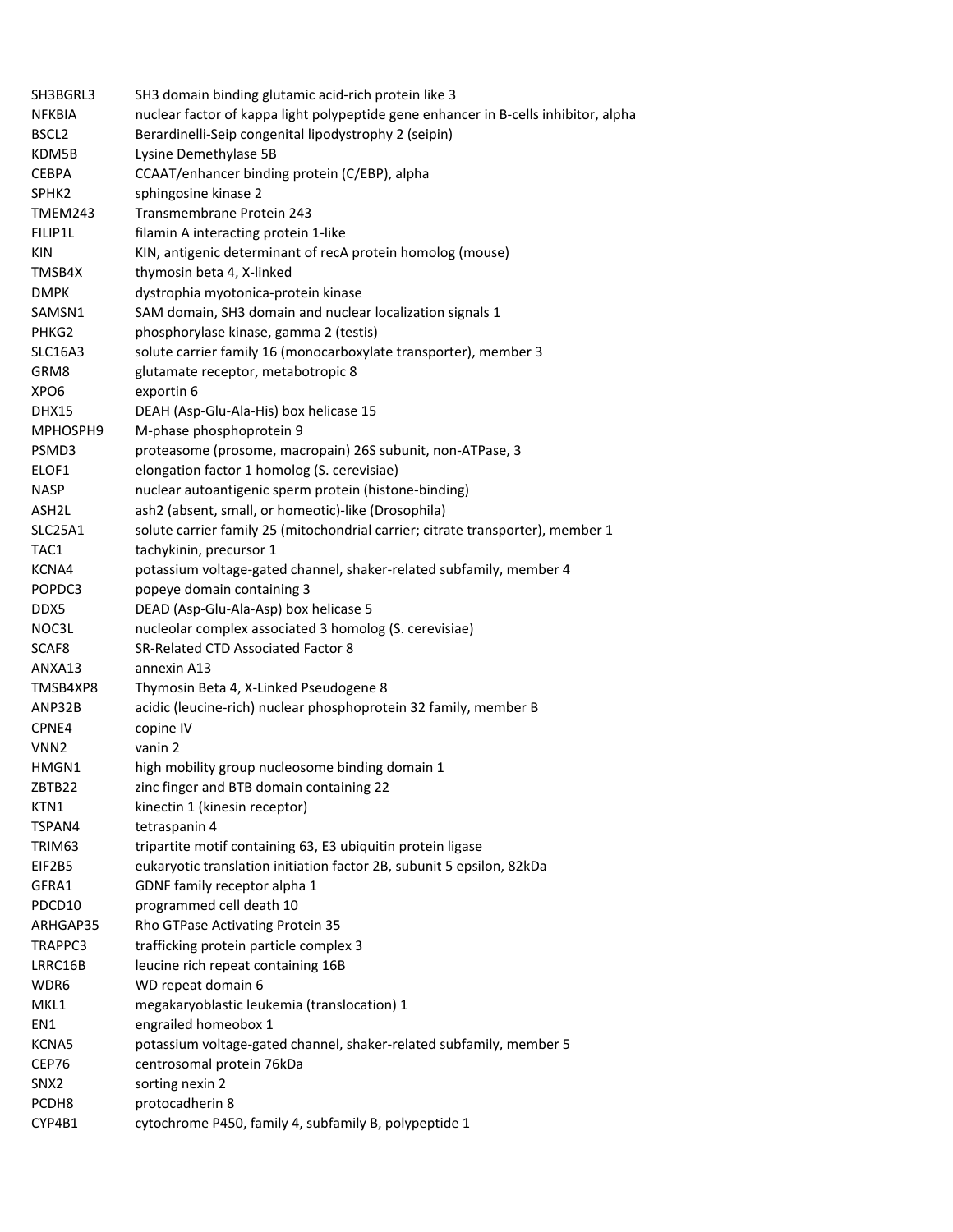| SH3BGRL3          | SH3 domain binding glutamic acid-rich protein like 3                                |
|-------------------|-------------------------------------------------------------------------------------|
| <b>NFKBIA</b>     | nuclear factor of kappa light polypeptide gene enhancer in B-cells inhibitor, alpha |
| BSCL <sub>2</sub> | Berardinelli-Seip congenital lipodystrophy 2 (seipin)                               |
| KDM5B             | Lysine Demethylase 5B                                                               |
| <b>CEBPA</b>      | CCAAT/enhancer binding protein (C/EBP), alpha                                       |
| SPHK <sub>2</sub> | sphingosine kinase 2                                                                |
| TMEM243           | Transmembrane Protein 243                                                           |
| FILIP1L           | filamin A interacting protein 1-like                                                |
| <b>KIN</b>        | KIN, antigenic determinant of recA protein homolog (mouse)                          |
| TMSB4X            | thymosin beta 4, X-linked                                                           |
| <b>DMPK</b>       | dystrophia myotonica-protein kinase                                                 |
| SAMSN1            | SAM domain, SH3 domain and nuclear localization signals 1                           |
| PHKG2             | phosphorylase kinase, gamma 2 (testis)                                              |
| <b>SLC16A3</b>    | solute carrier family 16 (monocarboxylate transporter), member 3                    |
| GRM8              | glutamate receptor, metabotropic 8                                                  |
| XPO <sub>6</sub>  | exportin 6                                                                          |
| DHX15             | DEAH (Asp-Glu-Ala-His) box helicase 15                                              |
| MPHOSPH9          | M-phase phosphoprotein 9                                                            |
| PSMD3             | proteasome (prosome, macropain) 26S subunit, non-ATPase, 3                          |
| ELOF1             | elongation factor 1 homolog (S. cerevisiae)                                         |
| <b>NASP</b>       | nuclear autoantigenic sperm protein (histone-binding)                               |
| ASH2L             | ash2 (absent, small, or homeotic)-like (Drosophila)                                 |
| <b>SLC25A1</b>    | solute carrier family 25 (mitochondrial carrier; citrate transporter), member 1     |
| TAC1              | tachykinin, precursor 1                                                             |
| KCNA4             | potassium voltage-gated channel, shaker-related subfamily, member 4                 |
| POPDC3            | popeye domain containing 3                                                          |
| DDX5              | DEAD (Asp-Glu-Ala-Asp) box helicase 5                                               |
| NOC3L             | nucleolar complex associated 3 homolog (S. cerevisiae)                              |
| SCAF8             | SR-Related CTD Associated Factor 8                                                  |
| ANXA13            | annexin A13                                                                         |
| TMSB4XP8          | Thymosin Beta 4, X-Linked Pseudogene 8                                              |
| ANP32B            | acidic (leucine-rich) nuclear phosphoprotein 32 family, member B                    |
| CPNE4             | copine IV                                                                           |
| VNN <sub>2</sub>  | vanin 2                                                                             |
| HMGN1             | high mobility group nucleosome binding domain 1                                     |
| ZBTB22            | zinc finger and BTB domain containing 22                                            |
| KTN1              | kinectin 1 (kinesin receptor)                                                       |
| TSPAN4            | tetraspanin 4                                                                       |
| TRIM63            | tripartite motif containing 63, E3 ubiquitin protein ligase                         |
| EIF2B5            | eukaryotic translation initiation factor 2B, subunit 5 epsilon, 82kDa               |
| GFRA1             | GDNF family receptor alpha 1                                                        |
| PDCD10            | programmed cell death 10                                                            |
| ARHGAP35          | Rho GTPase Activating Protein 35                                                    |
| TRAPPC3           | trafficking protein particle complex 3                                              |
| LRRC16B           | leucine rich repeat containing 16B                                                  |
| WDR6              | WD repeat domain 6                                                                  |
| MKL1              | megakaryoblastic leukemia (translocation) 1                                         |
| EN1               | engrailed homeobox 1                                                                |
| KCNA5             | potassium voltage-gated channel, shaker-related subfamily, member 5                 |
| CEP76             | centrosomal protein 76kDa                                                           |
| SNX2              | sorting nexin 2                                                                     |
| PCDH8             | protocadherin 8                                                                     |
| CYP4B1            | cytochrome P450, family 4, subfamily B, polypeptide 1                               |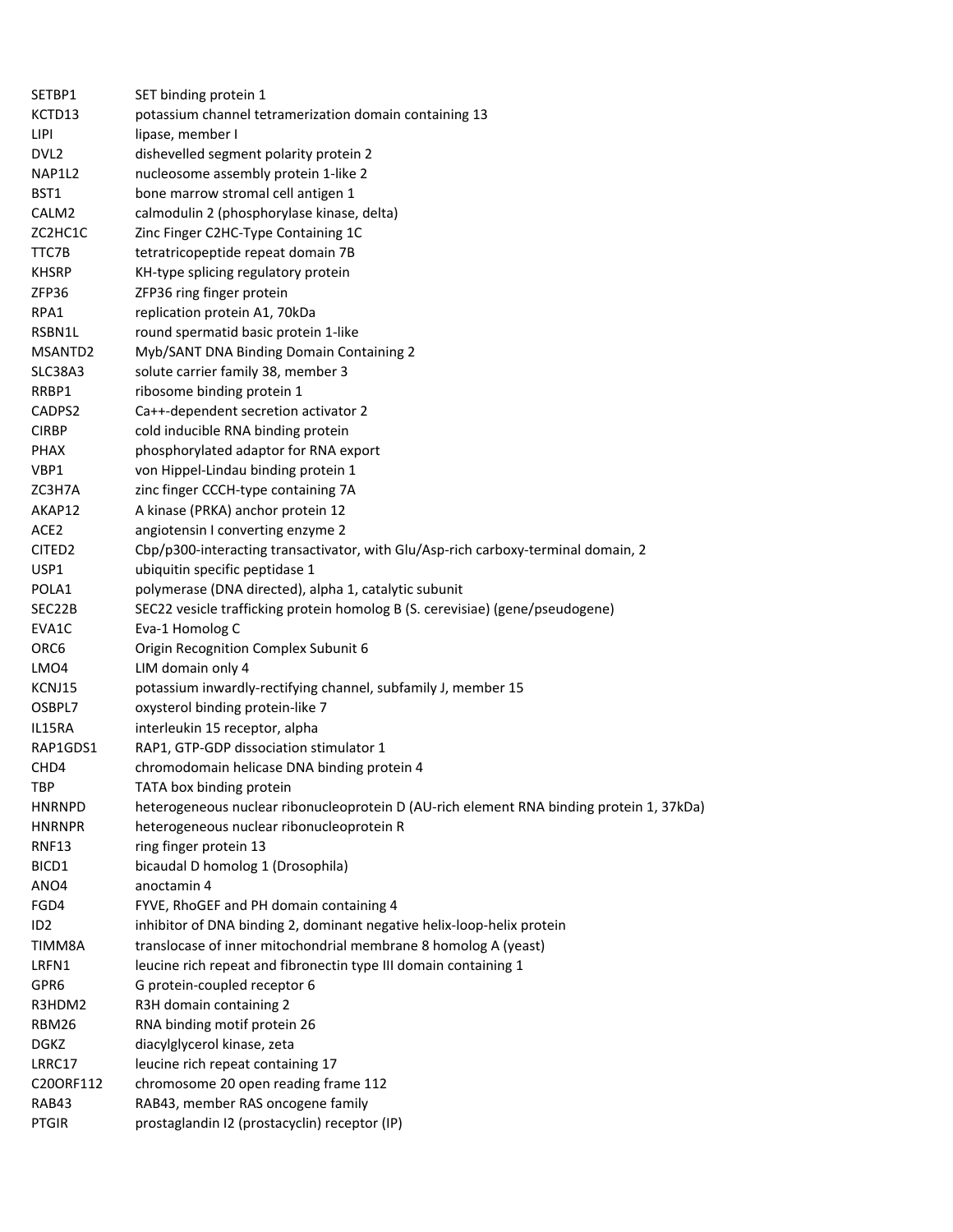| SETBP1             | SET binding protein 1                                                                    |
|--------------------|------------------------------------------------------------------------------------------|
| KCTD13             | potassium channel tetramerization domain containing 13                                   |
| <b>LIPI</b>        | lipase, member I                                                                         |
| DVL <sub>2</sub>   | dishevelled segment polarity protein 2                                                   |
| NAP1L2             | nucleosome assembly protein 1-like 2                                                     |
| BST1               | bone marrow stromal cell antigen 1                                                       |
| CALM2              | calmodulin 2 (phosphorylase kinase, delta)                                               |
| ZC2HC1C            | Zinc Finger C2HC-Type Containing 1C                                                      |
| TTC7B              | tetratricopeptide repeat domain 7B                                                       |
| <b>KHSRP</b>       | KH-type splicing regulatory protein                                                      |
| ZFP36              | ZFP36 ring finger protein                                                                |
| RPA1               | replication protein A1, 70kDa                                                            |
| RSBN1L             | round spermatid basic protein 1-like                                                     |
| MSANTD2            | Myb/SANT DNA Binding Domain Containing 2                                                 |
| SLC38A3            | solute carrier family 38, member 3                                                       |
| RRBP1              | ribosome binding protein 1                                                               |
| CADPS2             | Ca++-dependent secretion activator 2                                                     |
| <b>CIRBP</b>       | cold inducible RNA binding protein                                                       |
| <b>PHAX</b>        | phosphorylated adaptor for RNA export                                                    |
| VBP1               | von Hippel-Lindau binding protein 1                                                      |
| ZC3H7A             | zinc finger CCCH-type containing 7A                                                      |
| AKAP12             | A kinase (PRKA) anchor protein 12                                                        |
| ACE <sub>2</sub>   | angiotensin I converting enzyme 2                                                        |
| CITED <sub>2</sub> | Cbp/p300-interacting transactivator, with Glu/Asp-rich carboxy-terminal domain, 2        |
| USP1               | ubiquitin specific peptidase 1                                                           |
| POLA1              | polymerase (DNA directed), alpha 1, catalytic subunit                                    |
| SEC22B             | SEC22 vesicle trafficking protein homolog B (S. cerevisiae) (gene/pseudogene)            |
| EVA1C              | Eva-1 Homolog C                                                                          |
| ORC6               | Origin Recognition Complex Subunit 6                                                     |
| LMO4               | LIM domain only 4                                                                        |
| KCNJ15             | potassium inwardly-rectifying channel, subfamily J, member 15                            |
| OSBPL7             | oxysterol binding protein-like 7                                                         |
| IL15RA             | interleukin 15 receptor, alpha                                                           |
| RAP1GDS1           | RAP1, GTP-GDP dissociation stimulator 1                                                  |
| CH <sub>D</sub> 4  | chromodomain helicase DNA binding protein 4                                              |
| TBP                | TATA box binding protein                                                                 |
| <b>HNRNPD</b>      | heterogeneous nuclear ribonucleoprotein D (AU-rich element RNA binding protein 1, 37kDa) |
| <b>HNRNPR</b>      | heterogeneous nuclear ribonucleoprotein R                                                |
| <b>RNF13</b>       | ring finger protein 13                                                                   |
| BICD1              | bicaudal D homolog 1 (Drosophila)                                                        |
| ANO4               | anoctamin 4                                                                              |
| FGD4               | FYVE, RhoGEF and PH domain containing 4                                                  |
| ID <sub>2</sub>    | inhibitor of DNA binding 2, dominant negative helix-loop-helix protein                   |
| TIMM8A             | translocase of inner mitochondrial membrane 8 homolog A (yeast)                          |
| LRFN1              | leucine rich repeat and fibronectin type III domain containing 1                         |
| GPR6               | G protein-coupled receptor 6                                                             |
| R3HDM2             | R3H domain containing 2                                                                  |
| RBM26              | RNA binding motif protein 26                                                             |
| <b>DGKZ</b>        | diacylglycerol kinase, zeta                                                              |
| LRRC17             | leucine rich repeat containing 17                                                        |
| C20ORF112          | chromosome 20 open reading frame 112                                                     |
| RAB43              | RAB43, member RAS oncogene family                                                        |
| <b>PTGIR</b>       | prostaglandin I2 (prostacyclin) receptor (IP)                                            |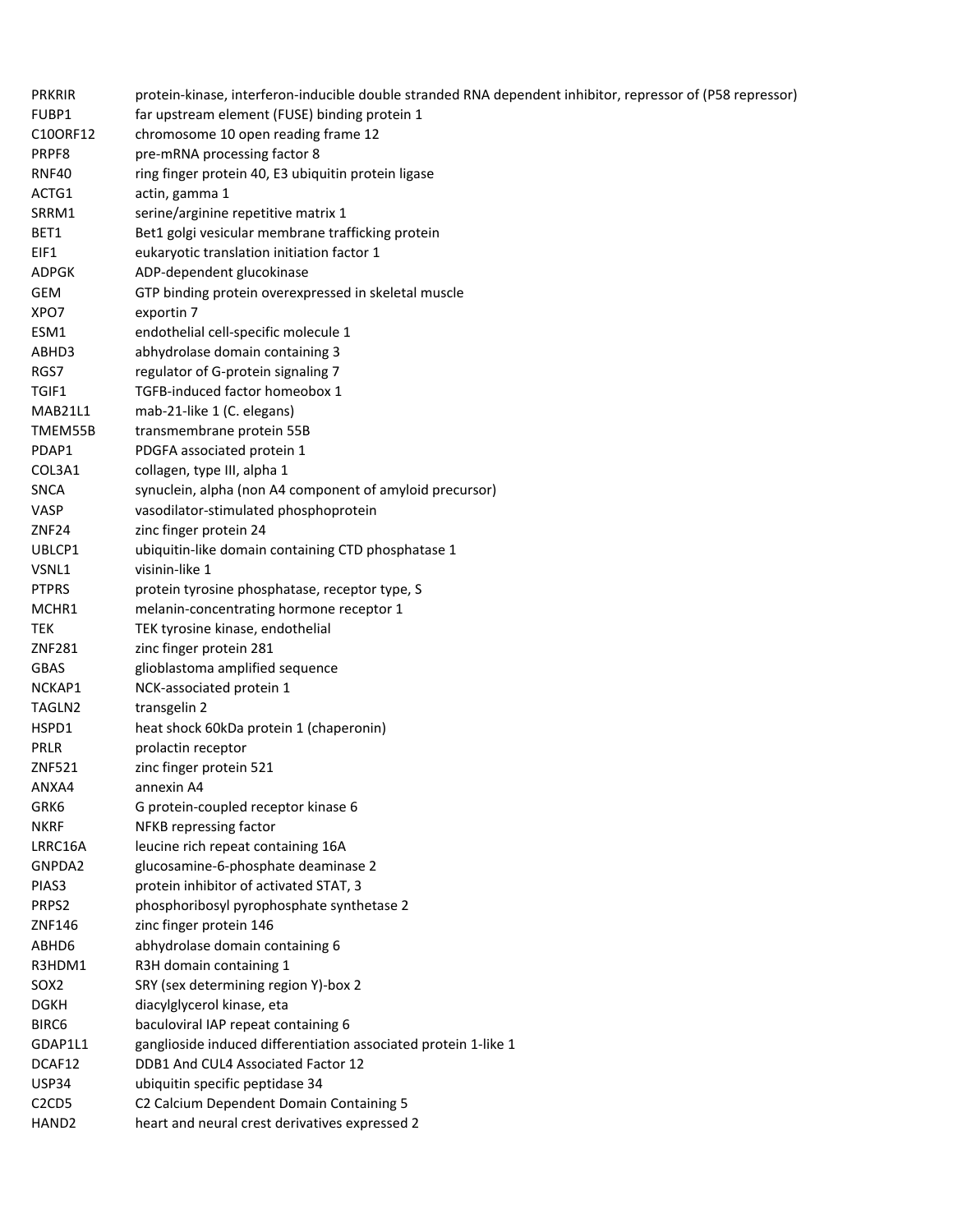| <b>PRKRIR</b>                  | protein-kinase, interferon-inducible double stranded RNA dependent inhibitor, repressor of (P58 repressor) |
|--------------------------------|------------------------------------------------------------------------------------------------------------|
| FUBP1                          | far upstream element (FUSE) binding protein 1                                                              |
| C10ORF12                       | chromosome 10 open reading frame 12                                                                        |
| PRPF8                          | pre-mRNA processing factor 8                                                                               |
| <b>RNF40</b>                   | ring finger protein 40, E3 ubiquitin protein ligase                                                        |
| ACTG1                          | actin, gamma 1                                                                                             |
| SRRM1                          | serine/arginine repetitive matrix 1                                                                        |
| BET1                           | Bet1 golgi vesicular membrane trafficking protein                                                          |
| EIF1                           | eukaryotic translation initiation factor 1                                                                 |
| ADPGK                          | ADP-dependent glucokinase                                                                                  |
| GEM                            | GTP binding protein overexpressed in skeletal muscle                                                       |
| XPO7                           | exportin 7                                                                                                 |
| ESM1                           | endothelial cell-specific molecule 1                                                                       |
| ABHD3                          | abhydrolase domain containing 3                                                                            |
| RGS7                           | regulator of G-protein signaling 7                                                                         |
| TGIF1                          | TGFB-induced factor homeobox 1                                                                             |
| MAB21L1                        | mab-21-like 1 (C. elegans)                                                                                 |
| TMEM55B                        | transmembrane protein 55B                                                                                  |
| PDAP1                          | PDGFA associated protein 1                                                                                 |
| COL3A1                         | collagen, type III, alpha 1                                                                                |
| <b>SNCA</b>                    | synuclein, alpha (non A4 component of amyloid precursor)                                                   |
| VASP                           | vasodilator-stimulated phosphoprotein                                                                      |
| ZNF <sub>24</sub>              | zinc finger protein 24                                                                                     |
| UBLCP1                         | ubiquitin-like domain containing CTD phosphatase 1                                                         |
| VSNL1                          | visinin-like 1                                                                                             |
| <b>PTPRS</b>                   | protein tyrosine phosphatase, receptor type, S                                                             |
| MCHR1                          | melanin-concentrating hormone receptor 1                                                                   |
| TEK                            | TEK tyrosine kinase, endothelial                                                                           |
| ZNF281                         | zinc finger protein 281                                                                                    |
| <b>GBAS</b>                    | glioblastoma amplified sequence                                                                            |
| NCKAP1                         | NCK-associated protein 1                                                                                   |
| TAGLN2                         | transgelin 2                                                                                               |
| HSPD1                          | heat shock 60kDa protein 1 (chaperonin)                                                                    |
| PRLR                           | prolactin receptor                                                                                         |
| ZNF521                         | zinc finger protein 521                                                                                    |
| ANXA4                          | annexin A4                                                                                                 |
| GRK6                           | G protein-coupled receptor kinase 6                                                                        |
| <b>NKRF</b>                    | NFKB repressing factor                                                                                     |
| LRRC16A                        | leucine rich repeat containing 16A                                                                         |
| GNPDA2                         | glucosamine-6-phosphate deaminase 2                                                                        |
| PIAS3                          | protein inhibitor of activated STAT, 3                                                                     |
|                                |                                                                                                            |
| PRPS2<br>ZNF146                | phosphoribosyl pyrophosphate synthetase 2<br>zinc finger protein 146                                       |
|                                |                                                                                                            |
| ABHD6                          | abhydrolase domain containing 6                                                                            |
| R3HDM1                         | R3H domain containing 1                                                                                    |
| SOX <sub>2</sub>               | SRY (sex determining region Y)-box 2                                                                       |
| <b>DGKH</b>                    | diacylglycerol kinase, eta                                                                                 |
| BIRC6                          | baculoviral IAP repeat containing 6                                                                        |
| GDAP1L1                        | ganglioside induced differentiation associated protein 1-like 1                                            |
| DCAF12                         | DDB1 And CUL4 Associated Factor 12                                                                         |
| <b>USP34</b>                   | ubiquitin specific peptidase 34                                                                            |
| C <sub>2</sub> C <sub>D5</sub> | C2 Calcium Dependent Domain Containing 5                                                                   |
| HAND <sub>2</sub>              | heart and neural crest derivatives expressed 2                                                             |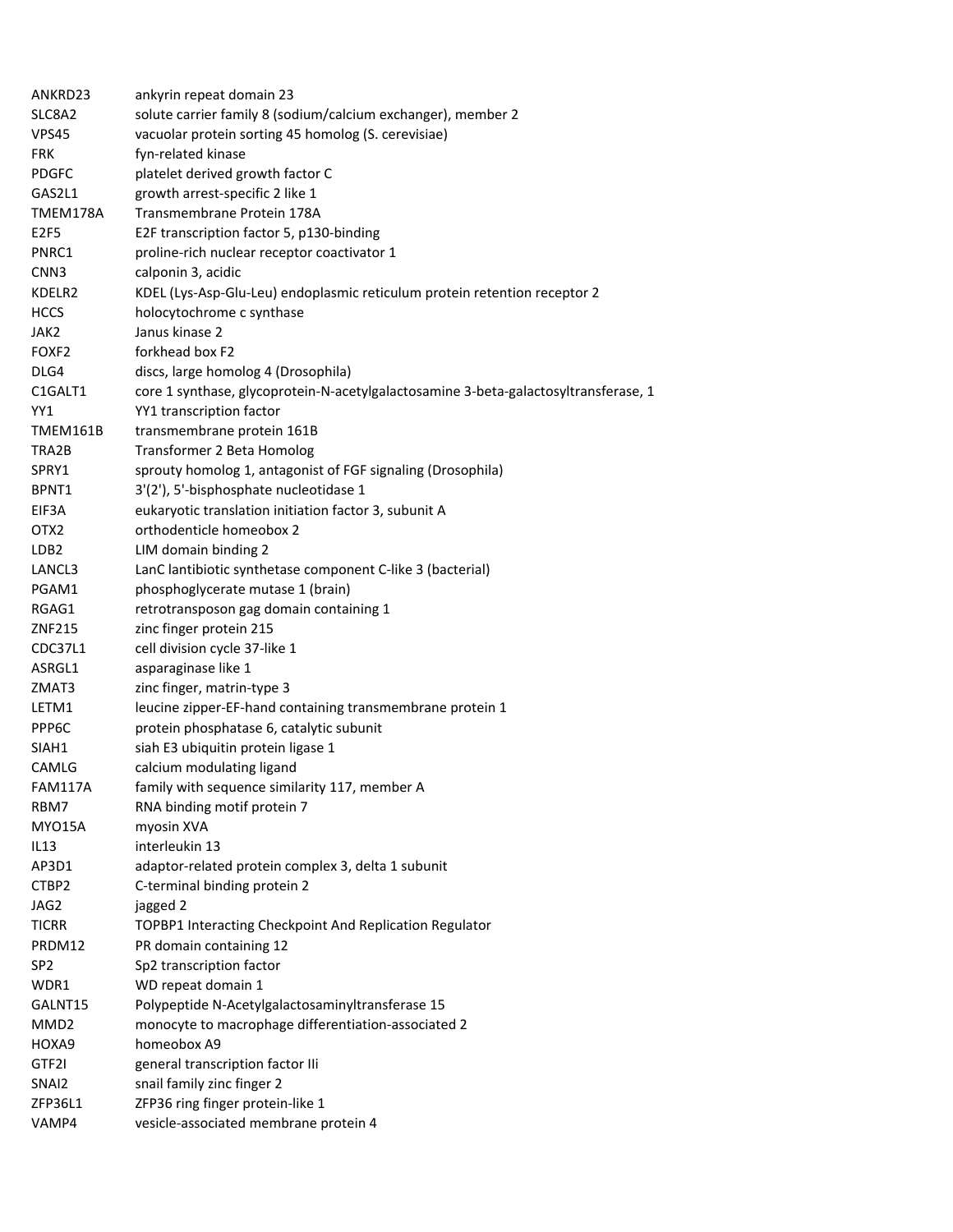| ANKRD23           | ankyrin repeat domain 23                                                            |
|-------------------|-------------------------------------------------------------------------------------|
| SLC8A2            | solute carrier family 8 (sodium/calcium exchanger), member 2                        |
| VPS45             | vacuolar protein sorting 45 homolog (S. cerevisiae)                                 |
| <b>FRK</b>        | fyn-related kinase                                                                  |
| <b>PDGFC</b>      | platelet derived growth factor C                                                    |
| GAS2L1            | growth arrest-specific 2 like 1                                                     |
| TMEM178A          | Transmembrane Protein 178A                                                          |
| E2F5              | E2F transcription factor 5, p130-binding                                            |
| PNRC1             | proline-rich nuclear receptor coactivator 1                                         |
| CNN3              | calponin 3, acidic                                                                  |
| KDELR2            | KDEL (Lys-Asp-Glu-Leu) endoplasmic reticulum protein retention receptor 2           |
| <b>HCCS</b>       | holocytochrome c synthase                                                           |
| JAK2              | Janus kinase 2                                                                      |
| FOXF <sub>2</sub> | forkhead box F2                                                                     |
| DLG4              | discs, large homolog 4 (Drosophila)                                                 |
| C1GALT1           | core 1 synthase, glycoprotein-N-acetylgalactosamine 3-beta-galactosyltransferase, 1 |
| YY1               | YY1 transcription factor                                                            |
| TMEM161B          | transmembrane protein 161B                                                          |
| TRA2B             | Transformer 2 Beta Homolog                                                          |
| SPRY1             | sprouty homolog 1, antagonist of FGF signaling (Drosophila)                         |
| BPNT1             | 3'(2'), 5'-bisphosphate nucleotidase 1                                              |
| EIF3A             | eukaryotic translation initiation factor 3, subunit A                               |
| OTX <sub>2</sub>  | orthodenticle homeobox 2                                                            |
| LDB <sub>2</sub>  | LIM domain binding 2                                                                |
| LANCL3            | LanC lantibiotic synthetase component C-like 3 (bacterial)                          |
| PGAM1             | phosphoglycerate mutase 1 (brain)                                                   |
| RGAG1             | retrotransposon gag domain containing 1                                             |
| ZNF215            | zinc finger protein 215                                                             |
| CDC37L1           | cell division cycle 37-like 1                                                       |
| ASRGL1            | asparaginase like 1                                                                 |
| ZMAT3             | zinc finger, matrin-type 3                                                          |
| LETM1             | leucine zipper-EF-hand containing transmembrane protein 1                           |
| PPP6C             | protein phosphatase 6, catalytic subunit                                            |
| SIAH1             | siah E3 ubiquitin protein ligase 1                                                  |
| CAMLG             | calcium modulating ligand                                                           |
| <b>FAM117A</b>    | family with sequence similarity 117, member A                                       |
| RBM7              | RNA binding motif protein 7                                                         |
| MYO15A            | myosin XVA                                                                          |
| IL13              | interleukin 13                                                                      |
| AP3D1             | adaptor-related protein complex 3, delta 1 subunit                                  |
| CTBP2             | C-terminal binding protein 2                                                        |
| JAG2              | jagged 2                                                                            |
| <b>TICRR</b>      | TOPBP1 Interacting Checkpoint And Replication Regulator                             |
| PRDM12            | PR domain containing 12                                                             |
|                   |                                                                                     |
| SP <sub>2</sub>   | Sp2 transcription factor                                                            |
| WDR1              | WD repeat domain 1                                                                  |
| GALNT15           | Polypeptide N-Acetylgalactosaminyltransferase 15                                    |
| MMD <sub>2</sub>  | monocyte to macrophage differentiation-associated 2                                 |
| HOXA9             | homeobox A9                                                                         |
| GTF2I             | general transcription factor IIi                                                    |
| SNAI2             | snail family zinc finger 2                                                          |
| ZFP36L1           | ZFP36 ring finger protein-like 1                                                    |
| VAMP4             | vesicle-associated membrane protein 4                                               |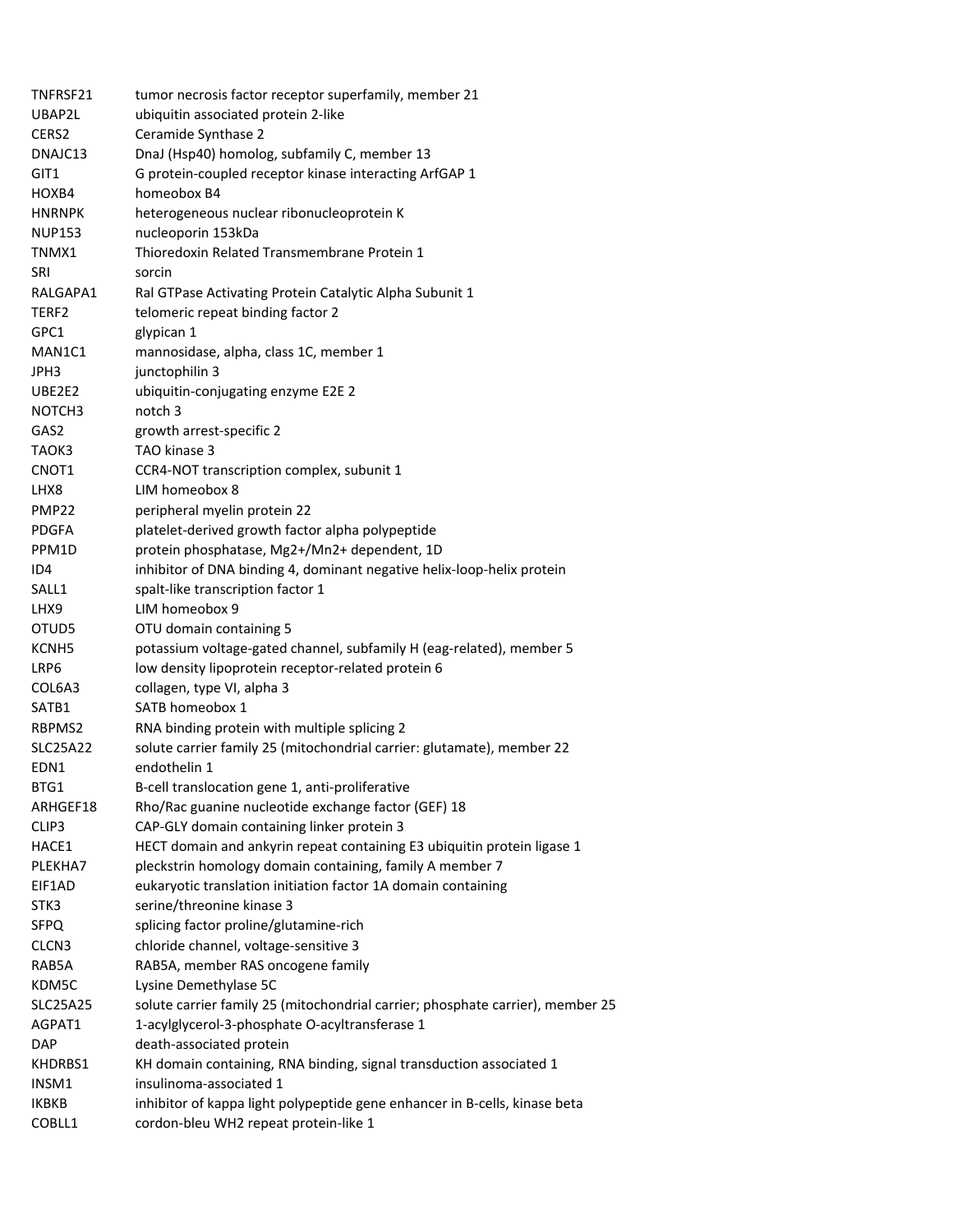| TNFRSF21           | tumor necrosis factor receptor superfamily, member 21                          |
|--------------------|--------------------------------------------------------------------------------|
| UBAP2L             | ubiquitin associated protein 2-like                                            |
| CERS2              | Ceramide Synthase 2                                                            |
| DNAJC13            | DnaJ (Hsp40) homolog, subfamily C, member 13                                   |
| GIT1               | G protein-coupled receptor kinase interacting ArfGAP 1                         |
| HOXB4              | homeobox B4                                                                    |
| <b>HNRNPK</b>      | heterogeneous nuclear ribonucleoprotein K                                      |
| <b>NUP153</b>      | nucleoporin 153kDa                                                             |
| TNMX1              | Thioredoxin Related Transmembrane Protein 1                                    |
| SRI                | sorcin                                                                         |
| RALGAPA1           | Ral GTPase Activating Protein Catalytic Alpha Subunit 1                        |
| TERF2              | telomeric repeat binding factor 2                                              |
| GPC1               | glypican 1                                                                     |
| MAN1C1             | mannosidase, alpha, class 1C, member 1                                         |
| JPH3               | junctophilin 3                                                                 |
| UBE2E2             | ubiquitin-conjugating enzyme E2E 2                                             |
| NOTCH <sub>3</sub> | notch <sub>3</sub>                                                             |
| GAS2               | growth arrest-specific 2                                                       |
| TAOK3              | TAO kinase 3                                                                   |
| CNOT1              | CCR4-NOT transcription complex, subunit 1                                      |
| LHX8               | LIM homeobox 8                                                                 |
| <b>PMP22</b>       | peripheral myelin protein 22                                                   |
| <b>PDGFA</b>       | platelet-derived growth factor alpha polypeptide                               |
| PPM1D              | protein phosphatase, Mg2+/Mn2+ dependent, 1D                                   |
| ID4                | inhibitor of DNA binding 4, dominant negative helix-loop-helix protein         |
| SALL1              | spalt-like transcription factor 1                                              |
| LHX9               | LIM homeobox 9                                                                 |
| OTUD5              | OTU domain containing 5                                                        |
| KCNH <sub>5</sub>  | potassium voltage-gated channel, subfamily H (eag-related), member 5           |
| LRP6               | low density lipoprotein receptor-related protein 6                             |
| COL6A3             | collagen, type VI, alpha 3                                                     |
| SATB1              | SATB homeobox 1                                                                |
| RBPMS2             | RNA binding protein with multiple splicing 2                                   |
| SLC25A22           | solute carrier family 25 (mitochondrial carrier: glutamate), member 22         |
| EDN1               | endothelin 1                                                                   |
| BTG1               | B-cell translocation gene 1, anti-proliferative                                |
| ARHGEF18           | Rho/Rac guanine nucleotide exchange factor (GEF) 18                            |
| CLIP3              | CAP-GLY domain containing linker protein 3                                     |
| HACE1              | HECT domain and ankyrin repeat containing E3 ubiquitin protein ligase 1        |
| PLEKHA7            | pleckstrin homology domain containing, family A member 7                       |
| EIF1AD             | eukaryotic translation initiation factor 1A domain containing                  |
| STK3               | serine/threonine kinase 3                                                      |
| SFPQ               | splicing factor proline/glutamine-rich                                         |
| CLCN3              | chloride channel, voltage-sensitive 3                                          |
| RAB5A              | RAB5A, member RAS oncogene family                                              |
| KDM5C              | Lysine Demethylase 5C                                                          |
| <b>SLC25A25</b>    | solute carrier family 25 (mitochondrial carrier; phosphate carrier), member 25 |
| AGPAT1             | 1-acylglycerol-3-phosphate O-acyltransferase 1                                 |
| <b>DAP</b>         | death-associated protein                                                       |
| KHDRBS1            | KH domain containing, RNA binding, signal transduction associated 1            |
| INSM1              | insulinoma-associated 1                                                        |
| IKBKB              | inhibitor of kappa light polypeptide gene enhancer in B-cells, kinase beta     |
| COBLL1             | cordon-bleu WH2 repeat protein-like 1                                          |
|                    |                                                                                |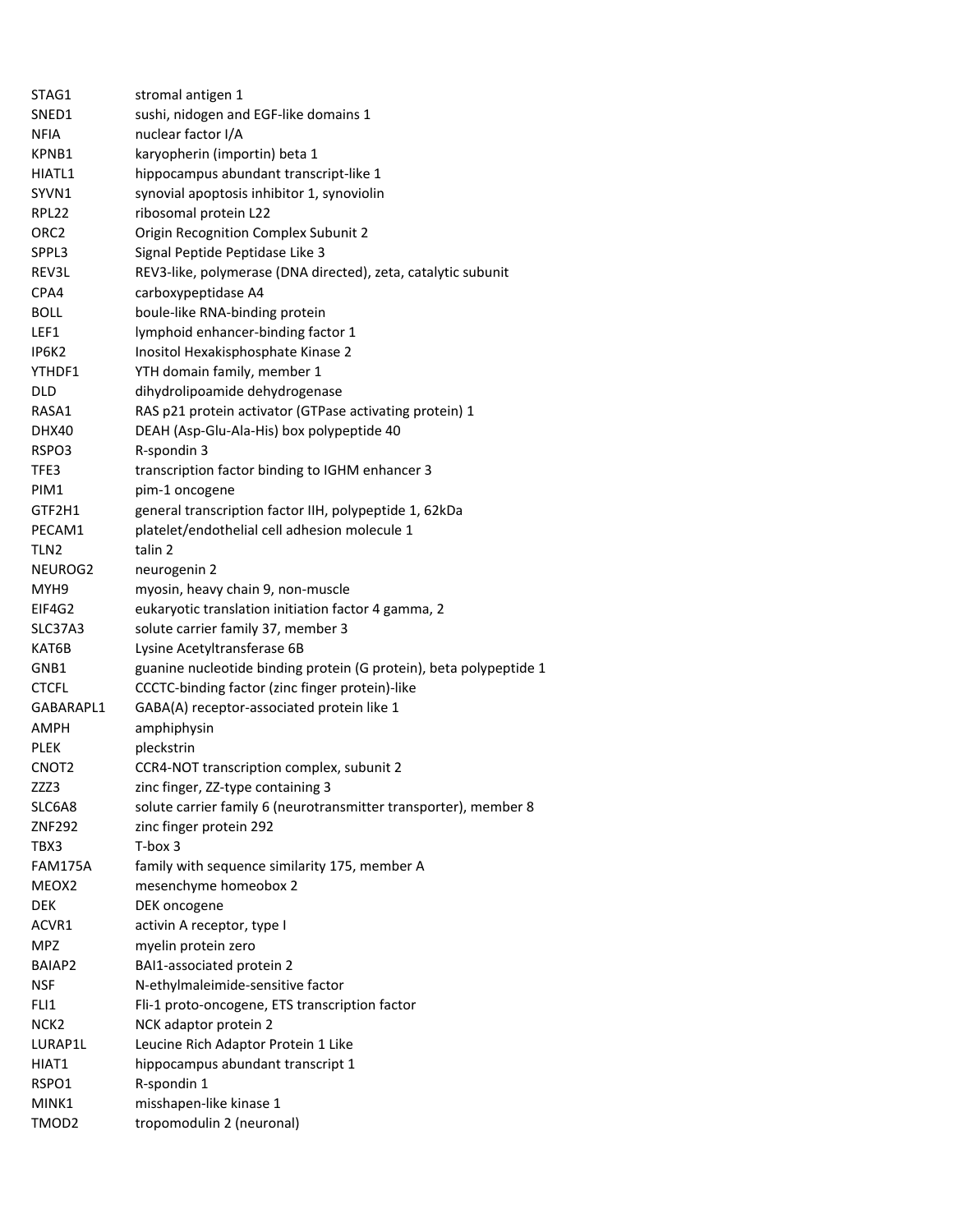| STAG1             | stromal antigen 1                                                  |
|-------------------|--------------------------------------------------------------------|
| SNED1             | sushi, nidogen and EGF-like domains 1                              |
| NFIA              | nuclear factor I/A                                                 |
| KPNB1             | karyopherin (importin) beta 1                                      |
| HIATL1            | hippocampus abundant transcript-like 1                             |
| SYVN1             | synovial apoptosis inhibitor 1, synoviolin                         |
| RPL22             | ribosomal protein L22                                              |
| ORC2              | Origin Recognition Complex Subunit 2                               |
| SPPL3             | Signal Peptide Peptidase Like 3                                    |
| REV3L             | REV3-like, polymerase (DNA directed), zeta, catalytic subunit      |
| CPA4              | carboxypeptidase A4                                                |
| <b>BOLL</b>       | boule-like RNA-binding protein                                     |
| LEF1              | lymphoid enhancer-binding factor 1                                 |
| IP6K2             | Inositol Hexakisphosphate Kinase 2                                 |
| YTHDF1            | YTH domain family, member 1                                        |
| <b>DLD</b>        | dihydrolipoamide dehydrogenase                                     |
| RASA1             | RAS p21 protein activator (GTPase activating protein) 1            |
| <b>DHX40</b>      | DEAH (Asp-Glu-Ala-His) box polypeptide 40                          |
| RSPO3             | R-spondin 3                                                        |
| TFE3              | transcription factor binding to IGHM enhancer 3                    |
| PIM1              | pim-1 oncogene                                                     |
| GTF2H1            | general transcription factor IIH, polypeptide 1, 62kDa             |
| PECAM1            | platelet/endothelial cell adhesion molecule 1                      |
| TLN2              | talin 2                                                            |
| NEUROG2           | neurogenin 2                                                       |
| MYH9              | myosin, heavy chain 9, non-muscle                                  |
| EIF4G2            | eukaryotic translation initiation factor 4 gamma, 2                |
| SLC37A3           | solute carrier family 37, member 3                                 |
| KAT6B             | Lysine Acetyltransferase 6B                                        |
| GNB1              | guanine nucleotide binding protein (G protein), beta polypeptide 1 |
| <b>CTCFL</b>      | CCCTC-binding factor (zinc finger protein)-like                    |
| GABARAPL1         | GABA(A) receptor-associated protein like 1                         |
| AMPH              | amphiphysin                                                        |
| PLEK              | pleckstrin                                                         |
| CNOT2             | CCR4-NOT transcription complex, subunit 2                          |
| ZZZ3              | zinc finger, ZZ-type containing 3                                  |
| SLC6A8            | solute carrier family 6 (neurotransmitter transporter), member 8   |
| ZNF292            | zinc finger protein 292                                            |
| TBX3              | $T-box 3$                                                          |
| FAM175A           | family with sequence similarity 175, member A                      |
| MEOX <sub>2</sub> | mesenchyme homeobox 2                                              |
| DEK               | DEK oncogene                                                       |
| ACVR1             | activin A receptor, type I                                         |
| MPZ               | myelin protein zero                                                |
| BAIAP2            | BAI1-associated protein 2                                          |
| <b>NSF</b>        | N-ethylmaleimide-sensitive factor                                  |
| FLI1              | Fli-1 proto-oncogene, ETS transcription factor                     |
| NCK <sub>2</sub>  | NCK adaptor protein 2                                              |
| LURAP1L           | Leucine Rich Adaptor Protein 1 Like                                |
| HIAT1             | hippocampus abundant transcript 1                                  |
| RSPO1             | R-spondin 1                                                        |
| MINK1             | misshapen-like kinase 1                                            |
| TMOD2             | tropomodulin 2 (neuronal)                                          |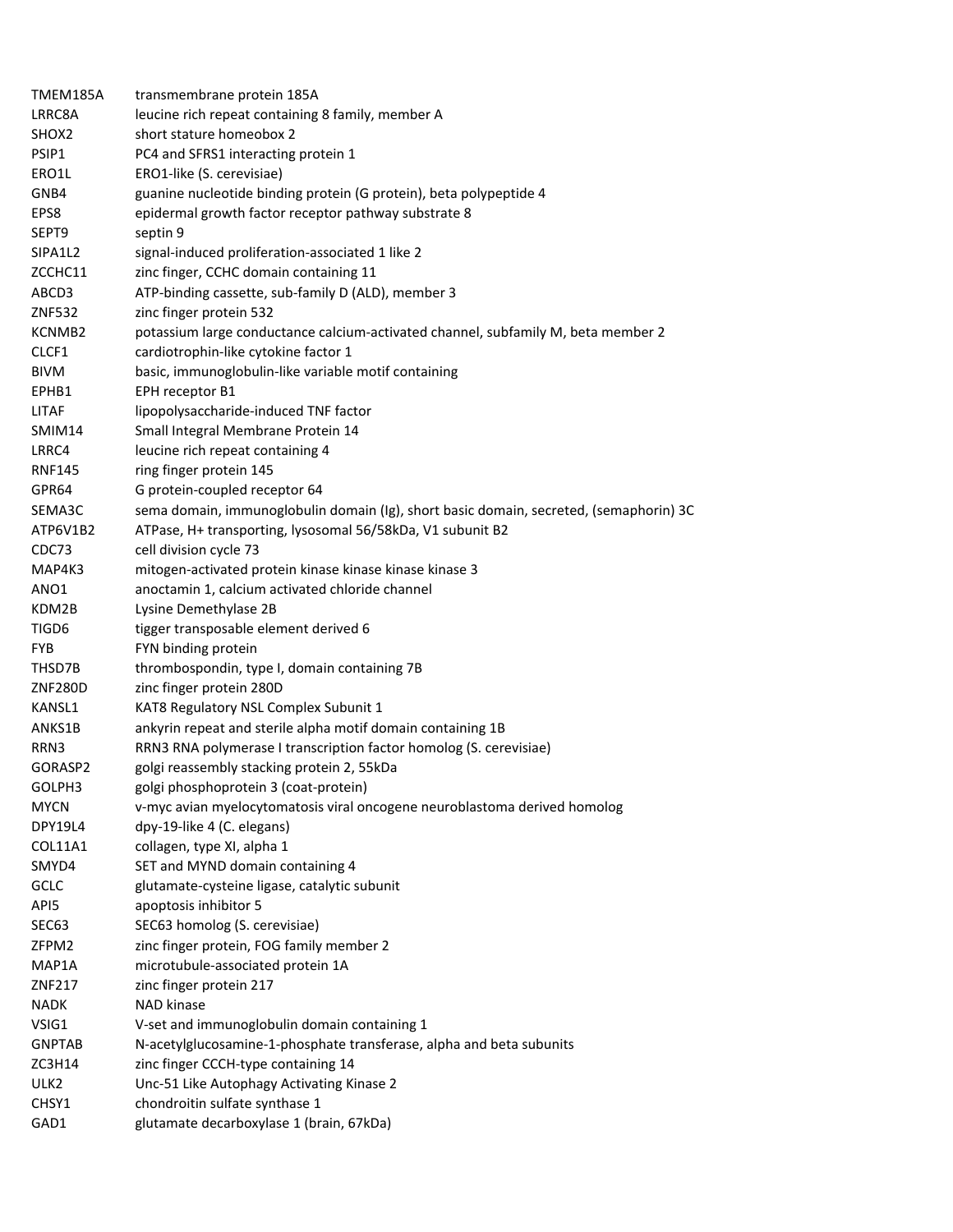| TMEM185A          | transmembrane protein 185A                                                             |
|-------------------|----------------------------------------------------------------------------------------|
| LRRC8A            | leucine rich repeat containing 8 family, member A                                      |
| SHOX <sub>2</sub> | short stature homeobox 2                                                               |
| PSIP1             | PC4 and SFRS1 interacting protein 1                                                    |
| ERO1L             | ERO1-like (S. cerevisiae)                                                              |
| GNB4              | guanine nucleotide binding protein (G protein), beta polypeptide 4                     |
| EPS8              | epidermal growth factor receptor pathway substrate 8                                   |
| SEPT9             | septin 9                                                                               |
| SIPA1L2           | signal-induced proliferation-associated 1 like 2                                       |
| ZCCHC11           | zinc finger, CCHC domain containing 11                                                 |
| ABCD3             | ATP-binding cassette, sub-family D (ALD), member 3                                     |
| <b>ZNF532</b>     | zinc finger protein 532                                                                |
| KCNMB2            | potassium large conductance calcium-activated channel, subfamily M, beta member 2      |
| CLCF1             | cardiotrophin-like cytokine factor 1                                                   |
| BIVM              | basic, immunoglobulin-like variable motif containing                                   |
| EPHB1             | EPH receptor B1                                                                        |
| LITAF             | lipopolysaccharide-induced TNF factor                                                  |
| SMIM14            | Small Integral Membrane Protein 14                                                     |
| LRRC4             | leucine rich repeat containing 4                                                       |
| <b>RNF145</b>     | ring finger protein 145                                                                |
| GPR64             | G protein-coupled receptor 64                                                          |
| SEMA3C            | sema domain, immunoglobulin domain (Ig), short basic domain, secreted, (semaphorin) 3C |
| ATP6V1B2          | ATPase, H+ transporting, lysosomal 56/58kDa, V1 subunit B2                             |
| CDC73             | cell division cycle 73                                                                 |
| MAP4K3            | mitogen-activated protein kinase kinase kinase kinase 3                                |
| ANO1              | anoctamin 1, calcium activated chloride channel                                        |
| KDM2B             | Lysine Demethylase 2B                                                                  |
| TIGD6             | tigger transposable element derived 6                                                  |
| <b>FYB</b>        | FYN binding protein                                                                    |
| THSD7B            | thrombospondin, type I, domain containing 7B                                           |
| ZNF280D           | zinc finger protein 280D                                                               |
| KANSL1            | KAT8 Regulatory NSL Complex Subunit 1                                                  |
| ANKS1B            | ankyrin repeat and sterile alpha motif domain containing 1B                            |
| RRN3              | RRN3 RNA polymerase I transcription factor homolog (S. cerevisiae)                     |
| GORASP2           | golgi reassembly stacking protein 2, 55kDa                                             |
| GOLPH3            | golgi phosphoprotein 3 (coat-protein)                                                  |
| <b>MYCN</b>       | v-myc avian myelocytomatosis viral oncogene neuroblastoma derived homolog              |
| DPY19L4           | dpy-19-like 4 (C. elegans)                                                             |
| COL11A1           | collagen, type XI, alpha 1                                                             |
| SMYD4             | SET and MYND domain containing 4                                                       |
| GCLC              | glutamate-cysteine ligase, catalytic subunit                                           |
| API5              | apoptosis inhibitor 5                                                                  |
| SEC63             | SEC63 homolog (S. cerevisiae)                                                          |
| ZFPM2             | zinc finger protein, FOG family member 2                                               |
| MAP1A             | microtubule-associated protein 1A                                                      |
| ZNF217            | zinc finger protein 217                                                                |
| <b>NADK</b>       | NAD kinase                                                                             |
| VSIG1             | V-set and immunoglobulin domain containing 1                                           |
| <b>GNPTAB</b>     | N-acetylglucosamine-1-phosphate transferase, alpha and beta subunits                   |
| ZC3H14            | zinc finger CCCH-type containing 14                                                    |
| ULK2              | Unc-51 Like Autophagy Activating Kinase 2                                              |
| CHSY1             | chondroitin sulfate synthase 1                                                         |
| GAD1              | glutamate decarboxylase 1 (brain, 67kDa)                                               |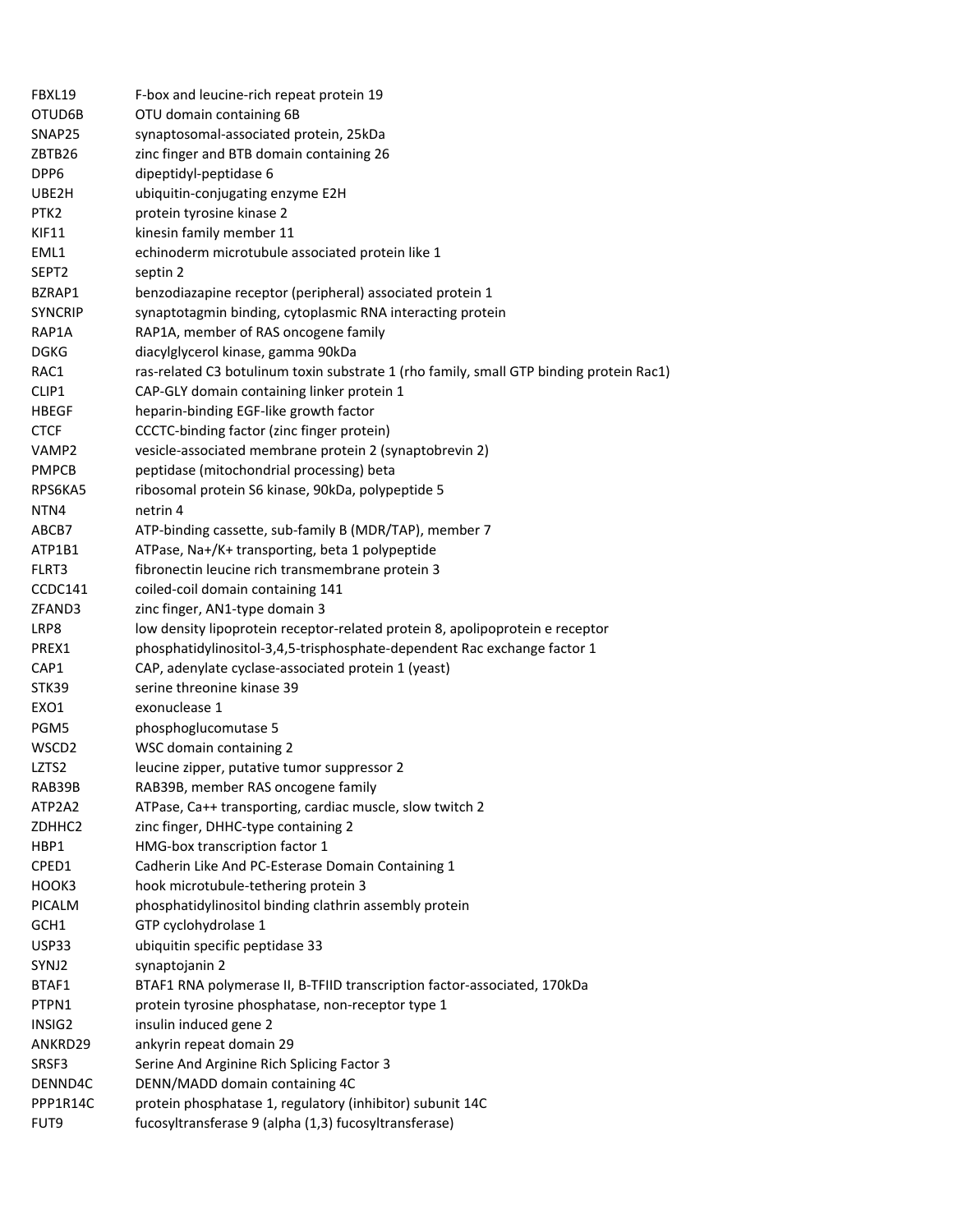| FBXL19            | F-box and leucine-rich repeat protein 19                                                |
|-------------------|-----------------------------------------------------------------------------------------|
| OTUD6B            | OTU domain containing 6B                                                                |
| SNAP25            | synaptosomal-associated protein, 25kDa                                                  |
| ZBTB26            | zinc finger and BTB domain containing 26                                                |
| DPP6              | dipeptidyl-peptidase 6                                                                  |
| UBE2H             | ubiquitin-conjugating enzyme E2H                                                        |
| PTK2              | protein tyrosine kinase 2                                                               |
| KIF11             | kinesin family member 11                                                                |
| EML1              | echinoderm microtubule associated protein like 1                                        |
| SEPT2             | septin 2                                                                                |
| BZRAP1            | benzodiazapine receptor (peripheral) associated protein 1                               |
| <b>SYNCRIP</b>    | synaptotagmin binding, cytoplasmic RNA interacting protein                              |
| RAP1A             | RAP1A, member of RAS oncogene family                                                    |
| <b>DGKG</b>       | diacylglycerol kinase, gamma 90kDa                                                      |
| RAC1              | ras-related C3 botulinum toxin substrate 1 (rho family, small GTP binding protein Rac1) |
| CLIP1             | CAP-GLY domain containing linker protein 1                                              |
| <b>HBEGF</b>      | heparin-binding EGF-like growth factor                                                  |
| <b>CTCF</b>       | CCCTC-binding factor (zinc finger protein)                                              |
| VAMP2             | vesicle-associated membrane protein 2 (synaptobrevin 2)                                 |
| <b>PMPCB</b>      | peptidase (mitochondrial processing) beta                                               |
| RPS6KA5           | ribosomal protein S6 kinase, 90kDa, polypeptide 5                                       |
| NTN4              | netrin 4                                                                                |
| ABCB7             | ATP-binding cassette, sub-family B (MDR/TAP), member 7                                  |
| ATP1B1            | ATPase, Na+/K+ transporting, beta 1 polypeptide                                         |
| FLRT3             | fibronectin leucine rich transmembrane protein 3                                        |
| CCDC141           | coiled-coil domain containing 141                                                       |
| ZFAND3            | zinc finger, AN1-type domain 3                                                          |
| LRP8              | low density lipoprotein receptor-related protein 8, apolipoprotein e receptor           |
| PREX1             | phosphatidylinositol-3,4,5-trisphosphate-dependent Rac exchange factor 1                |
| CAP1              | CAP, adenylate cyclase-associated protein 1 (yeast)                                     |
| STK39             | serine threonine kinase 39                                                              |
| EXO1              | exonuclease 1                                                                           |
| PGM5              | phosphoglucomutase 5                                                                    |
| WSCD <sub>2</sub> | WSC domain containing 2                                                                 |
| LZTS2             | leucine zipper, putative tumor suppressor 2                                             |
| RAB39B            | RAB39B, member RAS oncogene family                                                      |
| ATP2A2            | ATPase, Ca++ transporting, cardiac muscle, slow twitch 2                                |
| ZDHHC2            | zinc finger, DHHC-type containing 2                                                     |
| HBP1              | HMG-box transcription factor 1                                                          |
| CPED1             | Cadherin Like And PC-Esterase Domain Containing 1                                       |
| HOOK3             | hook microtubule-tethering protein 3                                                    |
| <b>PICALM</b>     | phosphatidylinositol binding clathrin assembly protein                                  |
| GCH1              | GTP cyclohydrolase 1                                                                    |
| USP33             | ubiquitin specific peptidase 33                                                         |
| SYNJ2             | synaptojanin 2                                                                          |
| BTAF1             | BTAF1 RNA polymerase II, B-TFIID transcription factor-associated, 170kDa                |
| PTPN1             | protein tyrosine phosphatase, non-receptor type 1                                       |
| INSIG2            | insulin induced gene 2                                                                  |
|                   | ankyrin repeat domain 29                                                                |
| ANKRD29<br>SRSF3  | Serine And Arginine Rich Splicing Factor 3                                              |
| DENND4C           | DENN/MADD domain containing 4C                                                          |
| PPP1R14C          | protein phosphatase 1, regulatory (inhibitor) subunit 14C                               |
|                   |                                                                                         |
| FUT9              | fucosyltransferase 9 (alpha (1,3) fucosyltransferase)                                   |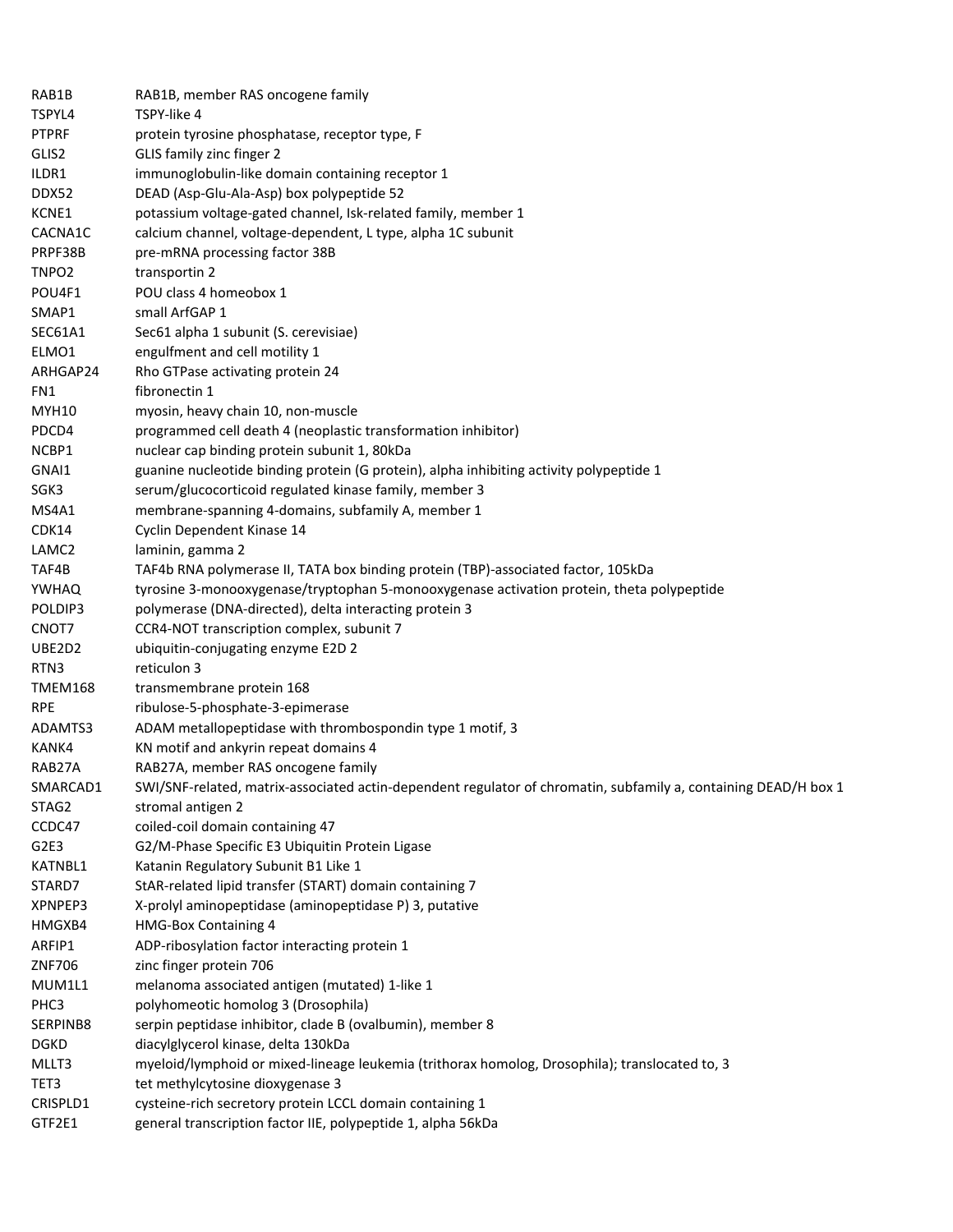| RAB1B             | RAB1B, member RAS oncogene family                                                                               |
|-------------------|-----------------------------------------------------------------------------------------------------------------|
| TSPYL4            | TSPY-like 4                                                                                                     |
| <b>PTPRF</b>      | protein tyrosine phosphatase, receptor type, F                                                                  |
| GLIS2             | GLIS family zinc finger 2                                                                                       |
| ILDR1             | immunoglobulin-like domain containing receptor 1                                                                |
| DDX52             | DEAD (Asp-Glu-Ala-Asp) box polypeptide 52                                                                       |
| KCNE1             | potassium voltage-gated channel, Isk-related family, member 1                                                   |
| CACNA1C           | calcium channel, voltage-dependent, L type, alpha 1C subunit                                                    |
| PRPF38B           | pre-mRNA processing factor 38B                                                                                  |
| TNPO <sub>2</sub> | transportin 2                                                                                                   |
| POU4F1            | POU class 4 homeobox 1                                                                                          |
| SMAP1             | small ArfGAP 1                                                                                                  |
| SEC61A1           | Sec61 alpha 1 subunit (S. cerevisiae)                                                                           |
| ELMO1             | engulfment and cell motility 1                                                                                  |
| ARHGAP24          | Rho GTPase activating protein 24                                                                                |
| FN1               | fibronectin 1                                                                                                   |
| <b>MYH10</b>      | myosin, heavy chain 10, non-muscle                                                                              |
| PDCD4             | programmed cell death 4 (neoplastic transformation inhibitor)                                                   |
| NCBP1             | nuclear cap binding protein subunit 1, 80kDa                                                                    |
| GNAI1             | guanine nucleotide binding protein (G protein), alpha inhibiting activity polypeptide 1                         |
| SGK3              | serum/glucocorticoid regulated kinase family, member 3                                                          |
| MS4A1             | membrane-spanning 4-domains, subfamily A, member 1                                                              |
| CDK14             | Cyclin Dependent Kinase 14                                                                                      |
| LAMC <sub>2</sub> | laminin, gamma 2                                                                                                |
| TAF4B             | TAF4b RNA polymerase II, TATA box binding protein (TBP)-associated factor, 105kDa                               |
| <b>YWHAQ</b>      | tyrosine 3-monooxygenase/tryptophan 5-monooxygenase activation protein, theta polypeptide                       |
| POLDIP3           | polymerase (DNA-directed), delta interacting protein 3                                                          |
| CNOT7             | CCR4-NOT transcription complex, subunit 7                                                                       |
| UBE2D2            | ubiquitin-conjugating enzyme E2D 2                                                                              |
| RTN3              | reticulon 3                                                                                                     |
| <b>TMEM168</b>    | transmembrane protein 168                                                                                       |
| <b>RPE</b>        | ribulose-5-phosphate-3-epimerase                                                                                |
| ADAMTS3           | ADAM metallopeptidase with thrombospondin type 1 motif, 3                                                       |
| KANK4             | KN motif and ankyrin repeat domains 4                                                                           |
| RAB27A            | RAB27A, member RAS oncogene family                                                                              |
| SMARCAD1          | SWI/SNF-related, matrix-associated actin-dependent regulator of chromatin, subfamily a, containing DEAD/H box 1 |
| STAG2             | stromal antigen 2                                                                                               |
| CCDC47            | coiled-coil domain containing 47                                                                                |
| G2E3              | G2/M-Phase Specific E3 Ubiquitin Protein Ligase                                                                 |
| KATNBL1           | Katanin Regulatory Subunit B1 Like 1                                                                            |
| STARD7            | StAR-related lipid transfer (START) domain containing 7                                                         |
| XPNPEP3           | X-prolyl aminopeptidase (aminopeptidase P) 3, putative                                                          |
| HMGXB4            | <b>HMG-Box Containing 4</b>                                                                                     |
| ARFIP1            | ADP-ribosylation factor interacting protein 1                                                                   |
| ZNF706            | zinc finger protein 706                                                                                         |
| MUM1L1            | melanoma associated antigen (mutated) 1-like 1                                                                  |
| PHC3              | polyhomeotic homolog 3 (Drosophila)                                                                             |
| SERPINB8          | serpin peptidase inhibitor, clade B (ovalbumin), member 8                                                       |
| <b>DGKD</b>       | diacylglycerol kinase, delta 130kDa                                                                             |
| MLLT3             | myeloid/lymphoid or mixed-lineage leukemia (trithorax homolog, Drosophila); translocated to, 3                  |
| TET3              | tet methylcytosine dioxygenase 3                                                                                |
| CRISPLD1          | cysteine-rich secretory protein LCCL domain containing 1                                                        |
| GTF2E1            | general transcription factor IIE, polypeptide 1, alpha 56kDa                                                    |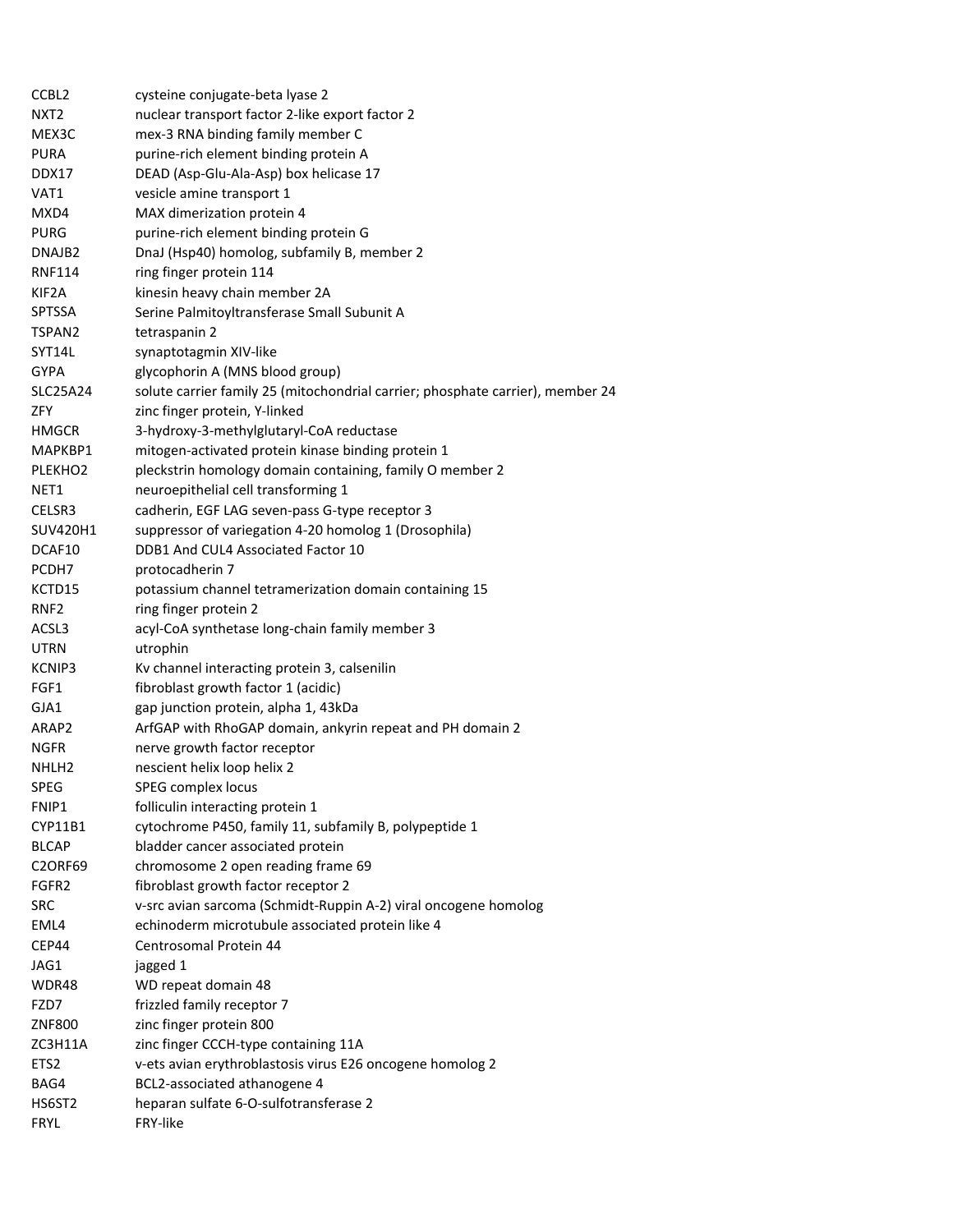| CCBL <sub>2</sub>   | cysteine conjugate-beta lyase 2                                                |
|---------------------|--------------------------------------------------------------------------------|
| NXT <sub>2</sub>    | nuclear transport factor 2-like export factor 2                                |
| MEX3C               | mex-3 RNA binding family member C                                              |
| <b>PURA</b>         | purine-rich element binding protein A                                          |
| DDX17               | DEAD (Asp-Glu-Ala-Asp) box helicase 17                                         |
| VAT1                | vesicle amine transport 1                                                      |
| MXD4                | MAX dimerization protein 4                                                     |
| <b>PURG</b>         | purine-rich element binding protein G                                          |
| DNAJB <sub>2</sub>  | DnaJ (Hsp40) homolog, subfamily B, member 2                                    |
| RNF114              | ring finger protein 114                                                        |
| KIF2A               | kinesin heavy chain member 2A                                                  |
| <b>SPTSSA</b>       | Serine Palmitoyltransferase Small Subunit A                                    |
| TSPAN2              | tetraspanin 2                                                                  |
| SYT14L              | synaptotagmin XIV-like                                                         |
| <b>GYPA</b>         | glycophorin A (MNS blood group)                                                |
| <b>SLC25A24</b>     | solute carrier family 25 (mitochondrial carrier; phosphate carrier), member 24 |
| ZFY                 | zinc finger protein, Y-linked                                                  |
| <b>HMGCR</b>        | 3-hydroxy-3-methylglutaryl-CoA reductase                                       |
| MAPKBP1             | mitogen-activated protein kinase binding protein 1                             |
| PLEKHO <sub>2</sub> | pleckstrin homology domain containing, family O member 2                       |
| NET <sub>1</sub>    | neuroepithelial cell transforming 1                                            |
| CELSR3              | cadherin, EGF LAG seven-pass G-type receptor 3                                 |
| SUV420H1            | suppressor of variegation 4-20 homolog 1 (Drosophila)                          |
| DCAF10              | DDB1 And CUL4 Associated Factor 10                                             |
| PCDH7               | protocadherin 7                                                                |
| KCTD15              | potassium channel tetramerization domain containing 15                         |
| RNF <sub>2</sub>    | ring finger protein 2                                                          |
| ACSL3               | acyl-CoA synthetase long-chain family member 3                                 |
| <b>UTRN</b>         | utrophin                                                                       |
| KCNIP3              | Kv channel interacting protein 3, calsenilin                                   |
| FGF1                | fibroblast growth factor 1 (acidic)                                            |
| GJA1                | gap junction protein, alpha 1, 43kDa                                           |
| ARAP2               | ArfGAP with RhoGAP domain, ankyrin repeat and PH domain 2                      |
| <b>NGFR</b>         | nerve growth factor receptor                                                   |
| NHLH <sub>2</sub>   | nescient helix loop helix 2                                                    |
| SPEG                | SPEG complex locus                                                             |
| FNIP1               | folliculin interacting protein 1                                               |
| CYP11B1             | cytochrome P450, family 11, subfamily B, polypeptide 1                         |
| <b>BLCAP</b>        | bladder cancer associated protein                                              |
| <b>C2ORF69</b>      | chromosome 2 open reading frame 69                                             |
| FGFR <sub>2</sub>   | fibroblast growth factor receptor 2                                            |
| <b>SRC</b>          | v-src avian sarcoma (Schmidt-Ruppin A-2) viral oncogene homolog                |
| EML4                | echinoderm microtubule associated protein like 4                               |
| CEP44               | Centrosomal Protein 44                                                         |
| JAG1                | jagged 1                                                                       |
| WDR48               | WD repeat domain 48                                                            |
| FZD7                | frizzled family receptor 7                                                     |
| <b>ZNF800</b>       | zinc finger protein 800                                                        |
| ZC3H11A             | zinc finger CCCH-type containing 11A                                           |
| ETS <sub>2</sub>    | v-ets avian erythroblastosis virus E26 oncogene homolog 2                      |
| BAG4                | BCL2-associated athanogene 4                                                   |
| HS6ST2              | heparan sulfate 6-O-sulfotransferase 2                                         |
| <b>FRYL</b>         | FRY-like                                                                       |
|                     |                                                                                |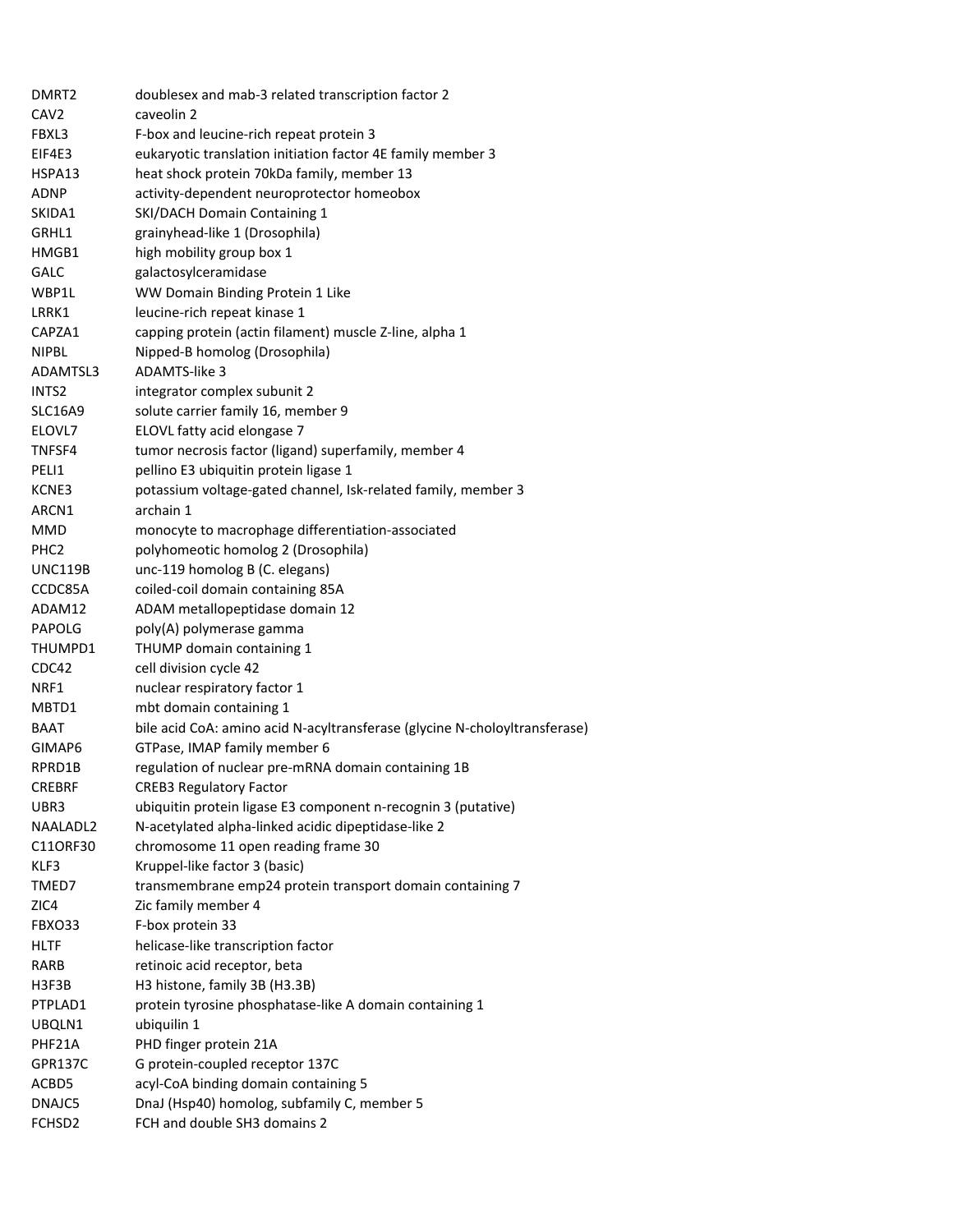| DMRT <sub>2</sub> | doublesex and mab-3 related transcription factor 2                         |
|-------------------|----------------------------------------------------------------------------|
| CAV <sub>2</sub>  | caveolin 2                                                                 |
| FBXL3             | F-box and leucine-rich repeat protein 3                                    |
| EIF4E3            | eukaryotic translation initiation factor 4E family member 3                |
| HSPA13            | heat shock protein 70kDa family, member 13                                 |
| <b>ADNP</b>       | activity-dependent neuroprotector homeobox                                 |
| SKIDA1            | SKI/DACH Domain Containing 1                                               |
| GRHL1             | grainyhead-like 1 (Drosophila)                                             |
| HMGB1             | high mobility group box 1                                                  |
| <b>GALC</b>       | galactosylceramidase                                                       |
| WBP1L             | WW Domain Binding Protein 1 Like                                           |
| LRRK1             | leucine-rich repeat kinase 1                                               |
| CAPZA1            | capping protein (actin filament) muscle Z-line, alpha 1                    |
| <b>NIPBL</b>      | Nipped-B homolog (Drosophila)                                              |
| ADAMTSL3          | ADAMTS-like 3                                                              |
| INTS <sub>2</sub> | integrator complex subunit 2                                               |
| <b>SLC16A9</b>    | solute carrier family 16, member 9                                         |
| ELOVL7            | ELOVL fatty acid elongase 7                                                |
| TNFSF4            | tumor necrosis factor (ligand) superfamily, member 4                       |
| PELI1             | pellino E3 ubiquitin protein ligase 1                                      |
| KCNE3             | potassium voltage-gated channel, Isk-related family, member 3              |
| ARCN1             | archain 1                                                                  |
| MMD               | monocyte to macrophage differentiation-associated                          |
| PHC <sub>2</sub>  | polyhomeotic homolog 2 (Drosophila)                                        |
| UNC119B           | unc-119 homolog B (C. elegans)                                             |
| CCDC85A           | coiled-coil domain containing 85A                                          |
| ADAM12            | ADAM metallopeptidase domain 12                                            |
| PAPOLG            | poly(A) polymerase gamma                                                   |
| THUMPD1           | THUMP domain containing 1                                                  |
| CDC42             | cell division cycle 42                                                     |
| NRF1              | nuclear respiratory factor 1                                               |
| MBTD1             | mbt domain containing 1                                                    |
| BAAT              | bile acid CoA: amino acid N-acyltransferase (glycine N-choloyltransferase) |
| GIMAP6            | GTPase, IMAP family member 6                                               |
| RPRD1B            | regulation of nuclear pre-mRNA domain containing 1B                        |
| <b>CREBRF</b>     | <b>CREB3 Regulatory Factor</b>                                             |
| UBR3              | ubiquitin protein ligase E3 component n-recognin 3 (putative)              |
| NAALADL2          | N-acetylated alpha-linked acidic dipeptidase-like 2                        |
| C11ORF30          | chromosome 11 open reading frame 30                                        |
| KLF3              | Kruppel-like factor 3 (basic)                                              |
| TMED7             | transmembrane emp24 protein transport domain containing 7                  |
| ZIC4              | Zic family member 4                                                        |
| FBXO33            | F-box protein 33                                                           |
| HLTF              | helicase-like transcription factor                                         |
| RARB              | retinoic acid receptor, beta                                               |
| H3F3B             | H3 histone, family 3B (H3.3B)                                              |
| PTPLAD1           | protein tyrosine phosphatase-like A domain containing 1                    |
| UBQLN1            | ubiquilin 1                                                                |
| PHF21A            | PHD finger protein 21A                                                     |
| GPR137C           | G protein-coupled receptor 137C                                            |
| ACBD5             | acyl-CoA binding domain containing 5                                       |
| DNAJC5            | DnaJ (Hsp40) homolog, subfamily C, member 5                                |
| FCHSD2            | FCH and double SH3 domains 2                                               |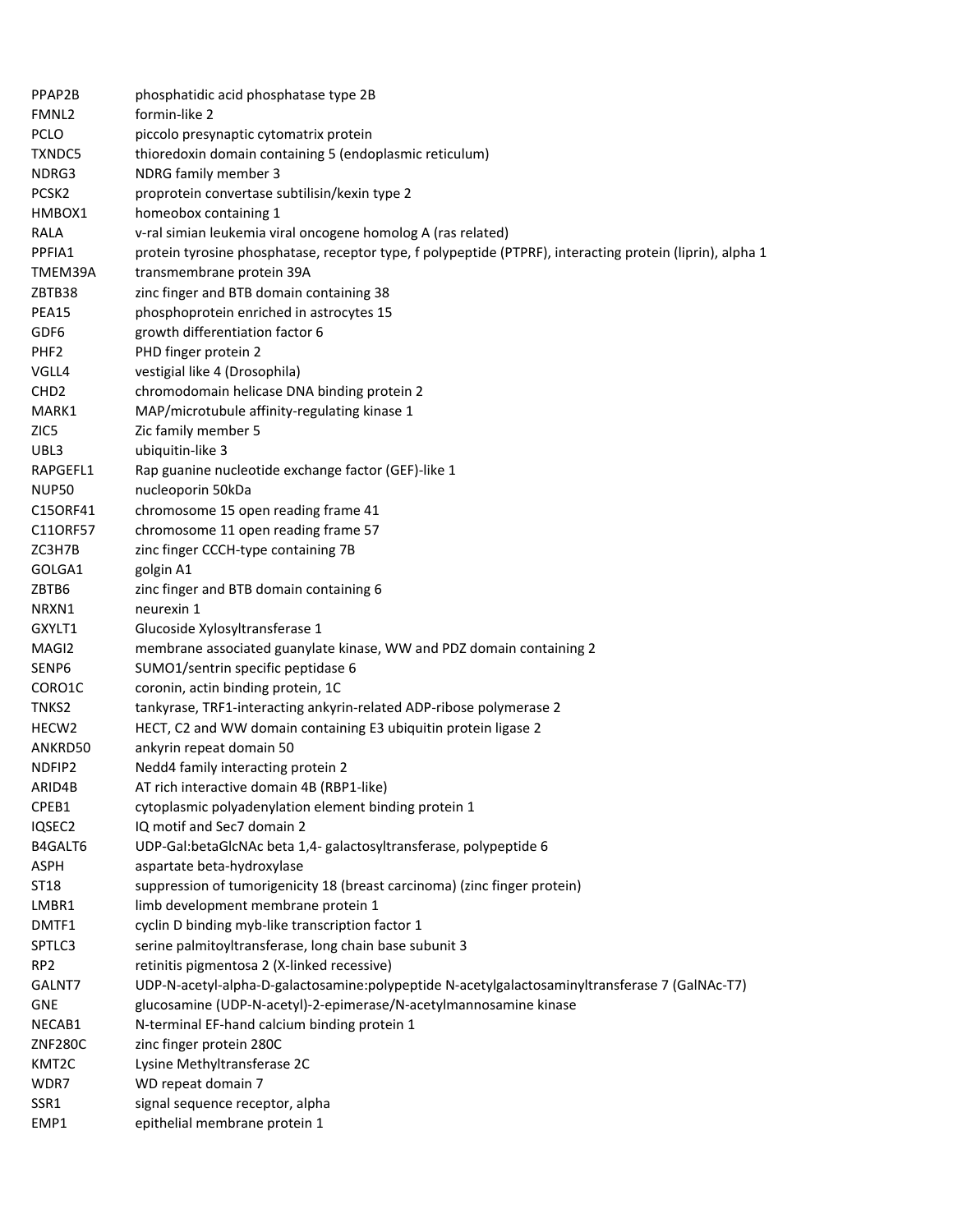| PPAP2B            | phosphatidic acid phosphatase type 2B                                                                     |
|-------------------|-----------------------------------------------------------------------------------------------------------|
| FMNL2             | formin-like 2                                                                                             |
| <b>PCLO</b>       | piccolo presynaptic cytomatrix protein                                                                    |
| <b>TXNDC5</b>     | thioredoxin domain containing 5 (endoplasmic reticulum)                                                   |
| NDRG3             | NDRG family member 3                                                                                      |
| PCSK <sub>2</sub> | proprotein convertase subtilisin/kexin type 2                                                             |
| HMBOX1            | homeobox containing 1                                                                                     |
| <b>RALA</b>       | v-ral simian leukemia viral oncogene homolog A (ras related)                                              |
| PPFIA1            | protein tyrosine phosphatase, receptor type, f polypeptide (PTPRF), interacting protein (liprin), alpha 1 |
| TMEM39A           | transmembrane protein 39A                                                                                 |
| ZBTB38            | zinc finger and BTB domain containing 38                                                                  |
| PEA15             | phosphoprotein enriched in astrocytes 15                                                                  |
| GDF6              | growth differentiation factor 6                                                                           |
| PHF <sub>2</sub>  | PHD finger protein 2                                                                                      |
| VGLL4             | vestigial like 4 (Drosophila)                                                                             |
| CHD <sub>2</sub>  | chromodomain helicase DNA binding protein 2                                                               |
| MARK1             | MAP/microtubule affinity-regulating kinase 1                                                              |
| ZIC5              | Zic family member 5                                                                                       |
| UBL3              | ubiquitin-like 3                                                                                          |
| RAPGEFL1          | Rap guanine nucleotide exchange factor (GEF)-like 1                                                       |
| <b>NUP50</b>      | nucleoporin 50kDa                                                                                         |
| C15ORF41          | chromosome 15 open reading frame 41                                                                       |
| C110RF57          | chromosome 11 open reading frame 57                                                                       |
| ZC3H7B            | zinc finger CCCH-type containing 7B                                                                       |
| GOLGA1            | golgin A1                                                                                                 |
| ZBTB6             | zinc finger and BTB domain containing 6                                                                   |
| NRXN1             | neurexin 1                                                                                                |
| GXYLT1            | Glucoside Xylosyltransferase 1                                                                            |
| MAGI2             | membrane associated guanylate kinase, WW and PDZ domain containing 2                                      |
| SENP6             | SUMO1/sentrin specific peptidase 6                                                                        |
| CORO1C            | coronin, actin binding protein, 1C                                                                        |
| TNKS2             | tankyrase, TRF1-interacting ankyrin-related ADP-ribose polymerase 2                                       |
| HECW <sub>2</sub> | HECT, C2 and WW domain containing E3 ubiquitin protein ligase 2                                           |
| ANKRD50           | ankyrin repeat domain 50                                                                                  |
| NDFIP2            | Nedd4 family interacting protein 2                                                                        |
| ARID4B            | AT rich interactive domain 4B (RBP1-like)                                                                 |
| CPEB1             | cytoplasmic polyadenylation element binding protein 1                                                     |
| IQSEC2            | IQ motif and Sec7 domain 2                                                                                |
| B4GALT6           | UDP-Gal:betaGlcNAc beta 1,4- galactosyltransferase, polypeptide 6                                         |
| <b>ASPH</b>       | aspartate beta-hydroxylase                                                                                |
| ST18              | suppression of tumorigenicity 18 (breast carcinoma) (zinc finger protein)                                 |
| LMBR1             | limb development membrane protein 1                                                                       |
| DMTF1             | cyclin D binding myb-like transcription factor 1                                                          |
| SPTLC3            | serine palmitoyltransferase, long chain base subunit 3                                                    |
| RP <sub>2</sub>   | retinitis pigmentosa 2 (X-linked recessive)                                                               |
| GALNT7            | UDP-N-acetyl-alpha-D-galactosamine:polypeptide N-acetylgalactosaminyltransferase 7 (GalNAc-T7)            |
| <b>GNE</b>        | glucosamine (UDP-N-acetyl)-2-epimerase/N-acetylmannosamine kinase                                         |
| NECAB1            | N-terminal EF-hand calcium binding protein 1                                                              |
| <b>ZNF280C</b>    | zinc finger protein 280C                                                                                  |
| KMT2C             | Lysine Methyltransferase 2C                                                                               |
| WDR7              | WD repeat domain 7                                                                                        |
| SSR1              | signal sequence receptor, alpha                                                                           |
| EMP1              | epithelial membrane protein 1                                                                             |
|                   |                                                                                                           |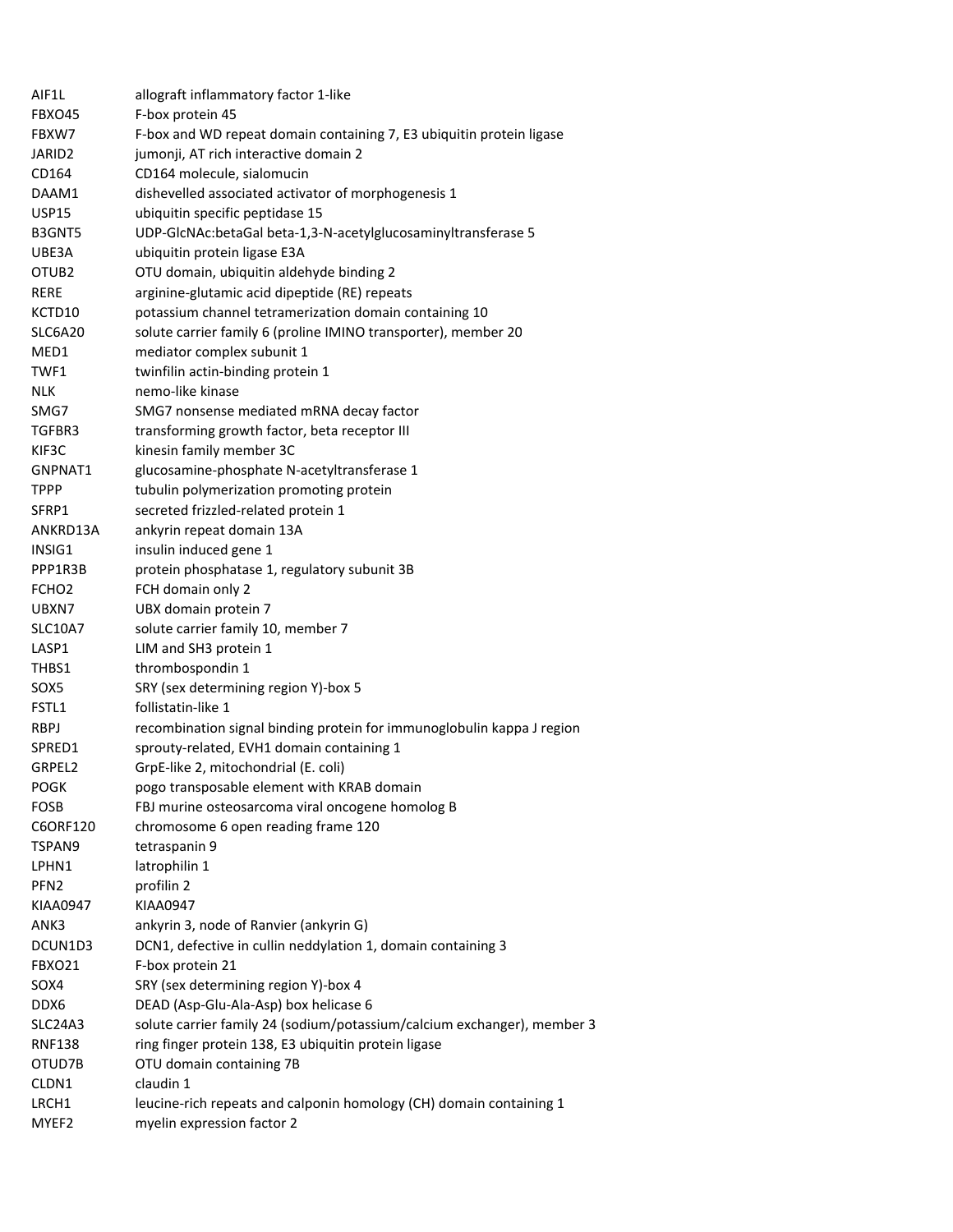| AIF1L             | allograft inflammatory factor 1-like                                    |
|-------------------|-------------------------------------------------------------------------|
| FBXO45            | F-box protein 45                                                        |
| FBXW7             | F-box and WD repeat domain containing 7, E3 ubiquitin protein ligase    |
| JARID2            | jumonji, AT rich interactive domain 2                                   |
| CD164             | CD164 molecule, sialomucin                                              |
| DAAM1             | dishevelled associated activator of morphogenesis 1                     |
| USP15             | ubiquitin specific peptidase 15                                         |
| B3GNT5            | UDP-GlcNAc:betaGal beta-1,3-N-acetylglucosaminyltransferase 5           |
| UBE3A             | ubiquitin protein ligase E3A                                            |
| OTUB <sub>2</sub> | OTU domain, ubiquitin aldehyde binding 2                                |
| RERE              | arginine-glutamic acid dipeptide (RE) repeats                           |
| KCTD10            | potassium channel tetramerization domain containing 10                  |
| SLC6A20           | solute carrier family 6 (proline IMINO transporter), member 20          |
| MED1              | mediator complex subunit 1                                              |
| TWF1              | twinfilin actin-binding protein 1                                       |
| <b>NLK</b>        | nemo-like kinase                                                        |
| SMG7              | SMG7 nonsense mediated mRNA decay factor                                |
| TGFBR3            | transforming growth factor, beta receptor III                           |
| KIF3C             | kinesin family member 3C                                                |
| GNPNAT1           | glucosamine-phosphate N-acetyltransferase 1                             |
| <b>TPPP</b>       | tubulin polymerization promoting protein                                |
| SFRP1             | secreted frizzled-related protein 1                                     |
| ANKRD13A          | ankyrin repeat domain 13A                                               |
| INSIG1            | insulin induced gene 1                                                  |
| PPP1R3B           | protein phosphatase 1, regulatory subunit 3B                            |
| FCHO <sub>2</sub> | FCH domain only 2                                                       |
| UBXN7             | UBX domain protein 7                                                    |
| <b>SLC10A7</b>    | solute carrier family 10, member 7                                      |
| LASP1             | LIM and SH3 protein 1                                                   |
| THBS1             | thrombospondin 1                                                        |
| SOX5              | SRY (sex determining region Y)-box 5                                    |
| FSTL1             | follistatin-like 1                                                      |
| <b>RBPJ</b>       | recombination signal binding protein for immunoglobulin kappa J region  |
| SPRED1            | sprouty-related, EVH1 domain containing 1                               |
| GRPEL2            | GrpE-like 2, mitochondrial (E. coli)                                    |
| <b>POGK</b>       | pogo transposable element with KRAB domain                              |
|                   |                                                                         |
| FOSB              | FBJ murine osteosarcoma viral oncogene homolog B                        |
| C6ORF120          | chromosome 6 open reading frame 120                                     |
| TSPAN9            | tetraspanin 9                                                           |
| LPHN1             | latrophilin 1                                                           |
| PFN <sub>2</sub>  | profilin 2                                                              |
| KIAA0947          | <b>KIAA0947</b>                                                         |
| ANK3              | ankyrin 3, node of Ranvier (ankyrin G)                                  |
| DCUN1D3           | DCN1, defective in cullin neddylation 1, domain containing 3            |
| FBXO21            | F-box protein 21                                                        |
| SOX4              | SRY (sex determining region Y)-box 4                                    |
| DDX6              | DEAD (Asp-Glu-Ala-Asp) box helicase 6                                   |
| SLC24A3           | solute carrier family 24 (sodium/potassium/calcium exchanger), member 3 |
| <b>RNF138</b>     | ring finger protein 138, E3 ubiquitin protein ligase                    |
| OTUD7B            | OTU domain containing 7B                                                |
| CLDN1             | claudin 1                                                               |
| LRCH1             | leucine-rich repeats and calponin homology (CH) domain containing 1     |
| MYEF2             | myelin expression factor 2                                              |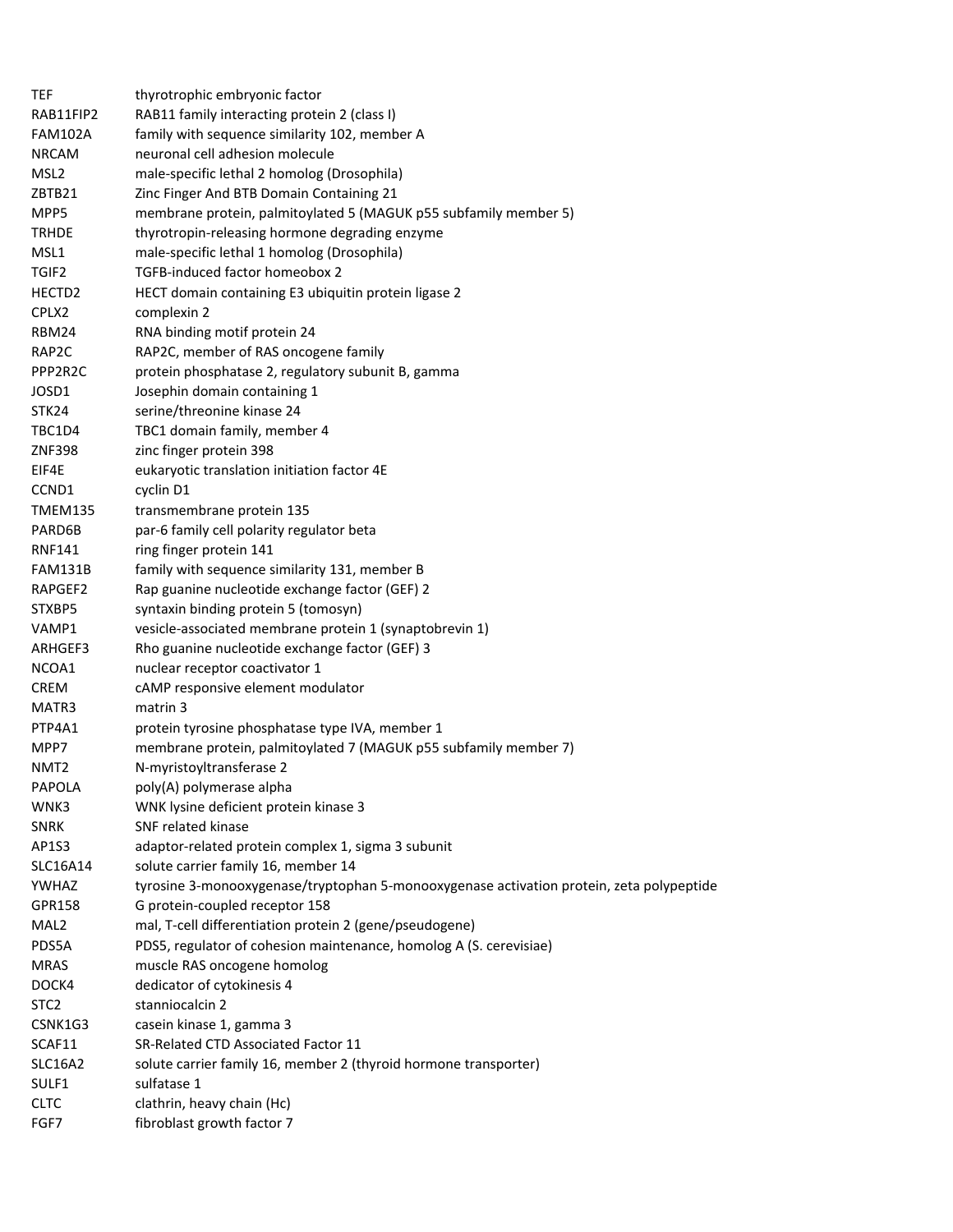| TEF              | thyrotrophic embryonic factor                                                            |
|------------------|------------------------------------------------------------------------------------------|
| RAB11FIP2        | RAB11 family interacting protein 2 (class I)                                             |
| <b>FAM102A</b>   | family with sequence similarity 102, member A                                            |
| <b>NRCAM</b>     | neuronal cell adhesion molecule                                                          |
| MSL <sub>2</sub> | male-specific lethal 2 homolog (Drosophila)                                              |
| ZBTB21           | Zinc Finger And BTB Domain Containing 21                                                 |
| MPP5             | membrane protein, palmitoylated 5 (MAGUK p55 subfamily member 5)                         |
| <b>TRHDE</b>     | thyrotropin-releasing hormone degrading enzyme                                           |
| MSL1             | male-specific lethal 1 homolog (Drosophila)                                              |
| TGIF2            | TGFB-induced factor homeobox 2                                                           |
| HECTD2           | HECT domain containing E3 ubiquitin protein ligase 2                                     |
| CPLX2            | complexin 2                                                                              |
| RBM24            | RNA binding motif protein 24                                                             |
| RAP2C            | RAP2C, member of RAS oncogene family                                                     |
| PPP2R2C          | protein phosphatase 2, regulatory subunit B, gamma                                       |
| JOSD1            | Josephin domain containing 1                                                             |
| STK24            | serine/threonine kinase 24                                                               |
| TBC1D4           | TBC1 domain family, member 4                                                             |
| <b>ZNF398</b>    | zinc finger protein 398                                                                  |
| EIF4E            | eukaryotic translation initiation factor 4E                                              |
| CCND1            | cyclin D1                                                                                |
| <b>TMEM135</b>   | transmembrane protein 135                                                                |
| PARD6B           | par-6 family cell polarity regulator beta                                                |
| <b>RNF141</b>    | ring finger protein 141                                                                  |
| FAM131B          | family with sequence similarity 131, member B                                            |
| RAPGEF2          | Rap guanine nucleotide exchange factor (GEF) 2                                           |
| STXBP5           | syntaxin binding protein 5 (tomosyn)                                                     |
| VAMP1            | vesicle-associated membrane protein 1 (synaptobrevin 1)                                  |
| ARHGEF3          | Rho guanine nucleotide exchange factor (GEF) 3                                           |
| NCOA1            | nuclear receptor coactivator 1                                                           |
| <b>CREM</b>      | cAMP responsive element modulator                                                        |
| MATR3            | matrin 3                                                                                 |
| PTP4A1           | protein tyrosine phosphatase type IVA, member 1                                          |
| MPP7             | membrane protein, palmitoylated 7 (MAGUK p55 subfamily member 7)                         |
| NMT <sub>2</sub> | N-myristoyltransferase 2                                                                 |
| <b>PAPOLA</b>    | poly(A) polymerase alpha                                                                 |
| WNK3             | WNK lysine deficient protein kinase 3                                                    |
| <b>SNRK</b>      | SNF related kinase                                                                       |
| AP1S3            | adaptor-related protein complex 1, sigma 3 subunit                                       |
| SLC16A14         | solute carrier family 16, member 14                                                      |
| YWHAZ            | tyrosine 3-monooxygenase/tryptophan 5-monooxygenase activation protein, zeta polypeptide |
| GPR158           | G protein-coupled receptor 158                                                           |
| MAL <sub>2</sub> | mal, T-cell differentiation protein 2 (gene/pseudogene)                                  |
| PDS5A            | PDS5, regulator of cohesion maintenance, homolog A (S. cerevisiae)                       |
| <b>MRAS</b>      | muscle RAS oncogene homolog                                                              |
| DOCK4            | dedicator of cytokinesis 4                                                               |
| STC <sub>2</sub> | stanniocalcin 2                                                                          |
| CSNK1G3          | casein kinase 1, gamma 3                                                                 |
| SCAF11           | SR-Related CTD Associated Factor 11                                                      |
| SLC16A2          | solute carrier family 16, member 2 (thyroid hormone transporter)                         |
| SULF1            | sulfatase 1                                                                              |
| <b>CLTC</b>      | clathrin, heavy chain (Hc)                                                               |
| FGF7             | fibroblast growth factor 7                                                               |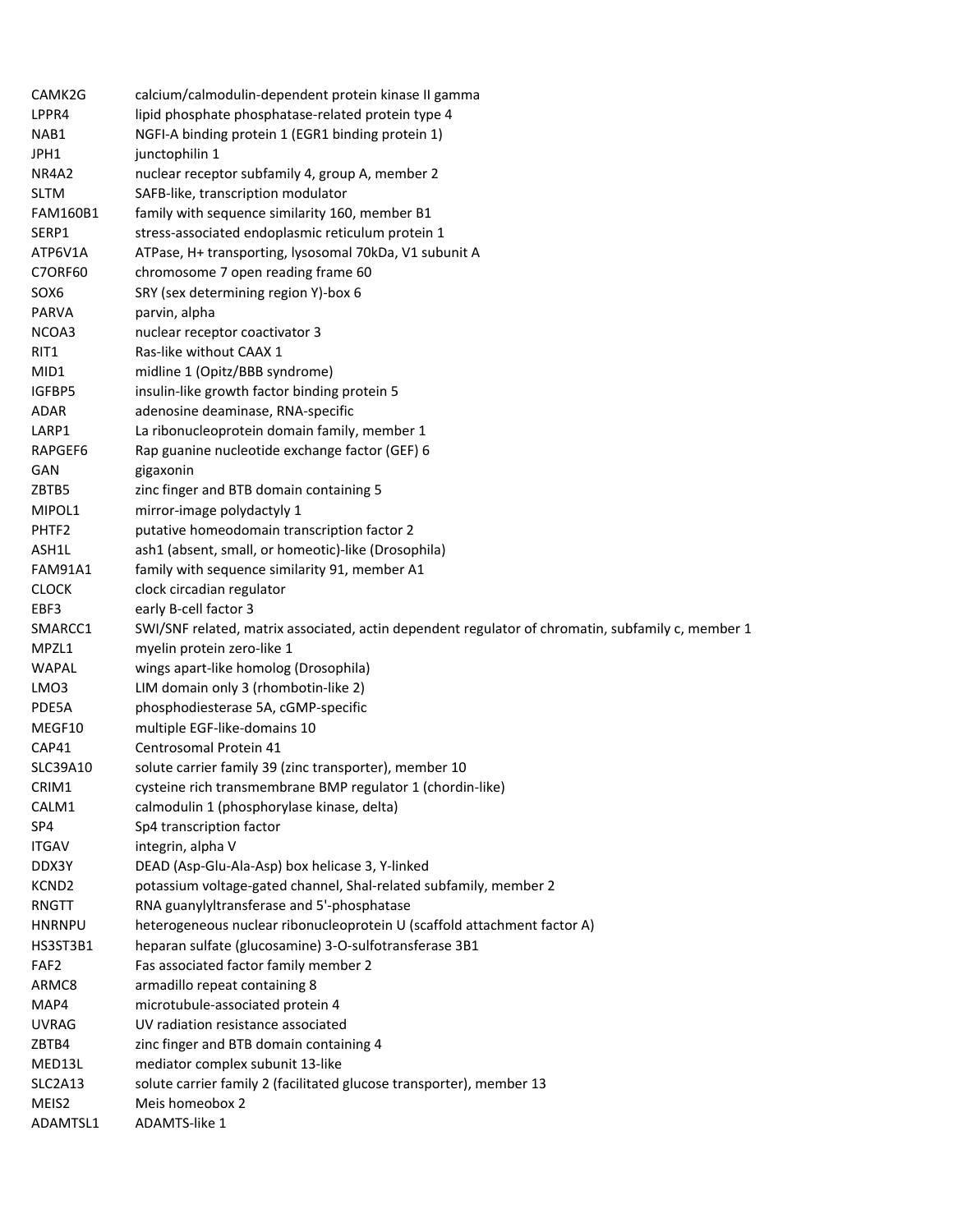| CAMK2G                        | calcium/calmodulin-dependent protein kinase II gamma                                              |
|-------------------------------|---------------------------------------------------------------------------------------------------|
| LPPR4                         | lipid phosphate phosphatase-related protein type 4                                                |
| NAB1                          | NGFI-A binding protein 1 (EGR1 binding protein 1)                                                 |
| JPH1                          | junctophilin 1                                                                                    |
| NR4A2                         | nuclear receptor subfamily 4, group A, member 2                                                   |
| <b>SLTM</b>                   | SAFB-like, transcription modulator                                                                |
| <b>FAM160B1</b>               | family with sequence similarity 160, member B1                                                    |
| SERP1                         | stress-associated endoplasmic reticulum protein 1                                                 |
| ATP6V1A                       | ATPase, H+ transporting, lysosomal 70kDa, V1 subunit A                                            |
| <b>C7ORF60</b>                | chromosome 7 open reading frame 60                                                                |
| SOX6                          | SRY (sex determining region Y)-box 6                                                              |
| <b>PARVA</b>                  | parvin, alpha                                                                                     |
| NCOA3                         | nuclear receptor coactivator 3                                                                    |
| RIT1                          | Ras-like without CAAX 1                                                                           |
| MID1                          | midline 1 (Opitz/BBB syndrome)                                                                    |
| IGFBP5                        | insulin-like growth factor binding protein 5                                                      |
| ADAR                          | adenosine deaminase, RNA-specific                                                                 |
| LARP1                         | La ribonucleoprotein domain family, member 1                                                      |
| RAPGEF6                       | Rap guanine nucleotide exchange factor (GEF) 6                                                    |
| GAN                           | gigaxonin                                                                                         |
| ZBTB5                         | zinc finger and BTB domain containing 5                                                           |
| MIPOL1                        | mirror-image polydactyly 1                                                                        |
| PHTF2                         | putative homeodomain transcription factor 2                                                       |
| ASH1L                         | ash1 (absent, small, or homeotic)-like (Drosophila)                                               |
| <b>FAM91A1</b>                | family with sequence similarity 91, member A1                                                     |
| <b>CLOCK</b>                  | clock circadian regulator                                                                         |
| EBF3                          | early B-cell factor 3                                                                             |
| SMARCC1                       | SWI/SNF related, matrix associated, actin dependent regulator of chromatin, subfamily c, member 1 |
| MPZL1                         | myelin protein zero-like 1                                                                        |
| <b>WAPAL</b>                  | wings apart-like homolog (Drosophila)                                                             |
|                               |                                                                                                   |
|                               |                                                                                                   |
| LMO3                          | LIM domain only 3 (rhombotin-like 2)                                                              |
| PDE5A                         | phosphodiesterase 5A, cGMP-specific                                                               |
| MEGF10                        | multiple EGF-like-domains 10                                                                      |
| CAP41                         | Centrosomal Protein 41                                                                            |
| SLC39A10                      | solute carrier family 39 (zinc transporter), member 10                                            |
| CRIM1                         | cysteine rich transmembrane BMP regulator 1 (chordin-like)                                        |
| CALM1                         | calmodulin 1 (phosphorylase kinase, delta)                                                        |
| SP4                           | Sp4 transcription factor                                                                          |
| <b>ITGAV</b>                  | integrin, alpha V                                                                                 |
| DDX3Y                         | DEAD (Asp-Glu-Ala-Asp) box helicase 3, Y-linked                                                   |
| KCND <sub>2</sub>             | potassium voltage-gated channel, Shal-related subfamily, member 2                                 |
| RNGTT                         | RNA guanylyltransferase and 5'-phosphatase                                                        |
| <b>HNRNPU</b>                 | heterogeneous nuclear ribonucleoprotein U (scaffold attachment factor A)                          |
| HS3ST3B1                      | heparan sulfate (glucosamine) 3-O-sulfotransferase 3B1                                            |
| FAF <sub>2</sub>              | Fas associated factor family member 2                                                             |
| ARMC8                         | armadillo repeat containing 8                                                                     |
| MAP4                          | microtubule-associated protein 4                                                                  |
| <b>UVRAG</b>                  | UV radiation resistance associated                                                                |
| ZBTB4                         | zinc finger and BTB domain containing 4                                                           |
| MED13L                        | mediator complex subunit 13-like                                                                  |
| SLC2A13                       | solute carrier family 2 (facilitated glucose transporter), member 13                              |
| MEIS <sub>2</sub><br>ADAMTSL1 | Meis homeobox 2<br>ADAMTS-like 1                                                                  |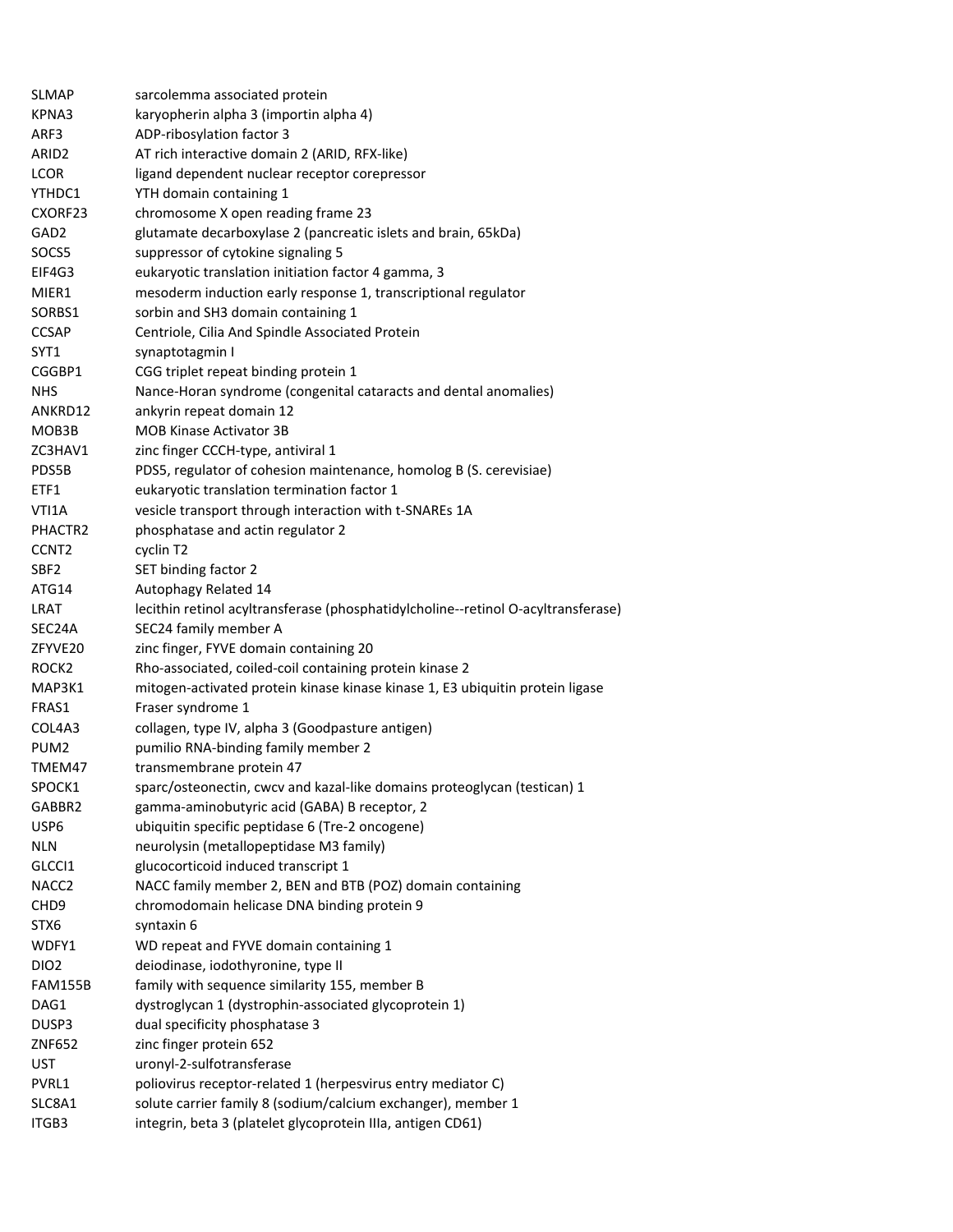| SLMAP               | sarcolemma associated protein                                                     |
|---------------------|-----------------------------------------------------------------------------------|
| KPNA3               | karyopherin alpha 3 (importin alpha 4)                                            |
| ARF3                | ADP-ribosylation factor 3                                                         |
| ARID <sub>2</sub>   | AT rich interactive domain 2 (ARID, RFX-like)                                     |
| <b>LCOR</b>         | ligand dependent nuclear receptor corepressor                                     |
| YTHDC1              | YTH domain containing 1                                                           |
| CXORF23             | chromosome X open reading frame 23                                                |
| GAD <sub>2</sub>    | glutamate decarboxylase 2 (pancreatic islets and brain, 65kDa)                    |
| SOCS5               | suppressor of cytokine signaling 5                                                |
| EIF4G3              | eukaryotic translation initiation factor 4 gamma, 3                               |
| MIER1               | mesoderm induction early response 1, transcriptional regulator                    |
| SORBS1              | sorbin and SH3 domain containing 1                                                |
| <b>CCSAP</b>        | Centriole, Cilia And Spindle Associated Protein                                   |
| SYT1                | synaptotagmin I                                                                   |
| CGGBP1              | CGG triplet repeat binding protein 1                                              |
| <b>NHS</b>          | Nance-Horan syndrome (congenital cataracts and dental anomalies)                  |
| ANKRD12             | ankyrin repeat domain 12                                                          |
| MOB3B               | <b>MOB Kinase Activator 3B</b>                                                    |
| ZC3HAV1             | zinc finger CCCH-type, antiviral 1                                                |
| PDS5B               | PDS5, regulator of cohesion maintenance, homolog B (S. cerevisiae)                |
| ETF1                | eukaryotic translation termination factor 1                                       |
| VTI1A               | vesicle transport through interaction with t-SNAREs 1A                            |
| PHACTR <sub>2</sub> | phosphatase and actin regulator 2                                                 |
| CCNT <sub>2</sub>   | cyclin T2                                                                         |
| SBF <sub>2</sub>    | SET binding factor 2                                                              |
| ATG14               | Autophagy Related 14                                                              |
| LRAT                | lecithin retinol acyltransferase (phosphatidylcholine--retinol O-acyltransferase) |
| SEC24A              | SEC24 family member A                                                             |
| ZFYVE20             | zinc finger, FYVE domain containing 20                                            |
| ROCK <sub>2</sub>   | Rho-associated, coiled-coil containing protein kinase 2                           |
| MAP3K1              | mitogen-activated protein kinase kinase kinase 1, E3 ubiquitin protein ligase     |
| FRAS1               | Fraser syndrome 1                                                                 |
| COL4A3              | collagen, type IV, alpha 3 (Goodpasture antigen)                                  |
| PUM <sub>2</sub>    | pumilio RNA-binding family member 2                                               |
| TMEM47              | transmembrane protein 47                                                          |
| SPOCK1              | sparc/osteonectin, cwcv and kazal-like domains proteoglycan (testican) 1          |
| GABBR2              | gamma-aminobutyric acid (GABA) B receptor, 2                                      |
| USP6                | ubiquitin specific peptidase 6 (Tre-2 oncogene)                                   |
|                     |                                                                                   |
| NLN                 | neurolysin (metallopeptidase M3 family)                                           |
| GLCCI1              | glucocorticoid induced transcript 1                                               |
| NACC <sub>2</sub>   | NACC family member 2, BEN and BTB (POZ) domain containing                         |
| CHD <sub>9</sub>    | chromodomain helicase DNA binding protein 9                                       |
| STX6                | syntaxin 6                                                                        |
| WDFY1               | WD repeat and FYVE domain containing 1                                            |
| DIO <sub>2</sub>    | deiodinase, iodothyronine, type II                                                |
| <b>FAM155B</b>      | family with sequence similarity 155, member B                                     |
| DAG1                | dystroglycan 1 (dystrophin-associated glycoprotein 1)                             |
| DUSP3               | dual specificity phosphatase 3                                                    |
| ZNF652              | zinc finger protein 652                                                           |
| <b>UST</b>          | uronyl-2-sulfotransferase                                                         |
| PVRL1               | poliovirus receptor-related 1 (herpesvirus entry mediator C)                      |
| SLC8A1              | solute carrier family 8 (sodium/calcium exchanger), member 1                      |
| ITGB3               | integrin, beta 3 (platelet glycoprotein IIIa, antigen CD61)                       |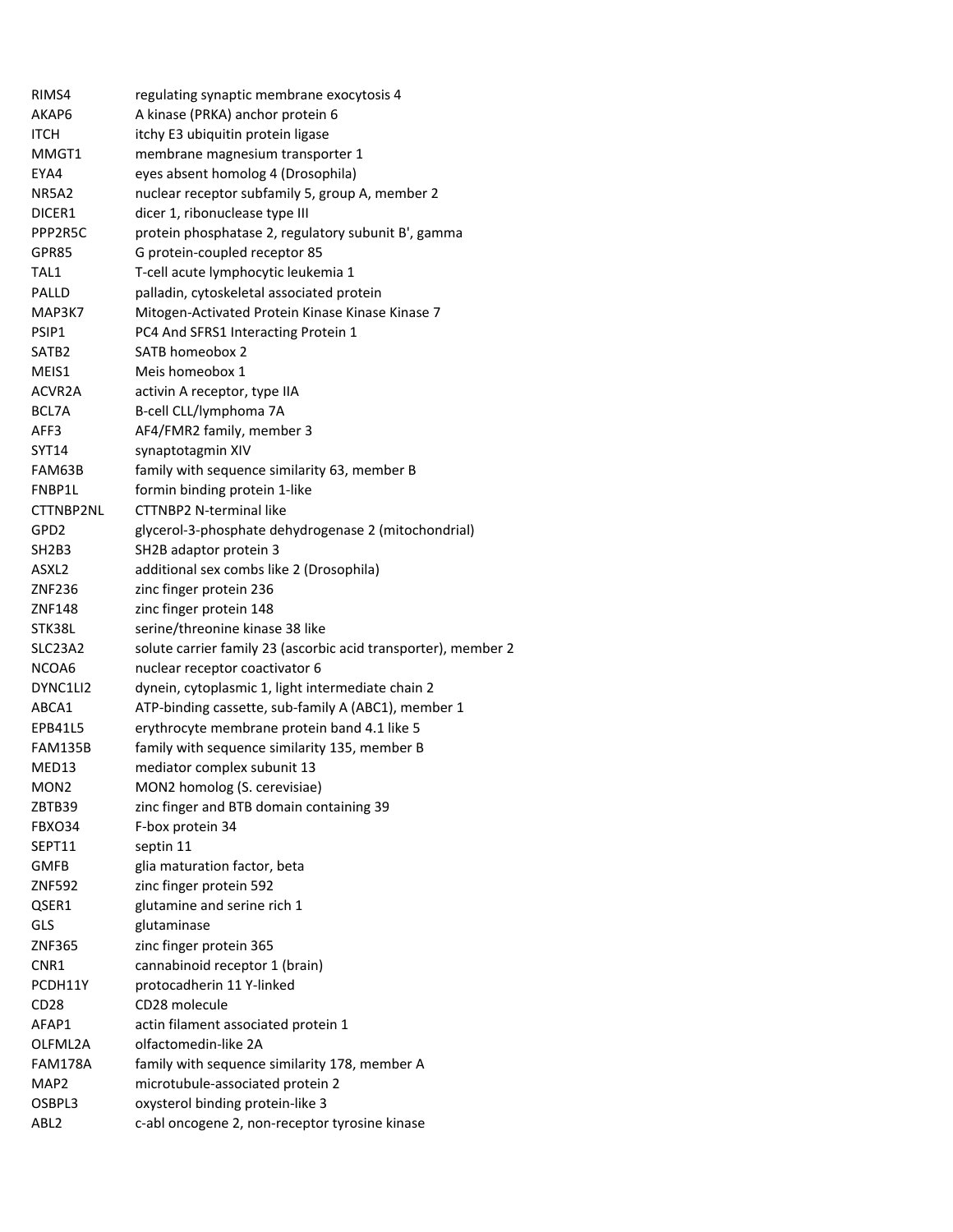| RIMS4             | regulating synaptic membrane exocytosis 4                                          |
|-------------------|------------------------------------------------------------------------------------|
| AKAP6             | A kinase (PRKA) anchor protein 6                                                   |
| ITCH              | itchy E3 ubiquitin protein ligase                                                  |
| MMGT1             | membrane magnesium transporter 1                                                   |
| EYA4              | eyes absent homolog 4 (Drosophila)                                                 |
| NR5A2             | nuclear receptor subfamily 5, group A, member 2                                    |
| DICER1            | dicer 1, ribonuclease type III                                                     |
| PPP2R5C           | protein phosphatase 2, regulatory subunit B', gamma                                |
| GPR85             | G protein-coupled receptor 85                                                      |
| TAL1              | T-cell acute lymphocytic leukemia 1                                                |
| PALLD             | palladin, cytoskeletal associated protein                                          |
| MAP3K7            | Mitogen-Activated Protein Kinase Kinase Kinase 7                                   |
| PSIP1             | PC4 And SFRS1 Interacting Protein 1                                                |
| SATB <sub>2</sub> | SATB homeobox 2                                                                    |
| MEIS1             | Meis homeobox 1                                                                    |
| ACVR2A            | activin A receptor, type IIA                                                       |
| BCL7A             | B-cell CLL/lymphoma 7A                                                             |
| AFF3              | AF4/FMR2 family, member 3                                                          |
| SYT14             | synaptotagmin XIV                                                                  |
| FAM63B            | family with sequence similarity 63, member B                                       |
| FNBP1L            | formin binding protein 1-like                                                      |
| CTTNBP2NL         | <b>CTTNBP2 N-terminal like</b>                                                     |
| GPD2              | glycerol-3-phosphate dehydrogenase 2 (mitochondrial)                               |
| SH2B3             | SH2B adaptor protein 3                                                             |
| ASXL2             | additional sex combs like 2 (Drosophila)                                           |
| ZNF236            | zinc finger protein 236                                                            |
| ZNF148            | zinc finger protein 148                                                            |
| STK38L            | serine/threonine kinase 38 like                                                    |
| SLC23A2           | solute carrier family 23 (ascorbic acid transporter), member 2                     |
| NCOA6             | nuclear receptor coactivator 6                                                     |
| DYNC1LI2          | dynein, cytoplasmic 1, light intermediate chain 2                                  |
| ABCA1             | ATP-binding cassette, sub-family A (ABC1), member 1                                |
| EPB41L5           | erythrocyte membrane protein band 4.1 like 5                                       |
| FAM135B           | family with sequence similarity 135, member B                                      |
| MED13             | mediator complex subunit 13                                                        |
| MON <sub>2</sub>  | MON2 homolog (S. cerevisiae)                                                       |
|                   |                                                                                    |
| ZBTB39            | zinc finger and BTB domain containing 39                                           |
| FBXO34            | F-box protein 34                                                                   |
| SEPT11            | septin 11                                                                          |
| <b>GMFB</b>       | glia maturation factor, beta                                                       |
| ZNF592            | zinc finger protein 592                                                            |
| QSER1             | glutamine and serine rich 1                                                        |
| GLS               | glutaminase                                                                        |
| ZNF365            | zinc finger protein 365                                                            |
| CNR1              | cannabinoid receptor 1 (brain)                                                     |
| PCDH11Y           | protocadherin 11 Y-linked                                                          |
| CD <sub>28</sub>  | CD28 molecule                                                                      |
| AFAP1             | actin filament associated protein 1                                                |
| OLFML2A           | olfactomedin-like 2A                                                               |
| <b>FAM178A</b>    | family with sequence similarity 178, member A                                      |
| MAP2              | microtubule-associated protein 2                                                   |
| OSBPL3            | oxysterol binding protein-like 3<br>c-abl oncogene 2, non-receptor tyrosine kinase |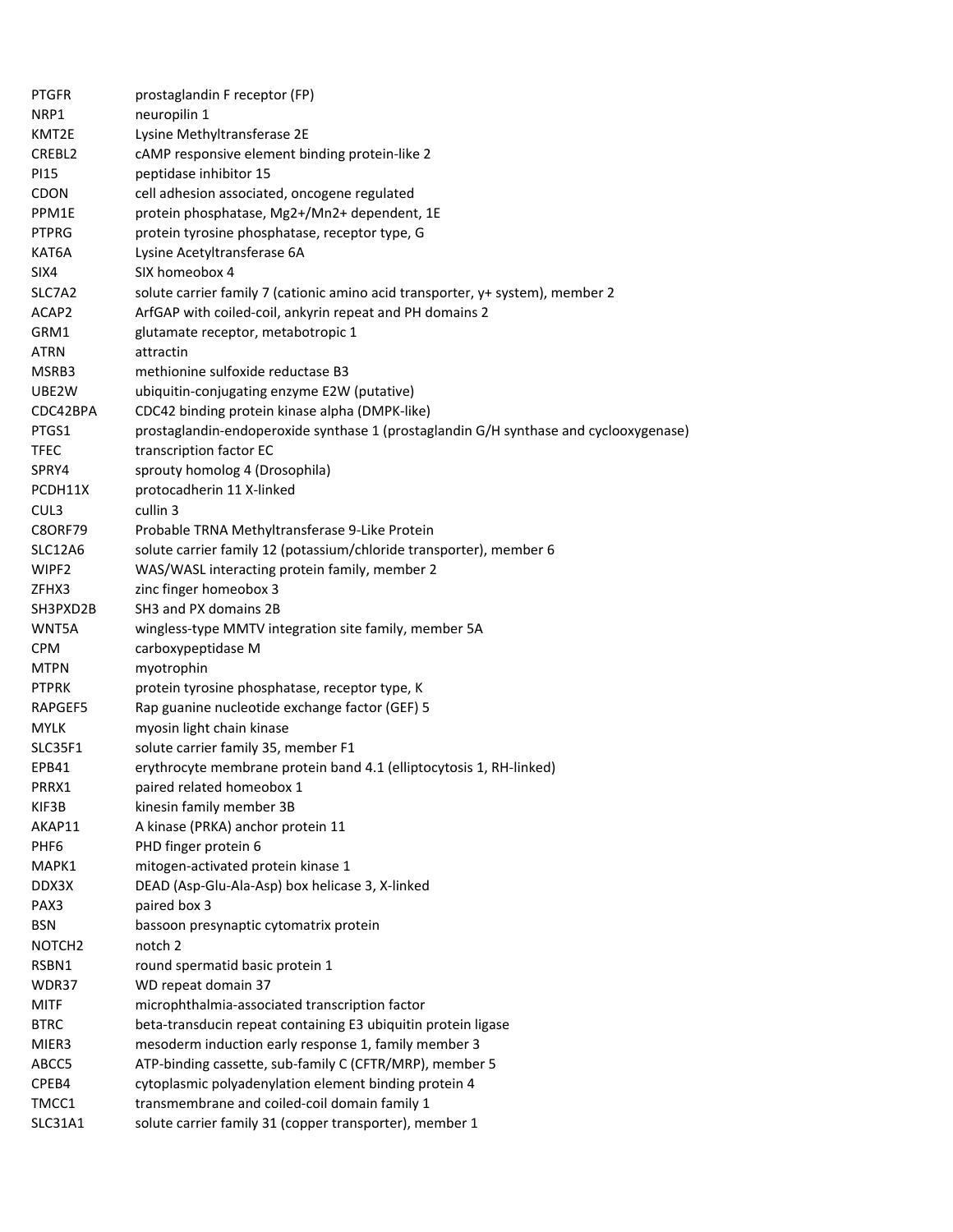| <b>PTGFR</b>       | prostaglandin F receptor (FP)                                                         |
|--------------------|---------------------------------------------------------------------------------------|
| NRP1               | neuropilin 1                                                                          |
| KMT2E              | Lysine Methyltransferase 2E                                                           |
| CREBL2             | cAMP responsive element binding protein-like 2                                        |
| PI15               | peptidase inhibitor 15                                                                |
| <b>CDON</b>        | cell adhesion associated, oncogene regulated                                          |
| PPM1E              | protein phosphatase, Mg2+/Mn2+ dependent, 1E                                          |
| <b>PTPRG</b>       | protein tyrosine phosphatase, receptor type, G                                        |
| KAT6A              | Lysine Acetyltransferase 6A                                                           |
| SIX4               | SIX homeobox 4                                                                        |
| SLC7A2             | solute carrier family 7 (cationic amino acid transporter, y+ system), member 2        |
| ACAP2              | ArfGAP with coiled-coil, ankyrin repeat and PH domains 2                              |
| GRM1               | glutamate receptor, metabotropic 1                                                    |
| <b>ATRN</b>        | attractin                                                                             |
| MSRB3              | methionine sulfoxide reductase B3                                                     |
| UBE2W              | ubiquitin-conjugating enzyme E2W (putative)                                           |
| CDC42BPA           | CDC42 binding protein kinase alpha (DMPK-like)                                        |
| PTGS1              | prostaglandin-endoperoxide synthase 1 (prostaglandin G/H synthase and cyclooxygenase) |
| <b>TFEC</b>        | transcription factor EC                                                               |
|                    |                                                                                       |
| SPRY4              | sprouty homolog 4 (Drosophila)                                                        |
| PCDH11X            | protocadherin 11 X-linked                                                             |
| CUL3               | cullin 3                                                                              |
| <b>C8ORF79</b>     | Probable TRNA Methyltransferase 9-Like Protein                                        |
| SLC12A6            | solute carrier family 12 (potassium/chloride transporter), member 6                   |
| WIPF2              | WAS/WASL interacting protein family, member 2                                         |
| ZFHX3              | zinc finger homeobox 3                                                                |
| SH3PXD2B           | SH3 and PX domains 2B                                                                 |
| WNT5A              | wingless-type MMTV integration site family, member 5A                                 |
| <b>CPM</b>         | carboxypeptidase M                                                                    |
| MTPN               | myotrophin                                                                            |
| <b>PTPRK</b>       | protein tyrosine phosphatase, receptor type, K                                        |
| RAPGEF5            | Rap guanine nucleotide exchange factor (GEF) 5                                        |
| <b>MYLK</b>        | myosin light chain kinase                                                             |
| SLC35F1            | solute carrier family 35, member F1                                                   |
| EPB41              | erythrocyte membrane protein band 4.1 (elliptocytosis 1, RH-linked)                   |
| PRRX1              | paired related homeobox 1                                                             |
| KIF3B              | kinesin family member 3B                                                              |
| AKAP11             | A kinase (PRKA) anchor protein 11                                                     |
| PHF <sub>6</sub>   | PHD finger protein 6                                                                  |
| MAPK1              | mitogen-activated protein kinase 1                                                    |
| DDX3X              | DEAD (Asp-Glu-Ala-Asp) box helicase 3, X-linked                                       |
| PAX3               | paired box 3                                                                          |
| <b>BSN</b>         | bassoon presynaptic cytomatrix protein                                                |
| NOTCH <sub>2</sub> | notch <sub>2</sub>                                                                    |
| RSBN1              | round spermatid basic protein 1                                                       |
| WDR37              | WD repeat domain 37                                                                   |
| <b>MITF</b>        | microphthalmia-associated transcription factor                                        |
| <b>BTRC</b>        | beta-transducin repeat containing E3 ubiquitin protein ligase                         |
| MIER3              | mesoderm induction early response 1, family member 3                                  |
| ABCC5              | ATP-binding cassette, sub-family C (CFTR/MRP), member 5                               |
| CPEB4              | cytoplasmic polyadenylation element binding protein 4                                 |
| TMCC1              | transmembrane and coiled-coil domain family 1                                         |
| SLC31A1            | solute carrier family 31 (copper transporter), member 1                               |
|                    |                                                                                       |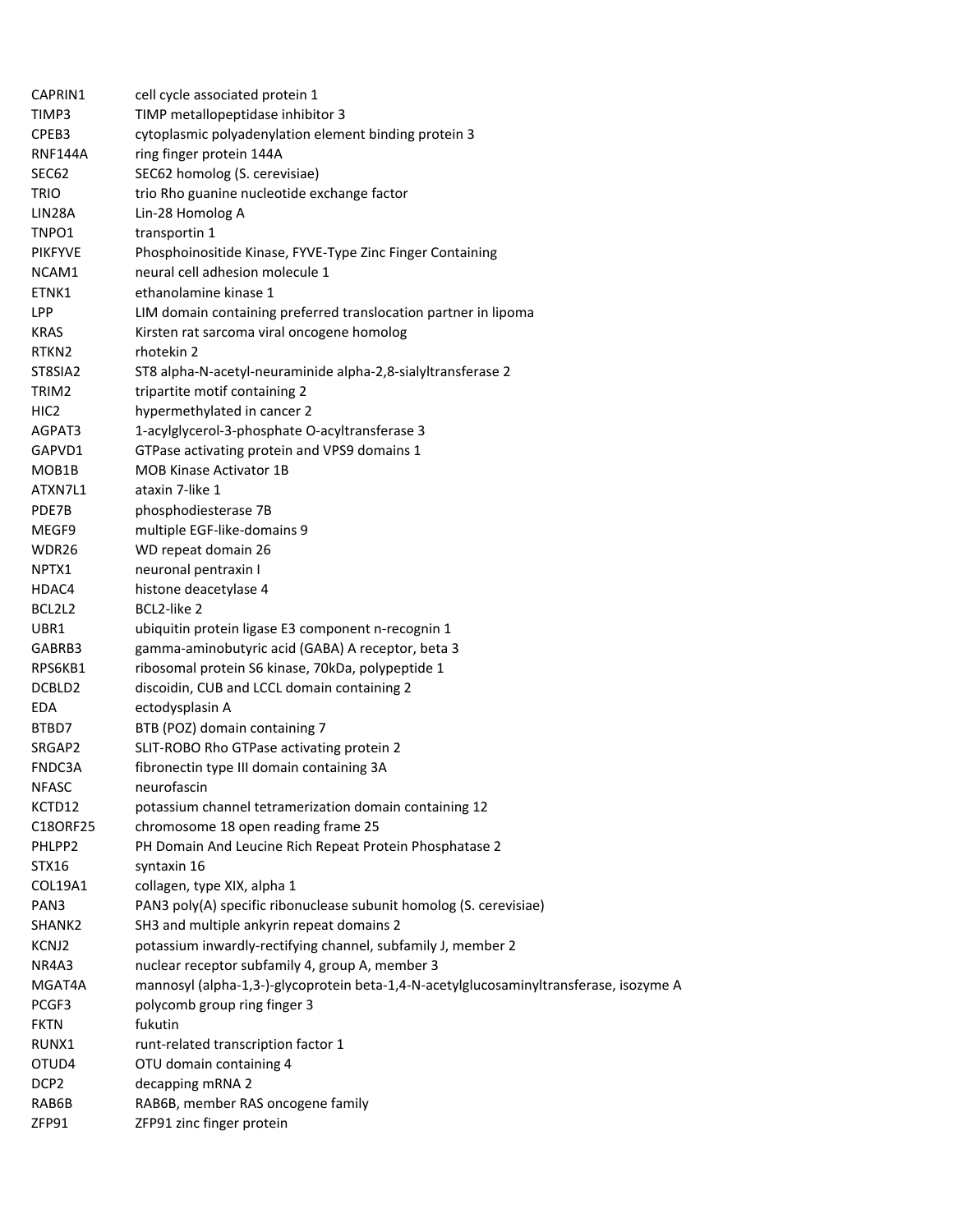| CAPRIN1            | cell cycle associated protein 1                                                        |
|--------------------|----------------------------------------------------------------------------------------|
| TIMP3              | TIMP metallopeptidase inhibitor 3                                                      |
| CPEB3              | cytoplasmic polyadenylation element binding protein 3                                  |
| RNF144A            | ring finger protein 144A                                                               |
| SEC62              | SEC62 homolog (S. cerevisiae)                                                          |
| <b>TRIO</b>        | trio Rho guanine nucleotide exchange factor                                            |
| LIN28A             | Lin-28 Homolog A                                                                       |
| TNPO1              | transportin 1                                                                          |
| <b>PIKFYVE</b>     | Phosphoinositide Kinase, FYVE-Type Zinc Finger Containing                              |
| NCAM1              | neural cell adhesion molecule 1                                                        |
| ETNK1              | ethanolamine kinase 1                                                                  |
| LPP                | LIM domain containing preferred translocation partner in lipoma                        |
| <b>KRAS</b>        | Kirsten rat sarcoma viral oncogene homolog                                             |
| RTKN <sub>2</sub>  | rhotekin 2                                                                             |
| ST8SIA2            | ST8 alpha-N-acetyl-neuraminide alpha-2,8-sialyltransferase 2                           |
| TRIM2              | tripartite motif containing 2                                                          |
| HIC <sub>2</sub>   | hypermethylated in cancer 2                                                            |
| AGPAT3             | 1-acylglycerol-3-phosphate O-acyltransferase 3                                         |
|                    |                                                                                        |
| GAPVD1             | GTPase activating protein and VPS9 domains 1                                           |
| MOB1B              | <b>MOB Kinase Activator 1B</b>                                                         |
| ATXN7L1            | ataxin 7-like 1                                                                        |
| PDE7B              | phosphodiesterase 7B                                                                   |
| MEGF9              | multiple EGF-like-domains 9                                                            |
| WDR26              | WD repeat domain 26                                                                    |
| NPTX1              | neuronal pentraxin I                                                                   |
| HDAC4              | histone deacetylase 4                                                                  |
| BCL2L2             | BCL2-like 2                                                                            |
| UBR1               | ubiquitin protein ligase E3 component n-recognin 1                                     |
| GABRB3             | gamma-aminobutyric acid (GABA) A receptor, beta 3                                      |
| RPS6KB1            | ribosomal protein S6 kinase, 70kDa, polypeptide 1                                      |
| DCBLD2             | discoidin, CUB and LCCL domain containing 2                                            |
| EDA                | ectodysplasin A                                                                        |
| BTBD7              | BTB (POZ) domain containing 7                                                          |
| SRGAP2             | SLIT-ROBO Rho GTPase activating protein 2                                              |
| FNDC3A             | fibronectin type III domain containing 3A                                              |
| <b>NFASC</b>       | neurofascin                                                                            |
| KCTD12             | potassium channel tetramerization domain containing 12                                 |
| C18ORF25           | chromosome 18 open reading frame 25                                                    |
| PHLPP2             | PH Domain And Leucine Rich Repeat Protein Phosphatase 2                                |
| STX16              | syntaxin 16                                                                            |
| COL19A1            | collagen, type XIX, alpha 1                                                            |
| PAN3               | PAN3 poly(A) specific ribonuclease subunit homolog (S. cerevisiae)                     |
| SHANK <sub>2</sub> | SH3 and multiple ankyrin repeat domains 2                                              |
| KCNJ2              | potassium inwardly-rectifying channel, subfamily J, member 2                           |
| NR4A3              | nuclear receptor subfamily 4, group A, member 3                                        |
| MGAT4A             | mannosyl (alpha-1,3-)-glycoprotein beta-1,4-N-acetylglucosaminyltransferase, isozyme A |
| PCGF3              | polycomb group ring finger 3                                                           |
| <b>FKTN</b>        | fukutin                                                                                |
| RUNX1              | runt-related transcription factor 1                                                    |
| OTUD4              | OTU domain containing 4                                                                |
| DCP <sub>2</sub>   | decapping mRNA 2                                                                       |
| RAB6B              | RAB6B, member RAS oncogene family                                                      |
| ZFP91              | ZFP91 zinc finger protein                                                              |
|                    |                                                                                        |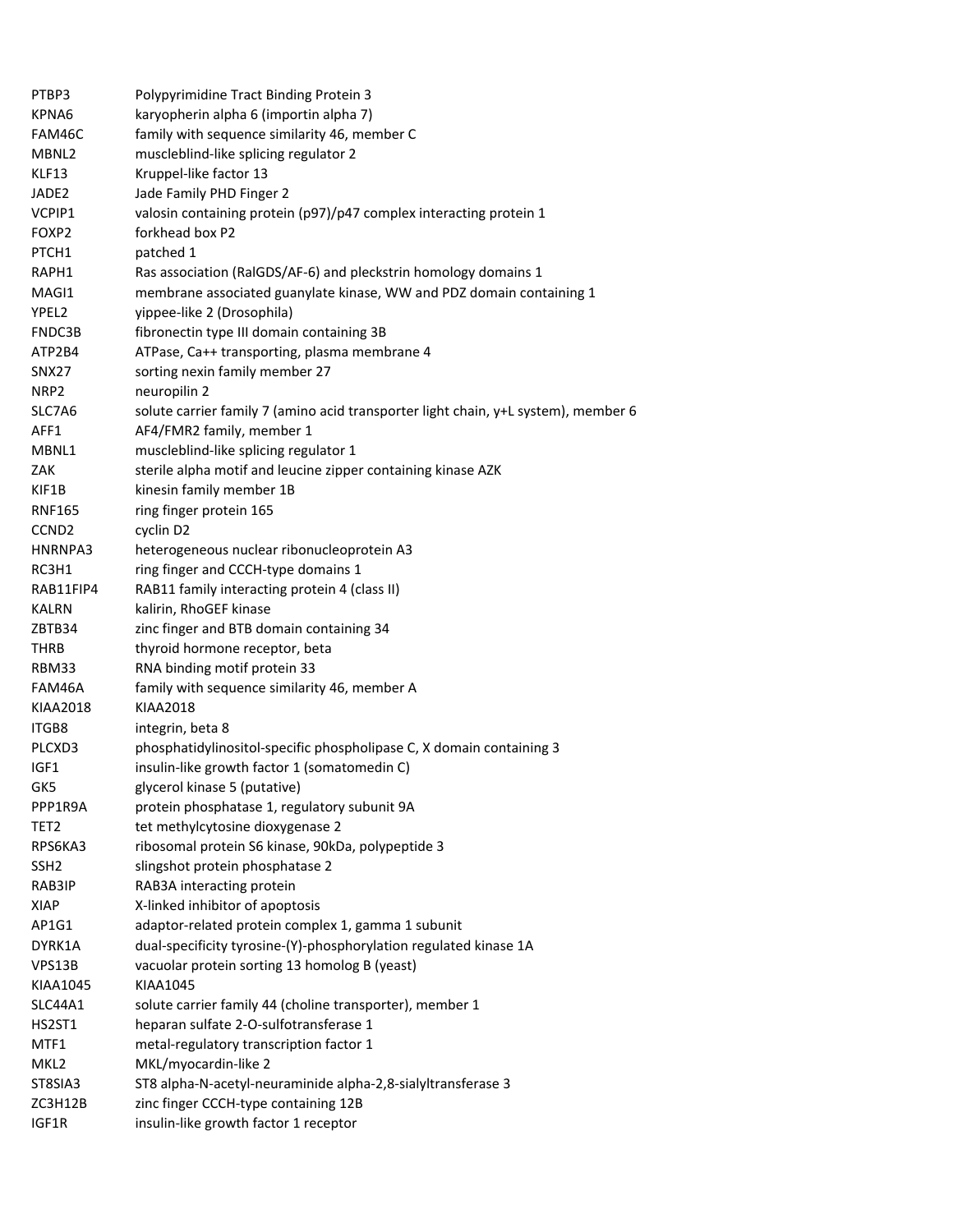| PTBP3             | Polypyrimidine Tract Binding Protein 3                                             |
|-------------------|------------------------------------------------------------------------------------|
| KPNA6             | karyopherin alpha 6 (importin alpha 7)                                             |
| FAM46C            | family with sequence similarity 46, member C                                       |
| MBNL2             | muscleblind-like splicing regulator 2                                              |
| KLF13             | Kruppel-like factor 13                                                             |
| JADE2             | Jade Family PHD Finger 2                                                           |
| VCPIP1            | valosin containing protein (p97)/p47 complex interacting protein 1                 |
| FOXP2             | forkhead box P2                                                                    |
| PTCH1             | patched 1                                                                          |
| RAPH1             | Ras association (RalGDS/AF-6) and pleckstrin homology domains 1                    |
| MAGI1             | membrane associated guanylate kinase, WW and PDZ domain containing 1               |
| YPEL2             | yippee-like 2 (Drosophila)                                                         |
| FNDC3B            | fibronectin type III domain containing 3B                                          |
| ATP2B4            | ATPase, Ca++ transporting, plasma membrane 4                                       |
| SNX27             | sorting nexin family member 27                                                     |
| NRP2              | neuropilin 2                                                                       |
| SLC7A6            | solute carrier family 7 (amino acid transporter light chain, y+L system), member 6 |
| AFF1              | AF4/FMR2 family, member 1                                                          |
| MBNL1             | muscleblind-like splicing regulator 1                                              |
| ZAK               | sterile alpha motif and leucine zipper containing kinase AZK                       |
| KIF1B             | kinesin family member 1B                                                           |
| RNF165            | ring finger protein 165                                                            |
| CCND <sub>2</sub> | cyclin D2                                                                          |
| HNRNPA3           | heterogeneous nuclear ribonucleoprotein A3                                         |
| RC3H1             | ring finger and CCCH-type domains 1                                                |
| RAB11FIP4         | RAB11 family interacting protein 4 (class II)                                      |
| KALRN             | kalirin, RhoGEF kinase                                                             |
| ZBTB34            | zinc finger and BTB domain containing 34                                           |
| THRB              | thyroid hormone receptor, beta                                                     |
| RBM33             | RNA binding motif protein 33                                                       |
| FAM46A            | family with sequence similarity 46, member A                                       |
| KIAA2018          | <b>KIAA2018</b>                                                                    |
| ITGB8             | integrin, beta 8                                                                   |
| PLCXD3            | phosphatidylinositol-specific phospholipase C, X domain containing 3               |
| IGF1              | insulin-like growth factor 1 (somatomedin C)                                       |
| GK5               | glycerol kinase 5 (putative)                                                       |
| PPP1R9A           | protein phosphatase 1, regulatory subunit 9A                                       |
| TET <sub>2</sub>  | tet methylcytosine dioxygenase 2                                                   |
| RPS6KA3           | ribosomal protein S6 kinase, 90kDa, polypeptide 3                                  |
| SSH <sub>2</sub>  | slingshot protein phosphatase 2                                                    |
| RAB3IP            | RAB3A interacting protein                                                          |
| <b>XIAP</b>       | X-linked inhibitor of apoptosis                                                    |
| AP1G1             | adaptor-related protein complex 1, gamma 1 subunit                                 |
| DYRK1A            | dual-specificity tyrosine-(Y)-phosphorylation regulated kinase 1A                  |
| VPS13B            | vacuolar protein sorting 13 homolog B (yeast)                                      |
| KIAA1045          | KIAA1045                                                                           |
| SLC44A1           | solute carrier family 44 (choline transporter), member 1                           |
| HS2ST1            | heparan sulfate 2-O-sulfotransferase 1                                             |
| MTF1              | metal-regulatory transcription factor 1                                            |
| MKL <sub>2</sub>  | MKL/myocardin-like 2                                                               |
| ST8SIA3           | ST8 alpha-N-acetyl-neuraminide alpha-2,8-sialyltransferase 3                       |
| ZC3H12B           | zinc finger CCCH-type containing 12B                                               |
| IGF1R             | insulin-like growth factor 1 receptor                                              |
|                   |                                                                                    |